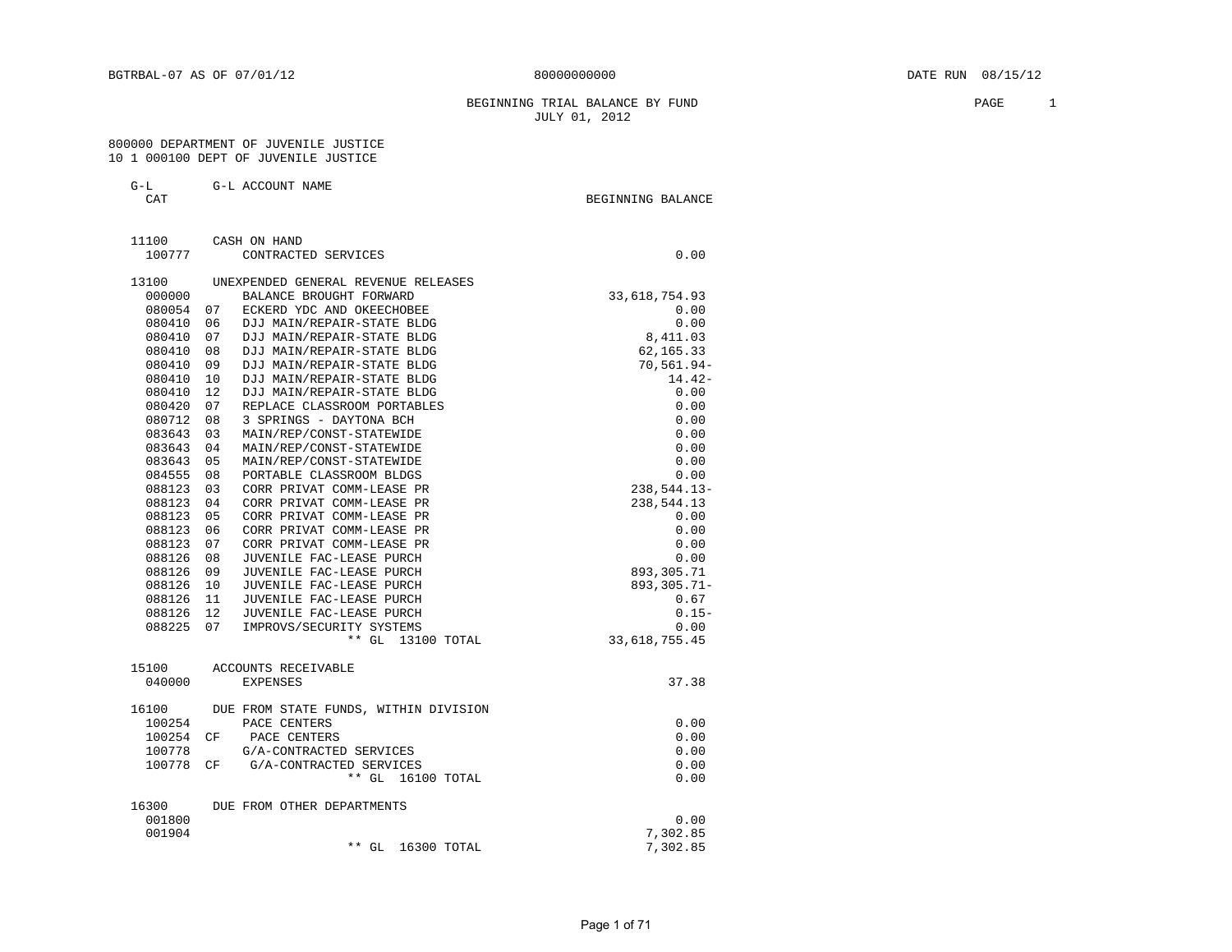#### BEGINNING TRIAL BALANCE BY FUND **PAGE** 1 JULY 01, 2012

#### 800000 DEPARTMENT OF JUVENILE JUSTICE 10 1 000100 DEPT OF JUVENILE JUSTICE

G-L G-L ACCOUNT NAME

CAT GENERAL BALANCE CAT SERVICE SERVICE SERVICE SERVICE SERVICE SERVICE SERVICE SERVICE SERVICE SERVICE SERVICE

 11100 CASH ON HAND 100777 CONTRACTED SERVICES 0.00 13100 UNEXPENDED GENERAL REVENUE RELEASES<br>000000 BALANCE BROUGHT FORWARD 000000 BALANCE BROUGHT FORWARD 33,618,754.93 080054 07 ECKERD YDC AND OKEECHOBEE 0.00 080410 06 DJJ MAIN/REPAIR-STATE BLDG 0.00  $080410$  07 DJJ MAIN/REPAIR-STATE BLDG  $8,411.03$ 080410 08 DJJ MAIN/REPAIR-STATE BLDG 62,165.33 080410 09 DJJ MAIN/REPAIR-STATE BLDG 70,561.94-080410 10 DJJ MAIN/REPAIR-STATE BLDG 14.42- 080410 12 DJJ MAIN/REPAIR-STATE BLDG 0.00 080420 07 REPLACE CLASSROOM PORTABLES 0.00 080712 08 3 SPRINGS - DAYTONA BCH 0.00 083643 03 MAIN/REP/CONST-STATEWIDE 0.00 083643 04 MAIN/REP/CONST-STATEWIDE 0.00 083643 05 MAIN/REP/CONST-STATEWIDE 0.00 084555 08 PORTABLE CLASSROOM BLDGS 0.00 088123 03 CORR PRIVAT COMM-LEASE PR 238,544.13- 088123 04 CORR PRIVAT COMM-LEASE PR 238,544.13 088123 05 CORR PRIVAT COMM-LEASE PR 0.00 088123 06 CORR PRIVAT COMM-LEASE PR 0.00 088123 07 CORR PRIVAT COMM-LEASE PR 0.00 088126 08 JUVENILE FAC-LEASE PURCH 0.00 088126 09 JUVENILE FAC-LEASE PURCH 893,305.71 088126 10 JUVENILE FAC-LEASE PURCH 893,305.71- 088126 11 JUVENILE FAC-LEASE PURCH 0.67 088126 12 JUVENILE FAC-LEASE PURCH 0.15-088225 07 IMPROVS/SECURITY SYSTEMS 0.00 \*\* GL 13100 TOTAL 33,618,755.45 15100 ACCOUNTS RECEIVABLE 040000 EXPENSES 37.38 16100 DUE FROM STATE FUNDS, WITHIN DIVISION 100254 PACE CENTERS 0.00 100254 CF PACE CENTERS 0.00<br>100778 G/A-CONTRACTED SERVICES 0.00 100778 G/A-CONTRACTED SERVICES 100778 CF G/A-CONTRACTED SERVICES 6.00 \*\* GL 16100 TOTAL 0.00 16300 DUE FROM OTHER DEPARTMENTS 001800 0.00 001904 7,302.85 \*\* GL 16300 TOTAL 7,302.85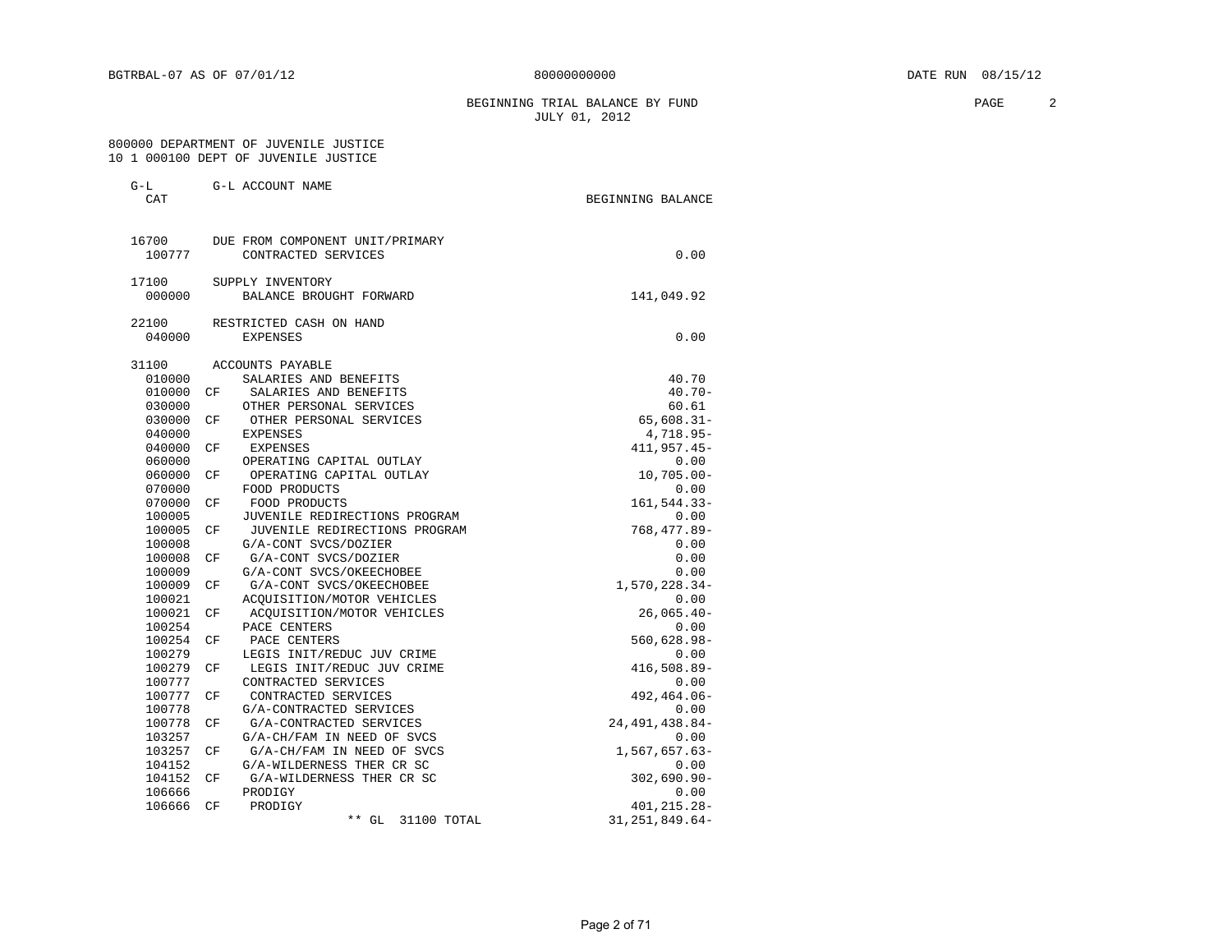BEGINNING TRIAL BALANCE BY FUND **PAGE** 2 JULY 01, 2012

#### 800000 DEPARTMENT OF JUVENILE JUSTICE 10 1 000100 DEPT OF JUVENILE JUSTICE

G-L G-L ACCOUNT NAME

| CAT    |    |                                 | BEGINNING BALANCE |
|--------|----|---------------------------------|-------------------|
| 16700  |    | DUE FROM COMPONENT UNIT/PRIMARY |                   |
| 100777 |    | CONTRACTED SERVICES             | 0.00              |
| 17100  |    | SUPPLY INVENTORY                |                   |
| 000000 |    | BALANCE BROUGHT FORWARD         | 141,049.92        |
| 22100  |    | RESTRICTED CASH ON HAND         |                   |
| 040000 |    | <b>EXPENSES</b>                 | 0.00              |
| 31100  |    | <b>ACCOUNTS PAYABLE</b>         |                   |
| 010000 |    | SALARIES AND BENEFITS           | 40.70             |
| 010000 | CF | SALARIES AND BENEFITS           | $40.70 -$         |
| 030000 |    | OTHER PERSONAL SERVICES         | 60.61             |
| 030000 | CF | OTHER PERSONAL SERVICES         | $65,608.31 -$     |
| 040000 |    | EXPENSES                        | 4,718.95-         |
| 040000 | CF | <b>EXPENSES</b>                 | 411,957.45-       |
| 060000 |    | OPERATING CAPITAL OUTLAY        | 0.00              |
| 060000 | CF | OPERATING CAPITAL OUTLAY        | $10,705.00 -$     |
| 070000 |    | FOOD PRODUCTS                   | 0.00              |
| 070000 | CF | FOOD PRODUCTS                   | 161,544.33-       |
| 100005 |    | JUVENILE REDIRECTIONS PROGRAM   | 0.00              |
| 100005 | СF | JUVENILE REDIRECTIONS PROGRAM   | 768,477.89-       |
| 100008 |    | G/A-CONT SVCS/DOZIER            | 0.00              |
| 100008 | СF | G/A-CONT SVCS/DOZIER            | 0.00              |
| 100009 |    | G/A-CONT SVCS/OKEECHOBEE        | 0.00              |
| 100009 | CF | G/A-CONT SVCS/OKEECHOBEE        | 1,570,228.34-     |
| 100021 |    | ACOUISITION/MOTOR VEHICLES      | 0.00              |
| 100021 | СF | ACOUISITION/MOTOR VEHICLES      | $26,065.40-$      |
| 100254 |    | PACE CENTERS                    | 0.00              |
| 100254 | CF | PACE CENTERS                    | 560,628.98-       |
| 100279 |    | LEGIS INIT/REDUC JUV CRIME      | 0.00              |
| 100279 | CF | LEGIS INIT/REDUC JUV CRIME      | 416,508.89-       |
| 100777 |    | CONTRACTED SERVICES             | 0.00              |
| 100777 | СF | CONTRACTED SERVICES             | 492,464.06-       |
| 100778 |    | G/A-CONTRACTED SERVICES         | 0.00              |
| 100778 | СF | G/A-CONTRACTED SERVICES         | 24, 491, 438.84-  |
| 103257 |    | G/A-CH/FAM IN NEED OF SVCS      | 0.00              |
| 103257 | СF | G/A-CH/FAM IN NEED OF SVCS      | 1,567,657.63-     |
| 104152 |    | G/A-WILDERNESS THER CR SC       | 0.00              |
| 104152 | СF | G/A-WILDERNESS THER CR SC       | $302,690.90 -$    |
| 106666 |    | PRODIGY                         | 0.00              |
| 106666 | СF | PRODIGY                         | 401,215.28-       |
|        |    |                                 |                   |
|        |    | $***$ GL<br>31100 TOTAL         | 31, 251, 849.64-  |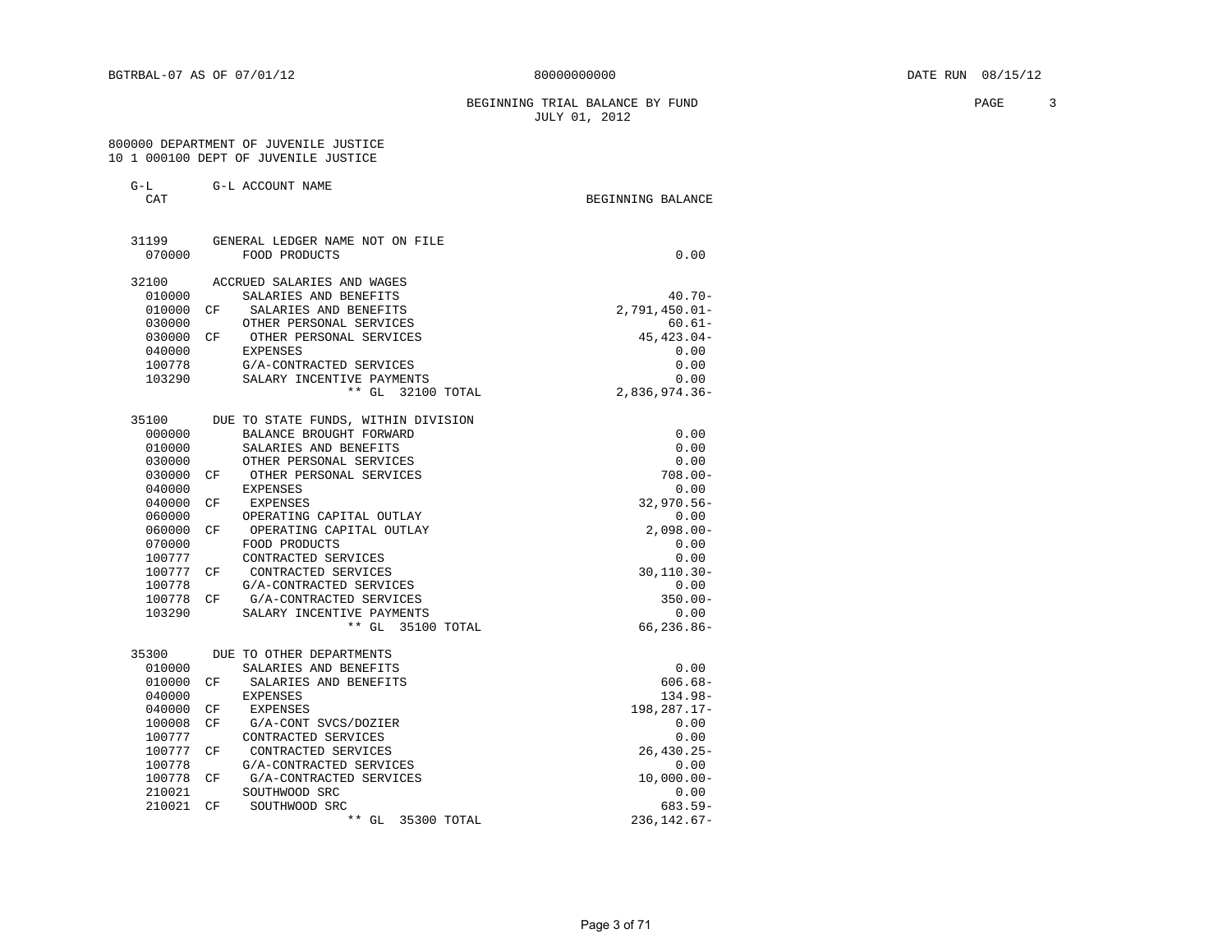BEGINNING TRIAL BALANCE BY FUND **PAGE** 3 JULY 01, 2012

#### 800000 DEPARTMENT OF JUVENILE JUSTICE 10 1 000100 DEPT OF JUVENILE JUSTICE

| $G-L$<br>CAT | G-L ACCOUNT NAME                    | BEGINNING BALANCE |
|--------------|-------------------------------------|-------------------|
| 31199        | GENERAL LEDGER NAME NOT ON FILE     |                   |
| 070000       | FOOD PRODUCTS                       | 0.00              |
| 32100        | ACCRUED SALARIES AND WAGES          |                   |
| 010000       | SALARIES AND BENEFITS               | $40.70 -$         |
| 010000       | SALARIES AND BENEFITS<br>CF         | $2,791,450.01 -$  |
| 030000       | OTHER PERSONAL SERVICES             | $60.61 -$         |
| 030000       | CF OTHER PERSONAL SERVICES          | $45, 423.04 -$    |
| 040000       | <b>EXPENSES</b>                     | 0.00              |
| 100778       | G/A-CONTRACTED SERVICES             | 0.00              |
| 103290       | SALARY INCENTIVE PAYMENTS           | 0.00              |
|              | ** GL 32100 TOTAL                   | $2,836,974.36-$   |
| 35100        | DUE TO STATE FUNDS, WITHIN DIVISION |                   |
| 000000       | BALANCE BROUGHT FORWARD             | 0.00              |
| 010000       | SALARIES AND BENEFITS               | 0.00              |
| 030000       | OTHER PERSONAL SERVICES             | 0.00              |
| 030000       | CF OTHER PERSONAL SERVICES          | $708.00 -$        |
| 040000       | EXPENSES                            | 0.00              |
| 040000       | CF<br>EXPENSES                      | $32,970.56 -$     |
| 060000       | OPERATING CAPITAL OUTLAY            | 0.00              |
| 060000       | OPERATING CAPITAL OUTLAY<br>CF.     | $2,098.00 -$      |
| 070000       | FOOD PRODUCTS                       | 0.00              |
| 100777       | CONTRACTED SERVICES                 | 0.00              |
| 100777       | CONTRACTED SERVICES<br>CF           | $30, 110.30 -$    |
| 100778       | G/A-CONTRACTED SERVICES             | 0.00              |
| 100778       | G/A-CONTRACTED SERVICES<br>CF.      | $350.00 -$        |
| 103290       | SALARY INCENTIVE PAYMENTS           | 0.00              |
|              | ** GL 35100 TOTAL                   | 66,236.86-        |
| 35300        | DUE TO OTHER DEPARTMENTS            |                   |
| 010000       | SALARIES AND BENEFITS               | 0.00              |
| 010000       | SALARIES AND BENEFITS<br>CF.        | $606.68 -$        |
| 040000       | EXPENSES                            | $134.98 -$        |
| 040000       | EXPENSES<br>CF                      | 198,287.17-       |
| 100008       | CF<br>G/A-CONT SVCS/DOZIER          | 0.00              |
| 100777       | CONTRACTED SERVICES                 | 0.00              |
| 100777       | CONTRACTED SERVICES<br>CF           | $26, 430.25 -$    |
| 100778       | G/A-CONTRACTED SERVICES             | 0.00              |

 100778 G/A-CONTRACTED SERVICES 0.00 100778 CF G/A-CONTRACTED SERVICES 10,000.00-210021 SOUTHWOOD SRC 0.00<br>210021 CF SOUTHWOOD SRC 683.59-210021 CF SOUTHWOOD SRC 683.59-<br>+\* GL 35300 TOTAL 236,142.67-\*\* GL 35300 TOTAL 236,142.67-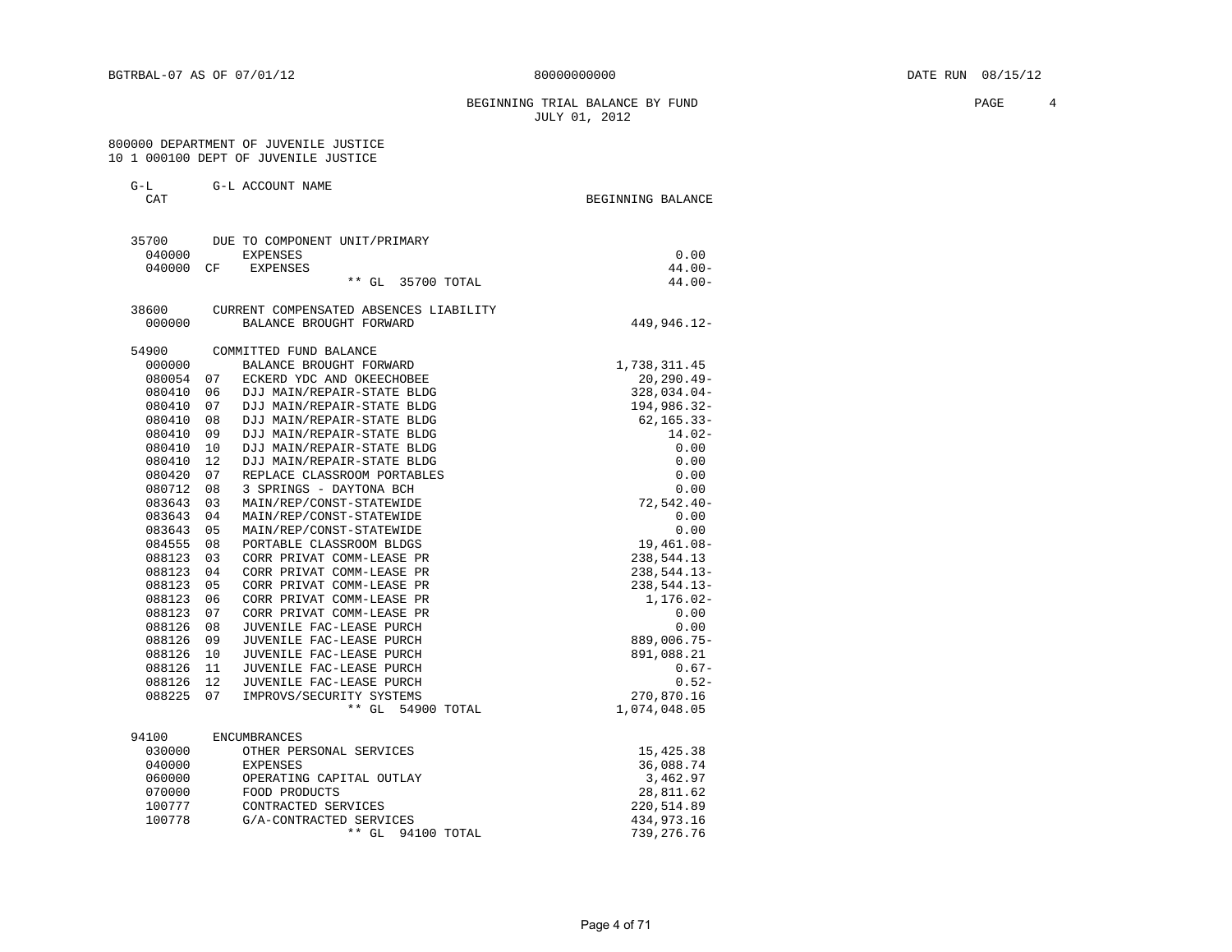#### BEGINNING TRIAL BALANCE BY FUND **PAGE** 4 JULY 01, 2012

#### 800000 DEPARTMENT OF JUVENILE JUSTICE 10 1 000100 DEPT OF JUVENILE JUSTICE

| $\tilde{\phantom{a}}$<br>$-$ | G-L ACCOUNT<br>NAME |                   |  |
|------------------------------|---------------------|-------------------|--|
| ⌒⊼冖<br>. .                   |                     | BEGINNING BALANCE |  |

| 35700     |      | DUE TO COMPONENT UNIT/PRIMARY          |                |
|-----------|------|----------------------------------------|----------------|
| 040000    |      | <b>EXPENSES</b>                        | 0.00           |
| 040000    | CF.  | EXPENSES                               | $44.00 -$      |
|           |      | ** GL 35700 TOTAL                      | $44.00 -$      |
| 38600     |      | CURRENT COMPENSATED ABSENCES LIABILITY |                |
| 000000    |      | BALANCE BROUGHT FORWARD                | 449,946.12-    |
| 54900     |      | COMMITTED FUND BALANCE                 |                |
| 000000    |      | BALANCE BROUGHT FORWARD                | 1,738,311.45   |
| 080054    | 07   | ECKERD YDC AND OKEECHOBEE              | $20, 290.49 -$ |
| 080410    | 06   | DJJ MAIN/REPAIR-STATE BLDG             | 328,034.04-    |
| 080410    | 07   | DJJ MAIN/REPAIR-STATE BLDG             | 194,986.32-    |
| 080410    | 08   | DJJ MAIN/REPAIR-STATE BLDG             | $62, 165.33 -$ |
| 080410    | 09   | DJJ MAIN/REPAIR-STATE BLDG             | $14.02-$       |
| 080410    | 10   | DJJ MAIN/REPAIR-STATE BLDG             | 0.00           |
| 080410    | 12   | DJJ MAIN/REPAIR-STATE BLDG             | 0.00           |
| 080420    | 07   | REPLACE CLASSROOM PORTABLES            | 0.00           |
| 080712    | 08   | 3 SPRINGS - DAYTONA BCH                | 0.00           |
| 083643    | 03   | MAIN/REP/CONST-STATEWIDE               | $72, 542.40 -$ |
| 083643    | 04   | MAIN/REP/CONST-STATEWIDE               | 0.00           |
| 083643    | 05   | MAIN/REP/CONST-STATEWIDE               | 0.00           |
| 084555    | 08   | PORTABLE CLASSROOM BLDGS               | 19,461.08-     |
| 088123    | 03   | CORR PRIVAT COMM-LEASE PR              | 238,544.13     |
| 088123    | 04   | CORR PRIVAT COMM-LEASE PR              | 238,544.13-    |
| 088123    | 05   | CORR PRIVAT COMM-LEASE PR              | 238,544.13-    |
| 088123    | 06   | CORR PRIVAT COMM-LEASE PR              | 1,176.02-      |
| 088123    | 07   | CORR PRIVAT COMM-LEASE PR              | 0.00           |
| 088126    | 08   | JUVENILE FAC-LEASE PURCH               | 0.00           |
| 088126    | 09   | JUVENILE FAC-LEASE PURCH               | 889,006.75-    |
| 088126    | 10   | JUVENILE FAC-LEASE PURCH               | 891,088.21     |
| 088126    | - 11 | JUVENILE FAC-LEASE PURCH               | $0.67-$        |
| 088126 12 |      | JUVENILE FAC-LEASE PURCH               | $0.52 -$       |
| 088225    | 07   | IMPROVS/SECURITY SYSTEMS               | 270,870.16     |
|           |      | ** GL 54900 TOTAL                      | 1,074,048.05   |
| 94100     |      | <b>ENCUMBRANCES</b>                    |                |
| 030000    |      | OTHER PERSONAL SERVICES                | 15,425.38      |
| 040000    |      | <b>EXPENSES</b>                        | 36,088.74      |
| 060000    |      | OPERATING CAPITAL OUTLAY               | 3,462.97       |
| 070000    |      | FOOD PRODUCTS                          | 28,811.62      |
| 100777    |      | CONTRACTED SERVICES                    | 220,514.89     |
| 100778    |      | G/A-CONTRACTED SERVICES                | 434,973.16     |
|           |      | $***$ GL<br>94100 TOTAL                | 739, 276.76    |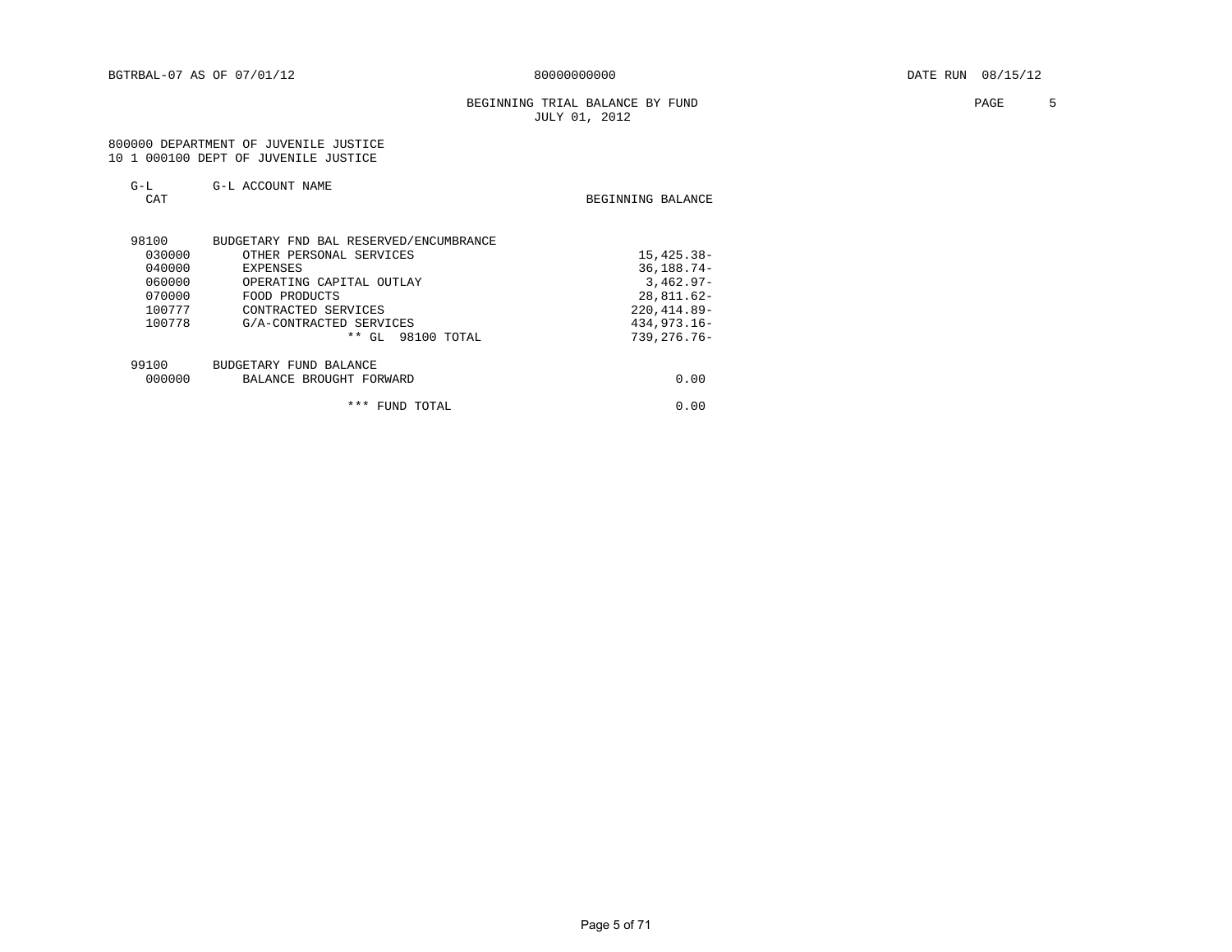#### BEGINNING TRIAL BALANCE BY FUND **FAGE** 5 JULY 01, 2012

#### 800000 DEPARTMENT OF JUVENILE JUSTICE 10 1 000100 DEPT OF JUVENILE JUSTICE

 $G-L$   $G-L$   $G-L$   $ACCOUNT$   $NAME$ 

| <b>CAT</b> |                                        | BEGINNING BALANCE |
|------------|----------------------------------------|-------------------|
| 98100      | BUDGETARY FND BAL RESERVED/ENCUMBRANCE |                   |
| 030000     | OTHER PERSONAL SERVICES                | 15,425.38-        |
| 040000     | EXPENSES                               | $36, 188.74 -$    |
| 060000     | OPERATING CAPITAL OUTLAY               | $3,462.97-$       |
| 070000     | FOOD PRODUCTS                          | $28,811.62-$      |
| 100777     | CONTRACTED SERVICES                    | $220, 414.89 -$   |
| 100778     | G/A-CONTRACTED SERVICES                | $434.973.16 -$    |
|            | $**$ GL<br>98100 TOTAL                 | $739.276.76 -$    |
| 99100      | BUDGETARY FUND BALANCE                 |                   |
| 000000     | BALANCE BROUGHT FORWARD                | 0.00              |
|            |                                        |                   |

Page 5 of 71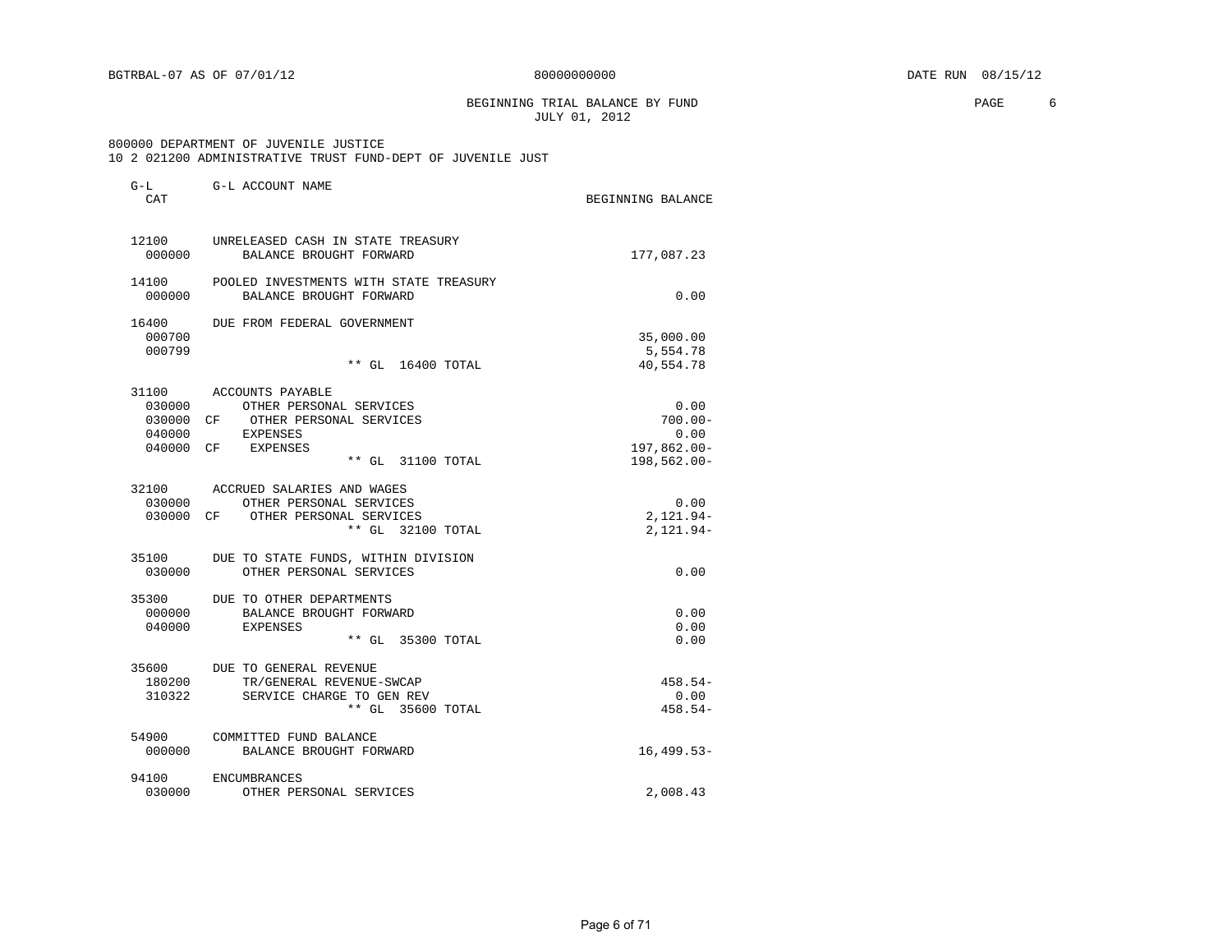BEGINNING TRIAL BALANCE BY FUND **EXAMPLE 1999** PAGE 6 JULY 01, 2012

# 800000 DEPARTMENT OF JUVENILE JUSTICE

|  |  | OOOOOO DEFANIMENI OF OOVENIDE OODIICE |                                                                   |  |  |
|--|--|---------------------------------------|-------------------------------------------------------------------|--|--|
|  |  |                                       | 10   2   021200   ADMINISTRATIVE TRUST FUND-DEPT OF JUVENILE JUST |  |  |

| G-L<br>CAT                | G-L ACCOUNT NAME                                                                                                                                     | BEGINNING BALANCE                                        |
|---------------------------|------------------------------------------------------------------------------------------------------------------------------------------------------|----------------------------------------------------------|
| 12100<br>000000           | UNRELEASED CASH IN STATE TREASURY<br>BALANCE BROUGHT FORWARD                                                                                         | 177,087.23                                               |
| 14100<br>000000           | POOLED INVESTMENTS WITH STATE TREASURY<br>BALANCE BROUGHT FORWARD                                                                                    | 0.00                                                     |
| 16400<br>000700<br>000799 | DUE FROM FEDERAL GOVERNMENT                                                                                                                          | 35,000.00<br>5,554.78                                    |
|                           | ** GL 16400 TOTAL                                                                                                                                    | 40,554.78                                                |
| 040000                    | 31100 ACCOUNTS PAYABLE<br>030000 OTHER PERSONAL SERVICES<br>030000 CF OTHER PERSONAL SERVICES<br>EXPENSES<br>040000 CF EXPENSES<br>** GL 31100 TOTAL | 0.00<br>$700.00 -$<br>0.00<br>197,862.00-<br>198,562.00- |
| 030000                    | 32100 ACCRUED SALARIES AND WAGES<br>OTHER PERSONAL SERVICES<br>030000 CF OTHER PERSONAL SERVICES<br>** GL 32100 TOTAL                                | 0.00<br>$2,121.94-$<br>$2,121.94-$                       |
| 35100<br>030000           | DUE TO STATE FUNDS, WITHIN DIVISION<br>OTHER PERSONAL SERVICES                                                                                       | 0.00                                                     |
| 000000<br>040000          | 35300 DUE TO OTHER DEPARTMENTS<br>BALANCE BROUGHT FORWARD<br><b>EXPENSES</b><br>** GL 35300 TOTAL                                                    | 0.00<br>0.00<br>0.00                                     |
| 35600<br>180200<br>310322 | DUE TO GENERAL REVENUE<br>TR/GENERAL REVENUE-SWCAP<br>SERVICE CHARGE TO GEN REV<br>** GL 35600 TOTAL                                                 | $458.54-$<br>0.00<br>$458.54-$                           |
| 54900<br>000000           | COMMITTED FUND BALANCE<br>BALANCE BROUGHT FORWARD                                                                                                    | $16, 499.53 -$                                           |
| 94100<br>030000           | ENCUMBRANCES<br>OTHER PERSONAL SERVICES                                                                                                              | 2,008.43                                                 |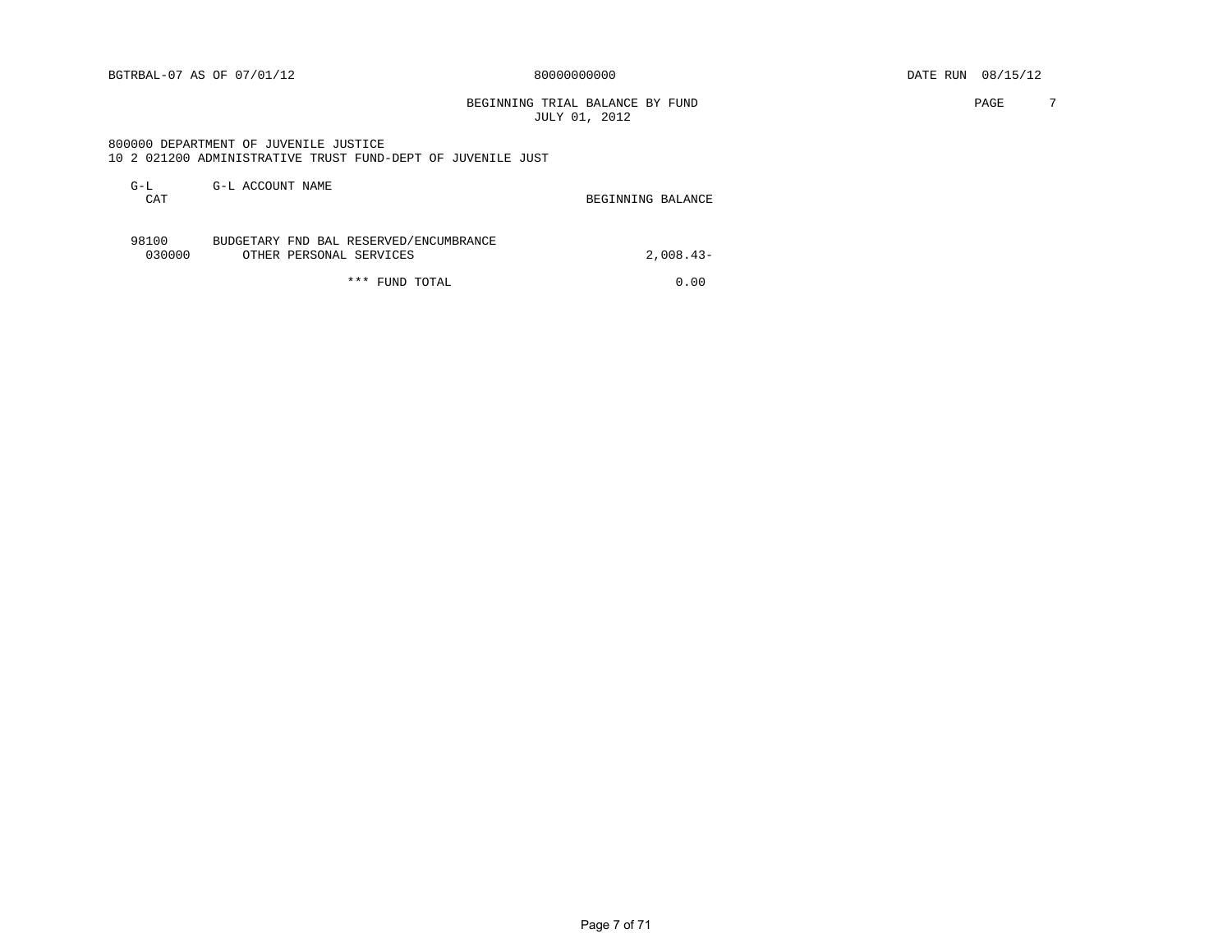BEGINNING TRIAL BALANCE BY FUND **PAGE** 7 JULY 01, 2012

#### 800000 DEPARTMENT OF JUVENILE JUSTICE 10 2 021200 ADMINISTRATIVE TRUST FUND-DEPT OF JUVENILE JUST

| $G-L$<br>CAT    | G-L ACCOUNT NAME                                                  | BEGINNING BALANCE |
|-----------------|-------------------------------------------------------------------|-------------------|
| 98100<br>030000 | BUDGETARY FND BAL RESERVED/ENCUMBRANCE<br>OTHER PERSONAL SERVICES | $2.008.43-$       |

\*\*\* FUND TOTAL 0.00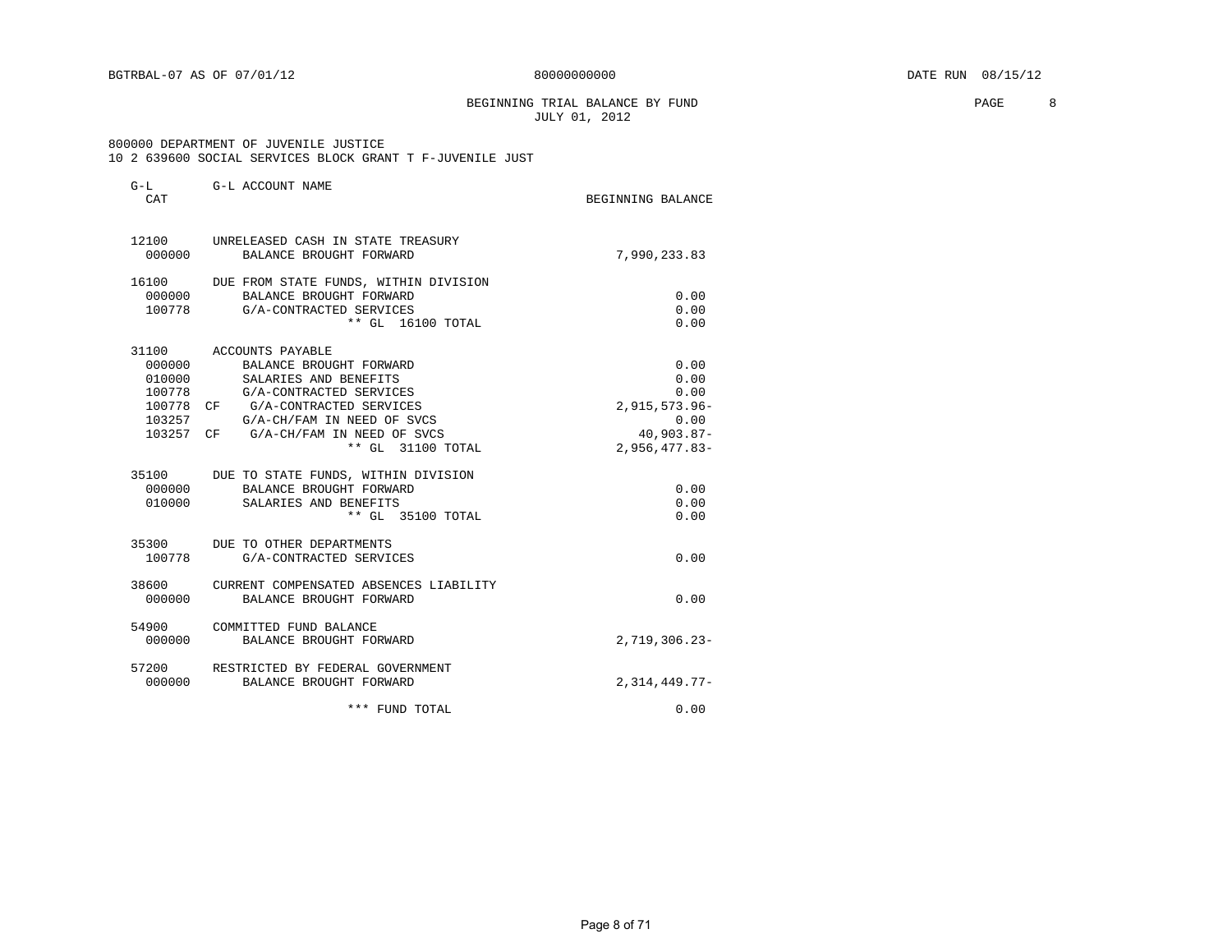#### BEGINNING TRIAL BALANCE BY FUND **PAGE 8** JULY 01, 2012

#### 800000 DEPARTMENT OF JUVENILE JUSTICE 10 2 639600 SOCIAL SERVICES BLOCK GRANT T F-JUVENILE JUST

| $G-L$<br>CAT | G-L ACCOUNT NAME                                                   | BEGINNING BALANCE |
|--------------|--------------------------------------------------------------------|-------------------|
| 000000       | 12100 UNRELEASED CASH IN STATE TREASURY<br>BALANCE BROUGHT FORWARD | 7,990,233.83      |
|              |                                                                    |                   |
|              | 16100 DUE FROM STATE FUNDS, WITHIN DIVISION                        |                   |
|              | 000000 BALANCE BROUGHT FORWARD                                     | 0.00              |
|              | 100778 G/A-CONTRACTED SERVICES<br>** GL 16100 TOTAL                | 0.00<br>0.00      |
|              | 31100 ACCOUNTS PAYABLE                                             |                   |
| 000000       | BALANCE BROUGHT FORWARD                                            | 0.00              |
| 010000       | SALARIES AND BENEFITS                                              | 0.00              |
| 100778       | G/A-CONTRACTED SERVICES                                            | 0.00              |
|              | 100778 CF G/A-CONTRACTED SERVICES                                  | 2,915,573.96-     |
| 103257       | G/A-CH/FAM IN NEED OF SVCS                                         | 0.00              |
|              | 103257 CF G/A-CH/FAM IN NEED OF SVCS                               | $40,903.87 -$     |
|              | ** GL 31100 TOTAL                                                  | $2,956,477.83-$   |
|              | 35100 DUE TO STATE FUNDS, WITHIN DIVISION                          |                   |
|              | 000000 BALANCE BROUGHT FORWARD                                     | 0.00              |
|              | 010000 SALARIES AND BENEFITS                                       | 0.00              |
|              | ** GL 35100 TOTAL                                                  | 0.00              |
|              | 35300 DUE TO OTHER DEPARTMENTS                                     |                   |
| 100778       | G/A-CONTRACTED SERVICES                                            | 0.00              |
| 38600        | CURRENT COMPENSATED ABSENCES LIABILITY                             |                   |
|              | 000000 BALANCE BROUGHT FORWARD                                     | 0.00              |
| 54900        | COMMITTED FUND BALANCE                                             |                   |
| 000000       | BALANCE BROUGHT FORWARD                                            | $2,719,306.23-$   |
| 000000       | 57200 RESTRICTED BY FEDERAL GOVERNMENT<br>BALANCE BROUGHT FORWARD  | $2,314,449.77-$   |
|              |                                                                    |                   |
|              | *** FUND TOTAL                                                     | 0.00              |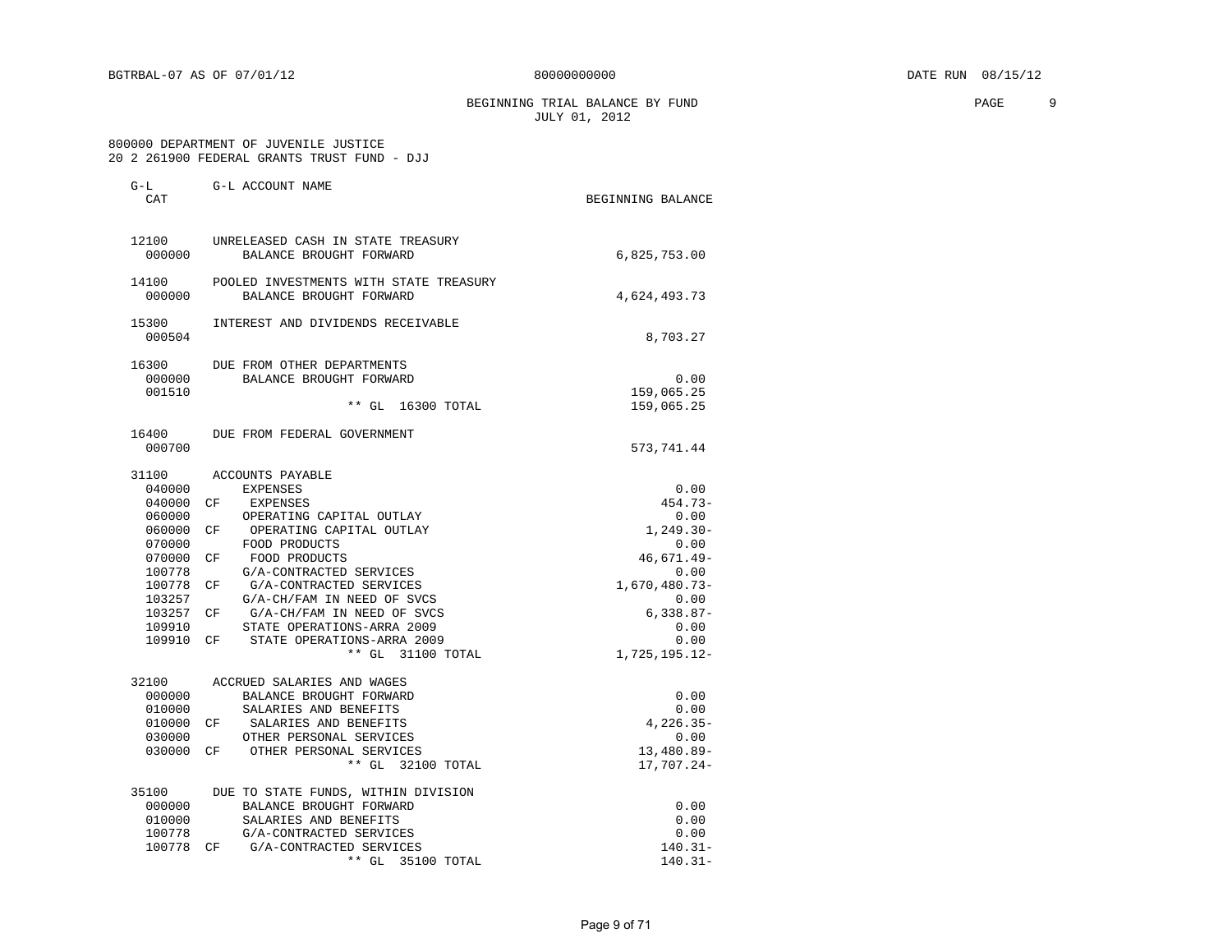BEGINNING TRIAL BALANCE BY FUND **PAGE** 9 JULY 01, 2012

 800000 DEPARTMENT OF JUVENILE JUSTICE 20 2 261900 FEDERAL GRANTS TRUST FUND - DJJ

| G-L<br>CAT                                                                                                                    | G-L ACCOUNT NAME                                                                                                                                                                                                                                                                                                                                                                   | BEGINNING BALANCE                                                                                                                               |
|-------------------------------------------------------------------------------------------------------------------------------|------------------------------------------------------------------------------------------------------------------------------------------------------------------------------------------------------------------------------------------------------------------------------------------------------------------------------------------------------------------------------------|-------------------------------------------------------------------------------------------------------------------------------------------------|
| 12100<br>000000                                                                                                               | UNRELEASED CASH IN STATE TREASURY<br>BALANCE BROUGHT FORWARD                                                                                                                                                                                                                                                                                                                       | 6,825,753.00                                                                                                                                    |
| 14100<br>000000                                                                                                               | POOLED INVESTMENTS WITH STATE TREASURY<br>BALANCE BROUGHT FORWARD                                                                                                                                                                                                                                                                                                                  | 4,624,493.73                                                                                                                                    |
| 15300<br>000504                                                                                                               | INTEREST AND DIVIDENDS RECEIVABLE                                                                                                                                                                                                                                                                                                                                                  | 8,703.27                                                                                                                                        |
| 16300<br>000000<br>001510                                                                                                     | DUE FROM OTHER DEPARTMENTS<br>BALANCE BROUGHT FORWARD<br>** GL 16300 TOTAL                                                                                                                                                                                                                                                                                                         | 0.00<br>159,065.25<br>159,065.25                                                                                                                |
| 16400<br>000700                                                                                                               | DUE FROM FEDERAL GOVERNMENT                                                                                                                                                                                                                                                                                                                                                        | 573,741.44                                                                                                                                      |
| 31100<br>040000<br>040000<br>060000<br>060000<br>070000<br>070000<br>100778<br>100778<br>103257<br>103257<br>109910<br>109910 | ACCOUNTS PAYABLE<br><b>EXPENSES</b><br>CF<br>EXPENSES<br>OPERATING CAPITAL OUTLAY<br>OPERATING CAPITAL OUTLAY<br>CF<br>FOOD PRODUCTS<br>FOOD PRODUCTS<br>CF<br>G/A-CONTRACTED SERVICES<br>G/A-CONTRACTED SERVICES<br>CF<br>G/A-CH/FAM IN NEED OF SVCS<br>G/A-CH/FAM IN NEED OF SVCS<br>CF.<br>STATE OPERATIONS-ARRA 2009<br>CF.<br>STATE OPERATIONS-ARRA 2009<br>** GL 31100 TOTAL | 0.00<br>$454.73-$<br>0.00<br>$1,249.30-$<br>0.00<br>46,671.49-<br>0.00<br>1,670,480.73-<br>0.00<br>$6,338.87-$<br>0.00<br>0.00<br>1,725,195.12- |
| 32100<br>000000<br>010000<br>010000<br>030000<br>030000                                                                       | ACCRUED SALARIES AND WAGES<br>BALANCE BROUGHT FORWARD<br>SALARIES AND BENEFITS<br>CF<br>SALARIES AND BENEFITS<br>OTHER PERSONAL SERVICES<br>OTHER PERSONAL SERVICES<br>CF<br>** GL 32100 TOTAL                                                                                                                                                                                     | 0.00<br>0.00<br>$4,226.35-$<br>0.00<br>13,480.89-<br>17,707.24-                                                                                 |
| 35100<br>000000<br>010000<br>100778<br>100778                                                                                 | DUE TO STATE FUNDS, WITHIN DIVISION<br>BALANCE BROUGHT FORWARD<br>SALARIES AND BENEFITS<br>G/A-CONTRACTED SERVICES<br>G/A-CONTRACTED SERVICES<br>CF<br>** GL<br>35100 TOTAL                                                                                                                                                                                                        | 0.00<br>0.00<br>0.00<br>$140.31 -$<br>$140.31 -$                                                                                                |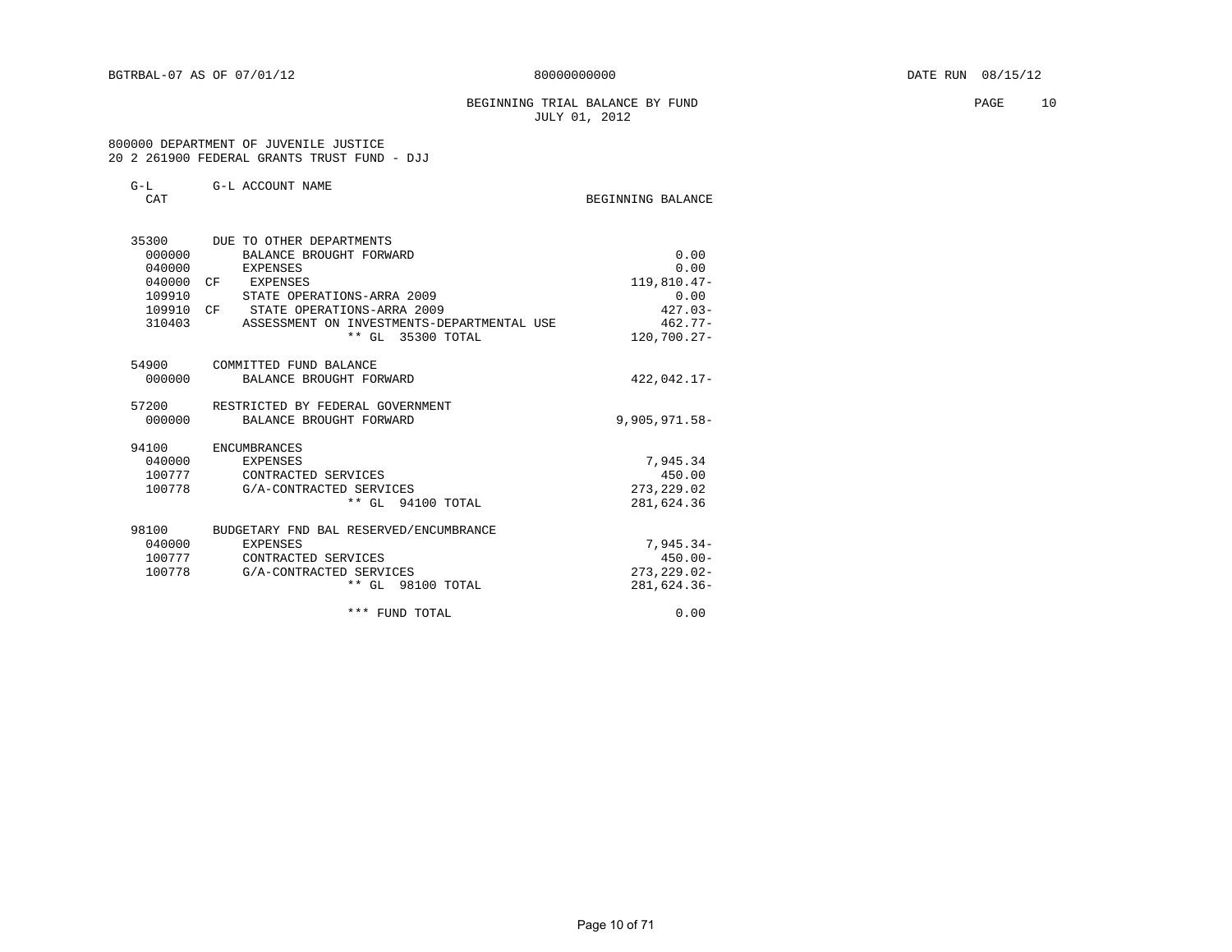#### BEGINNING TRIAL BALANCE BY FUND **PAGE** 10 JULY 01, 2012

#### 800000 DEPARTMENT OF JUVENILE JUSTICE 20 2 261900 FEDERAL GRANTS TRUST FUND - DJJ

| $G-T$ | G-L ACCOUNT NAME |  |
|-------|------------------|--|
|       |                  |  |

| CAT       |                                            | BEGINNING BALANCE |
|-----------|--------------------------------------------|-------------------|
| 35300     | DUE TO OTHER DEPARTMENTS                   |                   |
| 000000    | BALANCE BROUGHT FORWARD                    | 0.00              |
| 040000    | EXPENSES                                   | 0.00              |
| 040000 CF | EXPENSES                                   | 119,810.47-       |
| 109910    | STATE OPERATIONS-ARRA 2009                 | 0.00              |
|           | 109910 CF STATE OPERATIONS-ARRA 2009       | $427.03-$         |
| 310403    | ASSESSMENT ON INVESTMENTS-DEPARTMENTAL USE | $462.77-$         |
|           | ** GL 35300 TOTAL                          | 120,700.27-       |
|           | 54900 COMMITTED FUND BALANCE               |                   |
| 000000    | BALANCE BROUGHT FORWARD                    | $422,042.17-$     |
| 57200     | RESTRICTED BY FEDERAL GOVERNMENT           |                   |
|           | 000000 BALANCE BROUGHT FORWARD             | $9,905,971.58 -$  |
| 94100     | ENCUMBRANCES                               |                   |
| 040000    | EXPENSES                                   | 7,945.34          |
|           | 100777 CONTRACTED SERVICES                 | 450.00            |
| 100778    | G/A-CONTRACTED SERVICES                    | 273, 229.02       |
|           | ** GL 94100 TOTAL                          | 281,624.36        |
| 98100     | BUDGETARY FND BAL RESERVED/ENCUMBRANCE     |                   |
| 040000    | EXPENSES                                   | $7.945.34-$       |
| 100777    | CONTRACTED SERVICES                        | $450.00 -$        |
| 100778    | G/A-CONTRACTED SERVICES                    | $273, 229.02 -$   |
|           | ** GL 98100 TOTAL                          | 281,624.36-       |
|           | *** FUND TOTAL                             | 0.00              |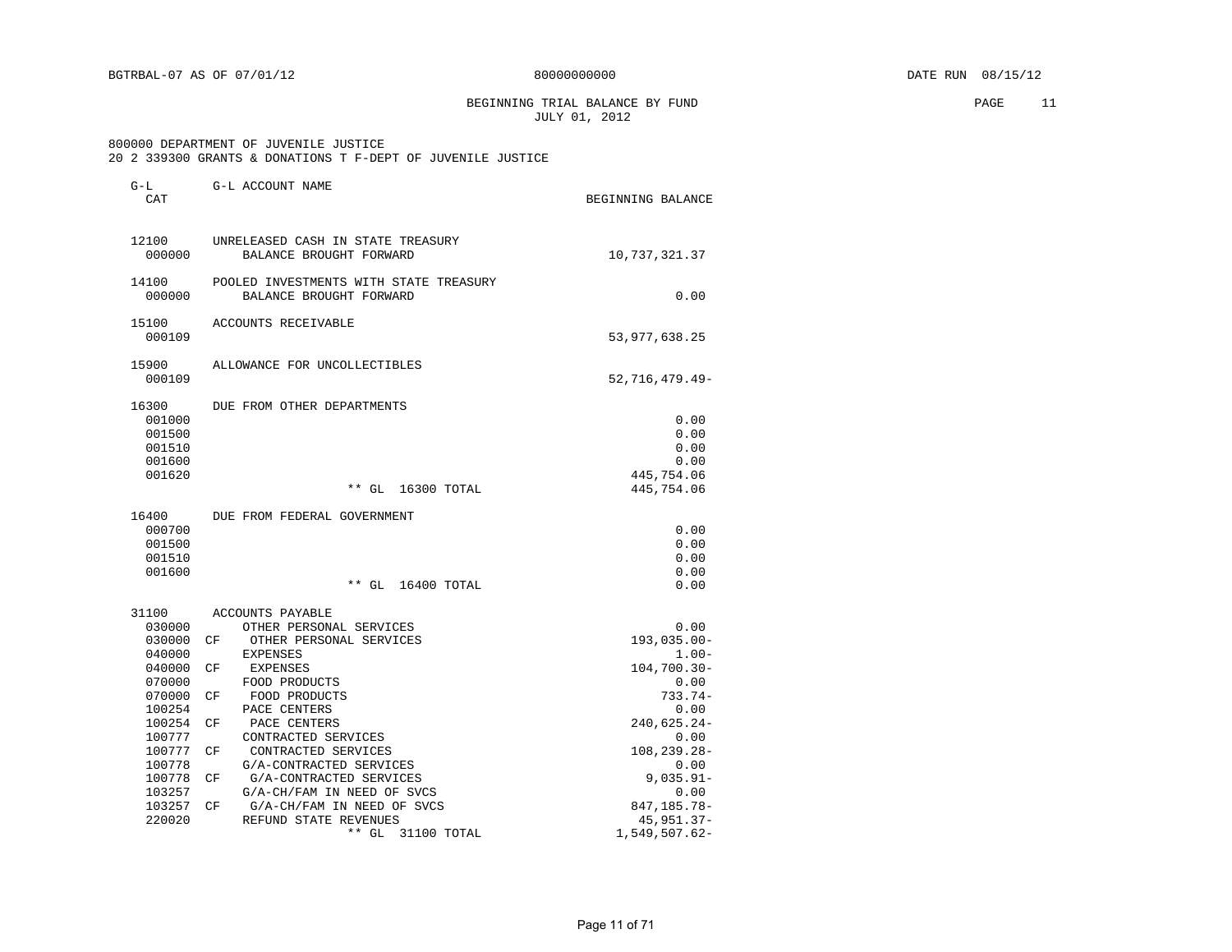BEGINNING TRIAL BALANCE BY FUND **PAGE** 11 JULY 01, 2012

 800000 DEPARTMENT OF JUVENILE JUSTICE 20 2 339300 GRANTS & DONATIONS T F-DEPT OF JUVENILE JUSTICE

| $G-L$<br>CAT     | G-L ACCOUNT NAME                                                  | BEGINNING BALANCE        |
|------------------|-------------------------------------------------------------------|--------------------------|
| 12100<br>000000  | UNRELEASED CASH IN STATE TREASURY<br>BALANCE BROUGHT FORWARD      | 10,737,321.37            |
| 14100<br>000000  | POOLED INVESTMENTS WITH STATE TREASURY<br>BALANCE BROUGHT FORWARD | 0.00                     |
| 15100<br>000109  | ACCOUNTS RECEIVABLE                                               | 53, 977, 638.25          |
| 15900<br>000109  | ALLOWANCE FOR UNCOLLECTIBLES                                      | 52,716,479.49-           |
| 16300            | DUE FROM OTHER DEPARTMENTS                                        |                          |
| 001000           |                                                                   | 0.00                     |
| 001500           |                                                                   | 0.00                     |
| 001510           |                                                                   | 0.00                     |
| 001600           |                                                                   | 0.00                     |
| 001620           | $***$ GL<br>16300 TOTAL                                           | 445,754.06<br>445,754.06 |
| 16400            | DUE FROM FEDERAL GOVERNMENT                                       |                          |
| 000700           |                                                                   | 0.00                     |
| 001500           |                                                                   | 0.00                     |
| 001510           |                                                                   | 0.00                     |
| 001600           |                                                                   | 0.00                     |
|                  | $**$ GL<br>16400 TOTAL                                            | 0.00                     |
| 31100            | ACCOUNTS PAYABLE                                                  |                          |
| 030000           | OTHER PERSONAL SERVICES                                           | 0.00                     |
| 030000           | OTHER PERSONAL SERVICES<br>CF.                                    | $193,035.00 -$           |
| 040000           | EXPENSES                                                          | $1.00 -$                 |
| 040000           | СF<br>EXPENSES                                                    | $104,700.30 -$           |
| 070000           | FOOD PRODUCTS                                                     | 0.00                     |
| 070000           | FOOD PRODUCTS<br>СF                                               | $733.74-$                |
| 100254           | PACE CENTERS                                                      | 0.00                     |
| 100254           | PACE CENTERS<br>CF                                                | 240,625.24-              |
| 100777           | CONTRACTED SERVICES<br>CONTRACTED SERVICES                        | 0.00                     |
| 100777<br>100778 | СF<br>G/A-CONTRACTED SERVICES                                     | $108, 239.28 -$          |
| 100778           | G/A-CONTRACTED SERVICES<br>СF                                     | 0.00<br>$9,035.91 -$     |
| 103257           | G/A-CH/FAM IN NEED OF SVCS                                        | 0.00                     |
| 103257           | G/A-CH/FAM IN NEED OF SVCS<br>CF                                  | 847, 185. 78-            |
| 220020           | REFUND STATE REVENUES                                             | 45, 951.37-              |
|                  | ** GL<br>31100 TOTAL                                              | $1,549,507.62-$          |
|                  |                                                                   |                          |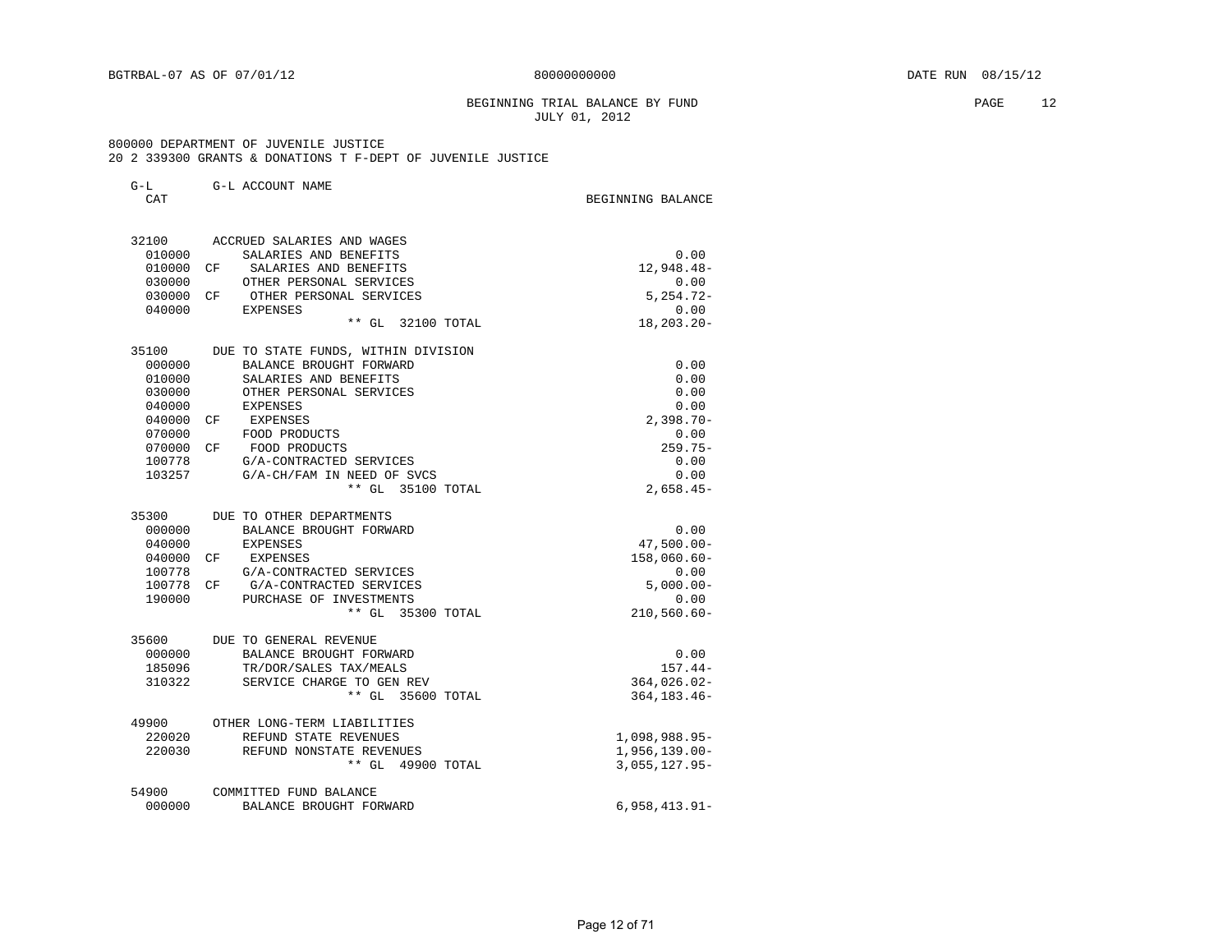#### BEGINNING TRIAL BALANCE BY FUND **PAGE 12** JULY 01, 2012

#### 800000 DEPARTMENT OF JUVENILE JUSTICE 20 2 339300 GRANTS & DONATIONS T F-DEPT OF JUVENILE JUSTICE

| G-L<br><b>CAT</b> | G-L ACCOUNT NAME                               | BEGINNING BALANCE                 |
|-------------------|------------------------------------------------|-----------------------------------|
|                   | 32100 ACCRUED SALARIES AND WAGES               |                                   |
| 010000            | SALARIES AND BENEFITS                          | 0.00                              |
| 010000            | CF<br>SALARIES AND BENEFITS                    | 12,948.48-                        |
| 030000            | OTHER PERSONAL SERVICES                        | 0.00                              |
| 030000 CF         | OTHER PERSONAL SERVICES                        | $5,254.72-$                       |
| 040000            | EXPENSES                                       | 0.00                              |
|                   | $***$ GL<br>32100 TOTAL                        | $18, 203, 20 -$                   |
| 35100             | DUE TO STATE FUNDS, WITHIN DIVISION            |                                   |
| 000000            | BALANCE BROUGHT FORWARD                        | 0.00                              |
| 010000            | SALARIES AND BENEFITS                          | 0.00                              |
| 030000<br>040000  | OTHER PERSONAL SERVICES<br>EXPENSES            | 0.00<br>0.00                      |
| 040000            | CF EXPENSES                                    | $2,398.70 -$                      |
| 070000            | FOOD PRODUCTS                                  | 0.00                              |
| 070000 CF         | FOOD PRODUCTS                                  | $259.75-$                         |
| 100778            | G/A-CONTRACTED SERVICES                        | 0.00                              |
| 103257            | G/A-CH/FAM IN NEED OF SVCS                     | 0.00                              |
|                   | ** GL 35100 TOTAL                              | $2,658.45-$                       |
| 35300             | DUE TO OTHER DEPARTMENTS                       |                                   |
| 000000            | BALANCE BROUGHT FORWARD                        | 0.00                              |
| 040000            | EXPENSES                                       | $47,500.00 -$                     |
|                   | 040000 CF EXPENSES                             | $158,060.60-$                     |
| 100778            | G/A-CONTRACTED SERVICES                        | 0.00                              |
|                   | 100778 CF G/A-CONTRACTED SERVICES              | $5.000.00 -$                      |
| 190000            | PURCHASE OF INVESTMENTS<br>** GL 35300 TOTAL   | 0.00<br>$210,560.60 -$            |
|                   |                                                |                                   |
| 35600             | DUE TO GENERAL REVENUE                         |                                   |
| 000000            | BALANCE BROUGHT FORWARD                        | 0.00                              |
| 185096<br>310322  | TR/DOR/SALES TAX/MEALS                         | $157.44-$                         |
|                   | SERVICE CHARGE TO GEN REV<br>** GL 35600 TOTAL | $364,026.02 -$<br>$364, 183.46 -$ |
| 49900             | OTHER LONG-TERM LIABILITIES                    |                                   |
| 220020            | REFUND STATE REVENUES                          | 1,098,988.95-                     |
| 220030            | REFUND NONSTATE REVENUES                       | $1,956,139.00-$                   |
|                   | ** GL 49900 TOTAL                              | $3,055,127.95-$                   |
| 54900             | COMMITTED FUND BALANCE                         |                                   |
| 000000            | BALANCE BROUGHT FORWARD                        | $6,958,413.91-$                   |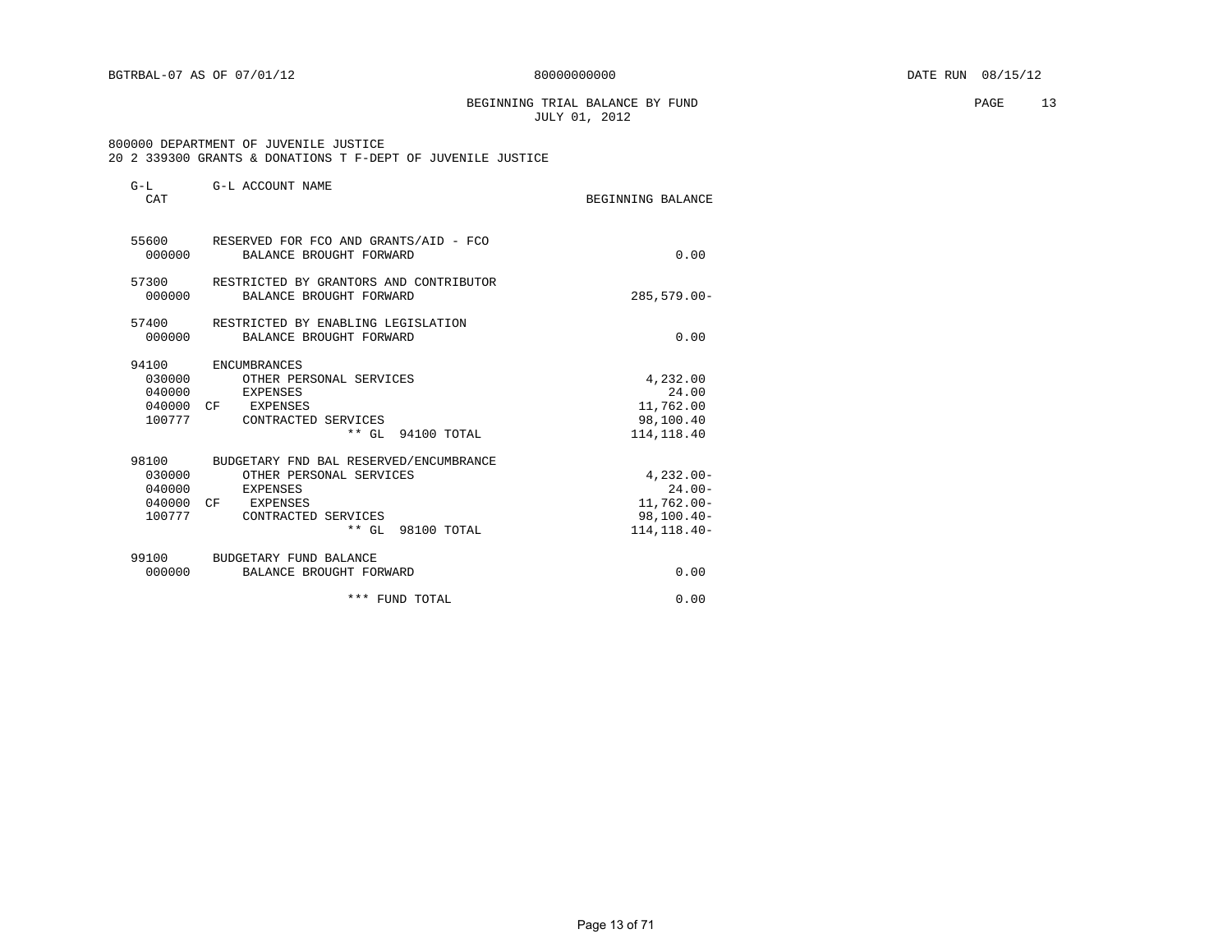BEGINNING TRIAL BALANCE BY FUND **PAGE** 13 JULY 01, 2012

#### 800000 DEPARTMENT OF JUVENILE JUSTICE 20 2 339300 GRANTS & DONATIONS T F-DEPT OF JUVENILE JUSTICE

| $G-L$<br>CAT                                     | G-L ACCOUNT NAME                                                                                                                      | BEGINNING BALANCE                                                            |
|--------------------------------------------------|---------------------------------------------------------------------------------------------------------------------------------------|------------------------------------------------------------------------------|
| 000000                                           | 55600 RESERVED FOR FCO AND GRANTS/AID - FCO<br>BALANCE BROUGHT FORWARD                                                                | 0.00                                                                         |
| 57300<br>000000                                  | RESTRICTED BY GRANTORS AND CONTRIBUTOR<br>BALANCE BROUGHT FORWARD                                                                     | $285,579.00 -$                                                               |
| 57400<br>000000                                  | RESTRICTED BY ENABLING LEGISLATION<br>BALANCE BROUGHT FORWARD                                                                         | 0.00                                                                         |
| 94100<br>030000<br>040000<br>100777              | ENCUMBRANCES<br>OTHER PERSONAL SERVICES<br>EXPENSES<br>040000 CF EXPENSES<br>CONTRACTED SERVICES<br>** GL 94100 TOTAL                 | 4,232.00<br>24.00<br>11,762.00<br>98,100.40<br>114, 118.40                   |
| 98100<br>030000<br>040000<br>040000 CF<br>100777 | BUDGETARY FND BAL RESERVED/ENCUMBRANCE<br>OTHER PERSONAL SERVICES<br>EXPENSES<br>EXPENSES<br>CONTRACTED SERVICES<br>** GL 98100 TOTAL | $4.232.00 -$<br>$24.00 -$<br>$11,762.00 -$<br>$98,100.40 -$<br>114, 118. 40- |
| 99100<br>000000                                  | BUDGETARY FUND BALANCE<br>BALANCE BROUGHT FORWARD                                                                                     | 0.00                                                                         |
|                                                  | *** FUND TOTAL                                                                                                                        | 0.00                                                                         |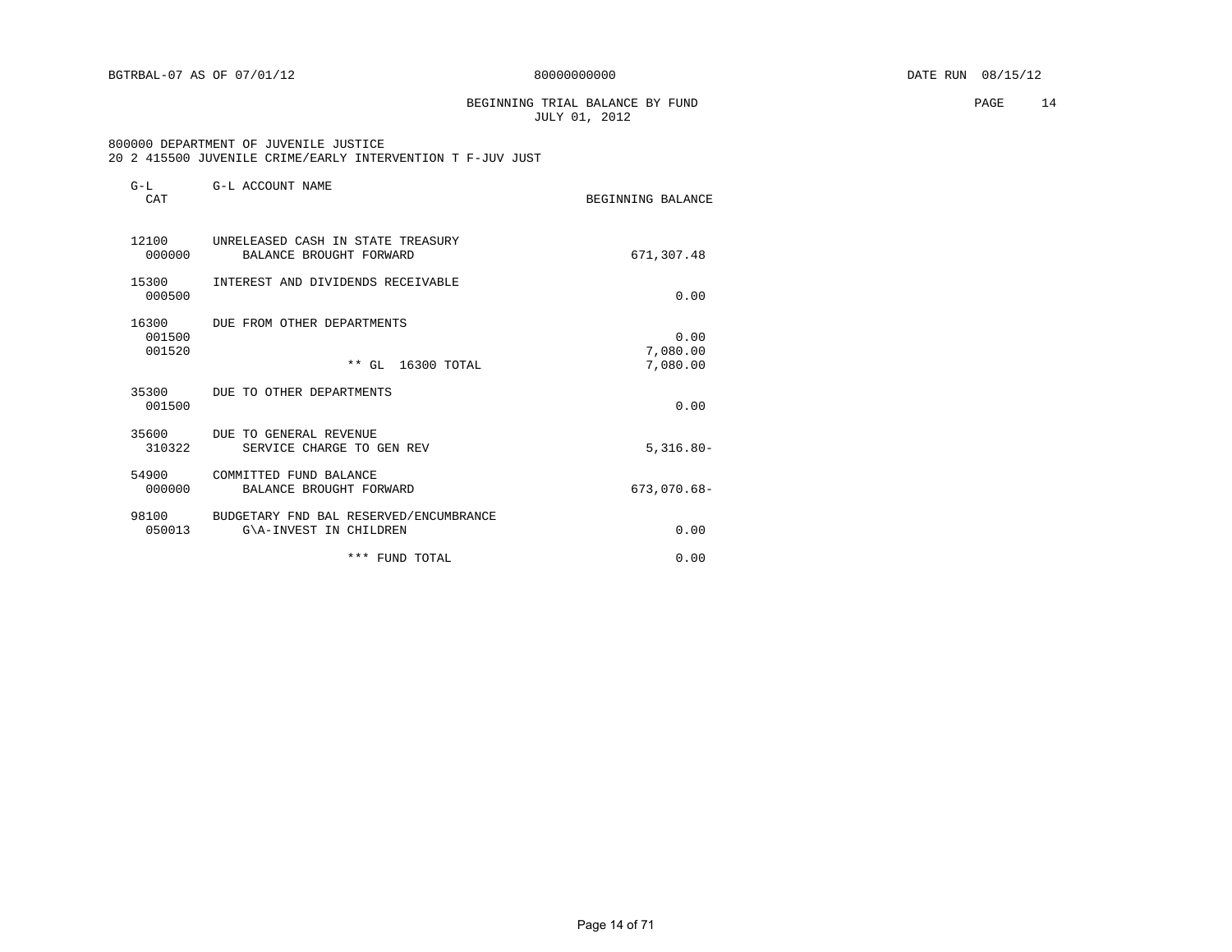BEGINNING TRIAL BALANCE BY FUND **PAGE** 14 JULY 01, 2012

#### 800000 DEPARTMENT OF JUVENILE JUSTICE 20 2 415500 JUVENILE CRIME/EARLY INTERVENTION T F-JUV JUST

| $G-L$<br>CAT              | G-L ACCOUNT NAME                                                 | BEGINNING BALANCE            |
|---------------------------|------------------------------------------------------------------|------------------------------|
| 12100<br>000000           | UNRELEASED CASH IN STATE TREASURY<br>BALANCE BROUGHT FORWARD     | 671,307.48                   |
| 15300<br>000500           | INTEREST AND DIVIDENDS RECEIVABLE                                | 0.00                         |
| 16300<br>001500<br>001520 | DUE FROM OTHER DEPARTMENTS<br>$***$ GL<br>16300 TOTAL            | 0.00<br>7,080.00<br>7,080.00 |
| 35300<br>001500           | DUE TO OTHER DEPARTMENTS                                         | 0.00                         |
| 35600<br>310322           | DUE TO GENERAL REVENUE<br>SERVICE CHARGE TO GEN REV              | $5,316.80 -$                 |
| 54900<br>000000           | COMMITTED FUND BALANCE<br>BALANCE BROUGHT FORWARD                | $673,070.68 -$               |
| 98100<br>050013           | BUDGETARY FND BAL RESERVED/ENCUMBRANCE<br>G\A-INVEST IN CHILDREN | 0.00                         |
|                           | *** FUND TOTAL                                                   | 0.00                         |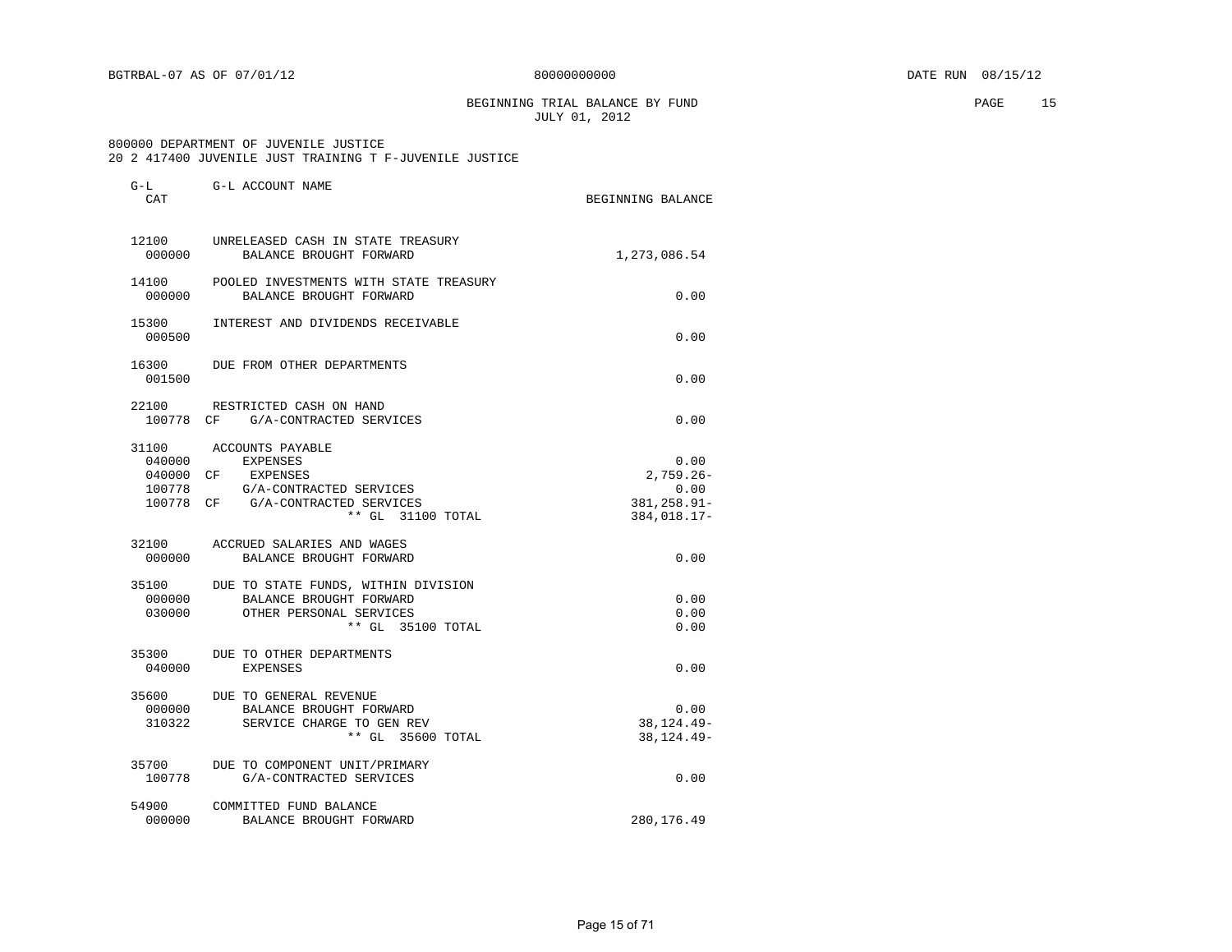BEGINNING TRIAL BALANCE BY FUND **PAGE** 15 JULY 01, 2012

#### 800000 DEPARTMENT OF JUVENILE JUSTICE 20 2 417400 JUVENILE JUST TRAINING T F-JUVENILE JUSTICE

| $G-L$<br>CAT              | G-L ACCOUNT NAME                                                                                                                                     | BEGINNING BALANCE                                          |
|---------------------------|------------------------------------------------------------------------------------------------------------------------------------------------------|------------------------------------------------------------|
| 12100<br>000000           | UNRELEASED CASH IN STATE TREASURY<br>BALANCE BROUGHT FORWARD                                                                                         | 1,273,086.54                                               |
| 14100<br>000000           | POOLED INVESTMENTS WITH STATE TREASURY<br>BALANCE BROUGHT FORWARD                                                                                    | 0.00                                                       |
| 15300<br>000500           | INTEREST AND DIVIDENDS RECEIVABLE                                                                                                                    | 0.00                                                       |
| 16300<br>001500           | DUE FROM OTHER DEPARTMENTS                                                                                                                           | 0.00                                                       |
|                           | 22100 RESTRICTED CASH ON HAND<br>100778 CF G/A-CONTRACTED SERVICES                                                                                   | 0.00                                                       |
| 040000<br>100778          | 31100 ACCOUNTS PAYABLE<br><b>EXPENSES</b><br>040000 CF EXPENSES<br>G/A-CONTRACTED SERVICES<br>100778 CF G/A-CONTRACTED SERVICES<br>** GL 31100 TOTAL | 0.00<br>$2.759.26 -$<br>0.00<br>381,258.91-<br>384,018.17- |
| 000000                    | 32100 ACCRUED SALARIES AND WAGES<br>BALANCE BROUGHT FORWARD                                                                                          | 0.00                                                       |
| 35100<br>000000<br>030000 | DUE TO STATE FUNDS, WITHIN DIVISION<br>BALANCE BROUGHT FORWARD<br>OTHER PERSONAL SERVICES<br>** GL 35100 TOTAL                                       | 0.00<br>0.00<br>0.00                                       |
| 35300<br>040000           | DUE TO OTHER DEPARTMENTS<br><b>EXPENSES</b>                                                                                                          | 0.00                                                       |
| 000000<br>310322          | 35600 DUE TO GENERAL REVENUE<br>BALANCE BROUGHT FORWARD<br>SERVICE CHARGE TO GEN REV<br>** GL 35600 TOTAL                                            | 0.00<br>38, 124. 49-<br>38, 124. 49-                       |
| 100778                    | 35700 DUE TO COMPONENT UNIT/PRIMARY<br>G/A-CONTRACTED SERVICES                                                                                       | 0.00                                                       |
| 54900<br>000000           | COMMITTED FUND BALANCE<br>BALANCE BROUGHT FORWARD                                                                                                    | 280,176.49                                                 |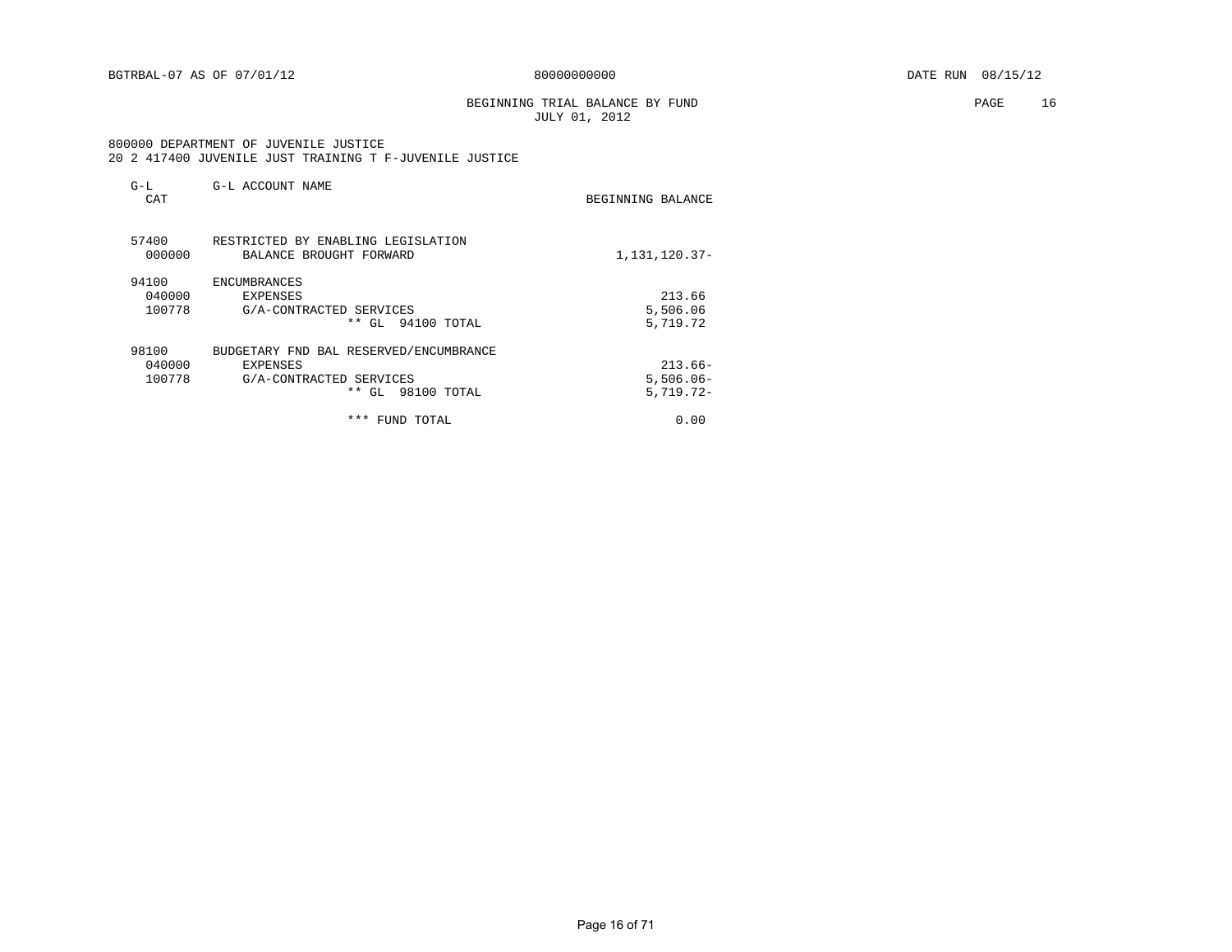#### BEGINNING TRIAL BALANCE BY FUND **PAGE** 16 JULY 01, 2012

#### 800000 DEPARTMENT OF JUVENILE JUSTICE 20 2 417400 JUVENILE JUST TRAINING T F-JUVENILE JUSTICE

| $G-L$<br>CAT    | G-L ACCOUNT NAME                                              | BEGINNING BALANCE |
|-----------------|---------------------------------------------------------------|-------------------|
| 57400<br>000000 | RESTRICTED BY ENABLING LEGISLATION<br>BALANCE BROUGHT FORWARD | 1,131,120.37-     |
| 94100           | ENCUMBRANCES                                                  |                   |
| 040000          | EXPENSES                                                      | 213.66            |
| 100778          | G/A-CONTRACTED SERVICES                                       | 5,506.06          |
|                 | ** GL 94100 TOTAL                                             | 5,719.72          |
| 98100           | BUDGETARY FND BAL RESERVED/ENCUMBRANCE                        |                   |
| 040000          | EXPENSES                                                      | $213.66-$         |
| 100778          | G/A-CONTRACTED SERVICES                                       | $5,506.06-$       |
|                 | ** GL 98100 TOTAL                                             | $5,719.72-$       |
|                 | ***<br>FUND TOTAL                                             | 0.00              |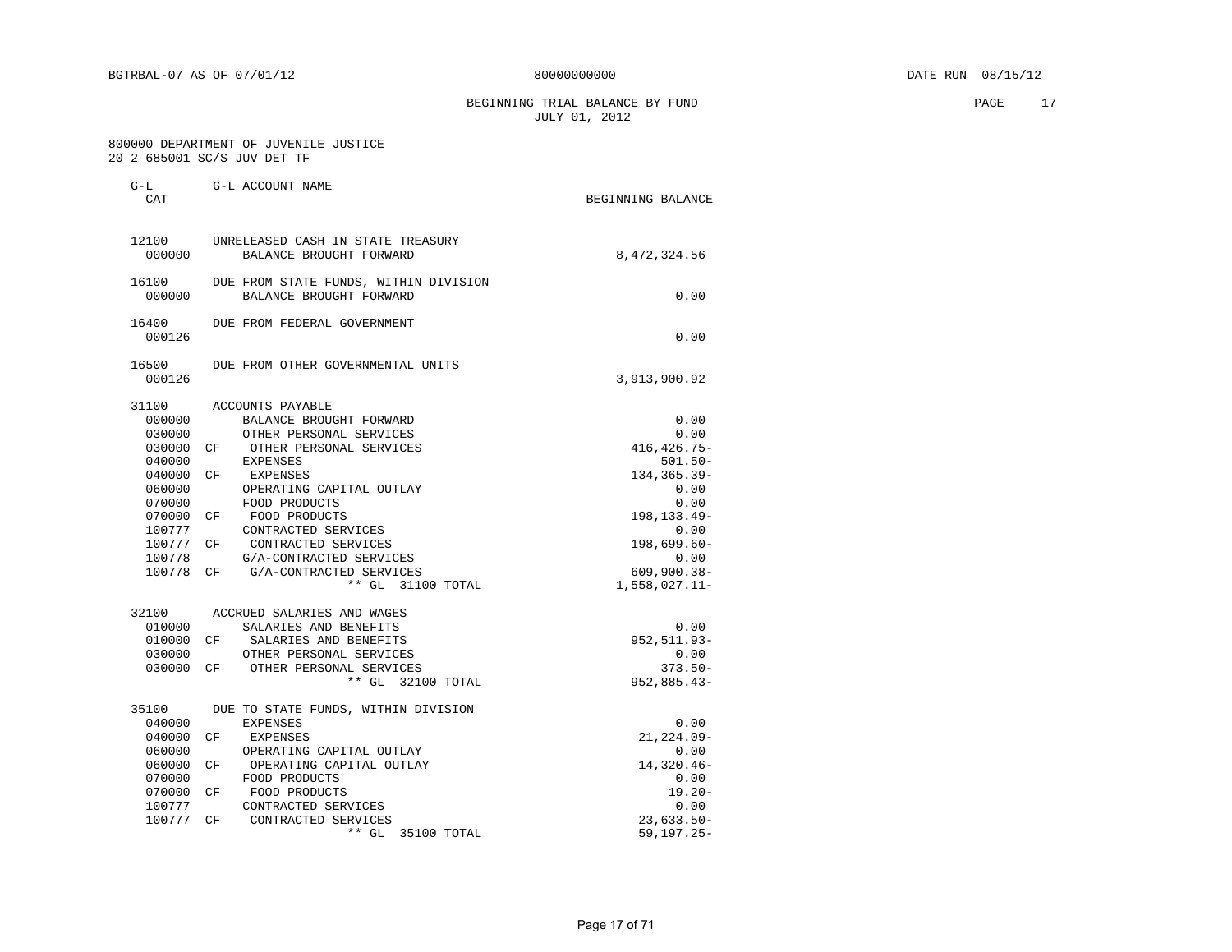BEGINNING TRIAL BALANCE BY FUND **PAGE** 17 JULY 01, 2012

#### 800000 DEPARTMENT OF JUVENILE JUSTICE 20 2 685001 SC/S JUV DET TF

G-L G-L ACCOUNT NAME

| CAT    |                                       | BEGINNING BALANCE |
|--------|---------------------------------------|-------------------|
| 12100  | UNRELEASED CASH IN STATE TREASURY     |                   |
| 000000 | BALANCE BROUGHT FORWARD               | 8,472,324.56      |
| 16100  | DUE FROM STATE FUNDS, WITHIN DIVISION |                   |
| 000000 | BALANCE BROUGHT FORWARD               | 0.00              |
| 16400  | DUE FROM FEDERAL GOVERNMENT           |                   |
| 000126 |                                       | 0.00              |
| 16500  | DUE FROM OTHER GOVERNMENTAL UNITS     |                   |
| 000126 |                                       | 3,913,900.92      |
| 31100  | ACCOUNTS PAYABLE                      |                   |
| 000000 | BALANCE BROUGHT FORWARD               | 0.00              |
| 030000 | OTHER PERSONAL SERVICES               | 0.00              |
| 030000 | OTHER PERSONAL SERVICES<br>CF.        | 416, 426. 75-     |
| 040000 | <b>EXPENSES</b>                       | $501.50 -$        |
| 040000 | СF<br>EXPENSES                        | 134, 365. 39-     |
| 060000 | OPERATING CAPITAL OUTLAY              | 0.00              |
| 070000 | FOOD PRODUCTS                         | 0.00              |
| 070000 | FOOD PRODUCTS<br>CF                   | 198, 133. 49-     |
| 100777 | CONTRACTED SERVICES                   | 0.00              |
| 100777 | CONTRACTED SERVICES<br>CF.            | 198,699.60-       |
| 100778 | G/A-CONTRACTED SERVICES               | 0.00              |
| 100778 | G/A-CONTRACTED SERVICES<br>СF         | $609,900.38 -$    |
|        | ** GL 31100 TOTAL                     | $1,558,027.11-$   |
| 32100  | ACCRUED SALARIES AND WAGES            |                   |
| 010000 | SALARIES AND BENEFITS                 | 0.00              |
| 010000 | CF<br>SALARIES AND BENEFITS           | 952, 511.93-      |
| 030000 | OTHER PERSONAL SERVICES               | 0.00              |
| 030000 | OTHER PERSONAL SERVICES<br>CF         | $373.50 -$        |
|        | ** GL 32100 TOTAL                     | $952,885.43-$     |
| 35100  | DUE TO STATE FUNDS, WITHIN DIVISION   |                   |
| 040000 | <b>EXPENSES</b>                       | 0.00              |
| 040000 | CF<br>EXPENSES                        | $21, 224.09 -$    |
| 060000 | OPERATING CAPITAL OUTLAY              | 0.00              |
| 060000 | CF<br>OPERATING CAPITAL OUTLAY        | 14,320.46-        |
| 070000 | FOOD PRODUCTS                         | 0.00              |
| 070000 | FOOD PRODUCTS<br>СF                   | $19.20 -$         |
| 100777 | CONTRACTED SERVICES                   | 0.00              |
| 100777 | CONTRACTED SERVICES<br>СF             | $23,633.50-$      |
|        | $**$ GL<br>35100 TOTAL                | $59, 197.25 -$    |
|        |                                       |                   |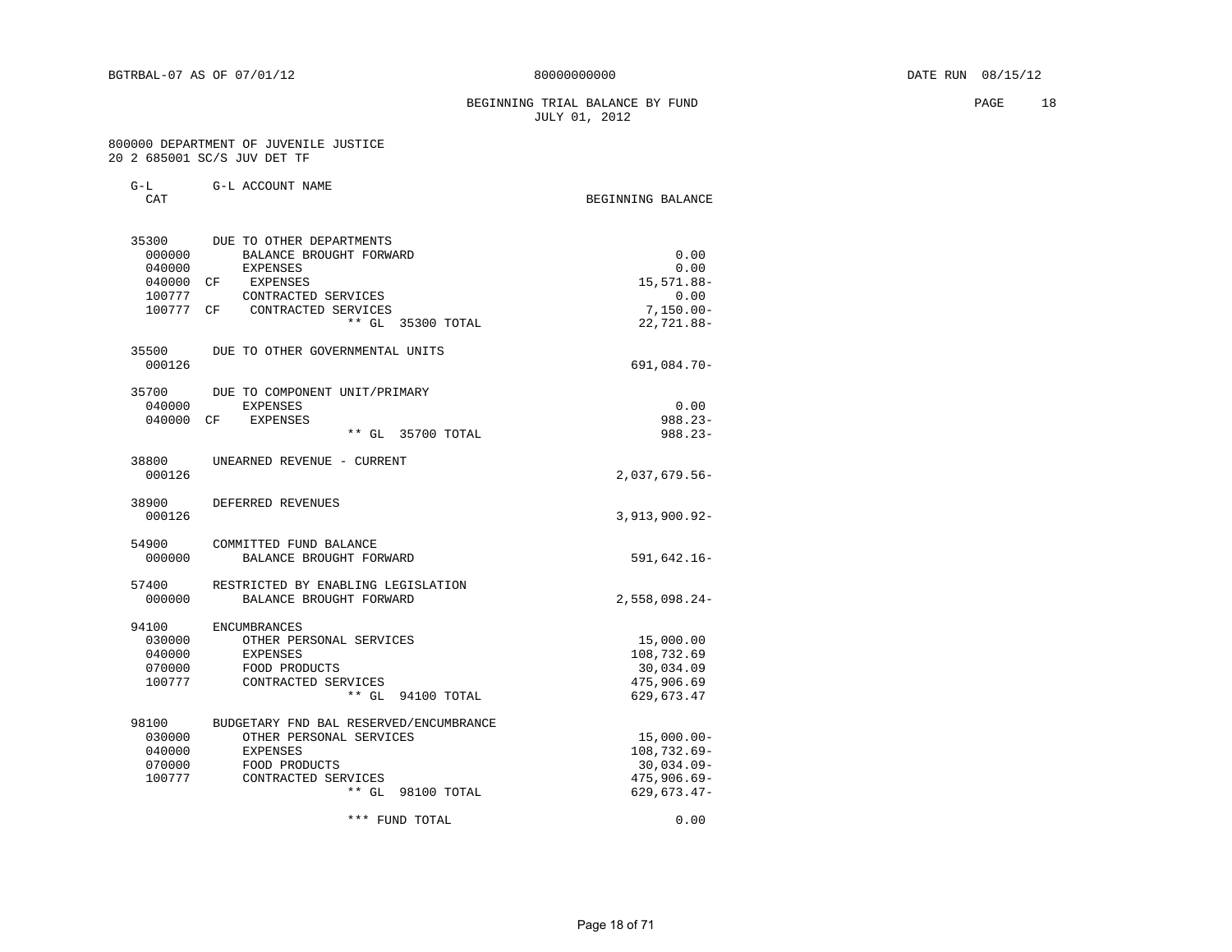BEGINNING TRIAL BALANCE BY FUND **PAGE** 18 JULY 01, 2012

#### 800000 DEPARTMENT OF JUVENILE JUSTICE 20 2 685001 SC/S JUV DET TF

| $G-L$     | G-L ACCOUNT NAME                       |                   |
|-----------|----------------------------------------|-------------------|
| CAT       |                                        | BEGINNING BALANCE |
| 35300     | DUE TO OTHER DEPARTMENTS               |                   |
| 000000    | BALANCE BROUGHT FORWARD                | 0.00              |
| 040000    | <b>EXPENSES</b>                        | 0.00              |
| 040000 CF | EXPENSES                               | 15,571.88-        |
| 100777    | CONTRACTED SERVICES                    | 0.00              |
| 100777 CF | CONTRACTED SERVICES                    | $7,150.00 -$      |
|           | ** GL 35300 TOTAL                      | 22,721.88-        |
| 35500     | DUE TO OTHER GOVERNMENTAL UNITS        |                   |
| 000126    |                                        | 691,084.70-       |
| 35700     | DUE TO COMPONENT UNIT/PRIMARY          |                   |
| 040000    | <b>EXPENSES</b>                        | 0.00              |
| 040000    | <b>EXPENSES</b><br>CF                  | $988.23 -$        |
|           | $**$ GL<br>35700 TOTAL                 | $988.23 -$        |
| 38800     | UNEARNED REVENUE - CURRENT             |                   |
| 000126    |                                        | 2,037,679.56-     |
| 38900     | DEFERRED REVENUES                      |                   |
| 000126    |                                        | $3,913,900.92-$   |
| 54900     | COMMITTED FUND BALANCE                 |                   |
| 000000    | BALANCE BROUGHT FORWARD                | 591,642.16-       |
| 57400     | RESTRICTED BY ENABLING LEGISLATION     |                   |
| 000000    | BALANCE BROUGHT FORWARD                | $2,558,098.24-$   |
| 94100     | ENCUMBRANCES                           |                   |
| 030000    | OTHER PERSONAL SERVICES                | 15,000.00         |
| 040000    | <b>EXPENSES</b>                        | 108,732.69        |
| 070000    | FOOD PRODUCTS                          | 30,034.09         |
| 100777    | CONTRACTED SERVICES                    | 475,906.69        |
|           | $**$ GL<br>94100 TOTAL                 | 629,673.47        |
| 98100     | BUDGETARY FND BAL RESERVED/ENCUMBRANCE |                   |
| 030000    | OTHER PERSONAL SERVICES                | $15,000.00-$      |
| 040000    | <b>EXPENSES</b>                        | 108,732.69-       |
| 070000    | FOOD PRODUCTS                          | $30,034.09 -$     |
| 100777    | CONTRACTED SERVICES                    | $475,906.69 -$    |
|           | $**$ GL<br>98100 TOTAL                 | $629,673.47-$     |
|           | *** FUND TOTAL                         | 0.00              |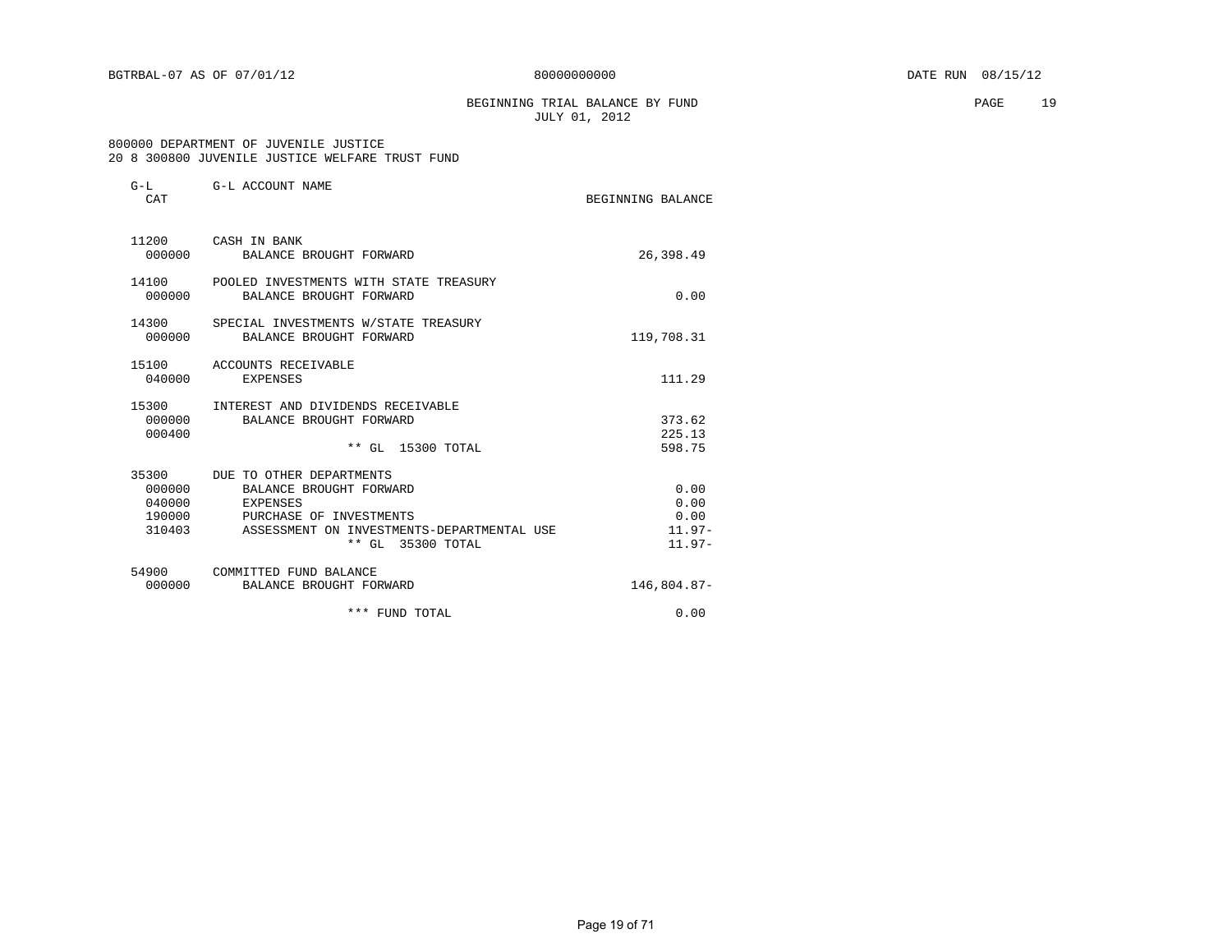BEGINNING TRIAL BALANCE BY FUND **PAGE** 19 JULY 01, 2012

#### 800000 DEPARTMENT OF JUVENILE JUSTICE 20 8 300800 JUVENILE JUSTICE WELFARE TRUST FUND

| $G-L$<br>CAT                         | G-L ACCOUNT NAME                                                                                                                                                    | BEGINNING BALANCE                            |
|--------------------------------------|---------------------------------------------------------------------------------------------------------------------------------------------------------------------|----------------------------------------------|
| 000000                               | 11200 CASH IN BANK<br>BALANCE BROUGHT FORWARD                                                                                                                       | 26,398.49                                    |
| 14100<br>000000                      | POOLED INVESTMENTS WITH STATE TREASURY<br>BALANCE BROUGHT FORWARD                                                                                                   | 0.00                                         |
| 14300<br>000000                      | SPECIAL INVESTMENTS W/STATE TREASURY<br>BALANCE BROUGHT FORWARD                                                                                                     | 119,708.31                                   |
| 040000                               | 15100 ACCOUNTS RECEIVABLE<br><b>EXPENSES</b>                                                                                                                        | 111.29                                       |
| 000000<br>000400                     | 15300 INTEREST AND DIVIDENDS RECEIVABLE<br>BALANCE BROUGHT FORWARD<br>** GL 15300 TOTAL                                                                             | 373.62<br>225.13<br>598.75                   |
| 000000<br>040000<br>190000<br>310403 | 35300 DUE TO OTHER DEPARTMENTS<br>BALANCE BROUGHT FORWARD<br>EXPENSES<br>PURCHASE OF INVESTMENTS<br>ASSESSMENT ON INVESTMENTS-DEPARTMENTAL USE<br>** GL 35300 TOTAL | 0.00<br>0.00<br>0.00<br>$11.97-$<br>$11.97-$ |
| 54900                                | COMMITTED FUND BALANCE<br>000000 BALANCE BROUGHT FORWARD                                                                                                            | 146,804.87-                                  |
|                                      | * * *<br>FUND TOTAL                                                                                                                                                 | 0.00                                         |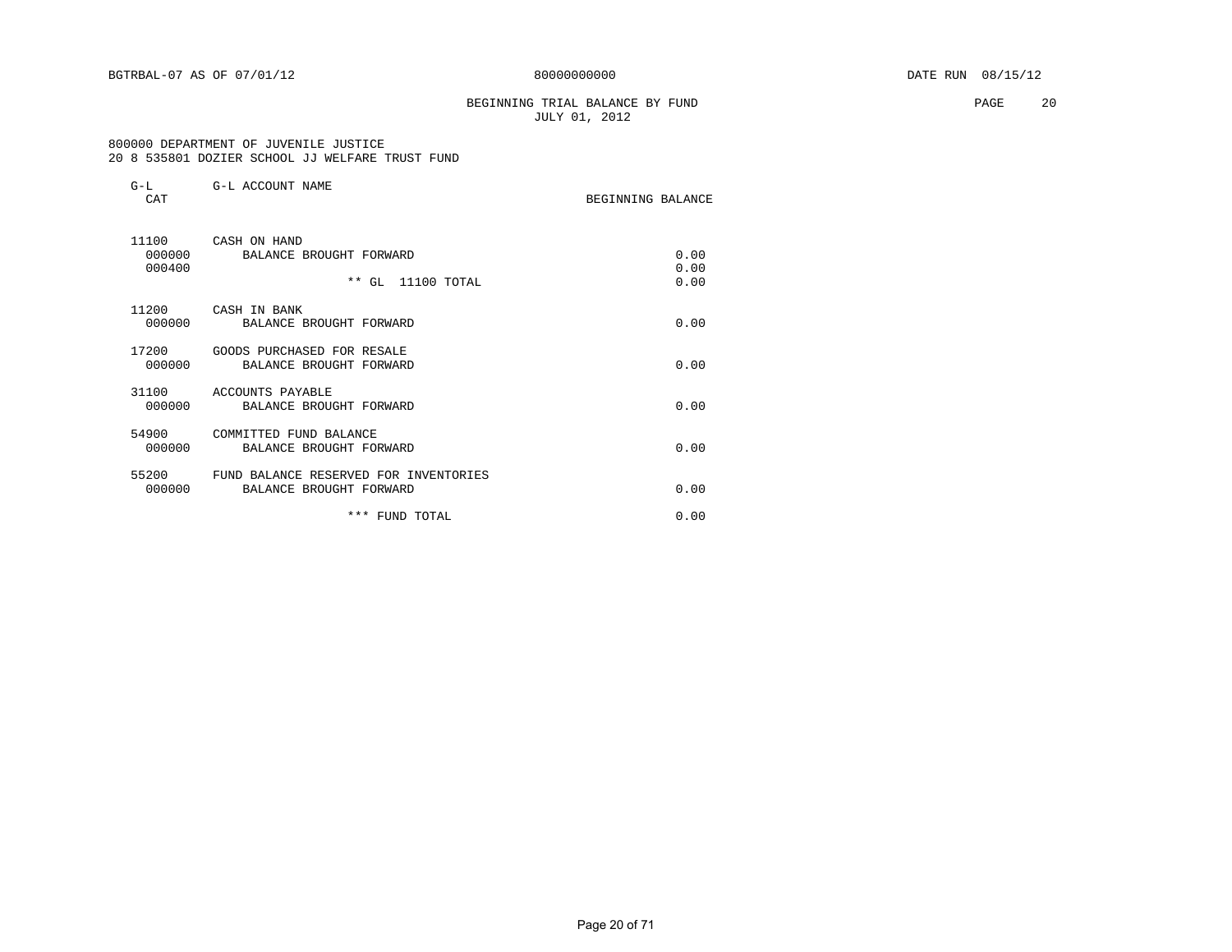#### BEGINNING TRIAL BALANCE BY FUND **PAGE** 20 JULY 01, 2012

#### 800000 DEPARTMENT OF JUVENILE JUSTICE 20 8 535801 DOZIER SCHOOL JJ WELFARE TRUST FUND

| $G-L$<br>CAT | G-L ACCOUNT NAME                      | BEGINNING BALANCE |
|--------------|---------------------------------------|-------------------|
| 11100        | CASH ON HAND                          |                   |
| 000000       | BALANCE BROUGHT FORWARD               | 0.00              |
| 000400       |                                       | 0.00              |
|              | ** GL 11100 TOTAL                     | 0.00              |
| 11200        | CASH IN BANK                          |                   |
| 000000       | BALANCE BROUGHT FORWARD               | 0.00              |
|              |                                       |                   |
| 17200        | GOODS PURCHASED FOR RESALE            |                   |
| 000000       | BALANCE BROUGHT FORWARD               | 0.00              |
|              |                                       |                   |
| 31100        | ACCOUNTS PAYABLE                      |                   |
| 000000       | BALANCE BROUGHT FORWARD               | 0.00              |
| 54900        | COMMITTED FUND BALANCE                |                   |
| 000000       | BALANCE BROUGHT FORWARD               | 0.00              |
|              |                                       |                   |
| 55200        | FUND BALANCE RESERVED FOR INVENTORIES |                   |
| 000000       | BALANCE BROUGHT FORWARD               | 0.00              |
|              | *** FUND TOTAL                        | 0.00              |
|              |                                       |                   |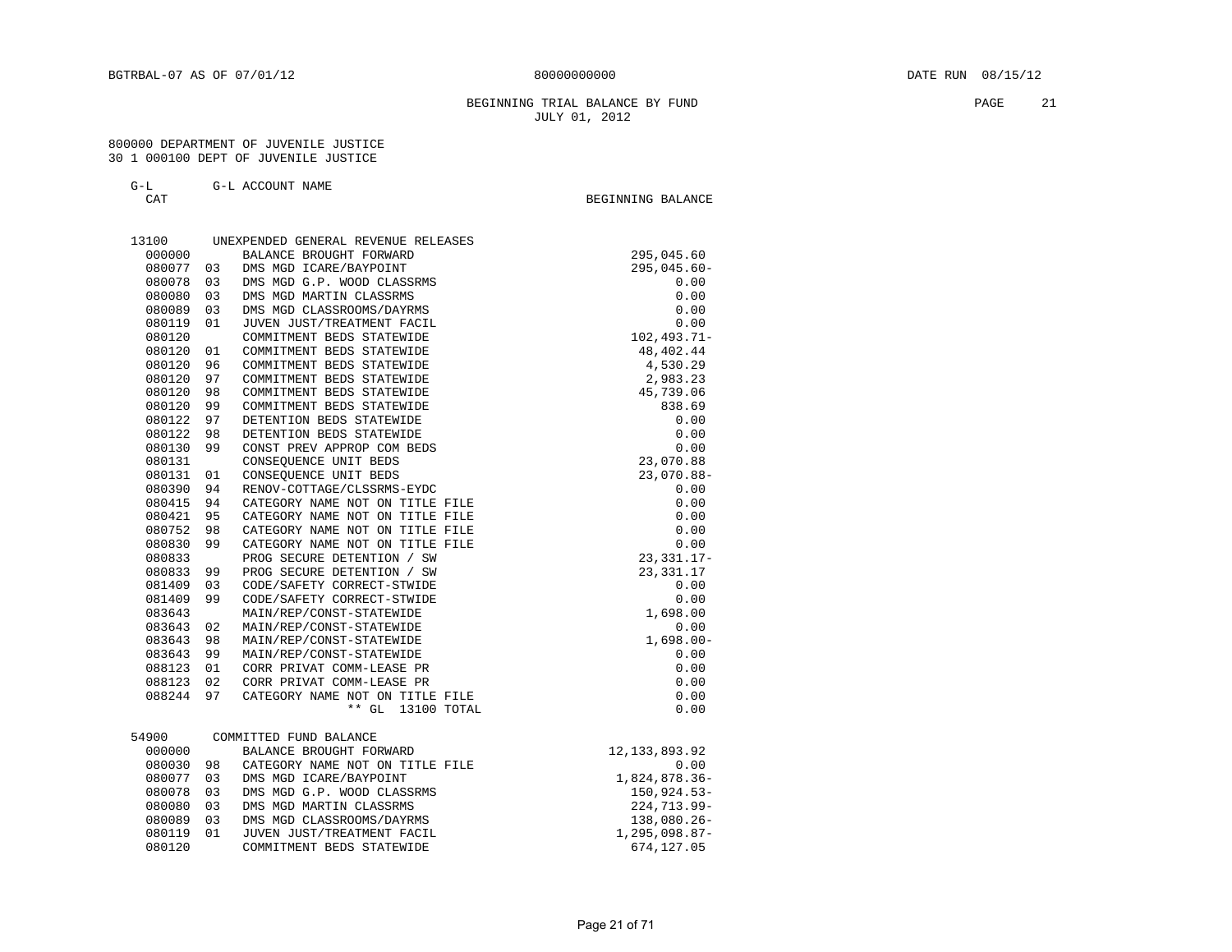#### BEGINNING TRIAL BALANCE BY FUND PAGE 21 JULY 01, 2012

BEGINNING BALANCE

#### 800000 DEPARTMENT OF JUVENILE JUSTICE 30 1 000100 DEPT OF JUVENILE JUSTICE

#### G-L G-L ACCOUNT NAME

| 13100  |     | UNEXPENDED GENERAL REVENUE RELEASES |                 |
|--------|-----|-------------------------------------|-----------------|
| 000000 |     | BALANCE BROUGHT FORWARD             | 295,045.60      |
| 080077 | 03  | DMS MGD ICARE/BAYPOINT              | $295,045.60 -$  |
| 080078 | 03  | DMS MGD G.P. WOOD CLASSRMS          | 0.00            |
| 080080 | 03  | DMS MGD MARTIN CLASSRMS             | 0.00            |
| 080089 | 03  | DMS MGD CLASSROOMS/DAYRMS           | 0.00            |
| 080119 | 01  | JUVEN JUST/TREATMENT FACIL          | 0.00            |
| 080120 |     | COMMITMENT BEDS STATEWIDE           | $102, 493.71 -$ |
| 080120 | 01  | COMMITMENT BEDS STATEWIDE           | 48, 402. 44     |
| 080120 | 96  | COMMITMENT BEDS STATEWIDE           | 4,530.29        |
| 080120 | 97  | COMMITMENT BEDS STATEWIDE           | 2,983.23        |
| 080120 | 98  | COMMITMENT BEDS STATEWIDE           | 45,739.06       |
| 080120 | 99  | COMMITMENT BEDS STATEWIDE           | 838.69          |
| 080122 | 97  | DETENTION BEDS STATEWIDE            | 0.00            |
| 080122 | 98  | DETENTION BEDS STATEWIDE            | 0.00            |
| 080130 | 99  | CONST PREV APPROP COM BEDS          | 0.00            |
| 080131 |     | CONSEQUENCE UNIT BEDS               | 23,070.88       |
| 080131 | 01  | CONSEQUENCE UNIT BEDS               | $23,070.88 -$   |
| 080390 | 94  | RENOV-COTTAGE/CLSSRMS-EYDC          | 0.00            |
| 080415 | 94  | CATEGORY NAME NOT ON TITLE FILE     | 0.00            |
| 080421 | 95  | CATEGORY NAME NOT ON TITLE FILE     | 0.00            |
| 080752 | 98  | CATEGORY NAME NOT ON TITLE FILE     | 0.00            |
| 080830 | 99  | CATEGORY NAME NOT ON TITLE FILE     | 0.00            |
| 080833 |     | PROG SECURE DETENTION / SW          | $23,331.17-$    |
| 080833 | 99  | PROG SECURE DETENTION / SW          | 23,331.17       |
| 081409 | 03  | CODE/SAFETY CORRECT-STWIDE          | 0.00            |
| 081409 | 99  | CODE/SAFETY CORRECT-STWIDE          | 0.00            |
| 083643 |     | MAIN/REP/CONST-STATEWIDE            | 1,698.00        |
| 083643 | 02  | MAIN/REP/CONST-STATEWIDE            | 0.00            |
| 083643 | 98  | MAIN/REP/CONST-STATEWIDE            | $1,698.00 -$    |
| 083643 | 99  | MAIN/REP/CONST-STATEWIDE            | 0.00            |
| 088123 | 01  | CORR PRIVAT COMM-LEASE PR           | 0.00            |
| 088123 | 02  | CORR PRIVAT COMM-LEASE PR           | 0.00            |
| 088244 | 97  | CATEGORY NAME NOT ON TITLE FILE     | 0.00            |
|        |     | $***$ GL<br>13100 TOTAL             | 0.00            |
| 54900  |     | COMMITTED FUND BALANCE              |                 |
| 000000 |     | BALANCE BROUGHT FORWARD             | 12, 133, 893.92 |
| 080030 | 98  | CATEGORY NAME NOT ON TITLE FILE     | 0.00            |
| 080077 | 03  | DMS MGD ICARE/BAYPOINT              | 1,824,878.36-   |
| 080078 | 03  | DMS MGD G.P. WOOD CLASSRMS          | 150,924.53-     |
| 080080 | 03  | DMS MGD MARTIN CLASSRMS             | 224,713.99-     |
| 080089 | 0.3 | DMS MGD CLASSROOMS/DAYRMS           | 138,080.26-     |

080119 01 JUVEN JUST/TREATMENT FACIL 1,295,098.87-<br>080120 COMMITMENT BEDS STATEWIDE 674,127.05

080120 COMMITMENT BEDS STATEWIDE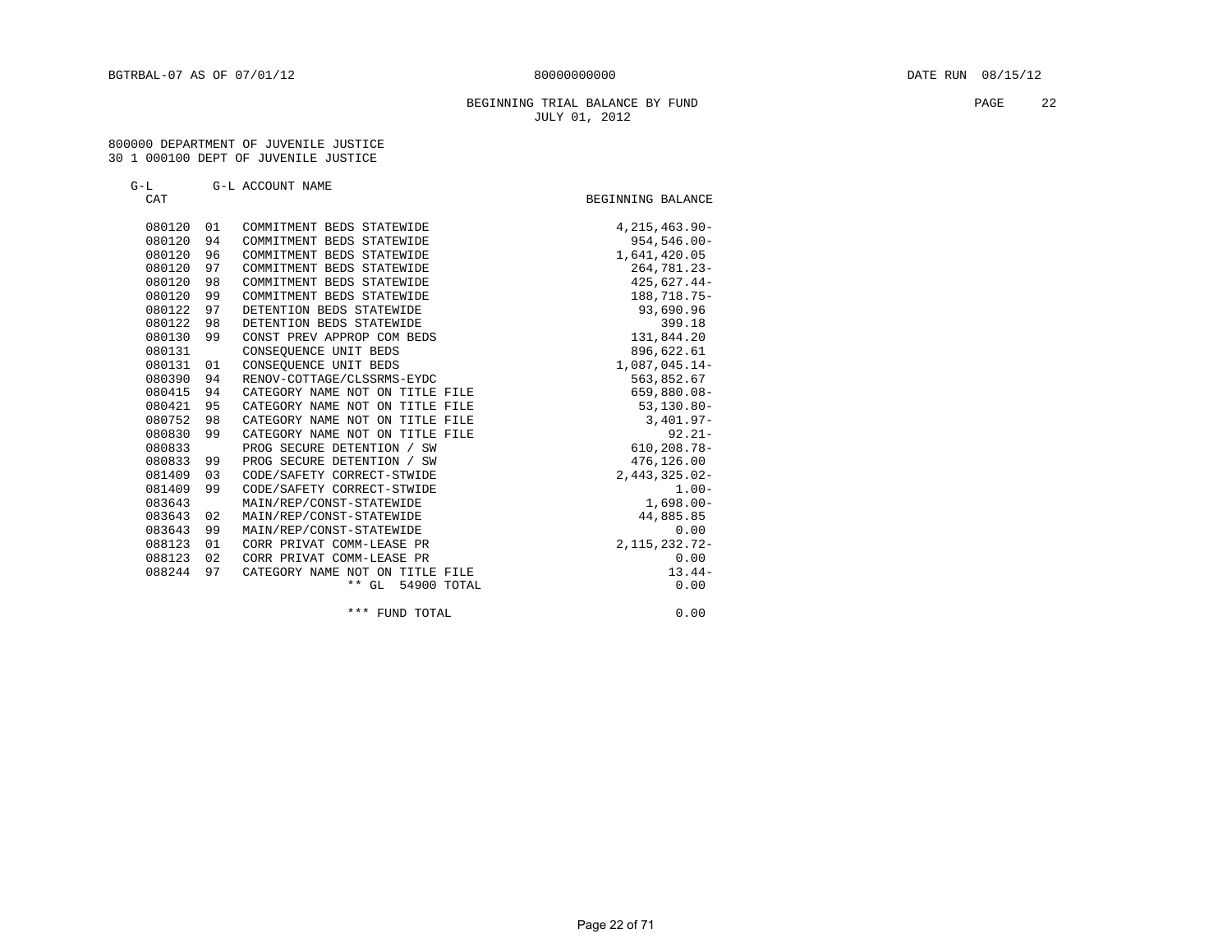#### BEGINNING TRIAL BALANCE BY FUND **PAGE** 22 JULY 01, 2012

#### 800000 DEPARTMENT OF JUVENILE JUSTICE 30 1 000100 DEPT OF JUVENILE JUSTICE

| $G-L$ | G-L ACCOUNT NAME |  |
|-------|------------------|--|
| CΆT   |                  |  |

| CAT    |    |                                 | BEGINNING BALANCE  |
|--------|----|---------------------------------|--------------------|
| 080120 | 01 | COMMITMENT BEDS STATEWIDE       | $4, 215, 463.90 -$ |
| 080120 | 94 | COMMITMENT BEDS STATEWIDE       | $954, 546.00 -$    |
| 080120 | 96 | COMMITMENT BEDS STATEWIDE       | 1,641,420.05       |
| 080120 | 97 | COMMITMENT BEDS STATEWIDE       | 264,781.23-        |
| 080120 | 98 | COMMITMENT BEDS STATEWIDE       | 425,627.44-        |
| 080120 | 99 | COMMITMENT BEDS STATEWIDE       | 188,718.75-        |
| 080122 | 97 | DETENTION BEDS STATEWIDE        | 93,690.96          |
| 080122 | 98 | DETENTION BEDS STATEWIDE        | 399.18             |
| 080130 | 99 | CONST PREV APPROP COM BEDS      | 131,844.20         |
| 080131 |    | CONSEQUENCE UNIT BEDS           | 896,622.61         |
| 080131 | 01 | CONSEQUENCE UNIT BEDS           | 1,087,045.14-      |
| 080390 | 94 | RENOV-COTTAGE/CLSSRMS-EYDC      | 563,852.67         |
| 080415 | 94 | CATEGORY NAME NOT ON TITLE FILE | 659,880.08-        |
| 080421 | 95 | CATEGORY NAME NOT ON TITLE FILE | $53, 130.80 -$     |
| 080752 | 98 | CATEGORY NAME NOT ON TITLE FILE | $3,401.97 -$       |
| 080830 | 99 | CATEGORY NAME NOT ON TITLE FILE | $92.21 -$          |
| 080833 |    | PROG SECURE DETENTION / SW      | $610, 208.78 -$    |
| 080833 | 99 | PROG SECURE DETENTION / SW      | 476,126.00         |
| 081409 | 03 | CODE/SAFETY CORRECT-STWIDE      | $2,443,325.02-$    |
| 081409 | 99 | CODE/SAFETY CORRECT-STWIDE      | $1.00 -$           |
| 083643 |    | MAIN/REP/CONST-STATEWIDE        | $1,698.00 -$       |
| 083643 | 02 | MAIN/REP/CONST-STATEWIDE        | 44,885.85          |
| 083643 | 99 | MAIN/REP/CONST-STATEWIDE        | 0.00               |
| 088123 | 01 | CORR PRIVAT COMM-LEASE PR       | 2, 115, 232. 72-   |
| 088123 | 02 | CORR PRIVAT COMM-LEASE PR       | 0.00               |
| 088244 | 97 | CATEGORY NAME NOT ON TITLE FILE | $13.44-$           |
|        |    | 54900 TOTAL<br>$**$ GL          | 0.00               |
|        |    | *** FUND TOTAL                  | 0.00               |

Page 22 of 71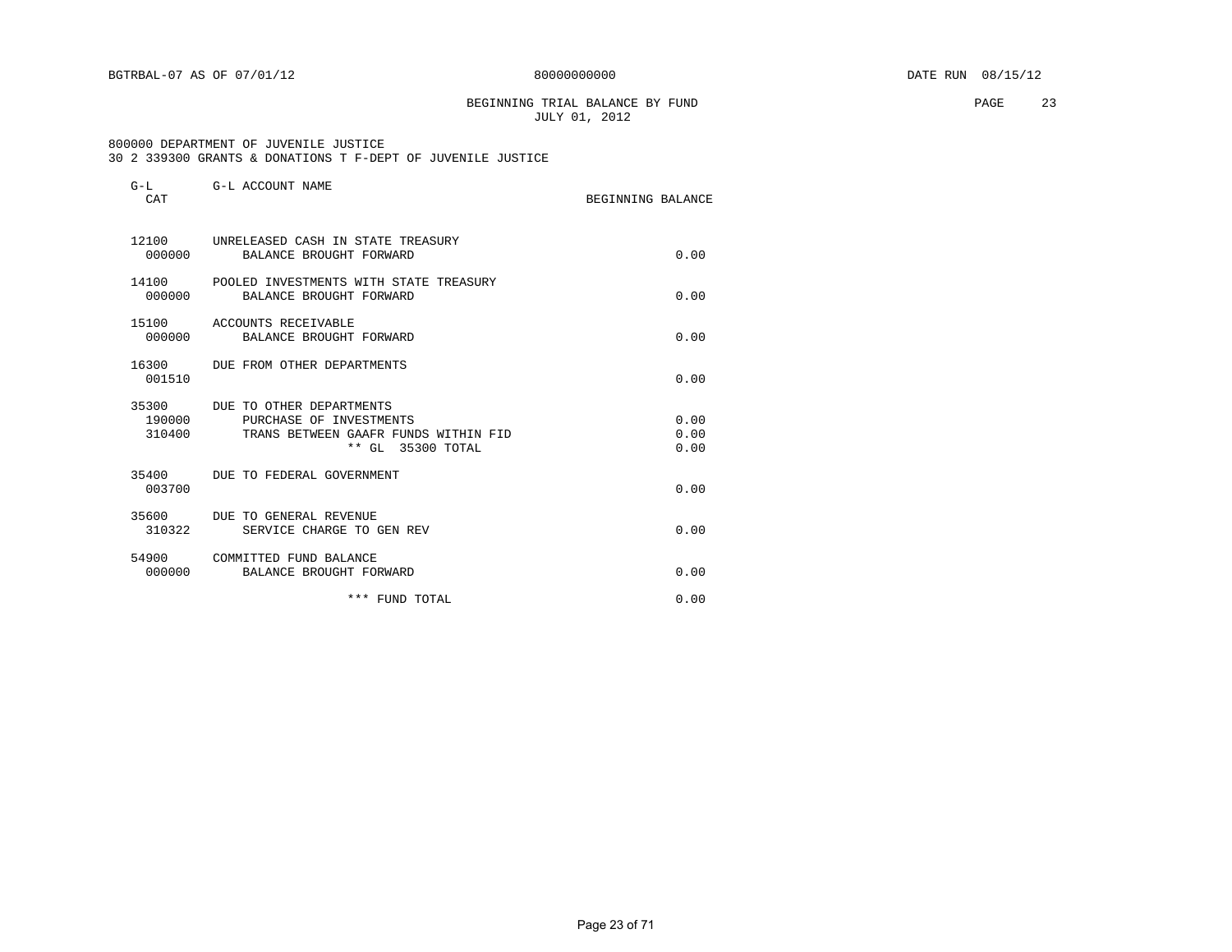BEGINNING TRIAL BALANCE BY FUND **PAGE** 23 JULY 01, 2012

#### 800000 DEPARTMENT OF JUVENILE JUSTICE 30 2 339300 GRANTS & DONATIONS T F-DEPT OF JUVENILE JUSTICE

| $G-L$<br>CAT              | G-L ACCOUNT NAME                                                                                                 | BEGINNING BALANCE |                      |
|---------------------------|------------------------------------------------------------------------------------------------------------------|-------------------|----------------------|
| 12100<br>000000           | UNRELEASED CASH IN STATE TREASURY<br>BALANCE BROUGHT FORWARD                                                     |                   | 0.00                 |
| 000000                    | 14100 POOLED INVESTMENTS WITH STATE TREASURY<br>BALANCE BROUGHT FORWARD                                          |                   | 0.00                 |
| 15100<br>000000           | ACCOUNTS RECEIVABLE<br>BALANCE BROUGHT FORWARD                                                                   |                   | 0.00                 |
| 001510                    | 16300 DUE FROM OTHER DEPARTMENTS                                                                                 |                   | 0.00                 |
| 35300<br>190000<br>310400 | DUE TO OTHER DEPARTMENTS<br>PURCHASE OF INVESTMENTS<br>TRANS BETWEEN GAAFR FUNDS WITHIN FID<br>** GL 35300 TOTAL |                   | 0.00<br>0.00<br>0.00 |
| 003700                    | 35400 DUE TO FEDERAL GOVERNMENT                                                                                  |                   | 0.00                 |
| 35600<br>310322           | DUE TO GENERAL REVENUE<br>SERVICE CHARGE TO GEN REV                                                              |                   | 0.00                 |
| 54900<br>000000           | COMMITTED FUND BALANCE<br>BALANCE BROUGHT FORWARD                                                                |                   | 0.00                 |
|                           | *** FUND TOTAL                                                                                                   |                   | 0.00                 |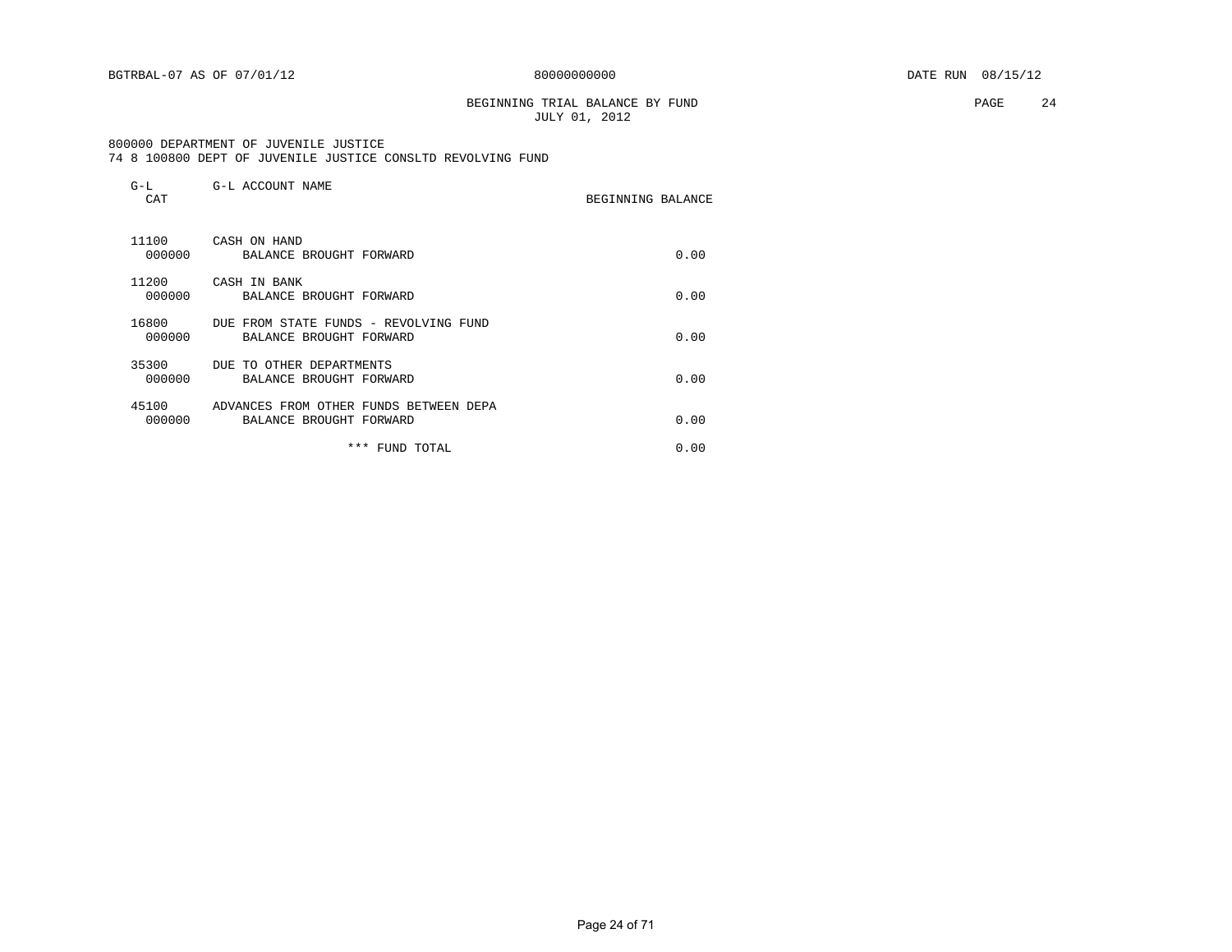#### BEGINNING TRIAL BALANCE BY FUND **PAGE** 24 JULY 01, 2012

 800000 DEPARTMENT OF JUVENILE JUSTICE 74 8 100800 DEPT OF JUVENILE JUSTICE CONSLTD REVOLVING FUND

| $G-L$<br>CAT    | G-L ACCOUNT NAME                                                  | BEGINNING BALANCE |
|-----------------|-------------------------------------------------------------------|-------------------|
| 11100<br>000000 | CASH ON HAND<br>BALANCE BROUGHT FORWARD                           | 0.00              |
| 11200<br>000000 | CASH IN BANK<br>BALANCE BROUGHT FORWARD                           | 0.00              |
| 16800<br>000000 | DUE FROM STATE FUNDS - REVOLVING FUND<br>BALANCE BROUGHT FORWARD  | 0.00              |
| 35300<br>000000 | DUE TO OTHER DEPARTMENTS<br>BALANCE BROUGHT FORWARD               | 0.00              |
| 45100<br>000000 | ADVANCES FROM OTHER FUNDS BETWEEN DEPA<br>BALANCE BROUGHT FORWARD | 0.00              |
|                 | ***<br>FUND TOTAL                                                 | 0.00              |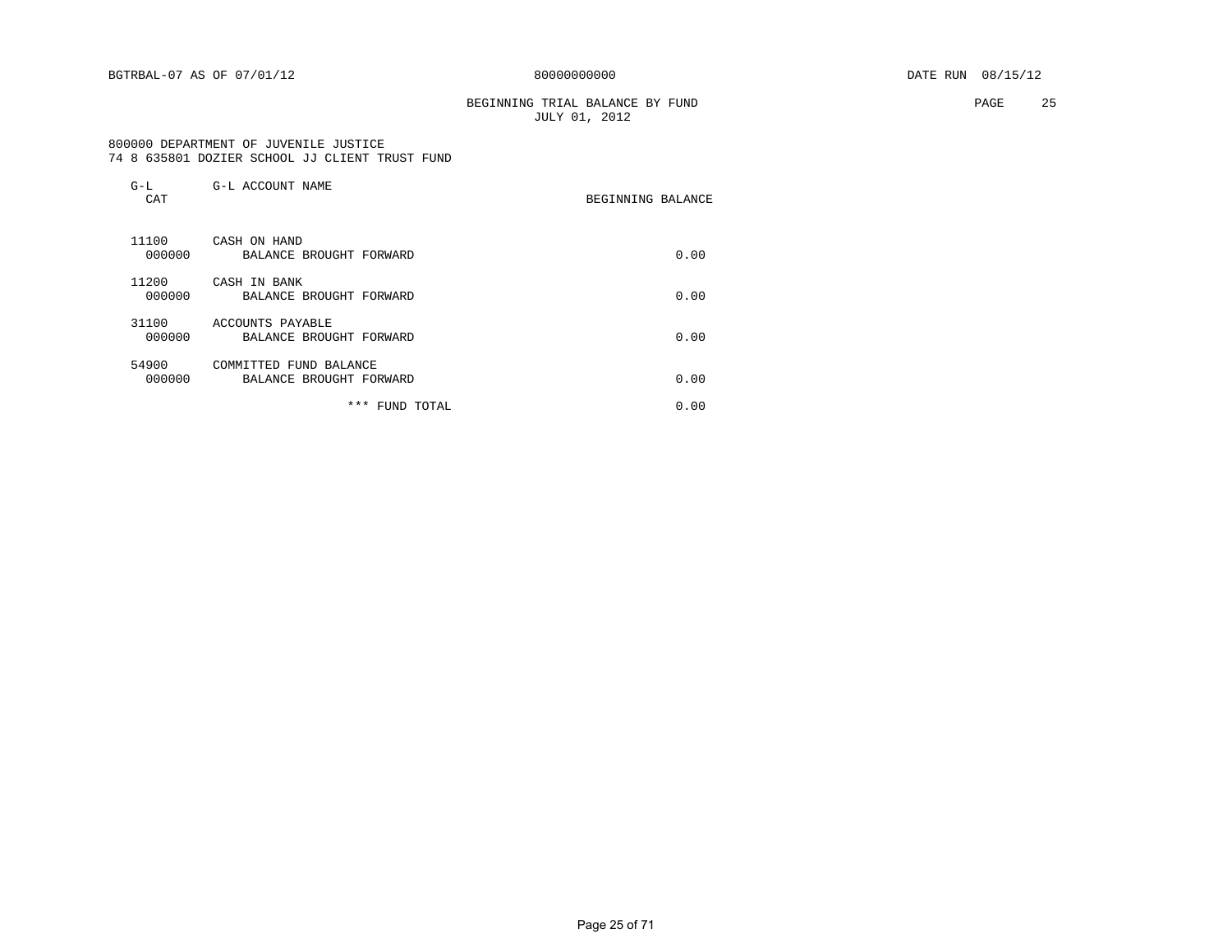#### BEGINNING TRIAL BALANCE BY FUND **PAGE** 25 JULY 01, 2012

#### 800000 DEPARTMENT OF JUVENILE JUSTICE 74 8 635801 DOZIER SCHOOL JJ CLIENT TRUST FUND

| $G-L$<br>CAT    | G-L ACCOUNT NAME                                  | BEGINNING BALANCE |      |
|-----------------|---------------------------------------------------|-------------------|------|
| 11100<br>000000 | CASH ON HAND<br>BALANCE BROUGHT FORWARD           |                   | 0.00 |
| 11200<br>000000 | CASH IN BANK<br>BALANCE BROUGHT FORWARD           |                   | 0.00 |
| 31100<br>000000 | ACCOUNTS PAYABLE<br>BALANCE BROUGHT FORWARD       |                   | 0.00 |
| 54900<br>000000 | COMMITTED FUND BALANCE<br>BALANCE BROUGHT FORWARD |                   | 0.00 |
|                 | *** FUND TOTAL                                    |                   | 0.00 |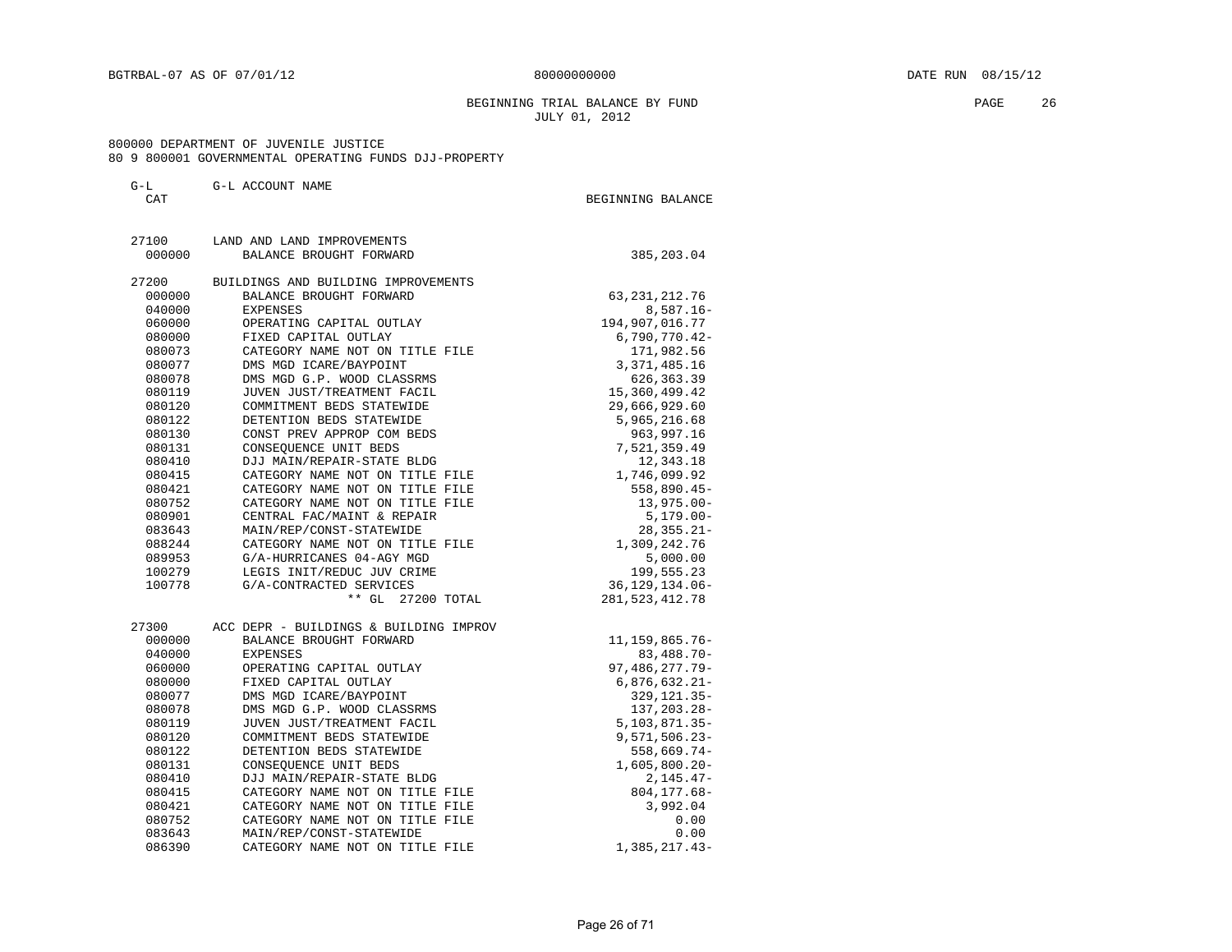#### BEGINNING TRIAL BALANCE BY FUND **PAGE 26** JULY 01, 2012

#### 800000 DEPARTMENT OF JUVENILE JUSTICE 80 9 800001 GOVERNMENTAL OPERATING FUNDS DJJ-PROPERTY

#### G-L G-L ACCOUNT NAME

| 27100  | LAND AND LAND IMPROVEMENTS             |                       |
|--------|----------------------------------------|-----------------------|
| 000000 | BALANCE BROUGHT FORWARD                | 385,203.04            |
| 27200  | BUILDINGS AND BUILDING IMPROVEMENTS    |                       |
| 000000 | BALANCE BROUGHT FORWARD                | 63, 231, 212. 76      |
| 040000 | EXPENSES                               | $8,587.16 -$          |
| 060000 | OPERATING CAPITAL OUTLAY               | 194,907,016.77        |
| 080000 | FIXED CAPITAL OUTLAY                   | 6,790,770.42-         |
| 080073 | CATEGORY NAME NOT ON TITLE FILE        | 171,982.56            |
| 080077 | DMS MGD ICARE/BAYPOINT                 | 3, 371, 485.16        |
| 080078 | DMS MGD G.P. WOOD CLASSRMS             | 626, 363.39           |
| 080119 | JUVEN JUST/TREATMENT FACIL             | 15, 360, 499.42       |
| 080120 | COMMITMENT BEDS STATEWIDE              | 29,666,929.60         |
| 080122 | DETENTION BEDS STATEWIDE               | 5,965,216.68          |
| 080130 | CONST PREV APPROP COM BEDS             | 963,997.16            |
| 080131 | CONSEQUENCE UNIT BEDS                  | 7,521,359.49          |
| 080410 | DJJ MAIN/REPAIR-STATE BLDG             | 12,343.18             |
| 080415 | CATEGORY NAME NOT ON TITLE FILE        | 1,746,099.92          |
| 080421 | CATEGORY NAME NOT ON TITLE FILE        | 558,890.45-           |
| 080752 | CATEGORY NAME NOT ON TITLE FILE        | $13,975.00 -$         |
| 080901 | CENTRAL FAC/MAINT & REPAIR             | $5,179.00 -$          |
| 083643 | MAIN/REP/CONST-STATEWIDE               | $28, 355.21 -$        |
| 088244 | CATEGORY NAME NOT ON TITLE FILE        | 1,309,242.76          |
| 089953 | G/A-HURRICANES 04-AGY MGD              | 5,000.00              |
| 100279 | LEGIS INIT/REDUC JUV CRIME             | 199,555.23            |
| 100778 | G/A-CONTRACTED SERVICES                | 36, 129, 134.06-      |
|        | ** GL 27200 TOTAL                      | 281, 523, 412. 78     |
| 27300  | ACC DEPR - BUILDINGS & BUILDING IMPROV |                       |
| 000000 | BALANCE BROUGHT FORWARD                | 11, 159, 865. 76-     |
| 040000 | <b>EXPENSES</b>                        | $83,488.70 -$         |
| 060000 | OPERATING CAPITAL OUTLAY               | 97, 486, 277. 79-     |
| 080000 | FIXED CAPITAL OUTLAY                   | $6,876,632.21-$       |
| 080077 | DMS MGD ICARE/BAYPOINT                 | 329, 121.35-          |
| 080078 | DMS MGD G.P. WOOD CLASSRMS             | 137, 203. 28-         |
| 080119 | JUVEN JUST/TREATMENT FACIL             | $5,103,871.35-$       |
| 080120 | COMMITMENT BEDS STATEWIDE              | $9,571,506.23 -$      |
| 080122 | DETENTION BEDS STATEWIDE               | 558,669.74-           |
| 080131 | CONSEQUENCE UNIT BEDS                  | $1,605,800.20 -$      |
| 080410 | DJJ MAIN/REPAIR-STATE BLDG             | $2,145.47-$           |
| 080415 | CATEGORY NAME NOT ON TITLE FILE        | $804, 177.68 -$       |
| 080421 | CATEGORY NAME NOT ON TITLE FILE        | 3,992.04              |
| 080752 | CATEGORY NAME NOT ON TITLE FILE        | 0.00                  |
| 083643 | MAIN/REP/CONST-STATEWIDE               | 0.00<br>1,385,217.43- |
| 086390 | CATEGORY NAME NOT ON TITLE FILE        |                       |

CAT BEGINNING BALANCE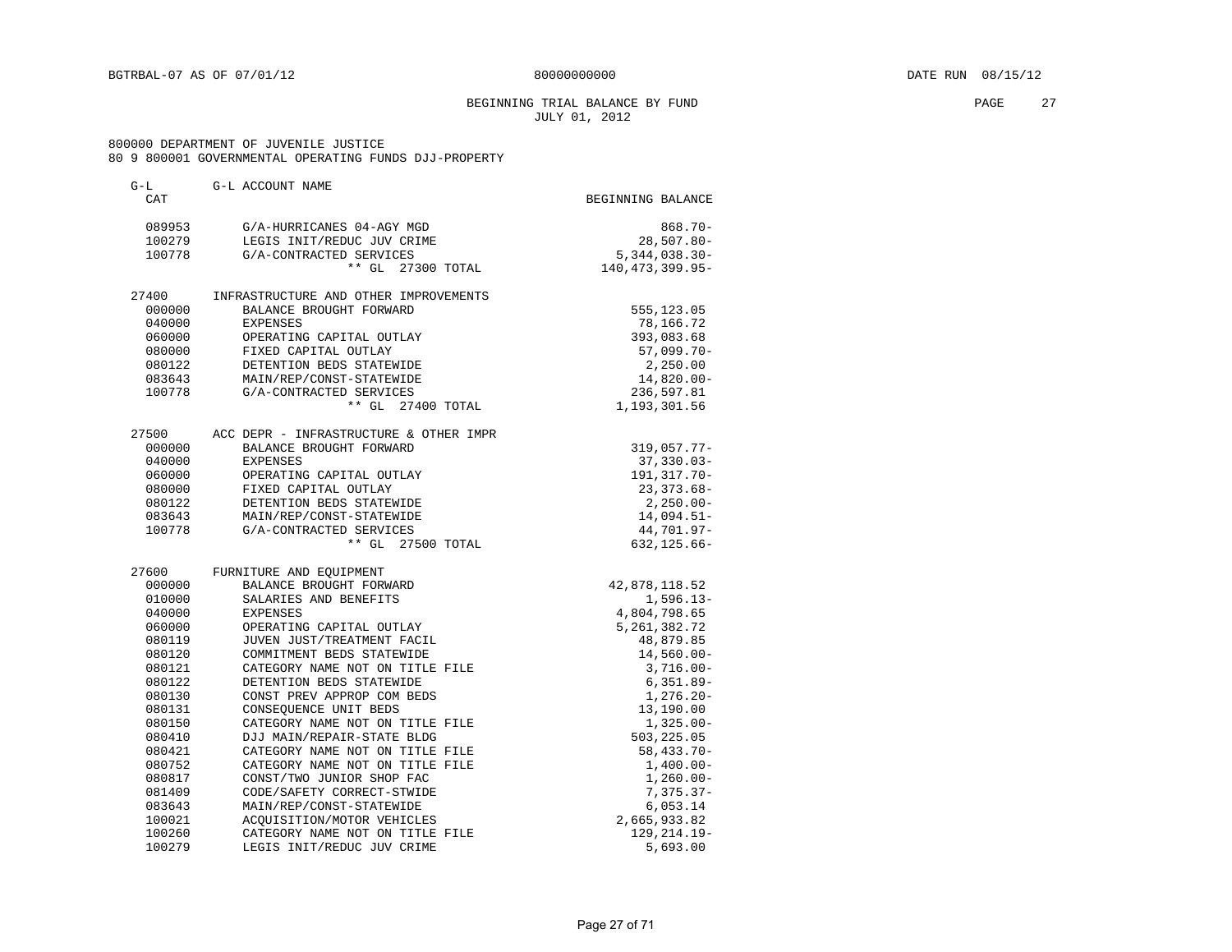#### BEGINNING TRIAL BALANCE BY FUND **PAGE** 27 JULY 01, 2012

#### 800000 DEPARTMENT OF JUVENILE JUSTICE 80 9 800001 GOVERNMENTAL OPERATING FUNDS DJJ-PROPERTY

| G-L    | G-L ACCOUNT NAME                       |                   |
|--------|----------------------------------------|-------------------|
| CAT    |                                        | BEGINNING BALANCE |
| 089953 | G/A-HURRICANES 04-AGY MGD              | $868.70 -$        |
| 100279 | LEGIS INIT/REDUC JUV CRIME             | $28,507.80 -$     |
| 100778 | G/A-CONTRACTED SERVICES                | $5,344,038.30-$   |
|        | ** GL 27300 TOTAL                      | 140, 473, 399.95- |
| 27400  | INFRASTRUCTURE AND OTHER IMPROVEMENTS  |                   |
| 000000 | BALANCE BROUGHT FORWARD                | 555,123.05        |
| 040000 | EXPENSES                               | 78,166.72         |
| 060000 | OPERATING CAPITAL OUTLAY               | 393,083.68        |
| 080000 | FIXED CAPITAL OUTLAY                   | $57,099.70 -$     |
| 080122 | DETENTION BEDS STATEWIDE               | 2,250.00          |
| 083643 | MAIN/REP/CONST-STATEWIDE               | 14,820.00-        |
| 100778 | G/A-CONTRACTED SERVICES                | 236,597.81        |
|        | ** GL 27400 TOTAL                      | 1,193,301.56      |
| 27500  | ACC DEPR - INFRASTRUCTURE & OTHER IMPR |                   |
| 000000 | BALANCE BROUGHT FORWARD                | $319,057.77 -$    |
| 040000 | <b>EXPENSES</b>                        | $37,330.03 -$     |
| 060000 | OPERATING CAPITAL OUTLAY               | 191, 317. 70-     |
| 080000 | FIXED CAPITAL OUTLAY                   | $23, 373.68 -$    |
| 080122 | DETENTION BEDS STATEWIDE               | $2,250.00 -$      |
| 083643 | MAIN/REP/CONST-STATEWIDE               | $14,094.51-$      |
| 100778 | G/A-CONTRACTED SERVICES                | 44,701.97-        |
|        | ** GL 27500 TOTAL                      | $632, 125.66 -$   |
| 27600  | FURNITURE AND EQUIPMENT                |                   |
| 000000 | BALANCE BROUGHT FORWARD                | 42,878,118.52     |
| 010000 | SALARIES AND BENEFITS                  | $1,596.13-$       |
| 040000 | <b>EXPENSES</b>                        | 4,804,798.65      |
| 060000 | OPERATING CAPITAL OUTLAY               | 5, 261, 382. 72   |
| 080119 | JUVEN JUST/TREATMENT FACIL             | 48,879.85         |
| 080120 | COMMITMENT BEDS STATEWIDE              | $14,560.00 -$     |
| 080121 | CATEGORY NAME NOT ON TITLE FILE        | $3,716.00 -$      |
| 080122 | DETENTION BEDS STATEWIDE               | $6,351.89-$       |
| 080130 | CONST PREV APPROP COM BEDS             | $1,276.20 -$      |
| 080131 | CONSEQUENCE UNIT BEDS                  | 13,190.00         |
| 080150 | CATEGORY NAME NOT ON TITLE FILE        | $1,325.00 -$      |
| 080410 | DJJ MAIN/REPAIR-STATE BLDG             | 503,225.05        |
| 080421 | CATEGORY NAME NOT ON TITLE FILE        | $58,433.70-$      |
| 080752 | CATEGORY NAME NOT ON TITLE FILE        | $1,400.00-$       |
| 080817 | CONST/TWO JUNIOR SHOP FAC              | $1,260.00 -$      |
| 081409 | CODE/SAFETY CORRECT-STWIDE             | $7,375.37-$       |
| 083643 | MAIN/REP/CONST-STATEWIDE               | 6,053.14          |
| 100021 | ACOUISITION/MOTOR VEHICLES             | 2,665,933.82      |
| 100260 | CATEGORY NAME NOT ON TITLE FILE        | $129, 214.19 -$   |
| 100279 | LEGIS INIT/REDUC JUV CRIME             | 5,693.00          |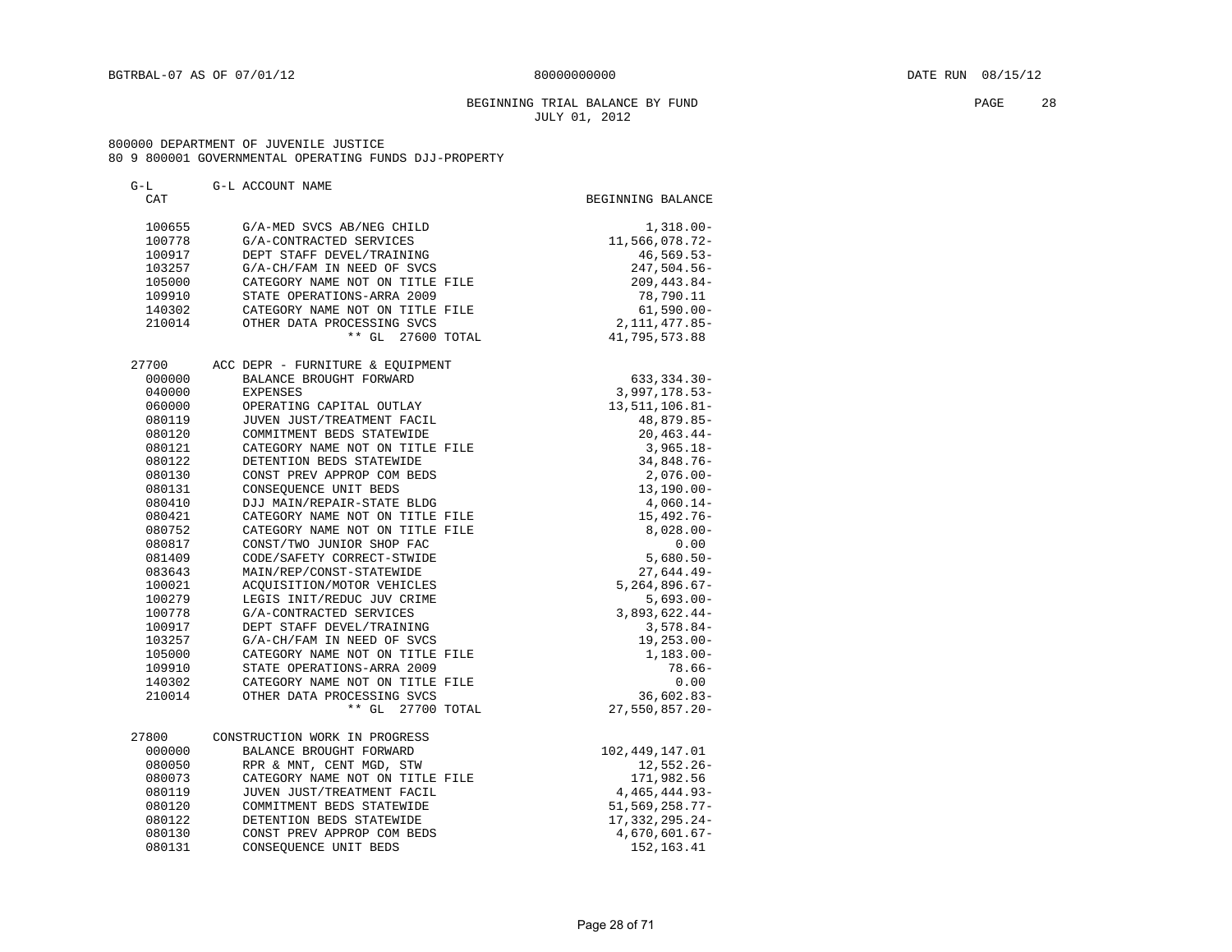#### BEGINNING TRIAL BALANCE BY FUND **PAGE** 28 JULY 01, 2012

#### 800000 DEPARTMENT OF JUVENILE JUSTICE 80 9 800001 GOVERNMENTAL OPERATING FUNDS DJJ-PROPERTY

#### G-L G-L ACCOUNT NAME CAT GENERAL BEGINNING BALANCE 100655 G/A-MED SVCS AB/NEG CHILD 1,318.00-100778 G/A-CONTRACTED SERVICES 11,566,078.72- 100917 DEPT STAFF DEVEL/TRAINING 46,569.53- 103257 G/A-CH/FAM IN NEED OF SVCS 247,504.56- 105000 CATEGORY NAME NOT ON TITLE FILE 209,443.84-109910 STATE OPERATIONS-ARRA 2009 78,790.11 140302 CATEGORY NAME NOT ON TITLE FILE 61,590.00- 210014 OTHER DATA PROCESSING SVCS 2,111,477.85- \*\* GL 27600 TOTAL 41,795,573.88 27700 ACC DEPR - FURNITURE & EQUIPMENT 000000 BALANCE BROUGHT FORWARD 633,334.30-040000 EXPENSES 3,997,178.53- 060000 OPERATING CAPITAL OUTLAY 13,511,106.81- 080119 JUVEN JUST/TREATMENT FACIL 48,879.85-080120 COMMITMENT BEDS STATEWIDE 20,463.44-080121 CATEGORY NAME NOT ON TITLE FILE 3,965.18- 080122 DETENTION BEDS STATEWIDE 34,848.76- 080130 CONST PREV APPROP COM BEDS 2,076.00- 080131 CONSEQUENCE UNIT BEDS 13,190.00- 080410 DJJ MAIN/REPAIR-STATE BLDG 4,060.14- 080421 CATEGORY NAME NOT ON TITLE FILE 15,492.76-080752 CATEGORY NAME NOT ON TITLE FILE  $8,028.00-$ 080817 CONST/TWO JUNIOR SHOP FAC 0.00 081409 CODE/SAFETY CORRECT-STWIDE 5,680.50- 083643 MAIN/REP/CONST-STATEWIDE 27,644.49- 100021 ACQUISITION/MOTOR VEHICLES 5,264,896.67- 100279 LEGIS INIT/REDUC JUV CRIME 6,693.00- 100778 G/A-CONTRACTED SERVICES 3,893,622.44- 100917 DEPT STAFF DEVEL/TRAINING **1000111111** 100917 3,578.84- 103257 G/A-CH/FAM IN NEED OF SVCS 19,253.00- 105000 CATEGORY NAME NOT ON TITLE FILE 1,183.00- 109910 STATE OPERATIONS-ARRA 2009 78.66- 140302 CATEGORY NAME NOT ON TITLE FILE 0.00 210014 OTHER DATA PROCESSING SVCS 36602.83- \*\* GL 27700 TOTAL 27,550,857.20- 27800 CONSTRUCTION WORK IN PROGRESS 000000 BALANCE BROUGHT FORWARD 102,449,147.01 080050 RPR & MNT, CENT MGD, STW 12,552.26-080073 CATEGORY NAME NOT ON TITLE FILE 171,982.56 080119 JUVEN JUST/TREATMENT FACIL 4,465,444.93- 080120 COMMITMENT BEDS STATEWIDE 51,569,258.77- 080122 DETENTION BEDS STATEWIDE 17,332,295.24-080130 CONST PREV APPROP COM BEDS 4,670,601.67-080131 CONSEQUENCE UNIT BEDS 152,163.41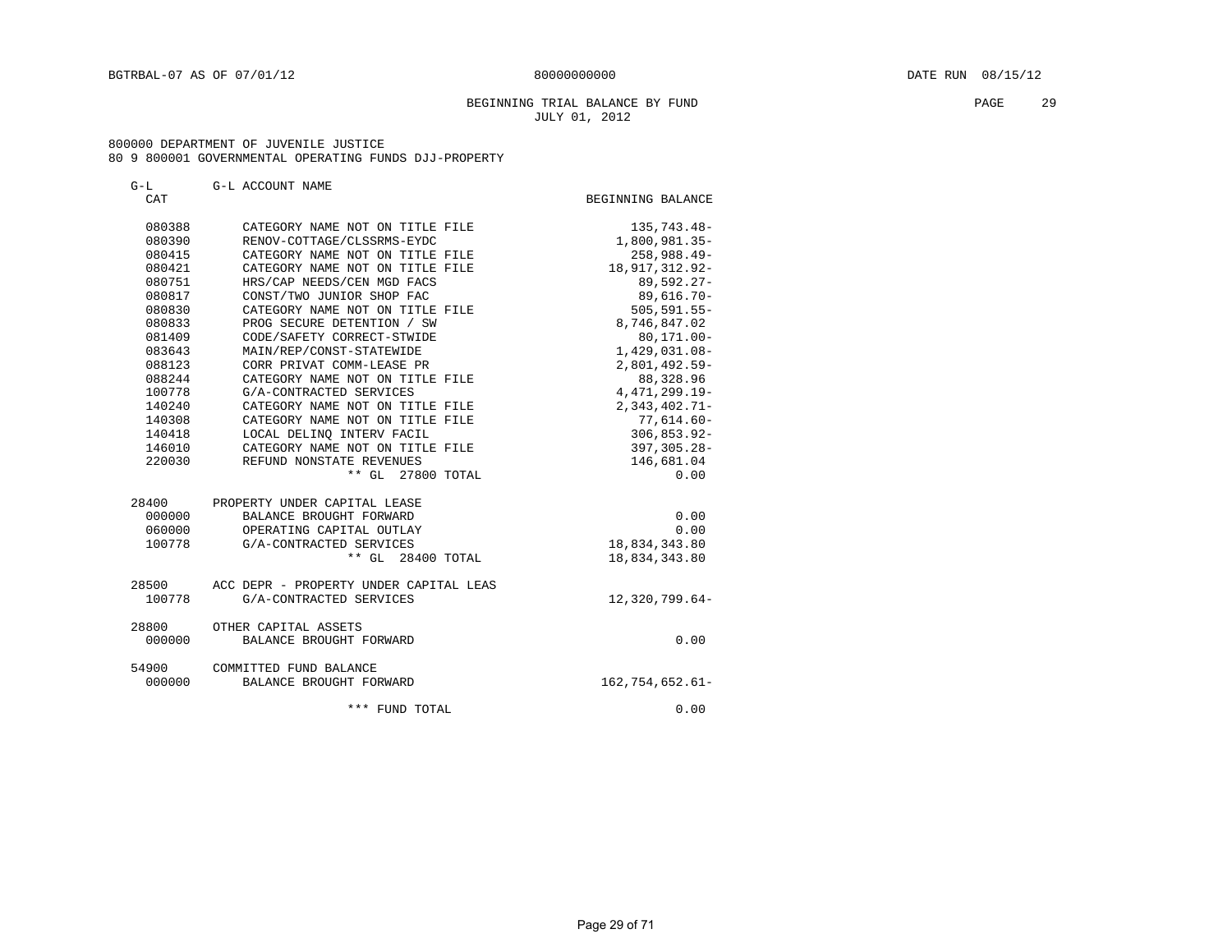#### BEGINNING TRIAL BALANCE BY FUND **EXAMPLE 29** PAGE 29 JULY 01, 2012

#### 800000 DEPARTMENT OF JUVENILE JUSTICE 80 9 800001 GOVERNMENTAL OPERATING FUNDS DJJ-PROPERTY

| G-L    | G-L ACCOUNT NAME                       |                      |
|--------|----------------------------------------|----------------------|
| CAT    |                                        | BEGINNING BALANCE    |
| 080388 | CATEGORY NAME NOT ON TITLE FILE        | 135,743.48-          |
| 080390 | RENOV-COTTAGE/CLSSRMS-EYDC             | 1,800,981.35-        |
| 080415 | CATEGORY NAME NOT ON TITLE FILE        | 258,988.49-          |
| 080421 | CATEGORY NAME NOT ON TITLE FILE        | 18, 917, 312. 92-    |
| 080751 | HRS/CAP NEEDS/CEN MGD FACS             | 89,592.27-           |
| 080817 | CONST/TWO JUNIOR SHOP FAC              | $89,616.70 -$        |
| 080830 | CATEGORY NAME NOT ON TITLE FILE        | $505, 591.55 -$      |
| 080833 | PROG SECURE DETENTION / SW             | 8,746,847.02         |
| 081409 | CODE/SAFETY CORRECT-STWIDE             | $80, 171.00 -$       |
| 083643 | MAIN/REP/CONST-STATEWIDE               | 1,429,031.08-        |
| 088123 | CORR PRIVAT COMM-LEASE PR              | 2,801,492.59-        |
| 088244 | CATEGORY NAME NOT ON TITLE FILE        | 88,328.96            |
| 100778 | G/A-CONTRACTED SERVICES                | 4, 471, 299. 19-     |
| 140240 | CATEGORY NAME NOT ON TITLE FILE        | $2,343,402.71-$      |
| 140308 | CATEGORY NAME NOT ON TITLE FILE        | $77,614.60-$         |
| 140418 | LOCAL DELINO INTERV FACIL              | $306, 853.92 -$      |
| 146010 | CATEGORY NAME NOT ON TITLE FILE        | 397,305.28-          |
| 220030 | REFUND NONSTATE REVENUES               | 146,681.04           |
|        | ** GL 27800 TOTAL                      | 0.00                 |
| 28400  | PROPERTY UNDER CAPITAL LEASE           |                      |
| 000000 | BALANCE BROUGHT FORWARD                | 0.00                 |
| 060000 | OPERATING CAPITAL OUTLAY               | 0.00                 |
| 100778 | G/A-CONTRACTED SERVICES                | 18,834,343.80        |
|        | $***$ GL<br>28400 TOTAL                | 18,834,343.80        |
| 28500  | ACC DEPR - PROPERTY UNDER CAPITAL LEAS |                      |
| 100778 | G/A-CONTRACTED SERVICES                | $12,320,799.64-$     |
| 28800  | OTHER CAPITAL ASSETS                   |                      |
| 000000 | BALANCE BROUGHT FORWARD                | 0.00                 |
| 54900  | COMMITTED FUND BALANCE                 |                      |
| 000000 | BALANCE BROUGHT FORWARD                | $162, 754, 652.61 -$ |
|        | *** FUND TOTAL                         | 0.00                 |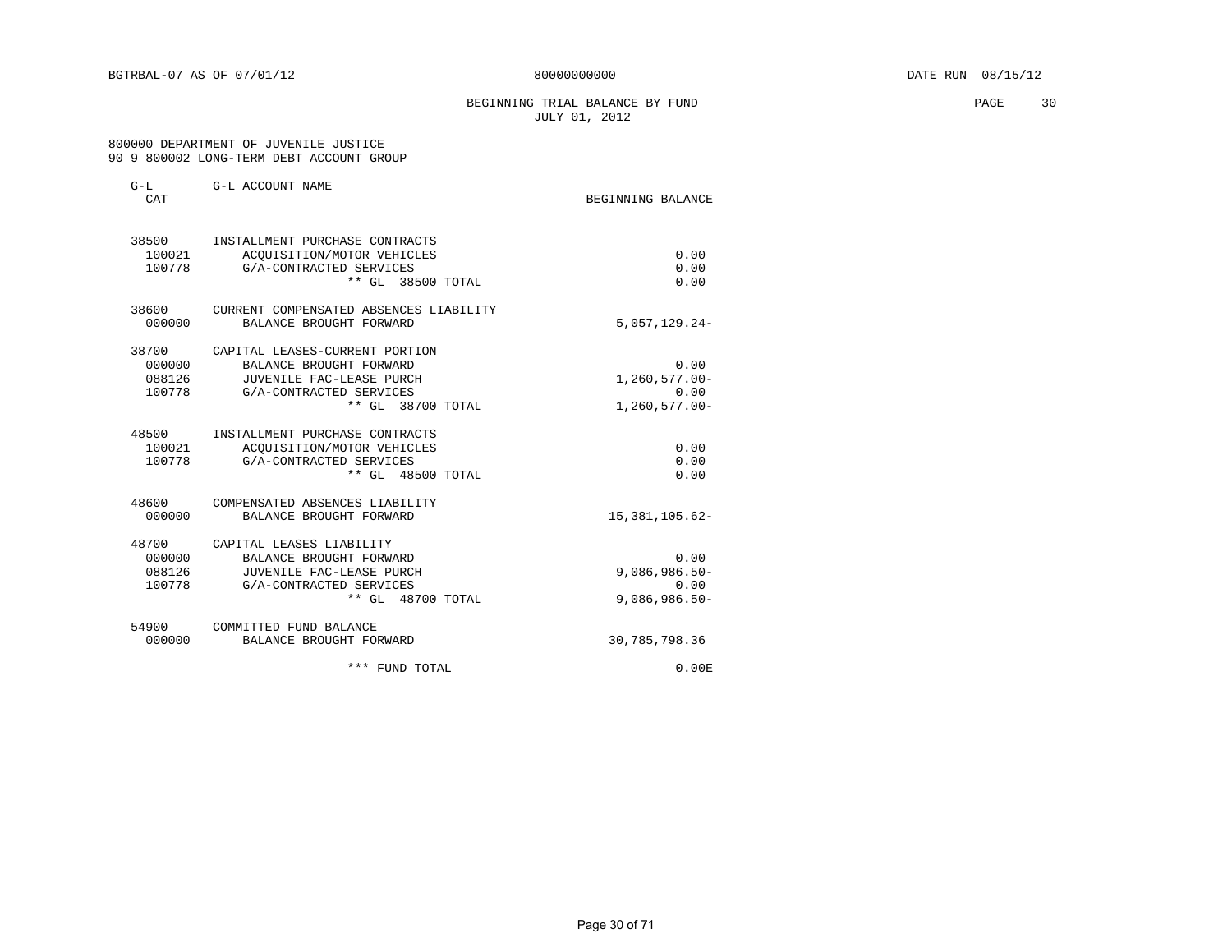#### BEGINNING TRIAL BALANCE BY FUND **PAGE** 30 JULY 01, 2012

#### 800000 DEPARTMENT OF JUVENILE JUSTICE 90 9 800002 LONG-TERM DEBT ACCOUNT GROUP

| $G-L$<br>CAT                        | G-L ACCOUNT NAME                                                                                                                      | BEGINNING BALANCE                                    |
|-------------------------------------|---------------------------------------------------------------------------------------------------------------------------------------|------------------------------------------------------|
| 38500<br>100021<br>100778           | INSTALLMENT PURCHASE CONTRACTS<br>ACOUISITION/MOTOR VEHICLES<br>G/A-CONTRACTED SERVICES<br>** GL 38500 TOTAL                          | 0.00<br>0.00<br>0.00                                 |
| 38600<br>000000                     | CURRENT COMPENSATED ABSENCES LIABILITY<br>BALANCE BROUGHT FORWARD                                                                     | $5,057,129.24-$                                      |
| 38700<br>000000<br>088126<br>100778 | CAPITAL LEASES-CURRENT PORTION<br>BALANCE BROUGHT FORWARD<br>JUVENILE FAC-LEASE PURCH<br>G/A-CONTRACTED SERVICES<br>** GL 38700 TOTAL | 0.00<br>$1,260,577.00 -$<br>0.00<br>$1,260,577.00 -$ |
| 48500<br>100021<br>100778           | INSTALLMENT PURCHASE CONTRACTS<br>ACOUISITION/MOTOR VEHICLES<br>G/A-CONTRACTED SERVICES<br>** GL 48500 TOTAL                          | 0.00<br>0.00<br>0.00                                 |
| 48600<br>000000                     | COMPENSATED ABSENCES LIABILITY<br>BALANCE BROUGHT FORWARD                                                                             | 15, 381, 105.62-                                     |
| 48700<br>000000<br>088126<br>100778 | CAPITAL LEASES LIABILITY<br>BALANCE BROUGHT FORWARD<br>JUVENILE FAC-LEASE PURCH<br>G/A-CONTRACTED SERVICES<br>** GL 48700 TOTAL       | 0.00<br>$9,086,986.50 -$<br>0.00<br>$9,086,986.50 -$ |
| 54900<br>000000                     | COMMITTED FUND BALANCE<br>BALANCE BROUGHT FORWARD                                                                                     | 30,785,798.36                                        |
|                                     | *** FUND TOTAL                                                                                                                        | 0.00 E                                               |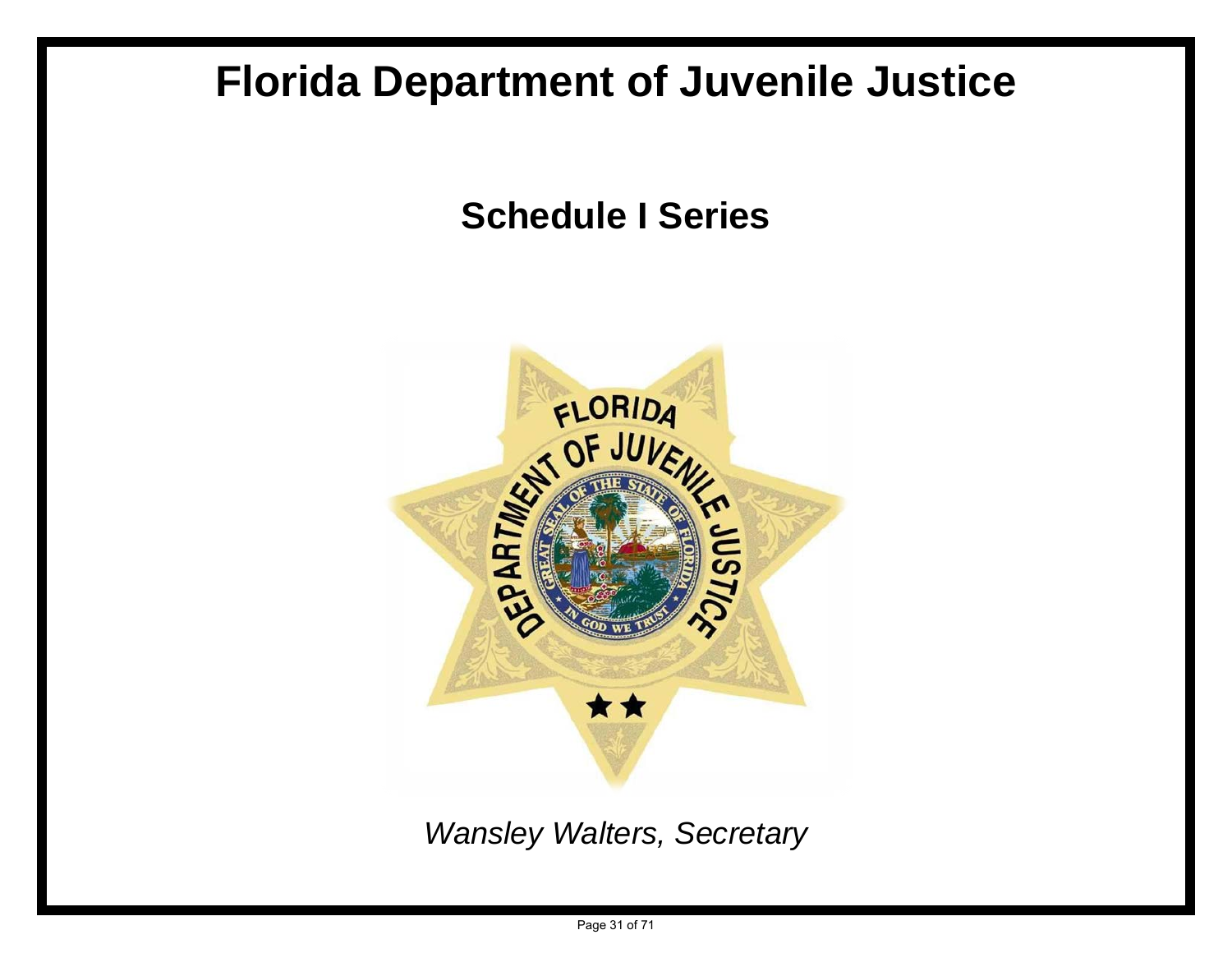# **Florida Department of Juvenile Justice**

**Schedule I Series**



*Wansley Walters, Secretary*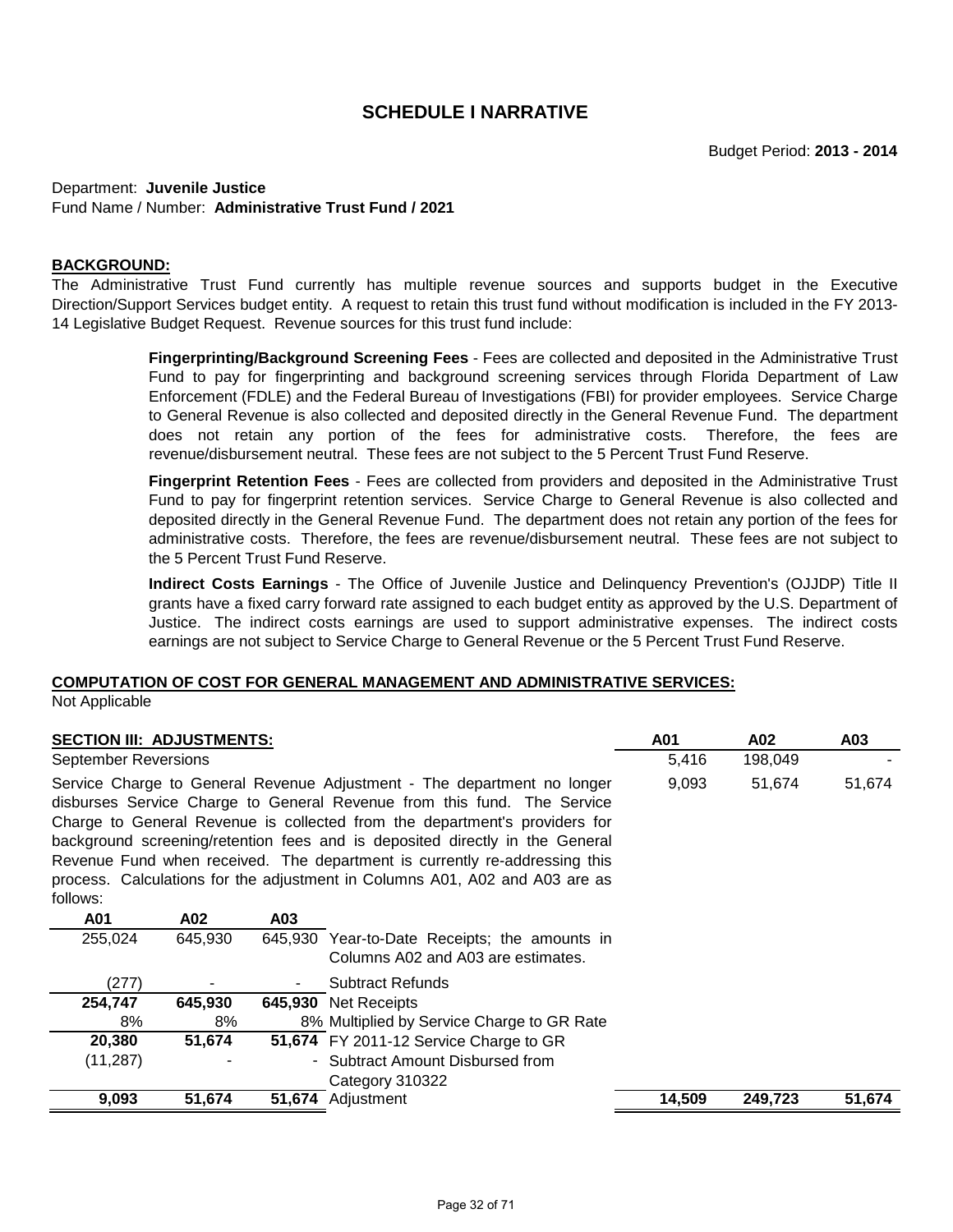Department: **Juvenile Justice** Fund Name / Number: **Administrative Trust Fund / 2021**

### **BACKGROUND:**

The Administrative Trust Fund currently has multiple revenue sources and supports budget in the Executive Direction/Support Services budget entity. A request to retain this trust fund without modification is included in the FY 2013- 14 Legislative Budget Request. Revenue sources for this trust fund include:

> **Fingerprinting/Background Screening Fees** - Fees are collected and deposited in the Administrative Trust Fund to pay for fingerprinting and background screening services through Florida Department of Law Enforcement (FDLE) and the Federal Bureau of Investigations (FBI) for provider employees. Service Charge to General Revenue is also collected and deposited directly in the General Revenue Fund. The department does not retain any portion of the fees for administrative costs. Therefore, the fees are revenue/disbursement neutral. These fees are not subject to the 5 Percent Trust Fund Reserve.

> **Fingerprint Retention Fees** - Fees are collected from providers and deposited in the Administrative Trust Fund to pay for fingerprint retention services. Service Charge to General Revenue is also collected and deposited directly in the General Revenue Fund. The department does not retain any portion of the fees for administrative costs. Therefore, the fees are revenue/disbursement neutral. These fees are not subject to the 5 Percent Trust Fund Reserve.

> **Indirect Costs Earnings** - The Office of Juvenile Justice and Delinquency Prevention's (OJJDP) Title II grants have a fixed carry forward rate assigned to each budget entity as approved by the U.S. Department of Justice. The indirect costs earnings are used to support administrative expenses. The indirect costs earnings are not subject to Service Charge to General Revenue or the 5 Percent Trust Fund Reserve.

#### **COMPUTATION OF COST FOR GENERAL MANAGEMENT AND ADMINISTRATIVE SERVICES:**

Not Applicable

| <b>SECTION III: ADJUSTMENTS:</b>                                                                                                                                                                                                                                                                                                                                                                                                                                                          |         |     | A01                                                                                 | A02     | A03     |        |
|-------------------------------------------------------------------------------------------------------------------------------------------------------------------------------------------------------------------------------------------------------------------------------------------------------------------------------------------------------------------------------------------------------------------------------------------------------------------------------------------|---------|-----|-------------------------------------------------------------------------------------|---------|---------|--------|
| <b>September Reversions</b>                                                                                                                                                                                                                                                                                                                                                                                                                                                               |         |     | 5,416                                                                               | 198,049 |         |        |
| Service Charge to General Revenue Adjustment - The department no longer<br>disburses Service Charge to General Revenue from this fund. The Service<br>Charge to General Revenue is collected from the department's providers for<br>background screening/retention fees and is deposited directly in the General<br>Revenue Fund when received. The department is currently re-addressing this<br>process. Calculations for the adjustment in Columns A01, A02 and A03 are as<br>follows: |         |     |                                                                                     | 9,093   | 51,674  | 51,674 |
| A01                                                                                                                                                                                                                                                                                                                                                                                                                                                                                       | A02     | A03 |                                                                                     |         |         |        |
| 255,024                                                                                                                                                                                                                                                                                                                                                                                                                                                                                   | 645,930 |     | 645,930 Year-to-Date Receipts; the amounts in<br>Columns A02 and A03 are estimates. |         |         |        |
| (277)                                                                                                                                                                                                                                                                                                                                                                                                                                                                                     |         |     | Subtract Refunds                                                                    |         |         |        |
| 254,747                                                                                                                                                                                                                                                                                                                                                                                                                                                                                   | 645,930 |     | 645,930 Net Receipts                                                                |         |         |        |
| 8%                                                                                                                                                                                                                                                                                                                                                                                                                                                                                        | 8%      |     | 8% Multiplied by Service Charge to GR Rate                                          |         |         |        |
| 20,380                                                                                                                                                                                                                                                                                                                                                                                                                                                                                    | 51,674  |     | 51,674 FY 2011-12 Service Charge to GR                                              |         |         |        |
| (11, 287)                                                                                                                                                                                                                                                                                                                                                                                                                                                                                 |         |     | - Subtract Amount Disbursed from                                                    |         |         |        |
|                                                                                                                                                                                                                                                                                                                                                                                                                                                                                           |         |     | Category 310322                                                                     |         |         |        |
| 9,093                                                                                                                                                                                                                                                                                                                                                                                                                                                                                     | 51,674  |     | 51,674 Adjustment                                                                   | 14,509  | 249,723 | 51,674 |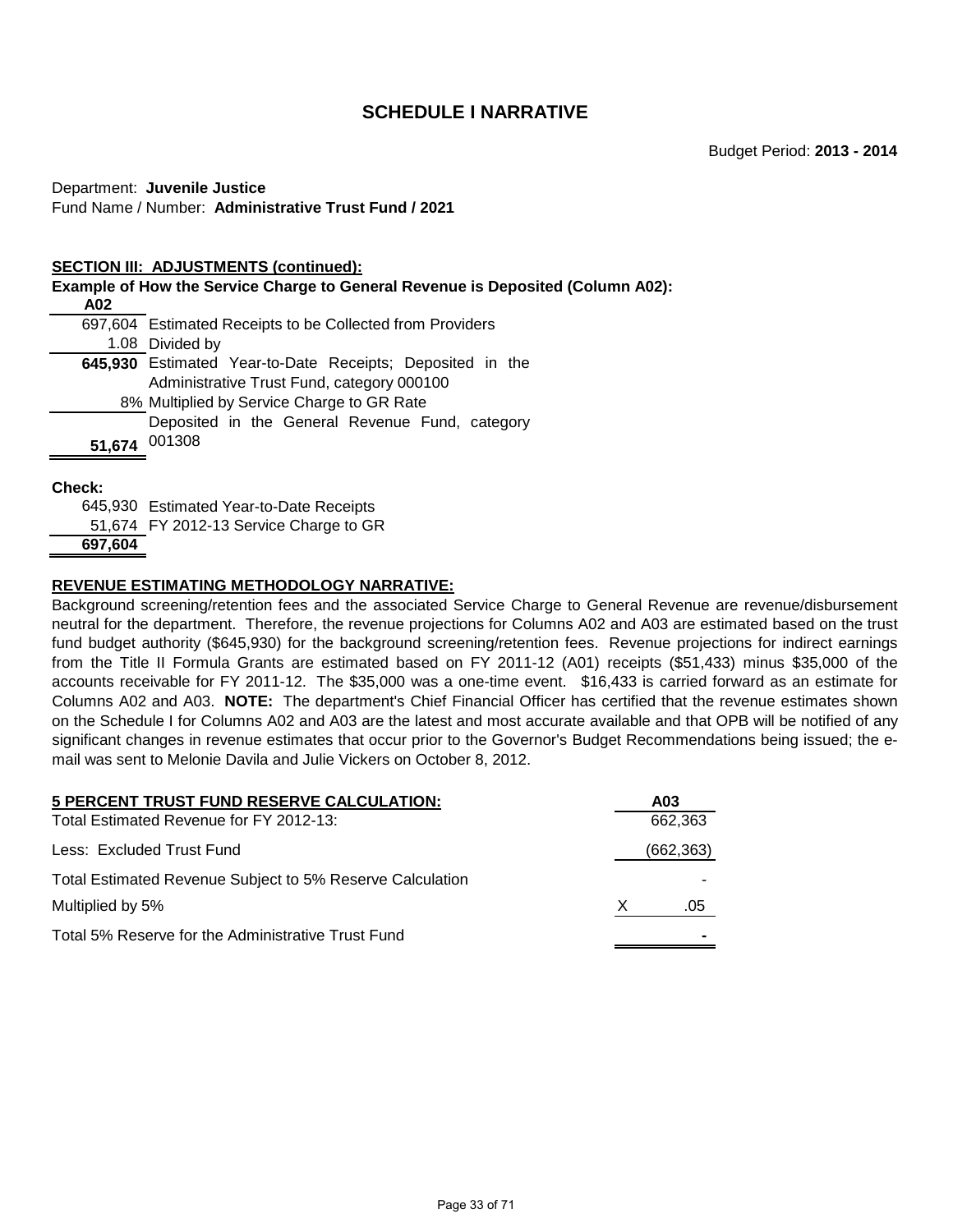# Department: **Juvenile Justice** Fund Name / Number: **Administrative Trust Fund / 2021**

#### **SECTION III: ADJUSTMENTS (continued):**

| A02           | <b>Example of How the Service Charge to General Revenue is Deposited (Column A02):</b>                  |
|---------------|---------------------------------------------------------------------------------------------------------|
|               | 697,604 Estimated Receipts to be Collected from Providers                                               |
|               | 1.08 Divided by                                                                                         |
|               | 645,930 Estimated Year-to-Date Receipts; Deposited in the<br>Administrative Trust Fund, category 000100 |
|               | 8% Multiplied by Service Charge to GR Rate                                                              |
|               | Deposited in the General Revenue Fund, category                                                         |
| 51,674        | 001308                                                                                                  |
| <b>Check:</b> | 645,930 Estimated Year-to-Date Receipts                                                                 |
|               |                                                                                                         |

51,674 FY 2012-13 Service Charge to GR

```
 697,604
```
# **REVENUE ESTIMATING METHODOLOGY NARRATIVE:**

Background screening/retention fees and the associated Service Charge to General Revenue are revenue/disbursement neutral for the department. Therefore, the revenue projections for Columns A02 and A03 are estimated based on the trust fund budget authority (\$645,930) for the background screening/retention fees. Revenue projections for indirect earnings from the Title II Formula Grants are estimated based on FY 2011-12 (A01) receipts (\$51,433) minus \$35,000 of the accounts receivable for FY 2011-12. The \$35,000 was a one-time event. \$16,433 is carried forward as an estimate for Columns A02 and A03. **NOTE:** The department's Chief Financial Officer has certified that the revenue estimates shown on the Schedule I for Columns A02 and A03 are the latest and most accurate available and that OPB will be notified of any significant changes in revenue estimates that occur prior to the Governor's Budget Recommendations being issued; the email was sent to Melonie Davila and Julie Vickers on October 8, 2012.

| 5 PERCENT TRUST FUND RESERVE CALCULATION:                 |   | A03        |
|-----------------------------------------------------------|---|------------|
| Total Estimated Revenue for FY 2012-13:                   |   | 662.363    |
| Less: Excluded Trust Fund                                 |   | (662, 363) |
| Total Estimated Revenue Subject to 5% Reserve Calculation |   |            |
| Multiplied by 5%                                          | X | .05        |
| Total 5% Reserve for the Administrative Trust Fund        |   |            |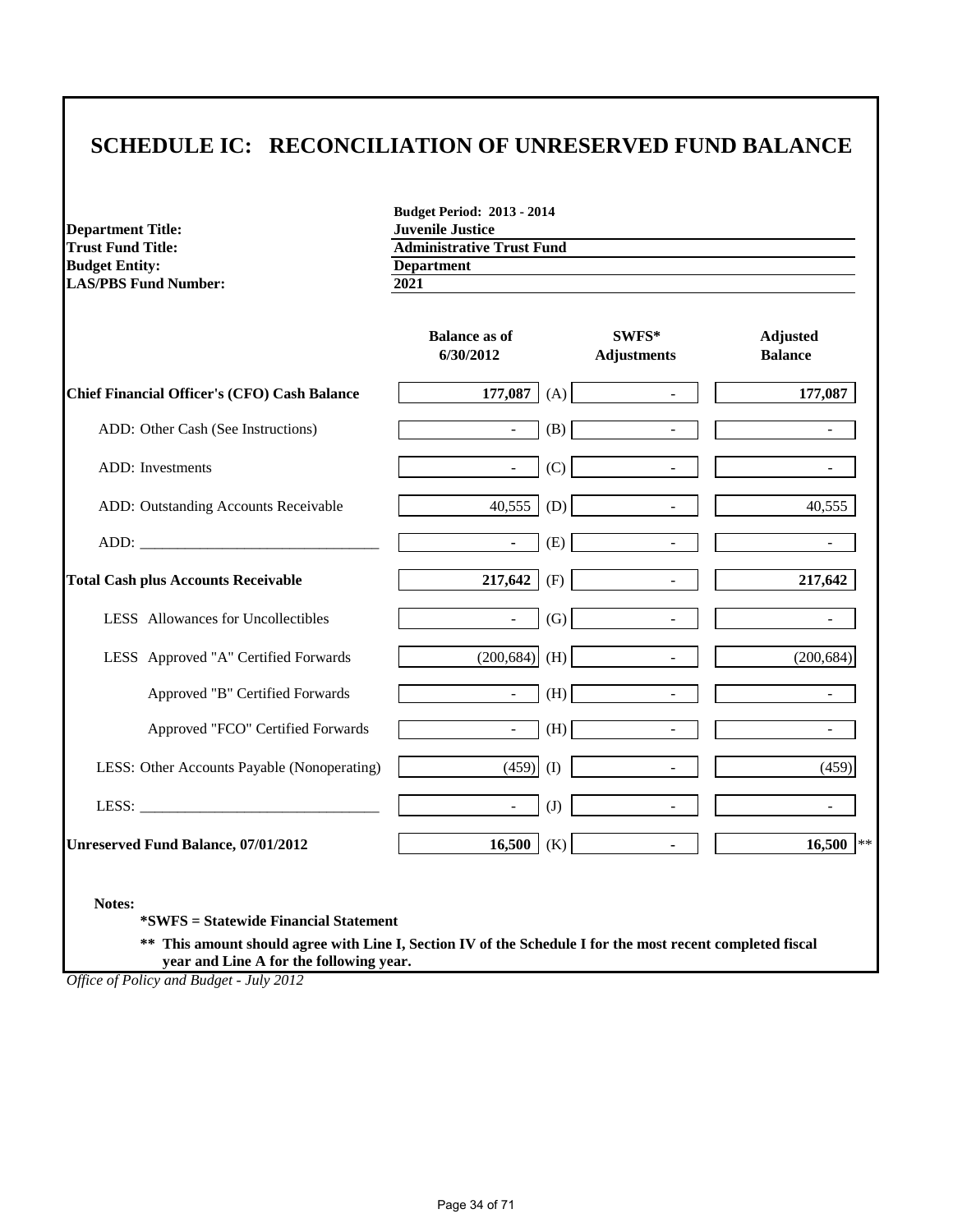# **SCHEDULE IC: RECONCILIATION OF UNRESERVED FUND BALANCE**

**Budget Period: 2013 - 2014**

| <b>Department Title:</b>                            | <b>Juvenile Justice</b>                               |     |                             |                                   |
|-----------------------------------------------------|-------------------------------------------------------|-----|-----------------------------|-----------------------------------|
| <b>Trust Fund Title:</b><br><b>Budget Entity:</b>   | <b>Administrative Trust Fund</b><br><b>Department</b> |     |                             |                                   |
| <b>LAS/PBS Fund Number:</b>                         | 2021                                                  |     |                             |                                   |
|                                                     | <b>Balance as of</b><br>6/30/2012                     |     | SWFS*<br><b>Adjustments</b> | <b>Adjusted</b><br><b>Balance</b> |
| <b>Chief Financial Officer's (CFO) Cash Balance</b> | 177,087                                               | (A) | $\overline{a}$              | 177,087                           |
| ADD: Other Cash (See Instructions)                  | $\equiv$                                              | (B) | $\overline{\phantom{a}}$    |                                   |
| <b>ADD</b> : Investments                            | $\omega$                                              | (C) | $\overline{\phantom{a}}$    |                                   |
| ADD: Outstanding Accounts Receivable                | 40,555                                                | (D) | $\overline{\phantom{a}}$    | 40.555                            |
| ADD:                                                | $\blacksquare$                                        | (E) | $\blacksquare$              | $\sim$                            |
| <b>Total Cash plus Accounts Receivable</b>          | 217,642                                               | (F) | $\mathbb{Z}^2$              | 217,642                           |
| LESS Allowances for Uncollectibles                  | $\mathbb{Z}^{\mathbb{Z}}$                             | (G) | $\overline{\phantom{a}}$    |                                   |
| LESS Approved "A" Certified Forwards                | (200, 684)                                            | (H) | $\mathbf{r}$                | (200, 684)                        |
| Approved "B" Certified Forwards                     | $\omega$                                              | (H) | $\mathbf{r}$                |                                   |
| Approved "FCO" Certified Forwards                   | $\omega$                                              | (H) | $\overline{\phantom{a}}$    |                                   |
| LESS: Other Accounts Payable (Nonoperating)         | (459)                                                 | (I) | $\overline{\phantom{a}}$    | (459)                             |
|                                                     | $\sim$                                                | (J) | $\blacksquare$              |                                   |
| Unreserved Fund Balance, 07/01/2012                 | 16,500                                                | (K) | $\blacksquare$              | $16,500$ **                       |

**Notes:**

**\*SWFS = Statewide Financial Statement** 

**\*\* This amount should agree with Line I, Section IV of the Schedule I for the most recent completed fiscal year and Line A for the following year.**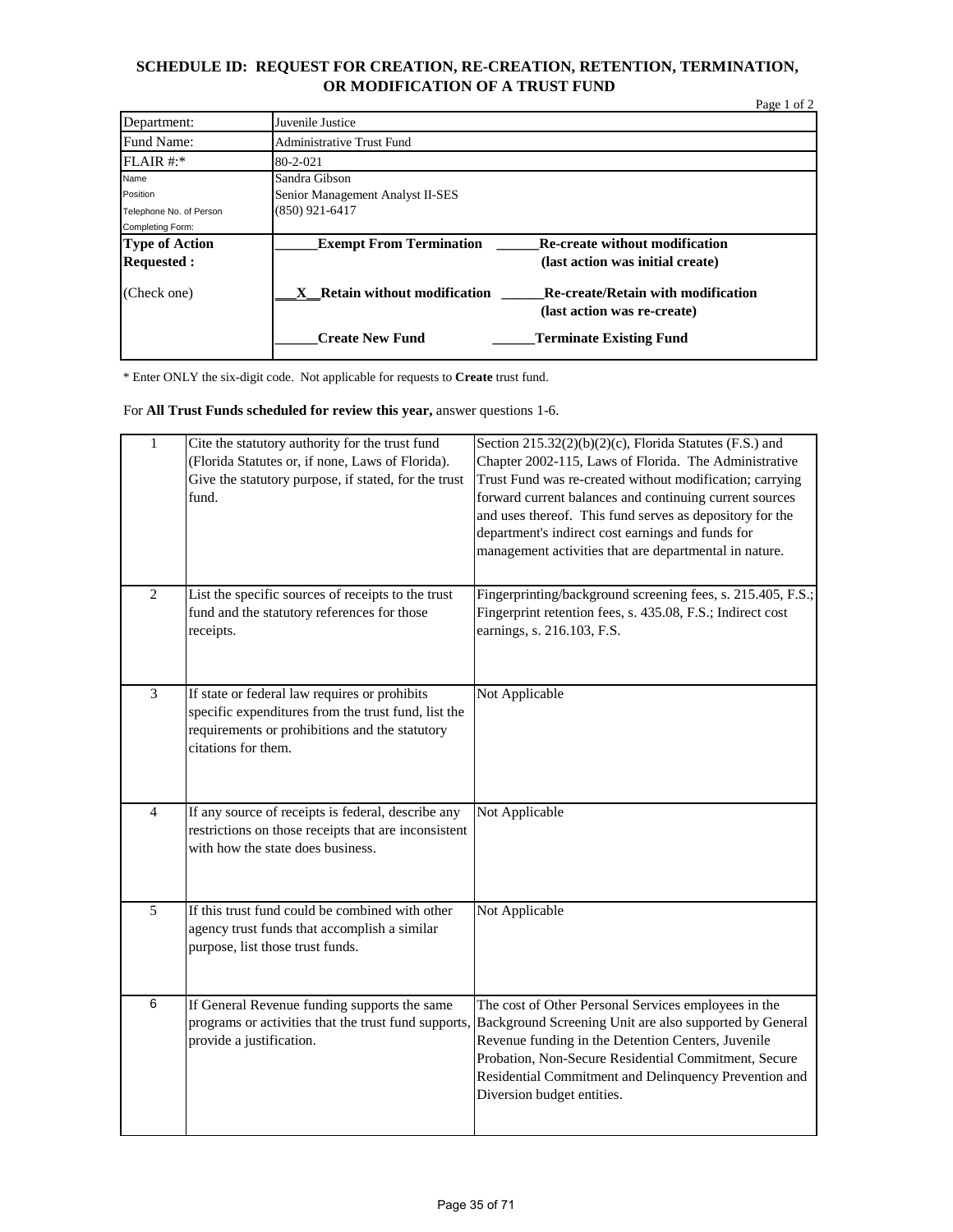# **SCHEDULE ID: REQUEST FOR CREATION, RE-CREATION, RETENTION, TERMINATION, OR MODIFICATION OF A TRUST FUND**

|                         |                                             |                                           | Page 1 of 2 |
|-------------------------|---------------------------------------------|-------------------------------------------|-------------|
| Department:             | Juvenile Justice                            |                                           |             |
| Fund Name:              | Administrative Trust Fund                   |                                           |             |
| $FLAIR$ #:*             | 80-2-021                                    |                                           |             |
| Name                    | Sandra Gibson                               |                                           |             |
| Position                | Senior Management Analyst II-SES            |                                           |             |
| Telephone No. of Person | $(850)$ 921-6417                            |                                           |             |
| Completing Form:        |                                             |                                           |             |
| <b>Type of Action</b>   | <b>Exempt From Termination</b>              | <b>Re-create without modification</b>     |             |
| <b>Requested:</b>       |                                             | (last action was initial create)          |             |
| (Check one)             | Retain without modification<br>$\mathbf{X}$ | <b>Re-create/Retain with modification</b> |             |
|                         |                                             | (last action was re-create)               |             |
|                         | <b>Create New Fund</b>                      | <b>Terminate Existing Fund</b>            |             |

\* Enter ONLY the six-digit code. Not applicable for requests to **Create** trust fund.

For **All Trust Funds scheduled for review this year,** answer questions 1-6.

| $\mathbf{1}$   | Cite the statutory authority for the trust fund<br>(Florida Statutes or, if none, Laws of Florida).<br>Give the statutory purpose, if stated, for the trust<br>fund.          | Section 215.32(2)(b)(2)(c), Florida Statutes (F.S.) and<br>Chapter 2002-115, Laws of Florida. The Administrative<br>Trust Fund was re-created without modification; carrying<br>forward current balances and continuing current sources<br>and uses thereof. This fund serves as depository for the<br>department's indirect cost earnings and funds for<br>management activities that are departmental in nature. |
|----------------|-------------------------------------------------------------------------------------------------------------------------------------------------------------------------------|--------------------------------------------------------------------------------------------------------------------------------------------------------------------------------------------------------------------------------------------------------------------------------------------------------------------------------------------------------------------------------------------------------------------|
| $\overline{2}$ | List the specific sources of receipts to the trust<br>fund and the statutory references for those<br>receipts.                                                                | Fingerprinting/background screening fees, s. 215.405, F.S.;<br>Fingerprint retention fees, s. 435.08, F.S.; Indirect cost<br>earnings, s. 216.103, F.S.                                                                                                                                                                                                                                                            |
| $\overline{3}$ | If state or federal law requires or prohibits<br>specific expenditures from the trust fund, list the<br>requirements or prohibitions and the statutory<br>citations for them. | Not Applicable                                                                                                                                                                                                                                                                                                                                                                                                     |
| $\overline{4}$ | If any source of receipts is federal, describe any<br>restrictions on those receipts that are inconsistent<br>with how the state does business.                               | Not Applicable                                                                                                                                                                                                                                                                                                                                                                                                     |
| 5              | If this trust fund could be combined with other<br>agency trust funds that accomplish a similar<br>purpose, list those trust funds.                                           | Not Applicable                                                                                                                                                                                                                                                                                                                                                                                                     |
| $\overline{6}$ | If General Revenue funding supports the same<br>programs or activities that the trust fund supports,<br>provide a justification.                                              | The cost of Other Personal Services employees in the<br>Background Screening Unit are also supported by General<br>Revenue funding in the Detention Centers, Juvenile<br>Probation, Non-Secure Residential Commitment, Secure<br>Residential Commitment and Delinquency Prevention and<br>Diversion budget entities.                                                                                               |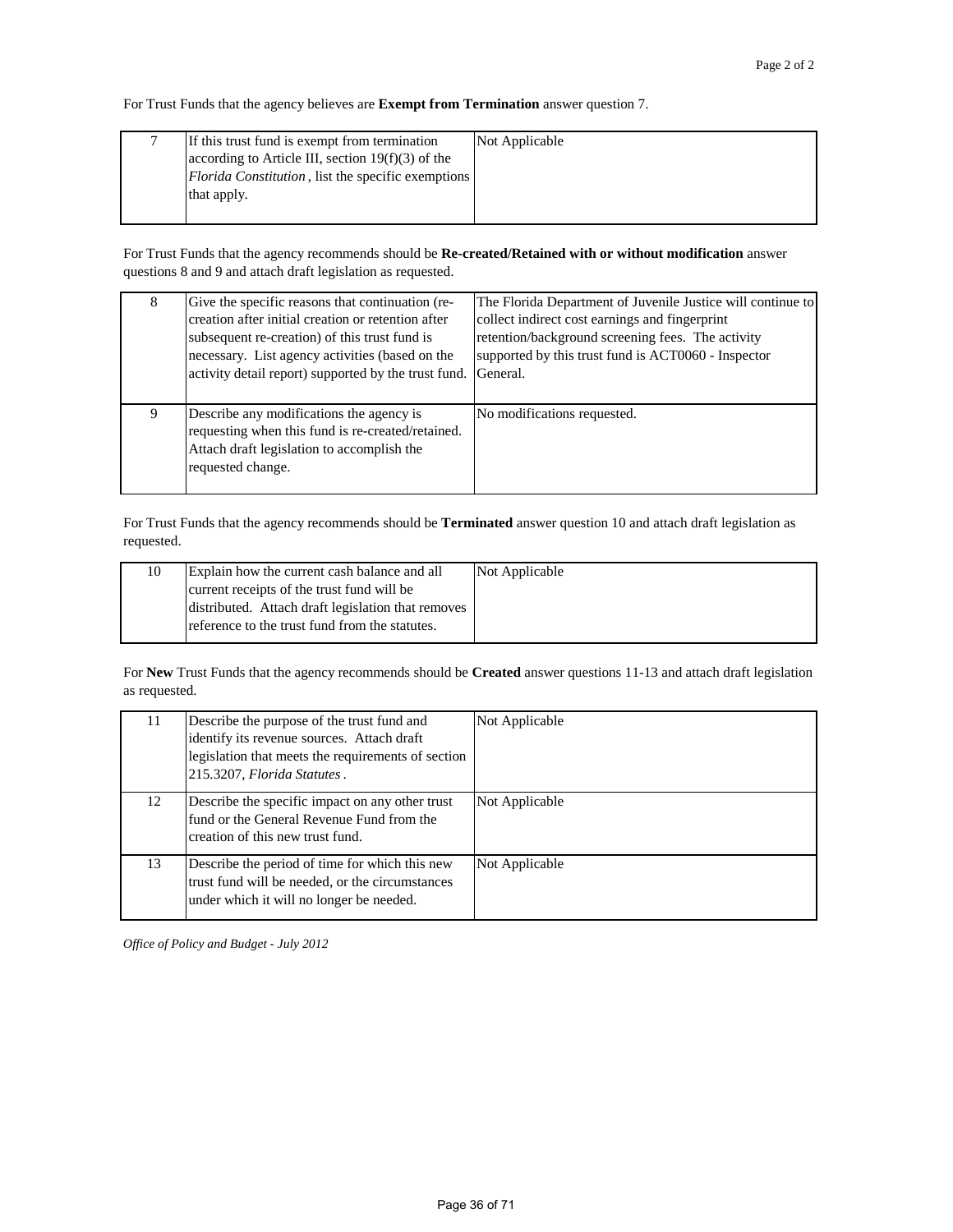For Trust Funds that the agency believes are **Exempt from Termination** answer question 7.

| If this trust fund is exempt from termination       | Not Applicable |
|-----------------------------------------------------|----------------|
| according to Article III, section $19(f)(3)$ of the |                |
| Florida Constitution, list the specific exemptions  |                |
| that apply.                                         |                |
|                                                     |                |

For Trust Funds that the agency recommends should be **Re-created/Retained with or without modification** answer questions 8 and 9 and attach draft legislation as requested.

| 8 | Give the specific reasons that continuation (re-<br>creation after initial creation or retention after<br>subsequent re-creation) of this trust fund is<br>necessary. List agency activities (based on the<br>activity detail report) supported by the trust fund. | The Florida Department of Juvenile Justice will continue to<br>collect indirect cost earnings and fingerprint<br>retention/background screening fees. The activity<br>supported by this trust fund is ACT0060 - Inspector<br>General. |
|---|--------------------------------------------------------------------------------------------------------------------------------------------------------------------------------------------------------------------------------------------------------------------|---------------------------------------------------------------------------------------------------------------------------------------------------------------------------------------------------------------------------------------|
| 9 | Describe any modifications the agency is<br>requesting when this fund is re-created/retained.<br>Attach draft legislation to accomplish the<br>requested change.                                                                                                   | No modifications requested.                                                                                                                                                                                                           |

For Trust Funds that the agency recommends should be **Terminated** answer question 10 and attach draft legislation as requested.

| Explain how the current cash balance and all       | Not Applicable |
|----------------------------------------------------|----------------|
| current receipts of the trust fund will be         |                |
| distributed. Attach draft legislation that removes |                |
| reference to the trust fund from the statutes.     |                |

For **New** Trust Funds that the agency recommends should be **Created** answer questions 11-13 and attach draft legislation as requested.

| 11 | Describe the purpose of the trust fund and<br>identify its revenue sources. Attach draft<br>legislation that meets the requirements of section<br>215.3207, Florida Statutes. | Not Applicable |
|----|-------------------------------------------------------------------------------------------------------------------------------------------------------------------------------|----------------|
| 12 | Describe the specific impact on any other trust<br>fund or the General Revenue Fund from the<br>creation of this new trust fund.                                              | Not Applicable |
| 13 | Describe the period of time for which this new<br>trust fund will be needed, or the circumstances<br>under which it will no longer be needed.                                 | Not Applicable |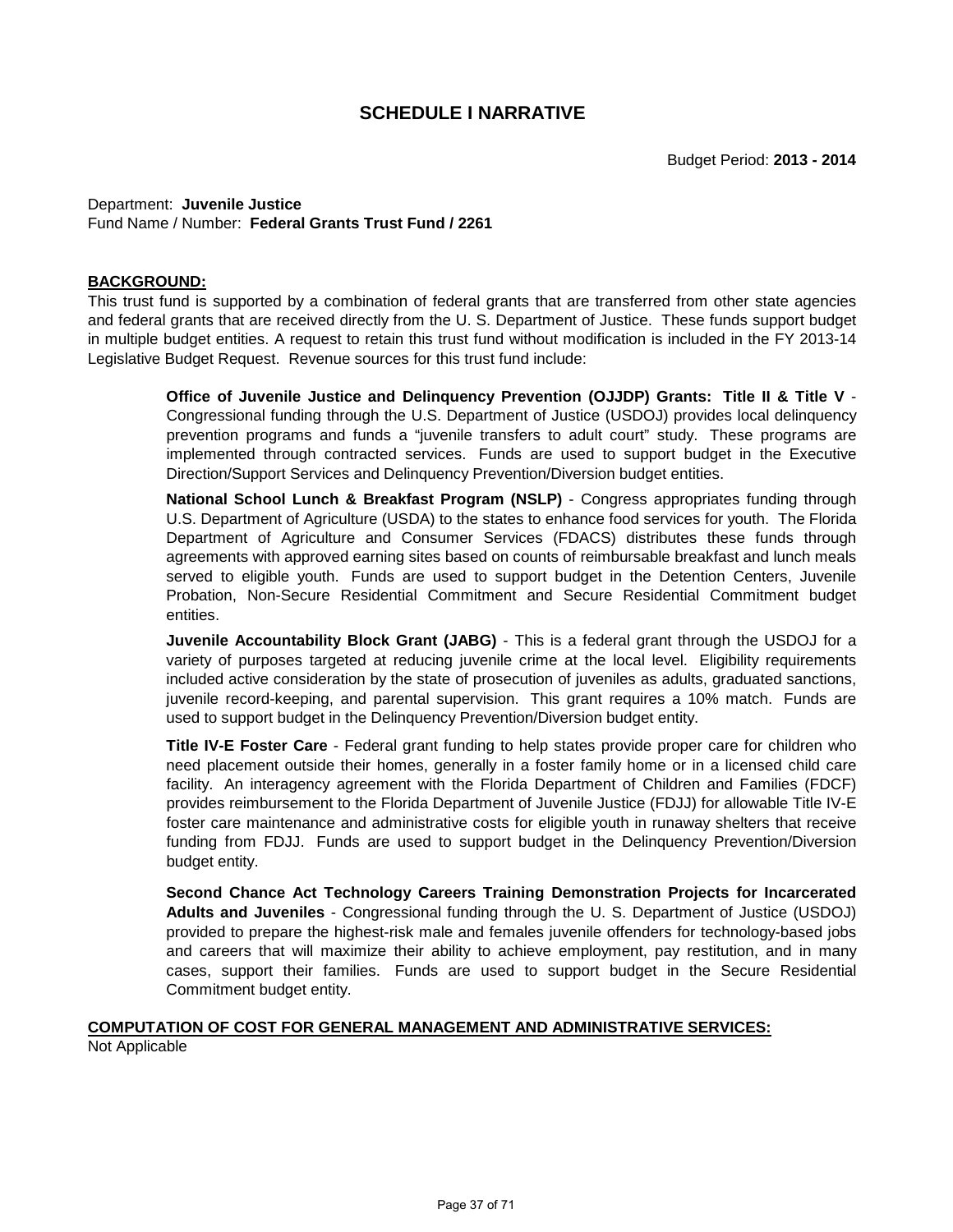Department: **Juvenile Justice** Fund Name / Number: **Federal Grants Trust Fund / 2261**

#### **BACKGROUND:**

This trust fund is supported by a combination of federal grants that are transferred from other state agencies and federal grants that are received directly from the U. S. Department of Justice. These funds support budget in multiple budget entities. A request to retain this trust fund without modification is included in the FY 2013-14 Legislative Budget Request. Revenue sources for this trust fund include:

> **Office of Juvenile Justice and Delinquency Prevention (OJJDP) Grants: Title II & Title V** - Congressional funding through the U.S. Department of Justice (USDOJ) provides local delinquency prevention programs and funds a "juvenile transfers to adult court" study. These programs are implemented through contracted services. Funds are used to support budget in the Executive Direction/Support Services and Delinquency Prevention/Diversion budget entities.

> **National School Lunch & Breakfast Program (NSLP)** - Congress appropriates funding through U.S. Department of Agriculture (USDA) to the states to enhance food services for youth. The Florida Department of Agriculture and Consumer Services (FDACS) distributes these funds through agreements with approved earning sites based on counts of reimbursable breakfast and lunch meals served to eligible youth. Funds are used to support budget in the Detention Centers, Juvenile Probation, Non-Secure Residential Commitment and Secure Residential Commitment budget entities.

> **Juvenile Accountability Block Grant (JABG)** - This is a federal grant through the USDOJ for a variety of purposes targeted at reducing juvenile crime at the local level. Eligibility requirements included active consideration by the state of prosecution of juveniles as adults, graduated sanctions, juvenile record-keeping, and parental supervision. This grant requires a 10% match. Funds are used to support budget in the Delinquency Prevention/Diversion budget entity.

> **Title IV-E Foster Care** - Federal grant funding to help states provide proper care for children who need placement outside their homes, generally in a foster family home or in a licensed child care facility. An interagency agreement with the Florida Department of Children and Families (FDCF) provides reimbursement to the Florida Department of Juvenile Justice (FDJJ) for allowable Title IV-E foster care maintenance and administrative costs for eligible youth in runaway shelters that receive funding from FDJJ. Funds are used to support budget in the Delinquency Prevention/Diversion budget entity.

> **Second Chance Act Technology Careers Training Demonstration Projects for Incarcerated Adults and Juveniles** - Congressional funding through the U. S. Department of Justice (USDOJ) provided to prepare the highest-risk male and females juvenile offenders for technology-based jobs and careers that will maximize their ability to achieve employment, pay restitution, and in many cases, support their families. Funds are used to support budget in the Secure Residential Commitment budget entity.

# **COMPUTATION OF COST FOR GENERAL MANAGEMENT AND ADMINISTRATIVE SERVICES:**

Not Applicable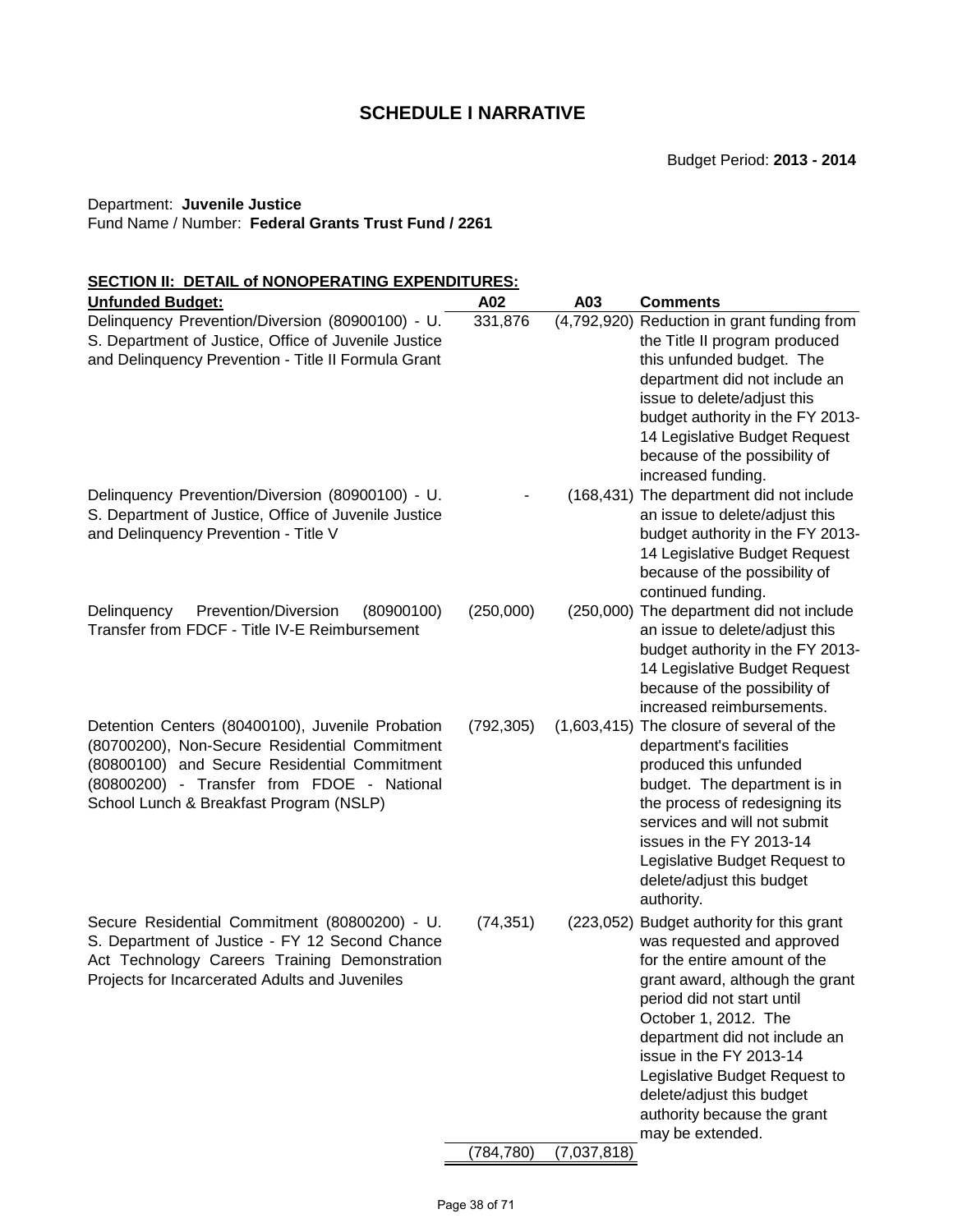### Department: **Juvenile Justice**

#### Fund Name / Number: **Federal Grants Trust Fund / 2261**

# **SECTION II: DETAIL of NONOPERATING EXPENDITURES:**

| <b>Unfunded Budget:</b>                                                                                                                                                                                                                    | A02        | A03         | <b>Comments</b>                                                                                                                                                                                                                                                                                                                                                               |
|--------------------------------------------------------------------------------------------------------------------------------------------------------------------------------------------------------------------------------------------|------------|-------------|-------------------------------------------------------------------------------------------------------------------------------------------------------------------------------------------------------------------------------------------------------------------------------------------------------------------------------------------------------------------------------|
| Delinquency Prevention/Diversion (80900100) - U.<br>S. Department of Justice, Office of Juvenile Justice<br>and Delinquency Prevention - Title II Formula Grant<br>Delinquency Prevention/Diversion (80900100) - U.                        | 331,876    |             | (4,792,920) Reduction in grant funding from<br>the Title II program produced<br>this unfunded budget. The<br>department did not include an<br>issue to delete/adjust this<br>budget authority in the FY 2013-<br>14 Legislative Budget Request<br>because of the possibility of<br>increased funding.<br>(168,431) The department did not include                             |
| S. Department of Justice, Office of Juvenile Justice<br>and Delinquency Prevention - Title V                                                                                                                                               |            |             | an issue to delete/adjust this<br>budget authority in the FY 2013-<br>14 Legislative Budget Request<br>because of the possibility of<br>continued funding.                                                                                                                                                                                                                    |
| (80900100)<br>Delinquency<br>Prevention/Diversion<br>Transfer from FDCF - Title IV-E Reimbursement                                                                                                                                         | (250,000)  |             | (250,000) The department did not include<br>an issue to delete/adjust this<br>budget authority in the FY 2013-<br>14 Legislative Budget Request<br>because of the possibility of<br>increased reimbursements.                                                                                                                                                                 |
| Detention Centers (80400100), Juvenile Probation<br>(80700200), Non-Secure Residential Commitment<br>(80800100) and Secure Residential Commitment<br>(80800200) - Transfer from FDOE - National<br>School Lunch & Breakfast Program (NSLP) | (792, 305) |             | (1,603,415) The closure of several of the<br>department's facilities<br>produced this unfunded<br>budget. The department is in<br>the process of redesigning its<br>services and will not submit<br>issues in the FY 2013-14<br>Legislative Budget Request to<br>delete/adjust this budget<br>authority.                                                                      |
| Secure Residential Commitment (80800200) - U.<br>S. Department of Justice - FY 12 Second Chance<br>Act Technology Careers Training Demonstration<br>Projects for Incarcerated Adults and Juveniles                                         | (74, 351)  |             | (223,052) Budget authority for this grant<br>was requested and approved<br>for the entire amount of the<br>grant award, although the grant<br>period did not start until<br>October 1, 2012. The<br>department did not include an<br>issue in the FY 2013-14<br>Legislative Budget Request to<br>delete/adjust this budget<br>authority because the grant<br>may be extended. |
|                                                                                                                                                                                                                                            | (784, 780) | (7,037,818) |                                                                                                                                                                                                                                                                                                                                                                               |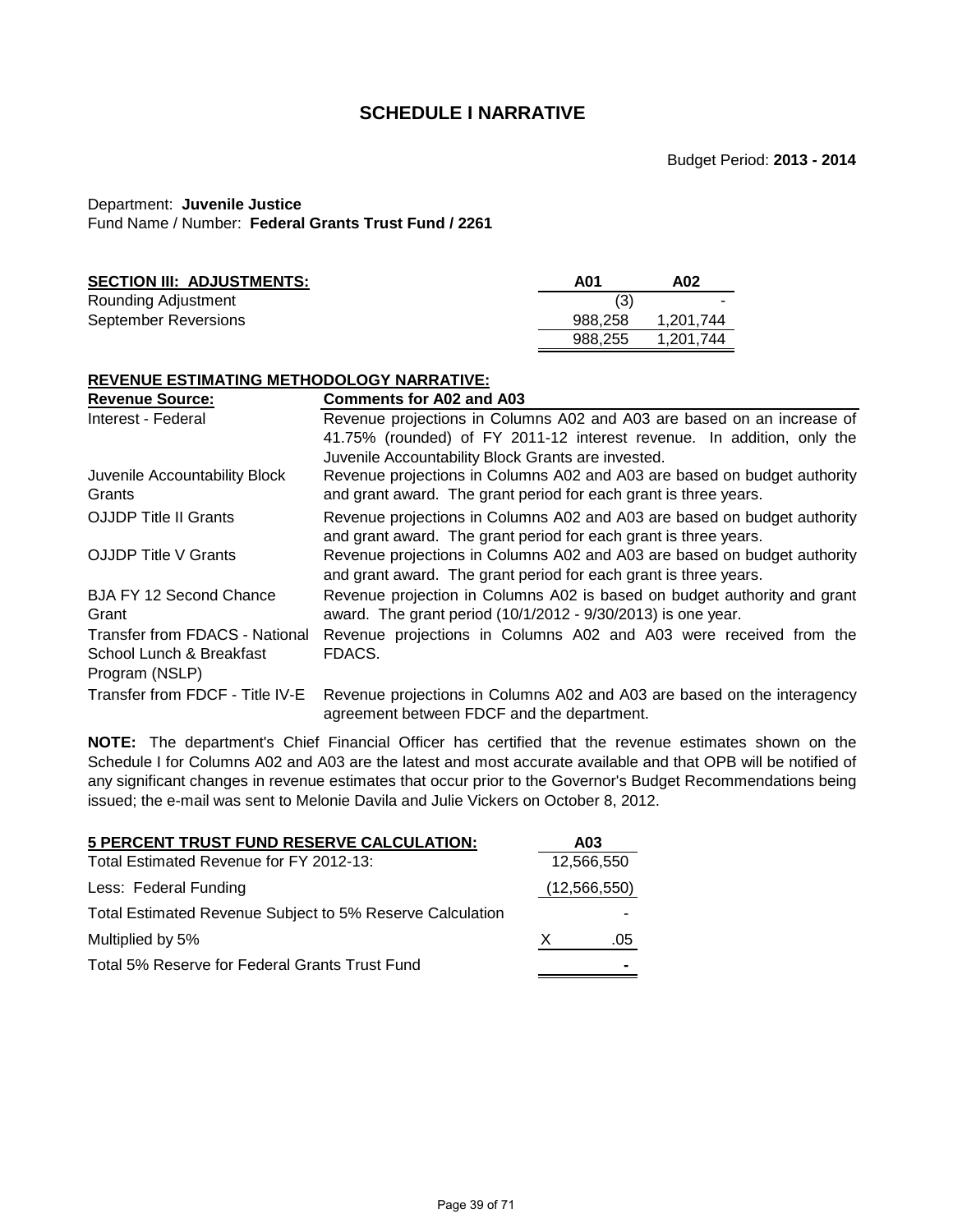# Department: **Juvenile Justice**

Fund Name / Number: **Federal Grants Trust Fund / 2261**

| A01     | A02       |
|---------|-----------|
|         | -         |
| 988.258 | 1.201.744 |
| 988.255 | 1.201.744 |
|         |           |

# **REVENUE ESTIMATING METHODOLOGY NARRATIVE:**

| <b>Revenue Source:</b>                  | Comments for A02 and A03                                                                                                                     |
|-----------------------------------------|----------------------------------------------------------------------------------------------------------------------------------------------|
| Interest - Federal                      | Revenue projections in Columns A02 and A03 are based on an increase of                                                                       |
|                                         | 41.75% (rounded) of FY 2011-12 interest revenue. In addition, only the                                                                       |
|                                         | Juvenile Accountability Block Grants are invested.                                                                                           |
| Juvenile Accountability Block<br>Grants | Revenue projections in Columns A02 and A03 are based on budget authority<br>and grant award. The grant period for each grant is three years. |
| <b>OJJDP Title II Grants</b>            | Revenue projections in Columns A02 and A03 are based on budget authority<br>and grant award. The grant period for each grant is three years. |
| <b>OJJDP Title V Grants</b>             | Revenue projections in Columns A02 and A03 are based on budget authority<br>and grant award. The grant period for each grant is three years. |
| <b>BJA FY 12 Second Chance</b><br>Grant | Revenue projection in Columns A02 is based on budget authority and grant<br>award. The grant period (10/1/2012 - 9/30/2013) is one year.     |
| Transfer from FDACS - National          | Revenue projections in Columns A02 and A03 were received from the                                                                            |
| School Lunch & Breakfast                | FDACS.                                                                                                                                       |
| Program (NSLP)                          |                                                                                                                                              |
| Transfer from FDCF - Title IV-E         | Revenue projections in Columns A02 and A03 are based on the interagency<br>agreement between FDCF and the department.                        |

**NOTE:** The department's Chief Financial Officer has certified that the revenue estimates shown on the Schedule I for Columns A02 and A03 are the latest and most accurate available and that OPB will be notified of any significant changes in revenue estimates that occur prior to the Governor's Budget Recommendations being issued; the e-mail was sent to Melonie Davila and Julie Vickers on October 8, 2012.

| <b>5 PERCENT TRUST FUND RESERVE CALCULATION:</b>          |   | A03            |
|-----------------------------------------------------------|---|----------------|
| Total Estimated Revenue for FY 2012-13:                   |   | 12,566,550     |
| Less: Federal Funding                                     |   | (12, 566, 550) |
| Total Estimated Revenue Subject to 5% Reserve Calculation |   |                |
| Multiplied by 5%                                          | X | .05            |
| Total 5% Reserve for Federal Grants Trust Fund            |   |                |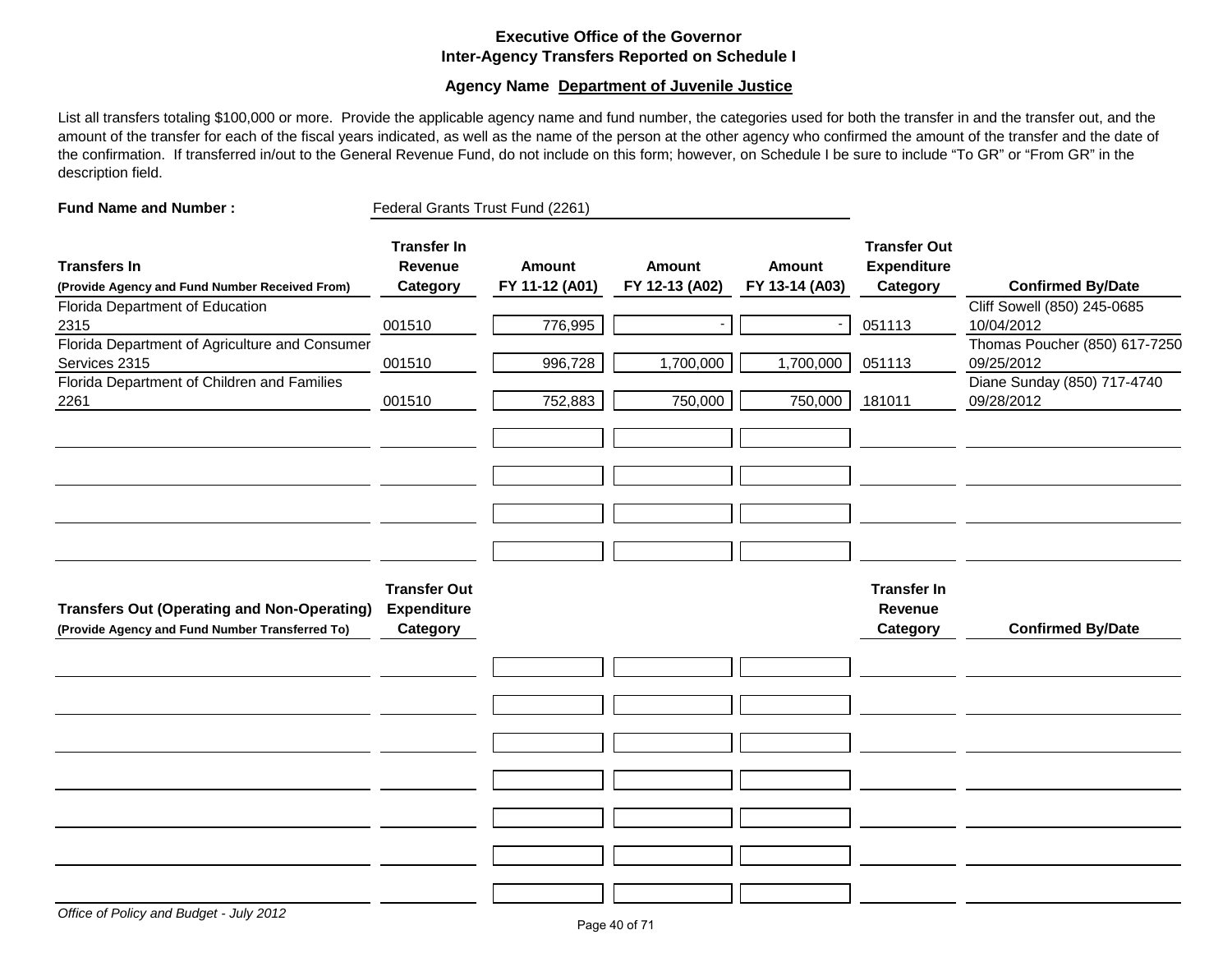# **Executive Office of the Governor Inter-Agency Transfers Reported on Schedule I**

### **Agency Name Department of Juvenile Justice**

List all transfers totaling \$100,000 or more. Provide the applicable agency name and fund number, the categories used for both the transfer in and the transfer out, and the amount of the transfer for each of the fiscal years indicated, as well as the name of the person at the other agency who confirmed the amount of the transfer and the date of the confirmation. If transferred in/out to the General Revenue Fund, do not include on this form; however, on Schedule I be sure to include "To GR" or "From GR" in the description field.

| <b>Fund Name and Number:</b>                                                                          | Federal Grants Trust Fund (2261)                      |                                 |                          |                          |                                                       |                                                                            |
|-------------------------------------------------------------------------------------------------------|-------------------------------------------------------|---------------------------------|--------------------------|--------------------------|-------------------------------------------------------|----------------------------------------------------------------------------|
| <b>Transfers In</b><br>(Provide Agency and Fund Number Received From)                                 | <b>Transfer In</b><br><b>Revenue</b><br>Category      | <b>Amount</b><br>FY 11-12 (A01) | Amount<br>FY 12-13 (A02) | Amount<br>FY 13-14 (A03) | <b>Transfer Out</b><br><b>Expenditure</b><br>Category | <b>Confirmed By/Date</b>                                                   |
| Florida Department of Education<br>2315<br>Florida Department of Agriculture and Consumer             | 001510                                                | 776,995                         |                          |                          | 051113                                                | Cliff Sowell (850) 245-0685<br>10/04/2012<br>Thomas Poucher (850) 617-7250 |
| Services 2315<br>Florida Department of Children and Families                                          | 001510                                                | 996,728                         | 1,700,000                | 1,700,000                | 051113                                                | 09/25/2012<br>Diane Sunday (850) 717-4740                                  |
| 2261                                                                                                  | 001510                                                | 752,883                         | 750,000                  | 750,000                  | 181011                                                | 09/28/2012                                                                 |
|                                                                                                       |                                                       |                                 |                          |                          |                                                       |                                                                            |
| <b>Transfers Out (Operating and Non-Operating)</b><br>(Provide Agency and Fund Number Transferred To) | <b>Transfer Out</b><br><b>Expenditure</b><br>Category |                                 |                          |                          | <b>Transfer In</b><br>Revenue<br>Category             | <b>Confirmed By/Date</b>                                                   |
|                                                                                                       |                                                       |                                 |                          |                          |                                                       |                                                                            |
|                                                                                                       |                                                       |                                 |                          |                          |                                                       |                                                                            |
|                                                                                                       |                                                       |                                 |                          |                          |                                                       |                                                                            |
|                                                                                                       |                                                       |                                 |                          |                          |                                                       |                                                                            |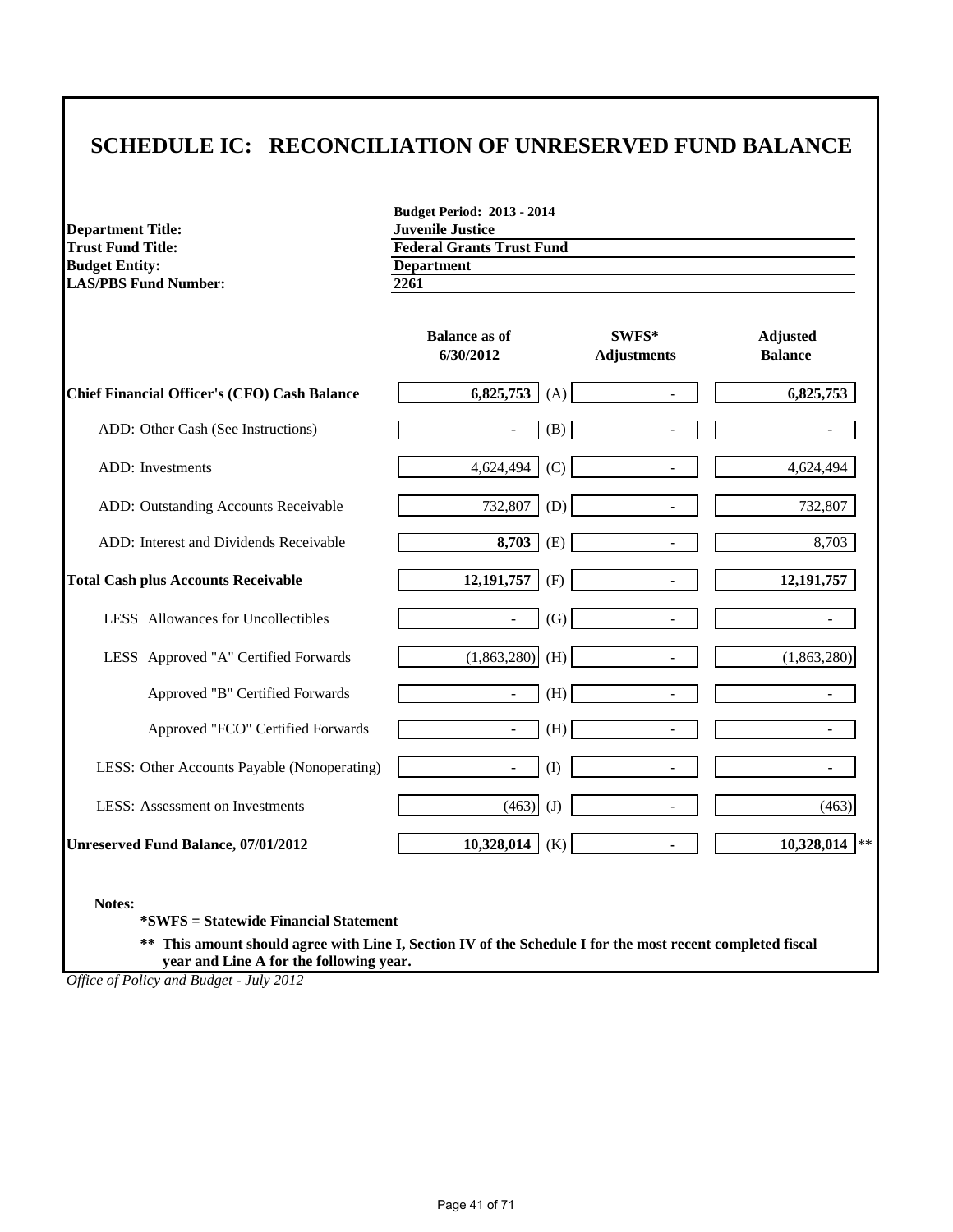# **SCHEDULE IC: RECONCILIATION OF UNRESERVED FUND BALANCE**

**Department Title:**<br>Trust Fund Title: **Budget Entity:** Department<br> **Department**<br> **Department**<br> **Department**<br> **Department**<br> **Department**<br> **Department LAS/PBS Fund Number:** 

**Budget Period: 2013 - 2014 Federal Grants Trust Fund**<br>**Department** 

|                                                     | <b>Balance as of</b><br>6/30/2012 |     | $SWFS*$<br><b>Adjustments</b> | <b>Adjusted</b><br><b>Balance</b> |
|-----------------------------------------------------|-----------------------------------|-----|-------------------------------|-----------------------------------|
| <b>Chief Financial Officer's (CFO) Cash Balance</b> | 6,825,753                         | (A) |                               | 6,825,753                         |
| ADD: Other Cash (See Instructions)                  | $\overline{\phantom{a}}$          | (B) |                               |                                   |
| ADD: Investments                                    | 4,624,494                         | (C) |                               | 4,624,494                         |
| ADD: Outstanding Accounts Receivable                | 732,807                           | (D) | $\overline{a}$                | 732,807                           |
| ADD: Interest and Dividends Receivable              | 8,703                             | (E) | $\overline{\phantom{a}}$      | 8,703                             |
| <b>Total Cash plus Accounts Receivable</b>          | 12,191,757                        | (F) | $\blacksquare$                | 12, 191, 757                      |
| LESS Allowances for Uncollectibles                  | $\blacksquare$                    | (G) | $\blacksquare$                |                                   |
| LESS Approved "A" Certified Forwards                | (1,863,280)                       | (H) |                               | (1,863,280)                       |
| Approved "B" Certified Forwards                     | $\overline{\phantom{a}}$          | (H) |                               |                                   |
| Approved "FCO" Certified Forwards                   | $\overline{\phantom{a}}$          | (H) | $\overline{a}$                |                                   |
| LESS: Other Accounts Payable (Nonoperating)         | $\overline{\phantom{a}}$          | (I) |                               |                                   |
| <b>LESS:</b> Assessment on Investments              | (463)                             | (J) | $\overline{\phantom{a}}$      | (463)                             |
| <b>Unreserved Fund Balance, 07/01/2012</b>          | 10,328,014                        | (K) | ۰                             | 10,328,014<br>$\ast$ $\ast$       |

**Notes:**

**\*SWFS = Statewide Financial Statement** 

**\*\* This amount should agree with Line I, Section IV of the Schedule I for the most recent completed fiscal year and Line A for the following year.**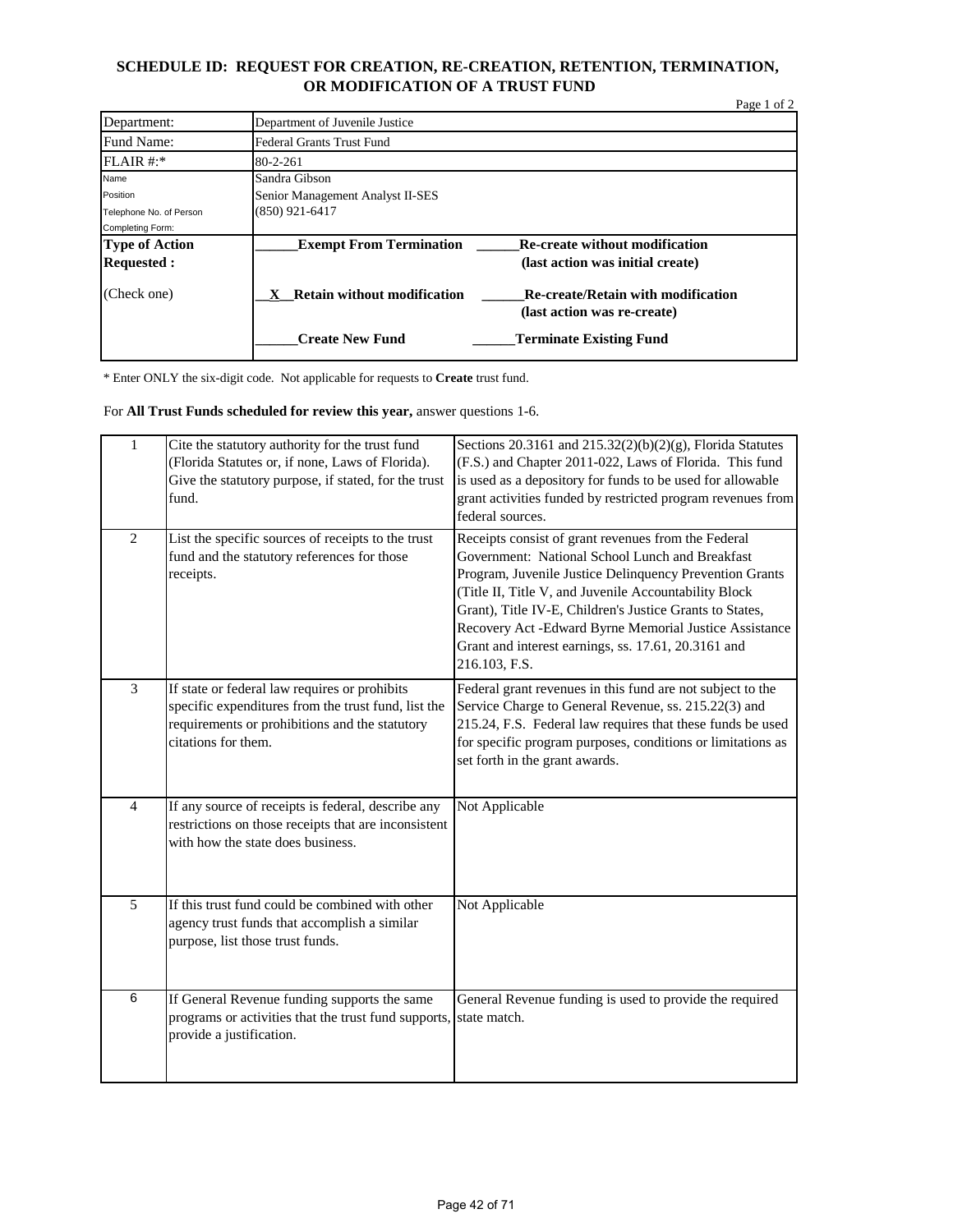#### **SCHEDULE ID: REQUEST FOR CREATION, RE-CREATION, RETENTION, TERMINATION, OR MODIFICATION OF A TRUST FUND**

|                         |                                         |                                                                          | Page 1 of 2 |
|-------------------------|-----------------------------------------|--------------------------------------------------------------------------|-------------|
| Department:             | Department of Juvenile Justice          |                                                                          |             |
| Fund Name:              | <b>Federal Grants Trust Fund</b>        |                                                                          |             |
| FLAIR #:                | $80 - 2 - 261$                          |                                                                          |             |
| Name                    | Sandra Gibson                           |                                                                          |             |
| Position                | Senior Management Analyst II-SES        |                                                                          |             |
| Telephone No. of Person | (850) 921-6417                          |                                                                          |             |
| Completing Form:        |                                         |                                                                          |             |
| <b>Type of Action</b>   | <b>Exempt From Termination</b>          | <b>Re-create without modification</b>                                    |             |
| <b>Requested:</b>       |                                         | (last action was initial create)                                         |             |
| (Check one)             | <b>Retain without modification</b><br>X | <b>Re-create/Retain with modification</b><br>(last action was re-create) |             |
|                         | <b>Create New Fund</b>                  | <b>Terminate Existing Fund</b>                                           |             |

\* Enter ONLY the six-digit code. Not applicable for requests to **Create** trust fund.

For **All Trust Funds scheduled for review this year,** answer questions 1-6.

| $\mathbf{1}$   | Cite the statutory authority for the trust fund<br>(Florida Statutes or, if none, Laws of Florida).<br>Give the statutory purpose, if stated, for the trust<br>fund.          | Sections 20.3161 and $215.32(2)(b)(2)(g)$ , Florida Statutes<br>(F.S.) and Chapter 2011-022, Laws of Florida. This fund<br>is used as a depository for funds to be used for allowable<br>grant activities funded by restricted program revenues from<br>federal sources.                                                                                                                                                 |
|----------------|-------------------------------------------------------------------------------------------------------------------------------------------------------------------------------|--------------------------------------------------------------------------------------------------------------------------------------------------------------------------------------------------------------------------------------------------------------------------------------------------------------------------------------------------------------------------------------------------------------------------|
| 2              | List the specific sources of receipts to the trust<br>fund and the statutory references for those<br>receipts.                                                                | Receipts consist of grant revenues from the Federal<br>Government: National School Lunch and Breakfast<br>Program, Juvenile Justice Delinquency Prevention Grants<br>(Title II, Title V, and Juvenile Accountability Block<br>Grant), Title IV-E, Children's Justice Grants to States,<br>Recovery Act -Edward Byrne Memorial Justice Assistance<br>Grant and interest earnings, ss. 17.61, 20.3161 and<br>216.103, F.S. |
| $\overline{3}$ | If state or federal law requires or prohibits<br>specific expenditures from the trust fund, list the<br>requirements or prohibitions and the statutory<br>citations for them. | Federal grant revenues in this fund are not subject to the<br>Service Charge to General Revenue, ss. 215.22(3) and<br>215.24, F.S. Federal law requires that these funds be used<br>for specific program purposes, conditions or limitations as<br>set forth in the grant awards.                                                                                                                                        |
| $\overline{4}$ | If any source of receipts is federal, describe any<br>restrictions on those receipts that are inconsistent<br>with how the state does business.                               | Not Applicable                                                                                                                                                                                                                                                                                                                                                                                                           |
| 5              | If this trust fund could be combined with other<br>agency trust funds that accomplish a similar<br>purpose, list those trust funds.                                           | Not Applicable                                                                                                                                                                                                                                                                                                                                                                                                           |
| 6              | If General Revenue funding supports the same<br>programs or activities that the trust fund supports, state match.<br>provide a justification.                                 | General Revenue funding is used to provide the required                                                                                                                                                                                                                                                                                                                                                                  |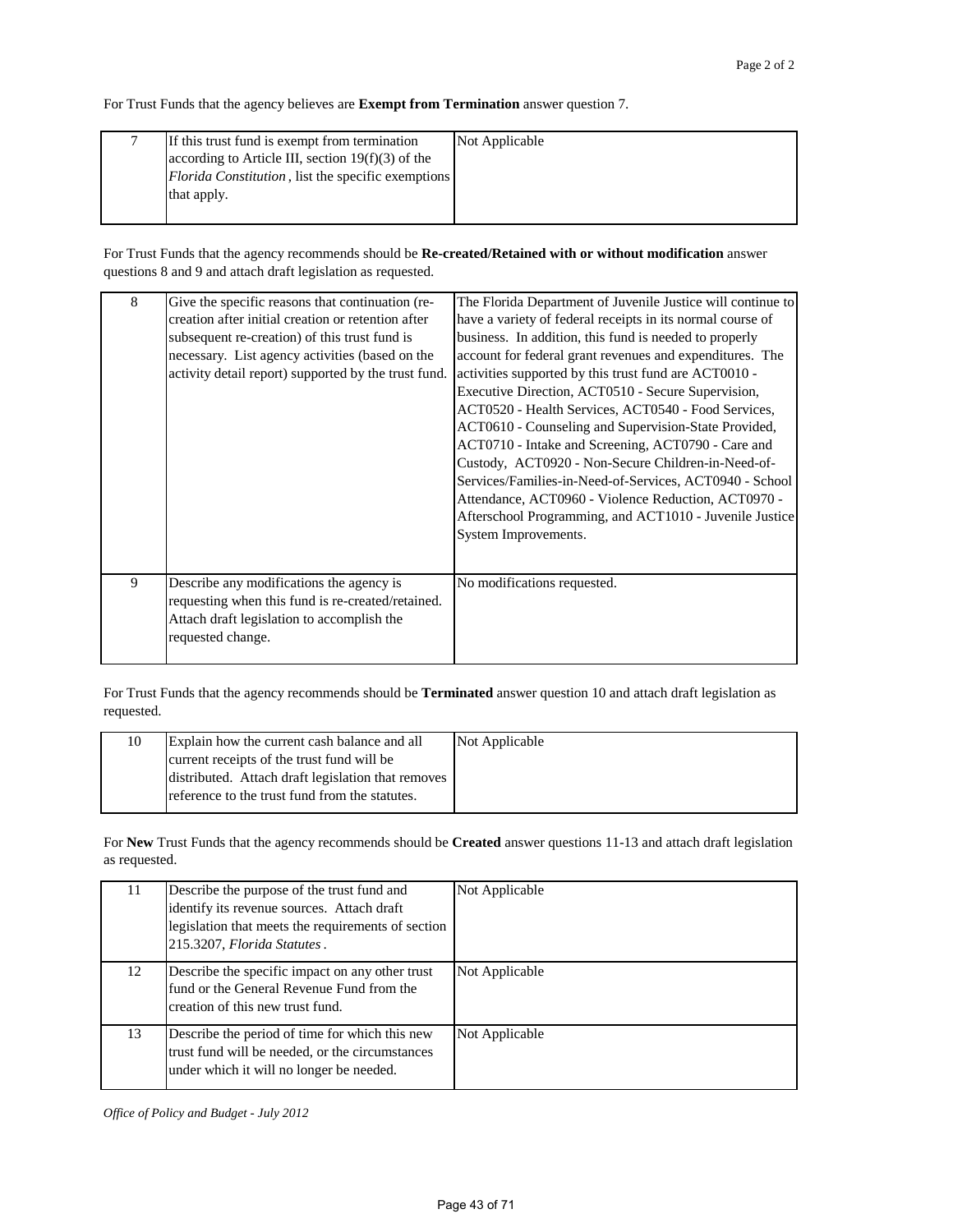For Trust Funds that the agency believes are **Exempt from Termination** answer question 7.

| If this trust fund is exempt from termination       | Not Applicable |
|-----------------------------------------------------|----------------|
| according to Article III, section $19(f)(3)$ of the |                |
| Florida Constitution, list the specific exemptions  |                |
| that apply.                                         |                |
|                                                     |                |

For Trust Funds that the agency recommends should be **Re-created/Retained with or without modification** answer questions 8 and 9 and attach draft legislation as requested.

| 8 | Give the specific reasons that continuation (re-<br>creation after initial creation or retention after<br>subsequent re-creation) of this trust fund is<br>necessary. List agency activities (based on the<br>activity detail report) supported by the trust fund. | The Florida Department of Juvenile Justice will continue to<br>have a variety of federal receipts in its normal course of<br>business. In addition, this fund is needed to properly<br>account for federal grant revenues and expenditures. The<br>activities supported by this trust fund are ACT0010 -<br>Executive Direction, ACT0510 - Secure Supervision,<br>ACT0520 - Health Services, ACT0540 - Food Services,<br>ACT0610 - Counseling and Supervision-State Provided,<br>ACT0710 - Intake and Screening, ACT0790 - Care and<br>Custody, ACT0920 - Non-Secure Children-in-Need-of-<br>Services/Families-in-Need-of-Services, ACT0940 - School<br>Attendance, ACT0960 - Violence Reduction, ACT0970 -<br>Afterschool Programming, and ACT1010 - Juvenile Justice<br>System Improvements. |
|---|--------------------------------------------------------------------------------------------------------------------------------------------------------------------------------------------------------------------------------------------------------------------|------------------------------------------------------------------------------------------------------------------------------------------------------------------------------------------------------------------------------------------------------------------------------------------------------------------------------------------------------------------------------------------------------------------------------------------------------------------------------------------------------------------------------------------------------------------------------------------------------------------------------------------------------------------------------------------------------------------------------------------------------------------------------------------------|
| 9 | Describe any modifications the agency is<br>requesting when this fund is re-created/retained.<br>Attach draft legislation to accomplish the<br>requested change.                                                                                                   | No modifications requested.                                                                                                                                                                                                                                                                                                                                                                                                                                                                                                                                                                                                                                                                                                                                                                    |

For Trust Funds that the agency recommends should be **Terminated** answer question 10 and attach draft legislation as requested.

| Explain how the current cash balance and all       | Not Applicable |
|----------------------------------------------------|----------------|
| current receipts of the trust fund will be         |                |
| distributed. Attach draft legislation that removes |                |
| reference to the trust fund from the statutes.     |                |
|                                                    |                |

For **New** Trust Funds that the agency recommends should be **Created** answer questions 11-13 and attach draft legislation as requested.

| 11 | Describe the purpose of the trust fund and<br>identify its revenue sources. Attach draft<br>legislation that meets the requirements of section<br>215.3207, Florida Statutes. | Not Applicable |
|----|-------------------------------------------------------------------------------------------------------------------------------------------------------------------------------|----------------|
| 12 | Describe the specific impact on any other trust<br>fund or the General Revenue Fund from the<br>creation of this new trust fund.                                              | Not Applicable |
| 13 | Describe the period of time for which this new<br>trust fund will be needed, or the circumstances<br>under which it will no longer be needed.                                 | Not Applicable |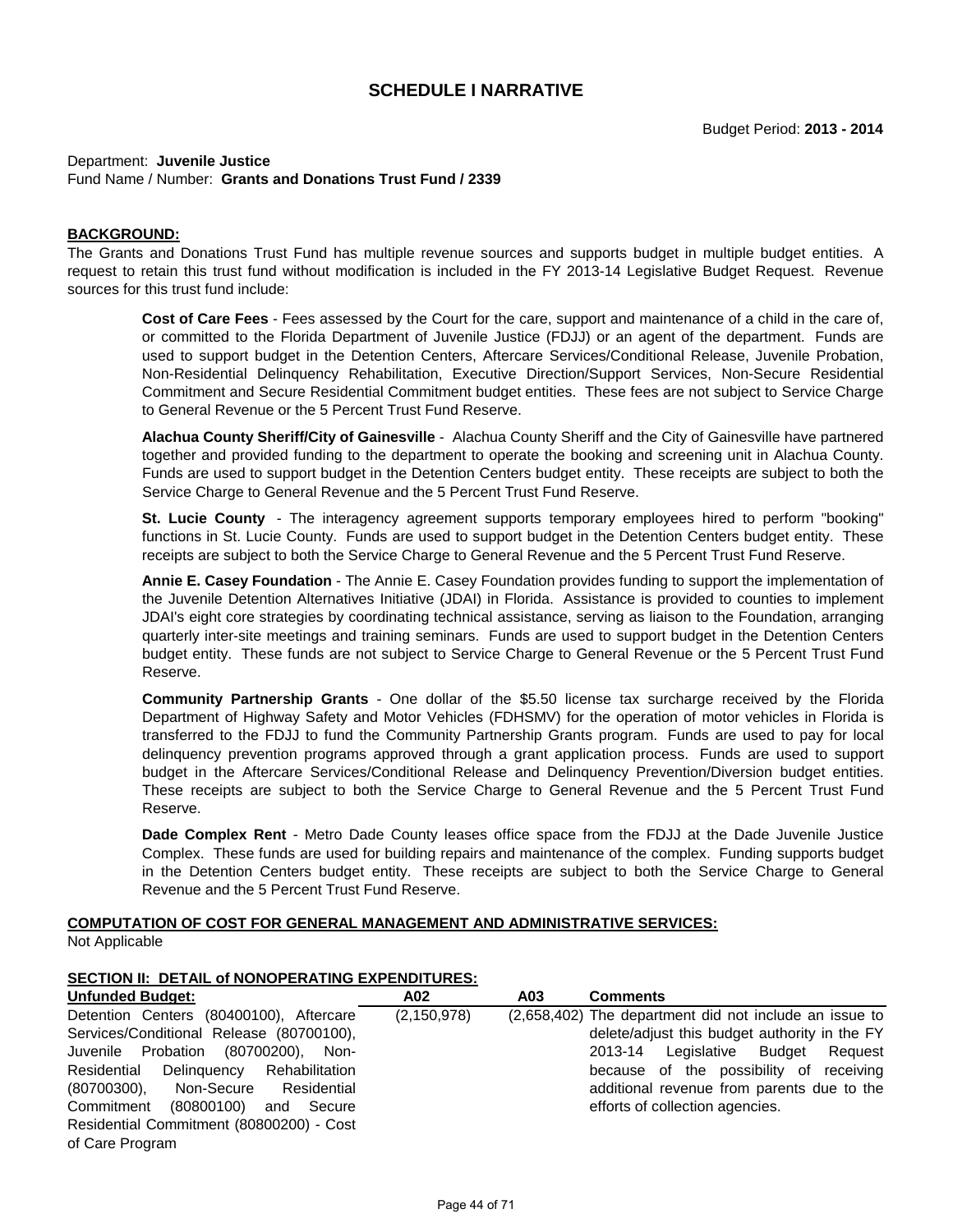#### Department: **Juvenile Justice** Fund Name / Number: **Grants and Donations Trust Fund / 2339**

#### **BACKGROUND:**

The Grants and Donations Trust Fund has multiple revenue sources and supports budget in multiple budget entities. A request to retain this trust fund without modification is included in the FY 2013-14 Legislative Budget Request. Revenue sources for this trust fund include:

**Cost of Care Fees** - Fees assessed by the Court for the care, support and maintenance of a child in the care of, or committed to the Florida Department of Juvenile Justice (FDJJ) or an agent of the department. Funds are used to support budget in the Detention Centers, Aftercare Services/Conditional Release, Juvenile Probation, Non-Residential Delinquency Rehabilitation, Executive Direction/Support Services, Non-Secure Residential Commitment and Secure Residential Commitment budget entities. These fees are not subject to Service Charge to General Revenue or the 5 Percent Trust Fund Reserve.

**Alachua County Sheriff/City of Gainesville** - Alachua County Sheriff and the City of Gainesville have partnered together and provided funding to the department to operate the booking and screening unit in Alachua County. Funds are used to support budget in the Detention Centers budget entity. These receipts are subject to both the Service Charge to General Revenue and the 5 Percent Trust Fund Reserve.

**St. Lucie County** - The interagency agreement supports temporary employees hired to perform "booking" functions in St. Lucie County. Funds are used to support budget in the Detention Centers budget entity. These receipts are subject to both the Service Charge to General Revenue and the 5 Percent Trust Fund Reserve.

**Annie E. Casey Foundation** - The Annie E. Casey Foundation provides funding to support the implementation of the Juvenile Detention Alternatives Initiative (JDAI) in Florida. Assistance is provided to counties to implement JDAI's eight core strategies by coordinating technical assistance, serving as liaison to the Foundation, arranging quarterly inter-site meetings and training seminars. Funds are used to support budget in the Detention Centers budget entity. These funds are not subject to Service Charge to General Revenue or the 5 Percent Trust Fund Reserve.

**Community Partnership Grants** - One dollar of the \$5.50 license tax surcharge received by the Florida Department of Highway Safety and Motor Vehicles (FDHSMV) for the operation of motor vehicles in Florida is transferred to the FDJJ to fund the Community Partnership Grants program. Funds are used to pay for local delinquency prevention programs approved through a grant application process. Funds are used to support budget in the Aftercare Services/Conditional Release and Delinquency Prevention/Diversion budget entities. These receipts are subject to both the Service Charge to General Revenue and the 5 Percent Trust Fund Reserve.

**Dade Complex Rent** - Metro Dade County leases office space from the FDJJ at the Dade Juvenile Justice Complex. These funds are used for building repairs and maintenance of the complex. Funding supports budget in the Detention Centers budget entity. These receipts are subject to both the Service Charge to General Revenue and the 5 Percent Trust Fund Reserve.

# **COMPUTATION OF COST FOR GENERAL MANAGEMENT AND ADMINISTRATIVE SERVICES:**

Not Applicable

#### **SECTION II: DETAIL of NONOPERATING EXPENDITURES:**

| <b>Unfunded Budget:</b>                  | A02           | A03 | <b>Comments</b>                                        |
|------------------------------------------|---------------|-----|--------------------------------------------------------|
| Detention Centers (80400100), Aftercare  | (2, 150, 978) |     | (2,658,402) The department did not include an issue to |
| Services/Conditional Release (80700100), |               |     | delete/adjust this budget authority in the FY          |
| Juvenile Probation (80700200), Non-      |               |     | Legislative<br>Budget Reguest<br>2013-14               |
| Residential Delinquency Rehabilitation   |               |     | because of the possibility of receiving                |
| Non-Secure Residential<br>$(80700300)$ , |               |     | additional revenue from parents due to the             |
| Commitment (80800100)<br>and Secure      |               |     | efforts of collection agencies.                        |
| Residential Commitment (80800200) - Cost |               |     |                                                        |
| of Care Program                          |               |     |                                                        |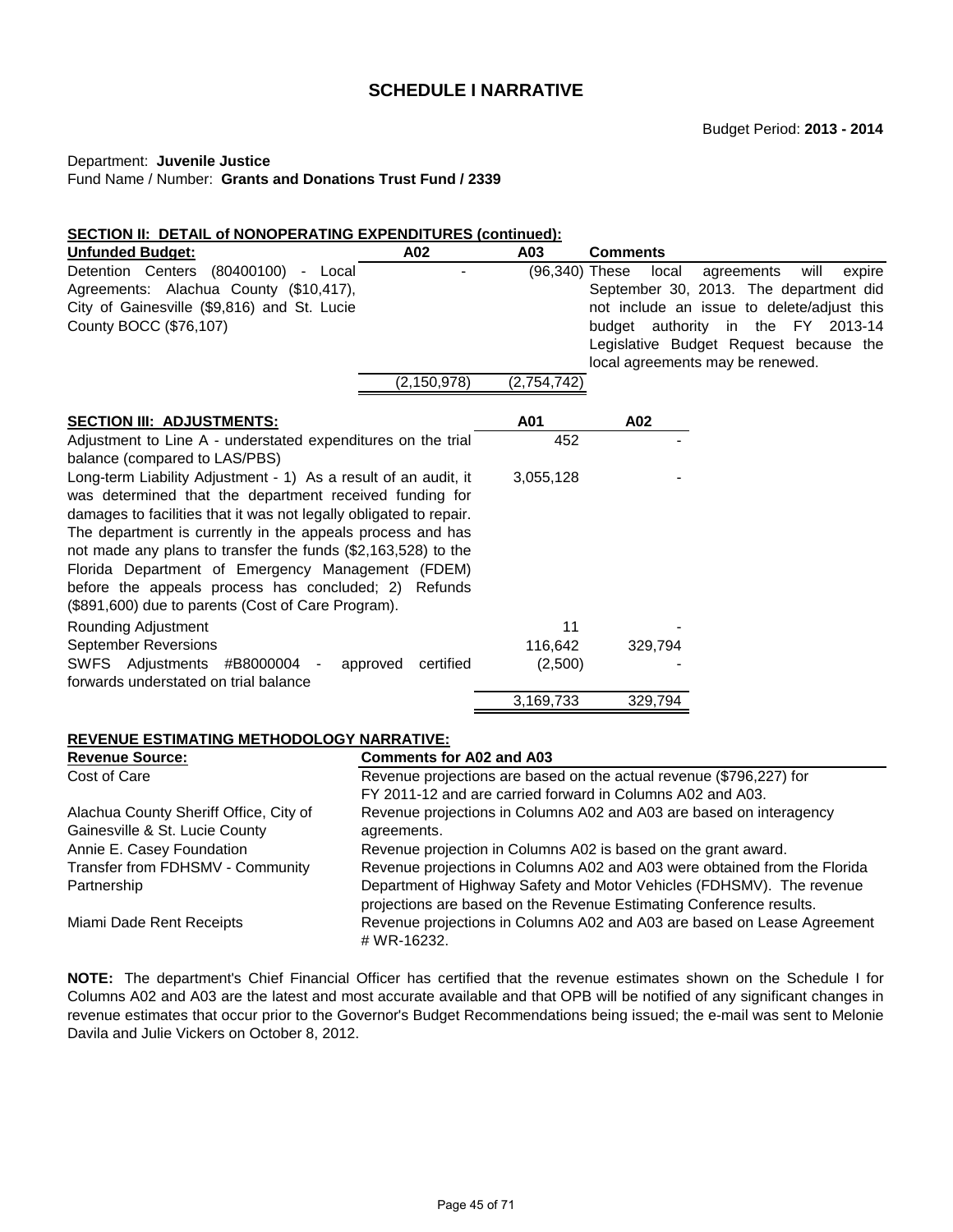#### Department: **Juvenile Justice**

Fund Name / Number: **Grants and Donations Trust Fund / 2339**

# **SECTION II: DETAIL of NONOPERATING EXPENDITURES (continued):**

| <b>Unfunded Budget:</b>                                            | A02                                                                       | A03            | <b>Comments</b>                                                         |  |  |
|--------------------------------------------------------------------|---------------------------------------------------------------------------|----------------|-------------------------------------------------------------------------|--|--|
| Detention Centers (80400100) - Local                               |                                                                           | (96,340) These | will<br>local<br>agreements<br>expire                                   |  |  |
| Agreements: Alachua County (\$10,417),                             |                                                                           |                | September 30, 2013. The department did                                  |  |  |
| City of Gainesville (\$9,816) and St. Lucie                        |                                                                           |                | not include an issue to delete/adjust this                              |  |  |
| County BOCC (\$76,107)                                             |                                                                           |                | budget authority in the FY 2013-14                                      |  |  |
|                                                                    |                                                                           |                | Legislative Budget Request because the                                  |  |  |
|                                                                    |                                                                           |                | local agreements may be renewed.                                        |  |  |
|                                                                    | (2, 150, 978)                                                             | (2,754,742)    |                                                                         |  |  |
| <b>SECTION III: ADJUSTMENTS:</b>                                   |                                                                           | A01            | A02                                                                     |  |  |
| Adjustment to Line A - understated expenditures on the trial       |                                                                           | 452            |                                                                         |  |  |
| balance (compared to LAS/PBS)                                      |                                                                           |                |                                                                         |  |  |
| Long-term Liability Adjustment - 1) As a result of an audit, it    |                                                                           | 3,055,128      |                                                                         |  |  |
| was determined that the department received funding for            |                                                                           |                |                                                                         |  |  |
| damages to facilities that it was not legally obligated to repair. |                                                                           |                |                                                                         |  |  |
| The department is currently in the appeals process and has         |                                                                           |                |                                                                         |  |  |
| not made any plans to transfer the funds (\$2,163,528) to the      |                                                                           |                |                                                                         |  |  |
| Florida Department of Emergency Management (FDEM)                  |                                                                           |                |                                                                         |  |  |
| before the appeals process has concluded; 2) Refunds               |                                                                           |                |                                                                         |  |  |
| (\$891,600) due to parents (Cost of Care Program).                 |                                                                           |                |                                                                         |  |  |
| Rounding Adjustment                                                |                                                                           | 11             |                                                                         |  |  |
| <b>September Reversions</b>                                        |                                                                           | 116,642        | 329,794                                                                 |  |  |
| SWFS Adjustments #B8000004                                         | certified<br>approved                                                     | (2,500)        |                                                                         |  |  |
| forwards understated on trial balance                              |                                                                           |                |                                                                         |  |  |
|                                                                    |                                                                           | 3,169,733      | 329,794                                                                 |  |  |
| <b>REVENUE ESTIMATING METHODOLOGY NARRATIVE:</b>                   |                                                                           |                |                                                                         |  |  |
| <b>Revenue Source:</b>                                             | <b>Comments for A02 and A03</b>                                           |                |                                                                         |  |  |
| Cost of Care                                                       |                                                                           |                | Revenue projections are based on the actual revenue (\$796,227) for     |  |  |
|                                                                    |                                                                           |                | FY 2011-12 and are carried forward in Columns A02 and A03.              |  |  |
| Alachua County Sheriff Office, City of                             |                                                                           |                | Revenue projections in Columns A02 and A03 are based on interagency     |  |  |
| Gainesville & St. Lucie County                                     | agreements.                                                               |                |                                                                         |  |  |
| Annie E. Casey Foundation                                          |                                                                           |                | Revenue projection in Columns A02 is based on the grant award.          |  |  |
| Transfer from FDHSMV - Community                                   | Revenue projections in Columns A02 and A03 were obtained from the Florida |                |                                                                         |  |  |
| Partnership                                                        |                                                                           |                | Department of Highway Safety and Motor Vehicles (FDHSMV). The revenue   |  |  |
|                                                                    |                                                                           |                | projections are based on the Revenue Estimating Conference results.     |  |  |
| Miami Dade Rent Receipts                                           | # WR-16232.                                                               |                | Revenue projections in Columns A02 and A03 are based on Lease Agreement |  |  |

**NOTE:** The department's Chief Financial Officer has certified that the revenue estimates shown on the Schedule I for Columns A02 and A03 are the latest and most accurate available and that OPB will be notified of any significant changes in revenue estimates that occur prior to the Governor's Budget Recommendations being issued; the e-mail was sent to Melonie Davila and Julie Vickers on October 8, 2012.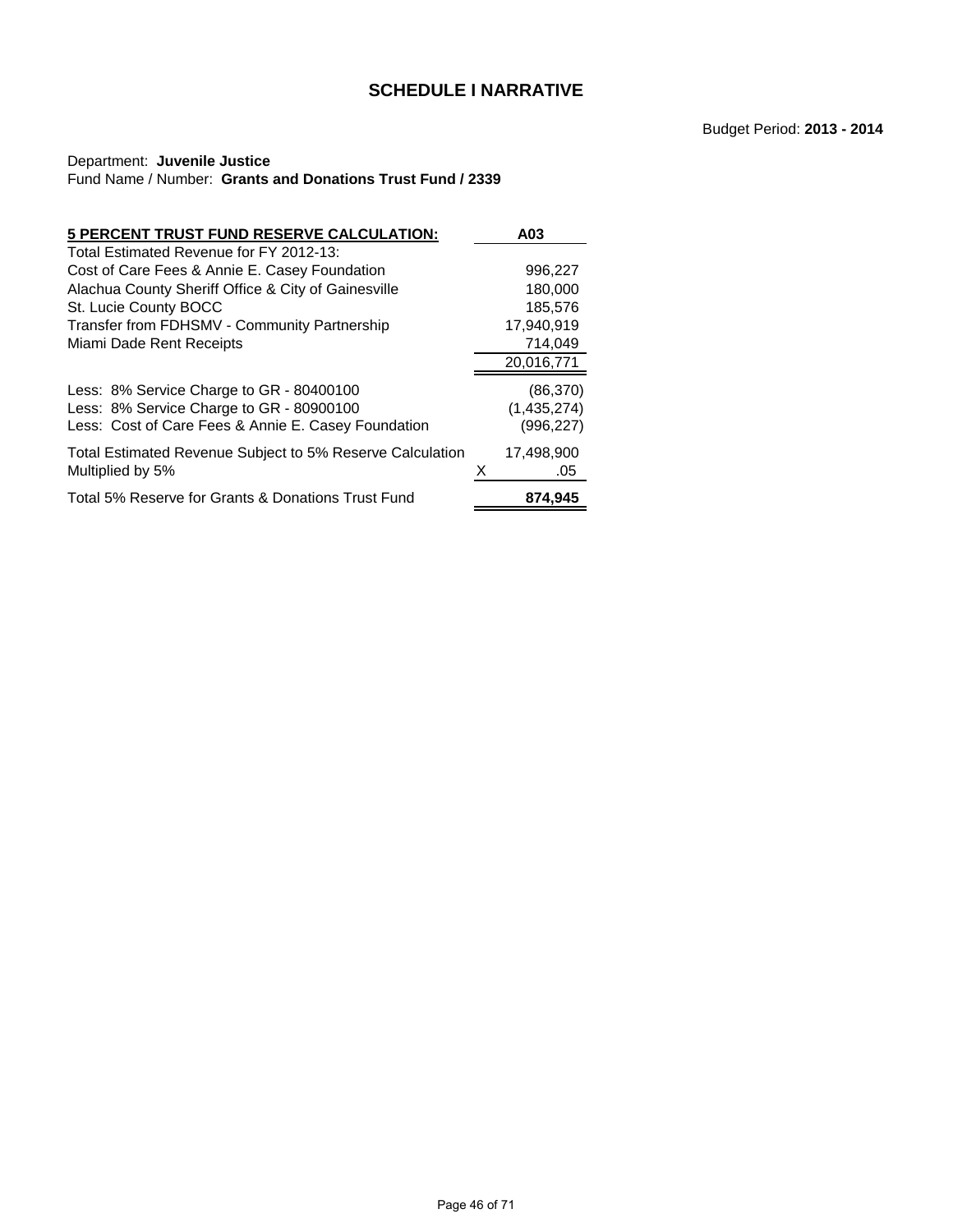# Department: **Juvenile Justice** Fund Name / Number: **Grants and Donations Trust Fund / 2339**

| 5 PERCENT TRUST FUND RESERVE CALCULATION:                                            | A03                      |
|--------------------------------------------------------------------------------------|--------------------------|
| Total Estimated Revenue for FY 2012-13:                                              |                          |
| Cost of Care Fees & Annie E. Casey Foundation                                        | 996,227                  |
| Alachua County Sheriff Office & City of Gainesville                                  | 180,000                  |
| St. Lucie County BOCC                                                                | 185,576                  |
| Transfer from FDHSMV - Community Partnership                                         | 17,940,919               |
| Miami Dade Rent Receipts                                                             | 714,049                  |
|                                                                                      | 20,016,771               |
| Less: 8% Service Charge to GR - 80400100<br>Less: 8% Service Charge to GR - 80900100 | (86, 370)<br>(1,435,274) |
| Less: Cost of Care Fees & Annie E. Casey Foundation                                  | (996,227)                |
| Total Estimated Revenue Subject to 5% Reserve Calculation<br>Multiplied by 5%        | 17.498.900<br>.05        |
| Total 5% Reserve for Grants & Donations Trust Fund                                   | 874.945                  |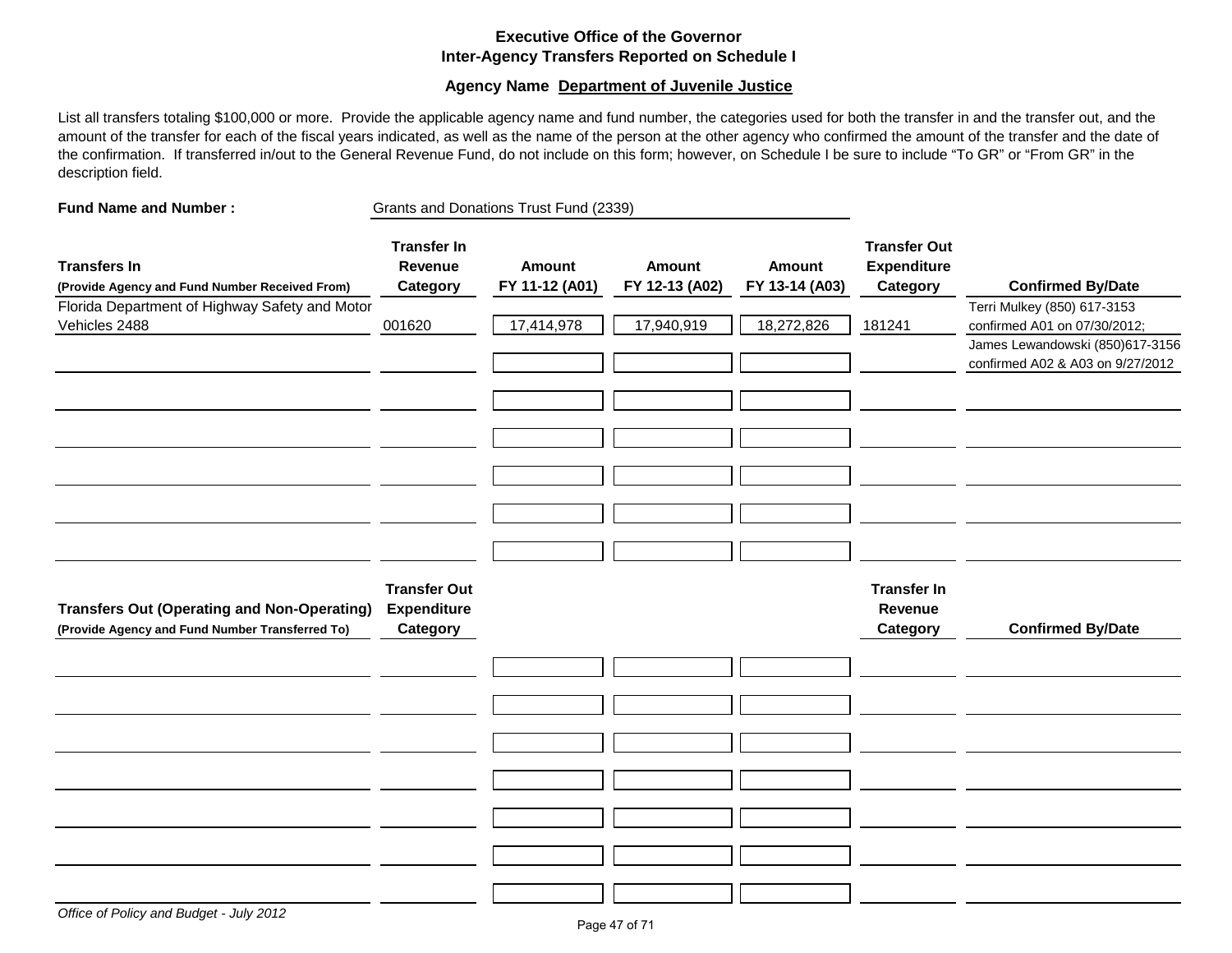# **Executive Office of the Governor Inter-Agency Transfers Reported on Schedule I**

### **Agency Name Department of Juvenile Justice**

List all transfers totaling \$100,000 or more. Provide the applicable agency name and fund number, the categories used for both the transfer in and the transfer out, and the amount of the transfer for each of the fiscal years indicated, as well as the name of the person at the other agency who confirmed the amount of the transfer and the date of the confirmation. If transferred in/out to the General Revenue Fund, do not include on this form; however, on Schedule I be sure to include "To GR" or "From GR" in the description field.

| <b>Fund Name and Number:</b>                                                                          | Grants and Donations Trust Fund (2339)                |                                 |                                 |                                 |                                                       |                                                                                                                                    |
|-------------------------------------------------------------------------------------------------------|-------------------------------------------------------|---------------------------------|---------------------------------|---------------------------------|-------------------------------------------------------|------------------------------------------------------------------------------------------------------------------------------------|
| <b>Transfers In</b><br>(Provide Agency and Fund Number Received From)                                 | <b>Transfer In</b><br>Revenue<br>Category             | <b>Amount</b><br>FY 11-12 (A01) | <b>Amount</b><br>FY 12-13 (A02) | <b>Amount</b><br>FY 13-14 (A03) | <b>Transfer Out</b><br><b>Expenditure</b><br>Category | <b>Confirmed By/Date</b>                                                                                                           |
| Florida Department of Highway Safety and Motor<br>Vehicles 2488                                       | 001620                                                | 17,414,978                      | 17,940,919                      | 18,272,826                      | 181241                                                | Terri Mulkey (850) 617-3153<br>confirmed A01 on 07/30/2012;<br>James Lewandowski (850)617-3156<br>confirmed A02 & A03 on 9/27/2012 |
|                                                                                                       |                                                       |                                 |                                 |                                 |                                                       |                                                                                                                                    |
| <b>Transfers Out (Operating and Non-Operating)</b><br>(Provide Agency and Fund Number Transferred To) | <b>Transfer Out</b><br><b>Expenditure</b><br>Category |                                 |                                 |                                 | <b>Transfer In</b><br>Revenue<br>Category             | <b>Confirmed By/Date</b>                                                                                                           |
|                                                                                                       |                                                       |                                 |                                 |                                 |                                                       |                                                                                                                                    |
|                                                                                                       |                                                       |                                 |                                 |                                 |                                                       |                                                                                                                                    |
|                                                                                                       |                                                       |                                 |                                 |                                 |                                                       |                                                                                                                                    |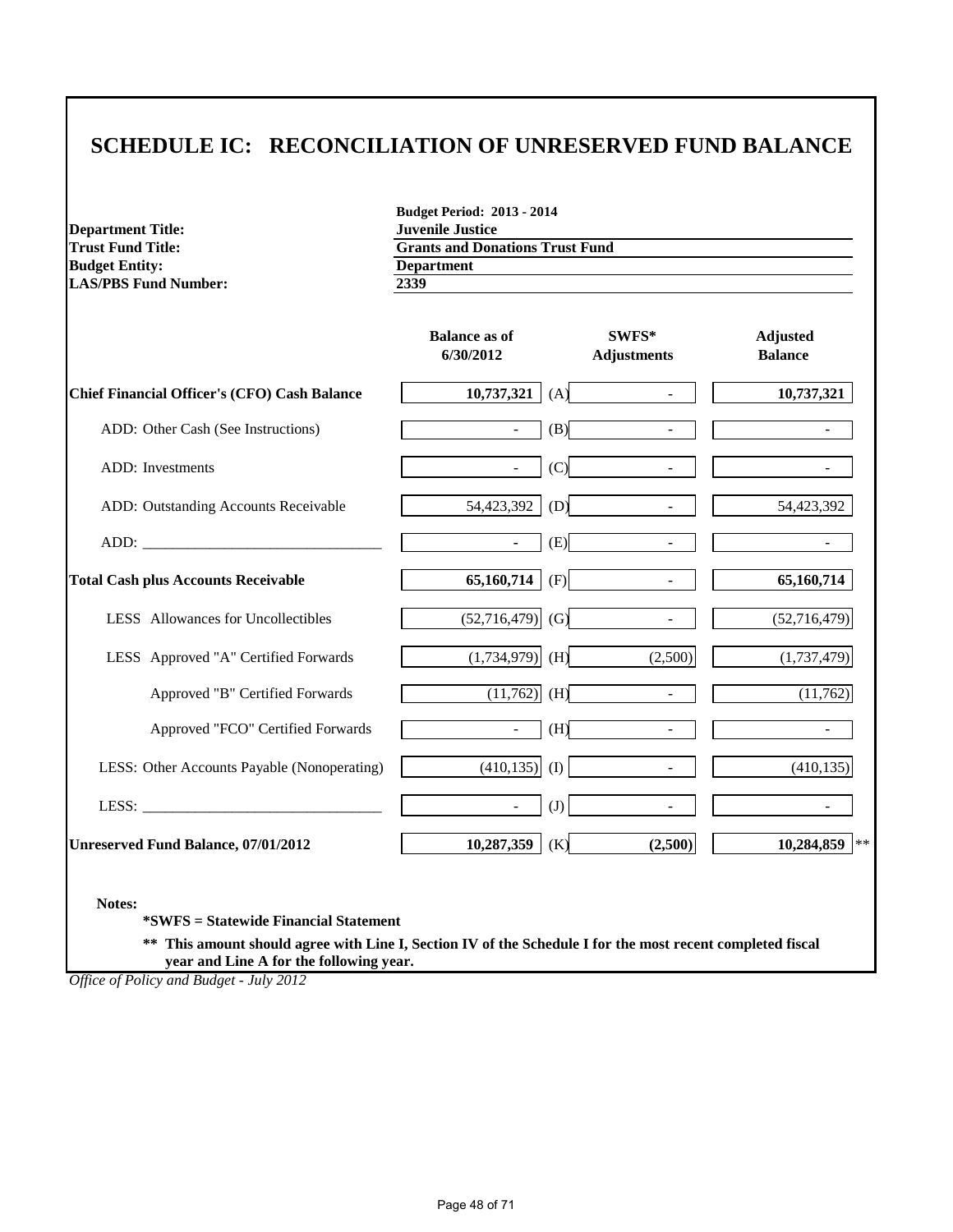# **SCHEDULE IC: RECONCILIATION OF UNRESERVED FUND BALANCE**

**Department Title:**<br>Trust Fund Title: **Budget Entity:** Department<br>LAS/PBS Fund Number: 2339 **LAS/PBS Fund Number:** 

**Budget Period: 2013 - 2014 Trust Fund Donations Trust Fund**<br>**Department** 

|                                                                                                                                                                                                                                | <b>Balance as of</b><br>6/30/2012 | SWFS*<br><b>Adjustments</b>     | <b>Adjusted</b><br><b>Balance</b> |
|--------------------------------------------------------------------------------------------------------------------------------------------------------------------------------------------------------------------------------|-----------------------------------|---------------------------------|-----------------------------------|
| <b>Chief Financial Officer's (CFO) Cash Balance</b>                                                                                                                                                                            | 10,737,321                        | (A)<br>$\sim$                   | 10,737,321                        |
| ADD: Other Cash (See Instructions)                                                                                                                                                                                             | $\sim$                            | (B)<br>$\sim$                   |                                   |
| <b>ADD</b> : Investments                                                                                                                                                                                                       | $\sim$                            | (C)<br>$\blacksquare$           |                                   |
| ADD: Outstanding Accounts Receivable                                                                                                                                                                                           | 54,423,392                        | (D)<br>$\overline{\phantom{a}}$ | 54,423,392                        |
| ADD: the contract of the contract of the contract of the contract of the contract of the contract of the contract of the contract of the contract of the contract of the contract of the contract of the contract of the contr | $\sim$                            | (E)<br>$\sim$                   |                                   |
| <b>Total Cash plus Accounts Receivable</b>                                                                                                                                                                                     | 65,160,714                        | (F)<br>$\overline{\phantom{a}}$ | 65,160,714                        |
| LESS Allowances for Uncollectibles                                                                                                                                                                                             | $(52,716,479)$ (G)                | $\sim$                          | (52,716,479)                      |
| LESS Approved "A" Certified Forwards                                                                                                                                                                                           | $(1,734,979)$ (H)                 | (2,500)                         | (1,737,479)                       |
| Approved "B" Certified Forwards                                                                                                                                                                                                | $(11,762)$ (H)                    | $\overline{a}$                  | (11,762)                          |
| Approved "FCO" Certified Forwards                                                                                                                                                                                              | $\sim$                            | (H)<br>$\sim$                   |                                   |
| LESS: Other Accounts Payable (Nonoperating)                                                                                                                                                                                    | $(410, 135)$ (I)                  | $\sim$                          | (410, 135)                        |
| LESS: $\qquad \qquad$                                                                                                                                                                                                          | $\blacksquare$                    | (J)<br>$\sim$                   |                                   |
| Unreserved Fund Balance, 07/01/2012                                                                                                                                                                                            | 10,287,359                        | (2,500)<br>(K)                  | 10,284,859<br>$\star$ :           |

**Notes:**

**\*SWFS = Statewide Financial Statement** 

**\*\* This amount should agree with Line I, Section IV of the Schedule I for the most recent completed fiscal year and Line A for the following year.**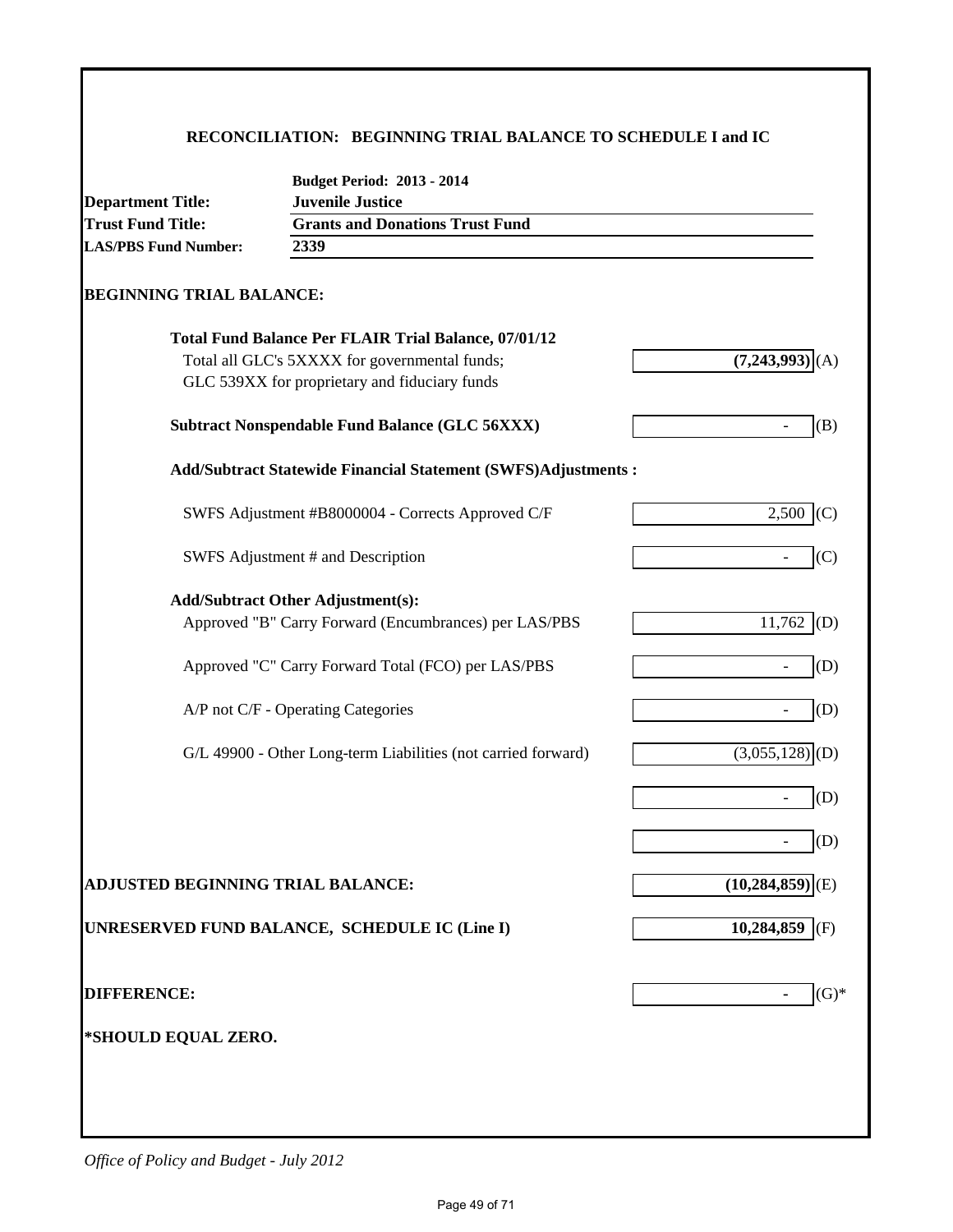# **RECONCILIATION: BEGINNING TRIAL BALANCE TO SCHEDULE I and IC**

| <b>Department Title:</b>                 | <b>Budget Period: 2013 - 2014</b><br><b>Juvenile Justice</b>                                      |                   |  |  |  |
|------------------------------------------|---------------------------------------------------------------------------------------------------|-------------------|--|--|--|
| <b>Trust Fund Title:</b>                 | <b>Grants and Donations Trust Fund</b>                                                            |                   |  |  |  |
| <b>LAS/PBS Fund Number:</b>              | 2339                                                                                              |                   |  |  |  |
| <b>BEGINNING TRIAL BALANCE:</b>          |                                                                                                   |                   |  |  |  |
|                                          | <b>Total Fund Balance Per FLAIR Trial Balance, 07/01/12</b>                                       |                   |  |  |  |
|                                          | Total all GLC's 5XXXX for governmental funds;<br>GLC 539XX for proprietary and fiduciary funds    | (7,243,993)       |  |  |  |
|                                          | <b>Subtract Nonspendable Fund Balance (GLC 56XXX)</b>                                             | (B)               |  |  |  |
|                                          | <b>Add/Subtract Statewide Financial Statement (SWFS)Adjustments:</b>                              |                   |  |  |  |
|                                          | SWFS Adjustment #B8000004 - Corrects Approved C/F                                                 | 2,500<br>(C)      |  |  |  |
|                                          | SWFS Adjustment # and Description                                                                 | (C)               |  |  |  |
|                                          | <b>Add/Subtract Other Adjustment(s):</b><br>Approved "B" Carry Forward (Encumbrances) per LAS/PBS | 11,762<br>(D)     |  |  |  |
|                                          | Approved "C" Carry Forward Total (FCO) per LAS/PBS                                                | (D)               |  |  |  |
|                                          | A/P not C/F - Operating Categories                                                                | (D)               |  |  |  |
|                                          | G/L 49900 - Other Long-term Liabilities (not carried forward)                                     | $(3,055,128)$ (D) |  |  |  |
|                                          |                                                                                                   | (D)               |  |  |  |
|                                          |                                                                                                   | (D)               |  |  |  |
| <b>ADJUSTED BEGINNING TRIAL BALANCE:</b> |                                                                                                   | (10, 284, 859)    |  |  |  |
|                                          | UNRESERVED FUND BALANCE, SCHEDULE IC (Line I)                                                     | $10,284,859$ (F)  |  |  |  |
| <b>DIFFERENCE:</b>                       |                                                                                                   | $(G)$ *           |  |  |  |
| *SHOULD EQUAL ZERO.                      |                                                                                                   |                   |  |  |  |
|                                          |                                                                                                   |                   |  |  |  |
|                                          |                                                                                                   |                   |  |  |  |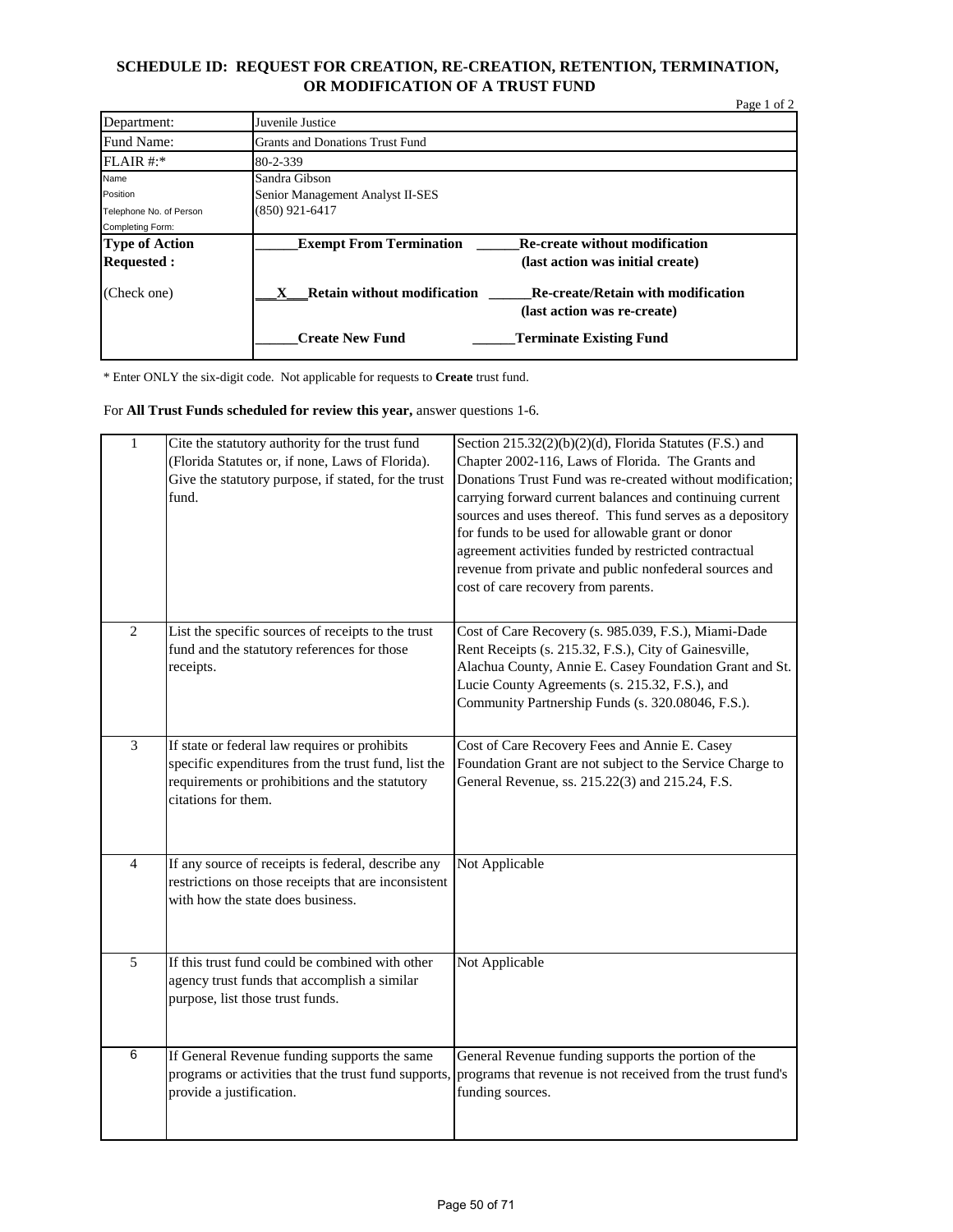# **SCHEDULE ID: REQUEST FOR CREATION, RE-CREATION, RETENTION, TERMINATION, OR MODIFICATION OF A TRUST FUND**

|                         |                                        |                                                                          | Page 1 of 2 |
|-------------------------|----------------------------------------|--------------------------------------------------------------------------|-------------|
| Department:             | Juvenile Justice                       |                                                                          |             |
| Fund Name:              | <b>Grants and Donations Trust Fund</b> |                                                                          |             |
| $FLAIR$ #:*             | 80-2-339                               |                                                                          |             |
| Name                    | Sandra Gibson                          |                                                                          |             |
| Position                | Senior Management Analyst II-SES       |                                                                          |             |
| Telephone No. of Person | $(850)$ 921-6417                       |                                                                          |             |
| Completing Form:        |                                        |                                                                          |             |
| <b>Type of Action</b>   | <b>Exempt From Termination</b>         | <b>Re-create without modification</b>                                    |             |
| <b>Requested:</b>       |                                        | (last action was initial create)                                         |             |
| (Check one)             | <b>Retain without modification</b>     | <b>Re-create/Retain with modification</b><br>(last action was re-create) |             |
|                         | <b>Create New Fund</b>                 | <b>Terminate Existing Fund</b>                                           |             |

\* Enter ONLY the six-digit code. Not applicable for requests to **Create** trust fund.

For **All Trust Funds scheduled for review this year,** answer questions 1-6.

| $\mathbf{1}$   | Cite the statutory authority for the trust fund<br>(Florida Statutes or, if none, Laws of Florida).<br>Give the statutory purpose, if stated, for the trust<br>fund.          | Section $215.32(2)(b)(2)(d)$ , Florida Statutes (F.S.) and<br>Chapter 2002-116, Laws of Florida. The Grants and<br>Donations Trust Fund was re-created without modification;<br>carrying forward current balances and continuing current<br>sources and uses thereof. This fund serves as a depository<br>for funds to be used for allowable grant or donor<br>agreement activities funded by restricted contractual<br>revenue from private and public nonfederal sources and<br>cost of care recovery from parents. |
|----------------|-------------------------------------------------------------------------------------------------------------------------------------------------------------------------------|-----------------------------------------------------------------------------------------------------------------------------------------------------------------------------------------------------------------------------------------------------------------------------------------------------------------------------------------------------------------------------------------------------------------------------------------------------------------------------------------------------------------------|
| $\overline{2}$ | List the specific sources of receipts to the trust<br>fund and the statutory references for those<br>receipts.                                                                | Cost of Care Recovery (s. 985.039, F.S.), Miami-Dade<br>Rent Receipts (s. 215.32, F.S.), City of Gainesville,<br>Alachua County, Annie E. Casey Foundation Grant and St.<br>Lucie County Agreements (s. 215.32, F.S.), and<br>Community Partnership Funds (s. 320.08046, F.S.).                                                                                                                                                                                                                                       |
| $\overline{3}$ | If state or federal law requires or prohibits<br>specific expenditures from the trust fund, list the<br>requirements or prohibitions and the statutory<br>citations for them. | Cost of Care Recovery Fees and Annie E. Casey<br>Foundation Grant are not subject to the Service Charge to<br>General Revenue, ss. 215.22(3) and 215.24, F.S.                                                                                                                                                                                                                                                                                                                                                         |
| $\overline{4}$ | If any source of receipts is federal, describe any<br>restrictions on those receipts that are inconsistent<br>with how the state does business.                               | Not Applicable                                                                                                                                                                                                                                                                                                                                                                                                                                                                                                        |
| 5              | If this trust fund could be combined with other<br>agency trust funds that accomplish a similar<br>purpose, list those trust funds.                                           | Not Applicable                                                                                                                                                                                                                                                                                                                                                                                                                                                                                                        |
| 6              | If General Revenue funding supports the same<br>programs or activities that the trust fund supports,<br>provide a justification.                                              | General Revenue funding supports the portion of the<br>programs that revenue is not received from the trust fund's<br>funding sources.                                                                                                                                                                                                                                                                                                                                                                                |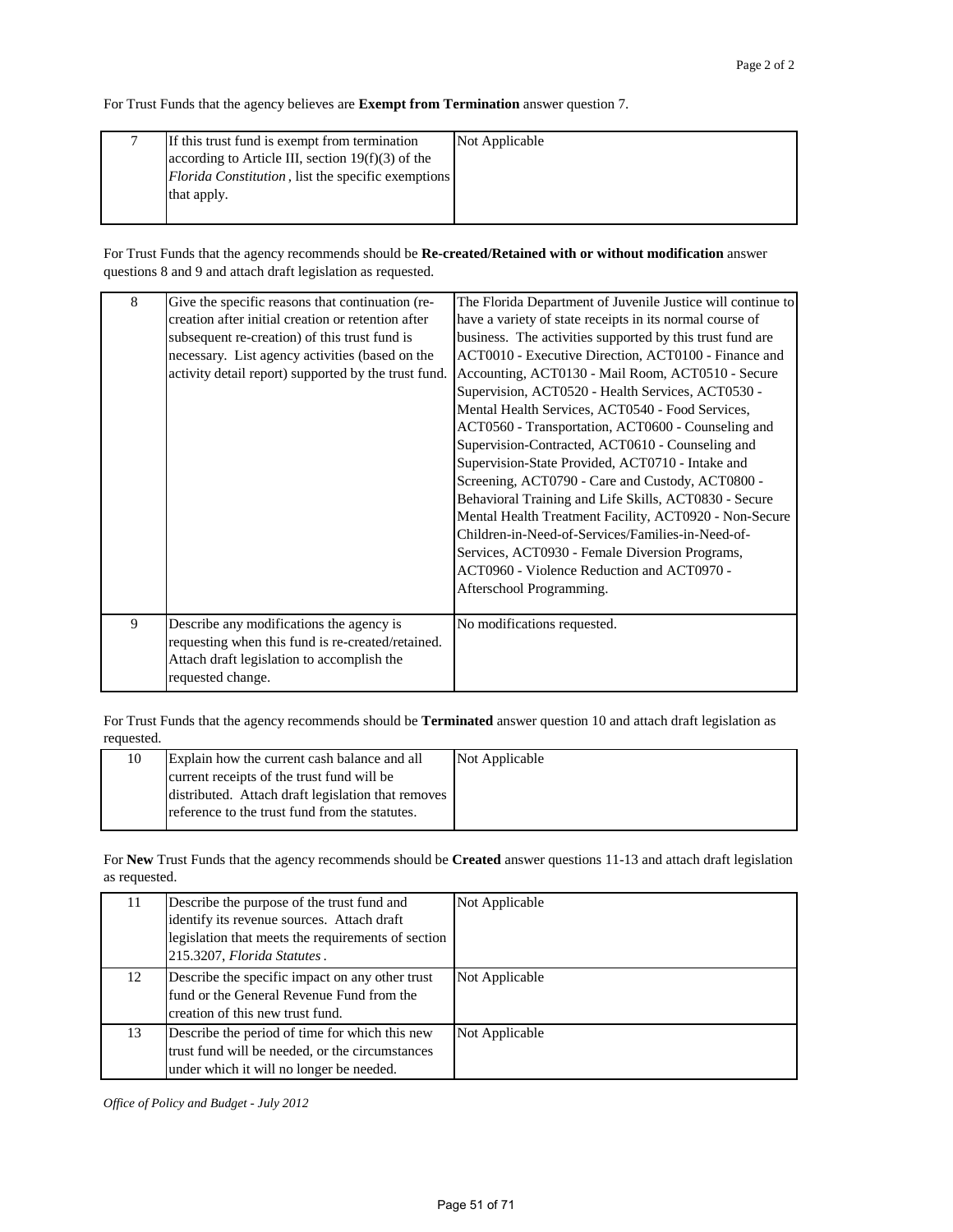For Trust Funds that the agency believes are **Exempt from Termination** answer question 7.

| If this trust fund is exempt from termination       | Not Applicable |
|-----------------------------------------------------|----------------|
| according to Article III, section $19(f)(3)$ of the |                |
| Florida Constitution, list the specific exemptions  |                |
| that apply.                                         |                |
|                                                     |                |

For Trust Funds that the agency recommends should be **Re-created/Retained with or without modification** answer questions 8 and 9 and attach draft legislation as requested.

| 8 | Give the specific reasons that continuation (re-<br>creation after initial creation or retention after<br>subsequent re-creation) of this trust fund is<br>necessary. List agency activities (based on the<br>activity detail report) supported by the trust fund. | The Florida Department of Juvenile Justice will continue to<br>have a variety of state receipts in its normal course of<br>business. The activities supported by this trust fund are<br>ACT0010 - Executive Direction, ACT0100 - Finance and<br>Accounting, ACT0130 - Mail Room, ACT0510 - Secure<br>Supervision, ACT0520 - Health Services, ACT0530 -<br>Mental Health Services, ACT0540 - Food Services,<br>ACT0560 - Transportation, ACT0600 - Counseling and<br>Supervision-Contracted, ACT0610 - Counseling and<br>Supervision-State Provided, ACT0710 - Intake and<br>Screening, ACT0790 - Care and Custody, ACT0800 -<br>Behavioral Training and Life Skills, ACT0830 - Secure<br>Mental Health Treatment Facility, ACT0920 - Non-Secure<br>Children-in-Need-of-Services/Families-in-Need-of-<br>Services, ACT0930 - Female Diversion Programs,<br>ACT0960 - Violence Reduction and ACT0970 - |
|---|--------------------------------------------------------------------------------------------------------------------------------------------------------------------------------------------------------------------------------------------------------------------|------------------------------------------------------------------------------------------------------------------------------------------------------------------------------------------------------------------------------------------------------------------------------------------------------------------------------------------------------------------------------------------------------------------------------------------------------------------------------------------------------------------------------------------------------------------------------------------------------------------------------------------------------------------------------------------------------------------------------------------------------------------------------------------------------------------------------------------------------------------------------------------------------|
|   |                                                                                                                                                                                                                                                                    | Afterschool Programming.                                                                                                                                                                                                                                                                                                                                                                                                                                                                                                                                                                                                                                                                                                                                                                                                                                                                             |
| 9 | Describe any modifications the agency is<br>requesting when this fund is re-created/retained.<br>Attach draft legislation to accomplish the<br>requested change.                                                                                                   | No modifications requested.                                                                                                                                                                                                                                                                                                                                                                                                                                                                                                                                                                                                                                                                                                                                                                                                                                                                          |

For Trust Funds that the agency recommends should be **Terminated** answer question 10 and attach draft legislation as requested.

| Explain how the current cash balance and all       | Not Applicable |
|----------------------------------------------------|----------------|
| current receipts of the trust fund will be         |                |
| distributed. Attach draft legislation that removes |                |
| reference to the trust fund from the statutes.     |                |

For **New** Trust Funds that the agency recommends should be **Created** answer questions 11-13 and attach draft legislation as requested.

| 11 | Describe the purpose of the trust fund and<br>identify its revenue sources. Attach draft<br>legislation that meets the requirements of section<br>215.3207, Florida Statutes. | Not Applicable |
|----|-------------------------------------------------------------------------------------------------------------------------------------------------------------------------------|----------------|
| 12 | Describe the specific impact on any other trust<br>fund or the General Revenue Fund from the<br>creation of this new trust fund.                                              | Not Applicable |
| 13 | Describe the period of time for which this new<br>trust fund will be needed, or the circumstances<br>under which it will no longer be needed.                                 | Not Applicable |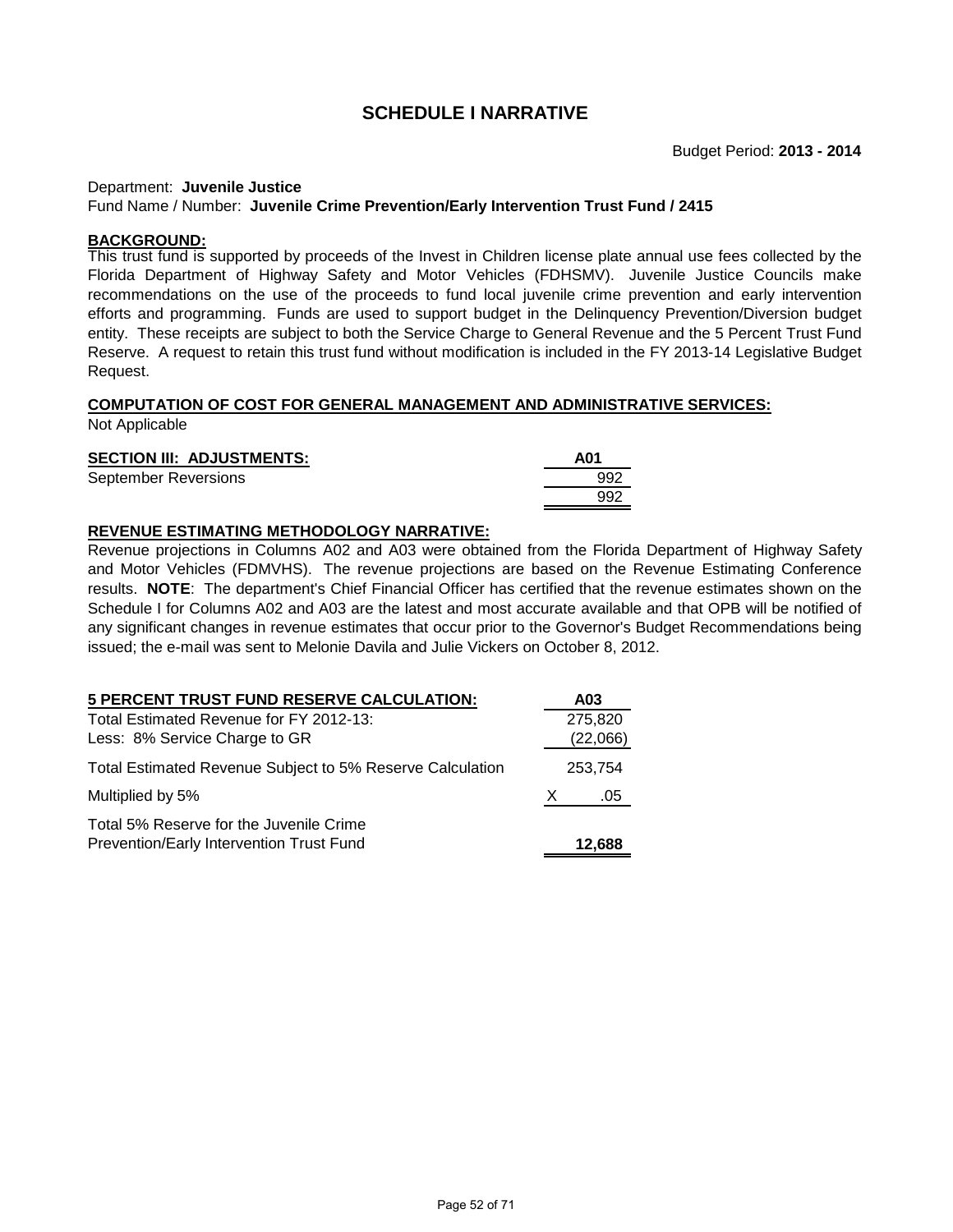#### Department: **Juvenile Justice**

#### Fund Name / Number: **Juvenile Crime Prevention/Early Intervention Trust Fund / 2415**

#### **BACKGROUND:**

This trust fund is supported by proceeds of the Invest in Children license plate annual use fees collected by the Florida Department of Highway Safety and Motor Vehicles (FDHSMV). Juvenile Justice Councils make recommendations on the use of the proceeds to fund local juvenile crime prevention and early intervention efforts and programming. Funds are used to support budget in the Delinquency Prevention/Diversion budget entity. These receipts are subject to both the Service Charge to General Revenue and the 5 Percent Trust Fund Reserve. A request to retain this trust fund without modification is included in the FY 2013-14 Legislative Budget Request.

# **COMPUTATION OF COST FOR GENERAL MANAGEMENT AND ADMINISTRATIVE SERVICES:**

Not Applicable

# **SECTION III: ADJUSTMENTS:** A01 September Reversions **692**

### **REVENUE ESTIMATING METHODOLOGY NARRATIVE:**

Revenue projections in Columns A02 and A03 were obtained from the Florida Department of Highway Safety and Motor Vehicles (FDMVHS). The revenue projections are based on the Revenue Estimating Conference results. **NOTE**: The department's Chief Financial Officer has certified that the revenue estimates shown on the Schedule I for Columns A02 and A03 are the latest and most accurate available and that OPB will be notified of any significant changes in revenue estimates that occur prior to the Governor's Budget Recommendations being issued; the e-mail was sent to Melonie Davila and Julie Vickers on October 8, 2012.

992

| <b>5 PERCENT TRUST FUND RESERVE CALCULATION:</b>                                    |   | A03      |
|-------------------------------------------------------------------------------------|---|----------|
| Total Estimated Revenue for FY 2012-13:                                             |   | 275,820  |
| Less: 8% Service Charge to GR                                                       |   | (22,066) |
| Total Estimated Revenue Subject to 5% Reserve Calculation                           |   | 253,754  |
| Multiplied by 5%                                                                    | X | .05      |
| Total 5% Reserve for the Juvenile Crime<br>Prevention/Early Intervention Trust Fund |   | 12,688   |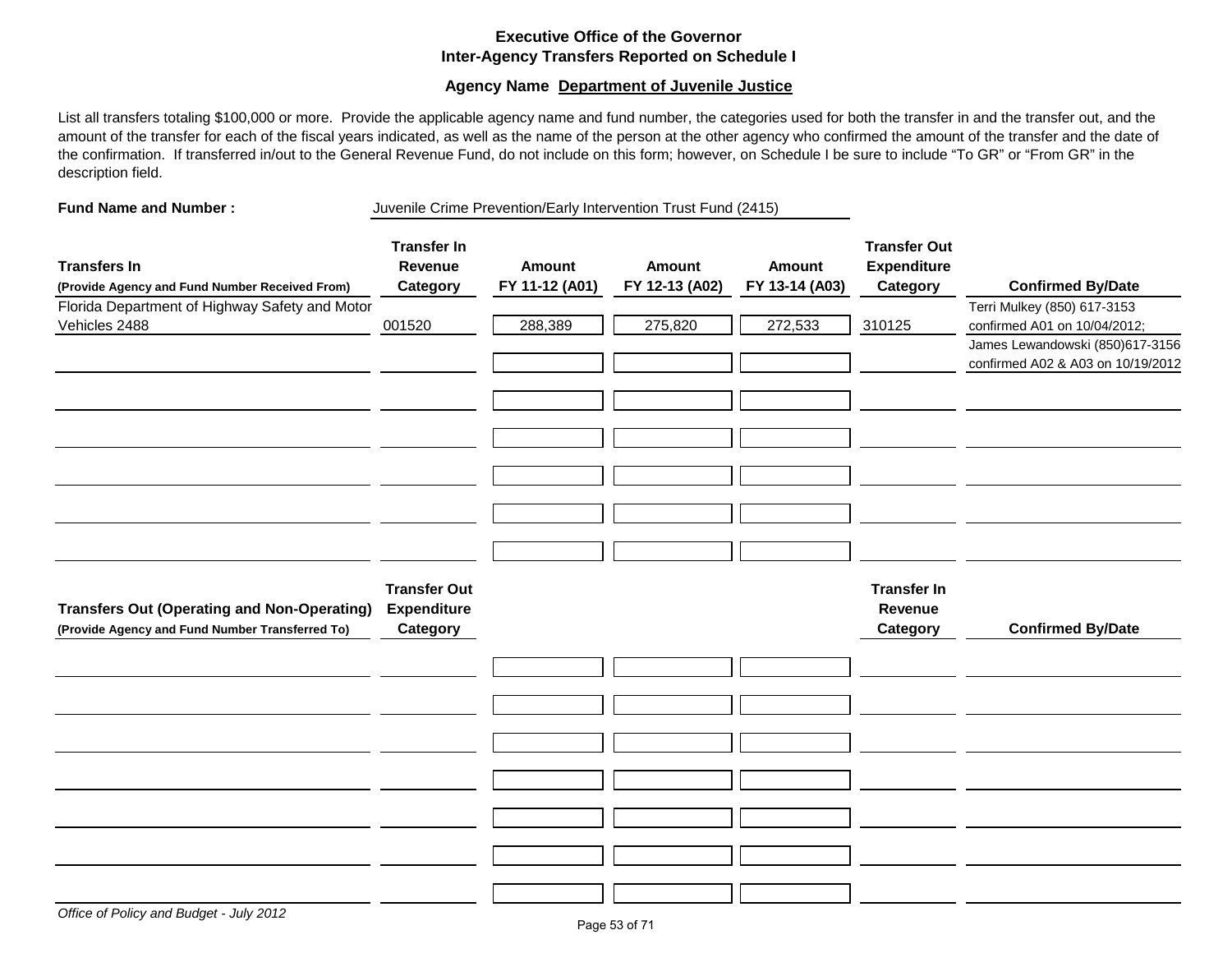# **Executive Office of the Governor Inter-Agency Transfers Reported on Schedule I**

### **Agency Name Department of Juvenile Justice**

List all transfers totaling \$100,000 or more. Provide the applicable agency name and fund number, the categories used for both the transfer in and the transfer out, and the amount of the transfer for each of the fiscal years indicated, as well as the name of the person at the other agency who confirmed the amount of the transfer and the date of the confirmation. If transferred in/out to the General Revenue Fund, do not include on this form; however, on Schedule I be sure to include "To GR" or "From GR" in the description field.

**Fund Name and Number :** Juvenile Crime Prevention/Early Intervention Trust Fund (2415)

| <b>Transfers In</b><br>(Provide Agency and Fund Number Received From) | <b>Transfer In</b><br>Revenue<br>Category | <b>Amount</b><br>FY 11-12 (A01) | Amount<br>FY 12-13 (A02) | <b>Amount</b><br>FY 13-14 (A03) | <b>Transfer Out</b><br><b>Expenditure</b><br>Category | <b>Confirmed By/Date</b>                                             |
|-----------------------------------------------------------------------|-------------------------------------------|---------------------------------|--------------------------|---------------------------------|-------------------------------------------------------|----------------------------------------------------------------------|
| Florida Department of Highway Safety and Motor                        |                                           |                                 |                          |                                 |                                                       | Terri Mulkey (850) 617-3153                                          |
| Vehicles 2488                                                         | 001520                                    | 288,389                         | 275,820                  | 272,533                         | 310125                                                | confirmed A01 on 10/04/2012;                                         |
|                                                                       |                                           |                                 |                          |                                 |                                                       | James Lewandowski (850)617-3156<br>confirmed A02 & A03 on 10/19/2012 |
|                                                                       |                                           |                                 |                          |                                 |                                                       |                                                                      |
|                                                                       |                                           |                                 |                          |                                 |                                                       |                                                                      |
|                                                                       |                                           |                                 |                          |                                 |                                                       |                                                                      |
|                                                                       |                                           |                                 |                          |                                 |                                                       |                                                                      |
|                                                                       |                                           |                                 |                          |                                 |                                                       |                                                                      |
|                                                                       |                                           |                                 |                          |                                 |                                                       |                                                                      |
|                                                                       |                                           |                                 |                          |                                 |                                                       |                                                                      |
| <b>Transfers Out (Operating and Non-Operating)</b>                    | <b>Transfer Out</b><br><b>Expenditure</b> |                                 |                          |                                 | <b>Transfer In</b><br>Revenue                         |                                                                      |
| (Provide Agency and Fund Number Transferred To)                       | Category                                  |                                 |                          |                                 | Category                                              | <b>Confirmed By/Date</b>                                             |
|                                                                       |                                           |                                 |                          |                                 |                                                       |                                                                      |
|                                                                       |                                           |                                 |                          |                                 |                                                       |                                                                      |
|                                                                       |                                           |                                 |                          |                                 |                                                       |                                                                      |
|                                                                       |                                           |                                 |                          |                                 |                                                       |                                                                      |
|                                                                       |                                           |                                 |                          |                                 |                                                       |                                                                      |
|                                                                       |                                           |                                 |                          |                                 |                                                       |                                                                      |
|                                                                       |                                           |                                 |                          |                                 |                                                       |                                                                      |
|                                                                       |                                           |                                 |                          |                                 |                                                       |                                                                      |
|                                                                       |                                           |                                 |                          |                                 |                                                       |                                                                      |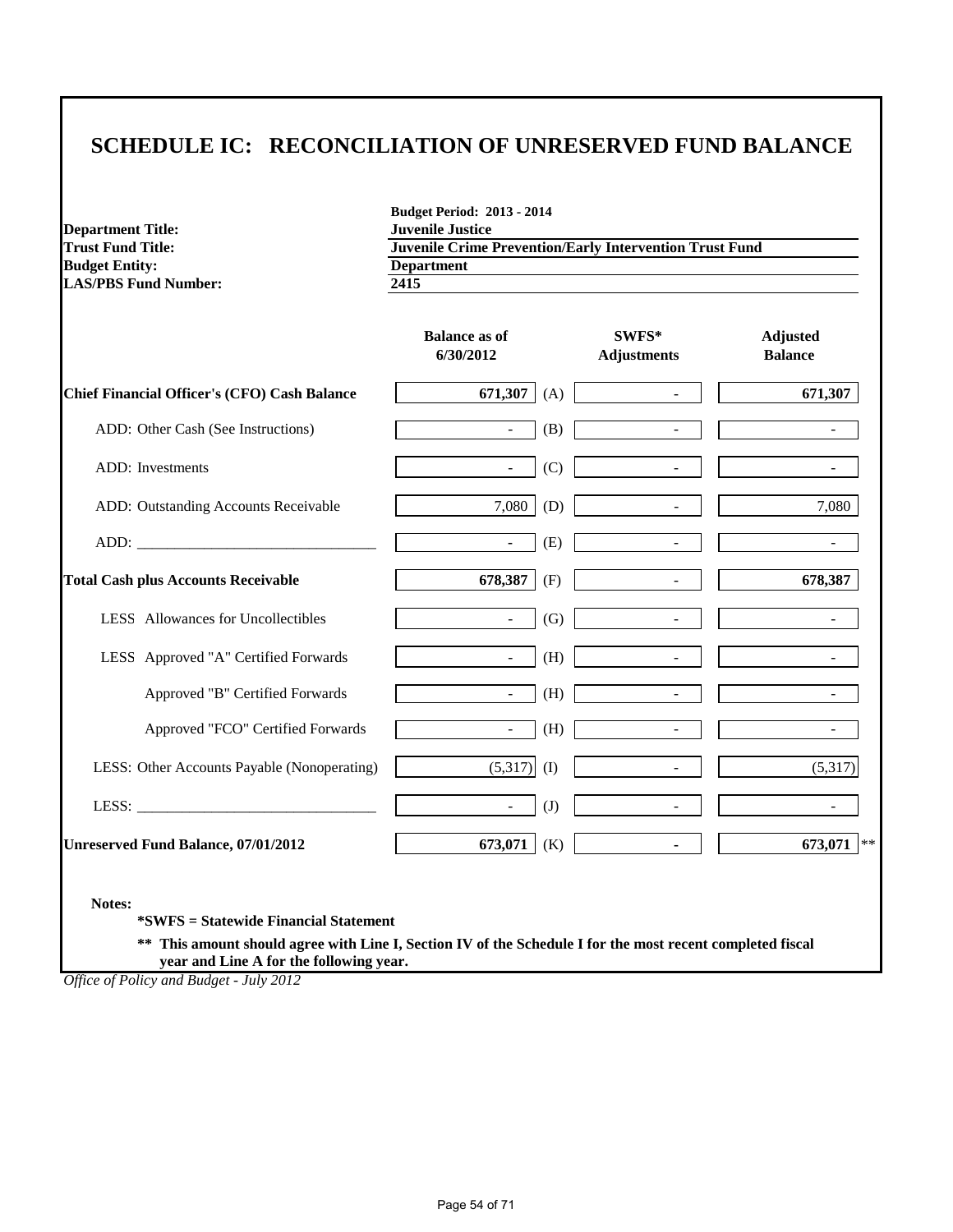# **SCHEDULE IC: RECONCILIATION OF UNRESERVED FUND BALANCE**

**Department Title:<br>Trust Fund Title: Budget Entity:** Department<br> **Department**<br> **Department**<br> **Department**<br> **Department**<br> **Department**<br> **Department LAS/PBS Fund Number:** 

**Budget Period: 2013 - 2014 Trust Fund Trust Fund Trust Fund** Department

|                                                     | <b>Balance as of</b><br>6/30/2012 |     | SWFS*<br><b>Adjustments</b> | <b>Adjusted</b><br><b>Balance</b> |
|-----------------------------------------------------|-----------------------------------|-----|-----------------------------|-----------------------------------|
| <b>Chief Financial Officer's (CFO) Cash Balance</b> | 671,307                           | (A) | $\omega$                    | 671,307                           |
| ADD: Other Cash (See Instructions)                  | $\sim$                            | (B) | $\overline{\phantom{a}}$    |                                   |
| <b>ADD</b> : Investments                            | $\sim 10$                         | (C) | $\sim$                      | $\blacksquare$                    |
| ADD: Outstanding Accounts Receivable                | 7,080                             | (D) | $\sim$                      | 7,080                             |
|                                                     | $\blacksquare$                    | (E) | $\sim$                      |                                   |
| <b>Total Cash plus Accounts Receivable</b>          | 678,387                           | (F) | $\blacksquare$              | 678,387                           |
| LESS Allowances for Uncollectibles                  | $\sim$                            | (G) |                             |                                   |
| LESS Approved "A" Certified Forwards                | $\mathbb{L}^+$                    | (H) |                             |                                   |
| Approved "B" Certified Forwards                     | $\overline{\phantom{a}}$          | (H) | $\blacksquare$              |                                   |
| Approved "FCO" Certified Forwards                   | $\sim$                            | (H) | $\equiv$                    |                                   |
| LESS: Other Accounts Payable (Nonoperating)         | $(5,317)$ (I)                     |     |                             | (5,317)                           |
|                                                     | $\overline{\phantom{a}}$          | (J) |                             |                                   |
| <b>Unreserved Fund Balance, 07/01/2012</b>          | 673,071                           | (K) | $\blacksquare$              | 673,071 $ **$                     |

**\*SWFS = Statewide Financial Statement** 

**\*\* This amount should agree with Line I, Section IV of the Schedule I for the most recent completed fiscal year and Line A for the following year.**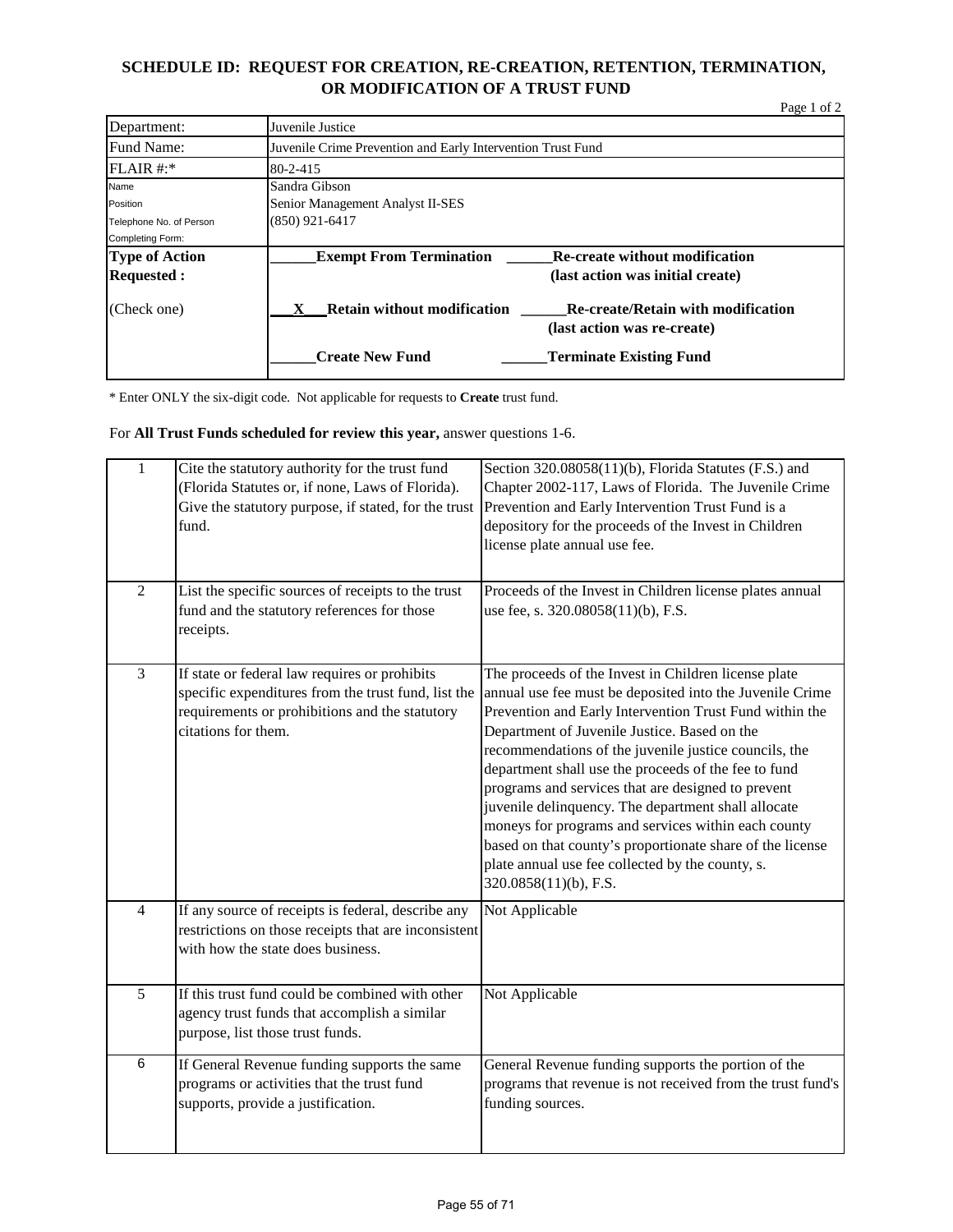# **SCHEDULE ID: REQUEST FOR CREATION, RE-CREATION, RETENTION, TERMINATION, OR MODIFICATION OF A TRUST FUND**

Page 1 of 2

| Department:             | Juvenile Justice                                                                                                    |
|-------------------------|---------------------------------------------------------------------------------------------------------------------|
| Fund Name:              | Juvenile Crime Prevention and Early Intervention Trust Fund                                                         |
| $FLAIR$ #:*             | 80-2-415                                                                                                            |
| Name                    | Sandra Gibson                                                                                                       |
| Position                | Senior Management Analyst II-SES                                                                                    |
| Telephone No. of Person | (850) 921-6417                                                                                                      |
| Completing Form:        |                                                                                                                     |
| <b>Type of Action</b>   | <b>Exempt From Termination</b><br><b>Re-create without modification</b>                                             |
| <b>Requested:</b>       | (last action was initial create)                                                                                    |
| (Check one)             | <b>Retain without modification</b><br><b>Re-create/Retain with modification</b><br>X<br>(last action was re-create) |
|                         | <b>Create New Fund</b><br><b>Terminate Existing Fund</b>                                                            |

\* Enter ONLY the six-digit code. Not applicable for requests to **Create** trust fund.

For **All Trust Funds scheduled for review this year,** answer questions 1-6.

| $\mathbf{1}$   | Cite the statutory authority for the trust fund<br>(Florida Statutes or, if none, Laws of Florida).<br>Give the statutory purpose, if stated, for the trust<br>fund.          | Section 320.08058(11)(b), Florida Statutes (F.S.) and<br>Chapter 2002-117, Laws of Florida. The Juvenile Crime<br>Prevention and Early Intervention Trust Fund is a<br>depository for the proceeds of the Invest in Children<br>license plate annual use fee.                                                                                                                                                                                                                                                                                                                                                                                              |
|----------------|-------------------------------------------------------------------------------------------------------------------------------------------------------------------------------|------------------------------------------------------------------------------------------------------------------------------------------------------------------------------------------------------------------------------------------------------------------------------------------------------------------------------------------------------------------------------------------------------------------------------------------------------------------------------------------------------------------------------------------------------------------------------------------------------------------------------------------------------------|
| $\overline{2}$ | List the specific sources of receipts to the trust<br>fund and the statutory references for those<br>receipts.                                                                | Proceeds of the Invest in Children license plates annual<br>use fee, s. 320.08058(11)(b), F.S.                                                                                                                                                                                                                                                                                                                                                                                                                                                                                                                                                             |
| $\overline{3}$ | If state or federal law requires or prohibits<br>specific expenditures from the trust fund, list the<br>requirements or prohibitions and the statutory<br>citations for them. | The proceeds of the Invest in Children license plate<br>annual use fee must be deposited into the Juvenile Crime<br>Prevention and Early Intervention Trust Fund within the<br>Department of Juvenile Justice. Based on the<br>recommendations of the juvenile justice councils, the<br>department shall use the proceeds of the fee to fund<br>programs and services that are designed to prevent<br>juvenile delinquency. The department shall allocate<br>moneys for programs and services within each county<br>based on that county's proportionate share of the license<br>plate annual use fee collected by the county, s.<br>320.0858(11)(b), F.S. |
| $\overline{4}$ | If any source of receipts is federal, describe any<br>restrictions on those receipts that are inconsistent<br>with how the state does business.                               | Not Applicable                                                                                                                                                                                                                                                                                                                                                                                                                                                                                                                                                                                                                                             |
| 5              | If this trust fund could be combined with other<br>agency trust funds that accomplish a similar<br>purpose, list those trust funds.                                           | Not Applicable                                                                                                                                                                                                                                                                                                                                                                                                                                                                                                                                                                                                                                             |
| 6              | If General Revenue funding supports the same<br>programs or activities that the trust fund<br>supports, provide a justification.                                              | General Revenue funding supports the portion of the<br>programs that revenue is not received from the trust fund's<br>funding sources.                                                                                                                                                                                                                                                                                                                                                                                                                                                                                                                     |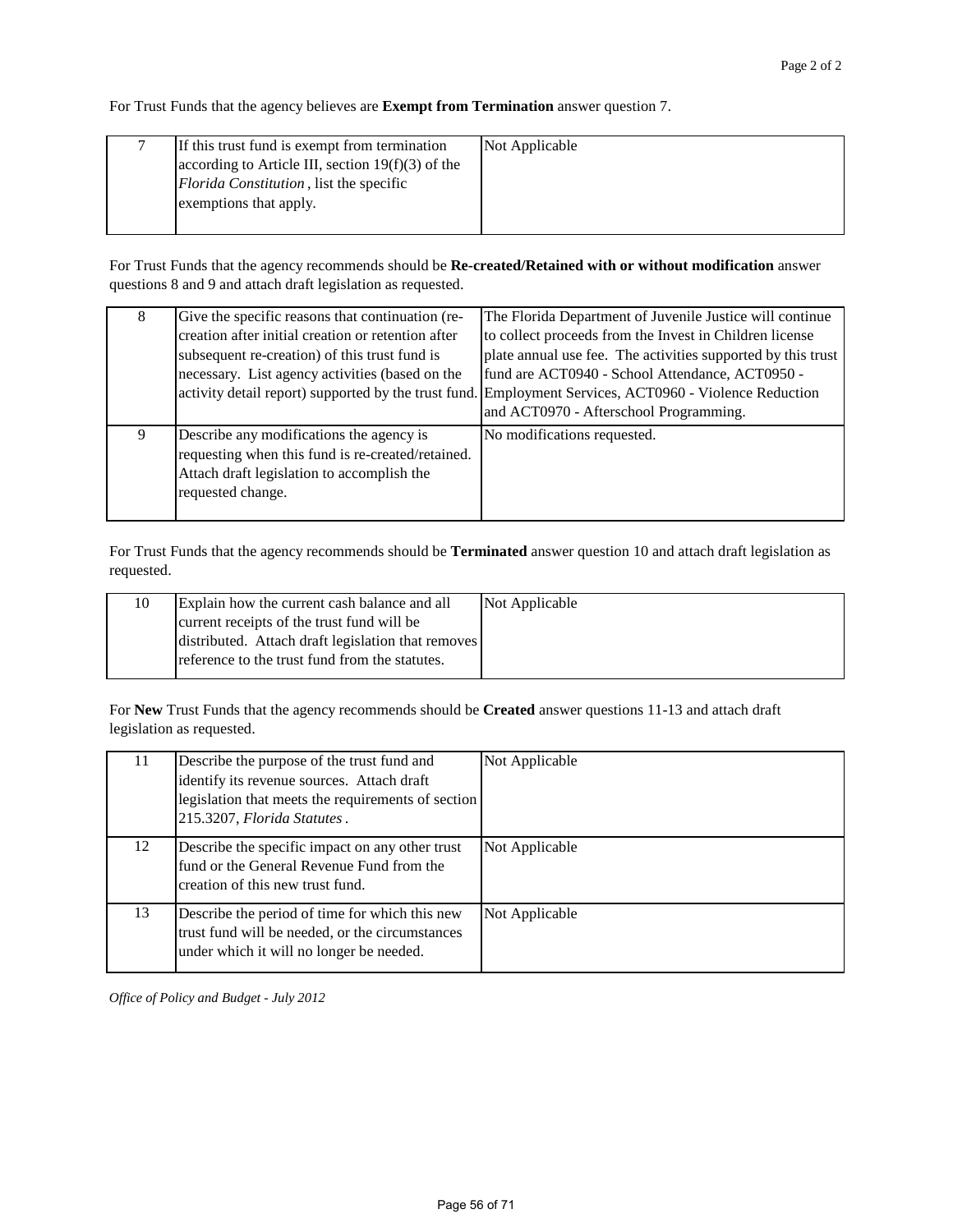For Trust Funds that the agency believes are **Exempt from Termination** answer question 7.

| If this trust fund is exempt from termination<br>according to Article III, section $19(f)(3)$ of the<br><i>Florida Constitution</i> , list the specific<br>exemptions that apply. | Not Applicable |
|-----------------------------------------------------------------------------------------------------------------------------------------------------------------------------------|----------------|
|                                                                                                                                                                                   |                |

For Trust Funds that the agency recommends should be **Re-created/Retained with or without modification** answer questions 8 and 9 and attach draft legislation as requested.

| 8 | Give the specific reasons that continuation (re-<br>creation after initial creation or retention after<br>subsequent re-creation) of this trust fund is<br>necessary. List agency activities (based on the | The Florida Department of Juvenile Justice will continue<br>to collect proceeds from the Invest in Children license<br>plate annual use fee. The activities supported by this trust<br>fund are ACT0940 - School Attendance, ACT0950 -<br>activity detail report) supported by the trust fund. Employment Services, ACT0960 - Violence Reduction<br>and ACT0970 - Afterschool Programming. |
|---|------------------------------------------------------------------------------------------------------------------------------------------------------------------------------------------------------------|--------------------------------------------------------------------------------------------------------------------------------------------------------------------------------------------------------------------------------------------------------------------------------------------------------------------------------------------------------------------------------------------|
| 9 | Describe any modifications the agency is<br>requesting when this fund is re-created/retained.<br>Attach draft legislation to accomplish the<br>requested change.                                           | No modifications requested.                                                                                                                                                                                                                                                                                                                                                                |

For Trust Funds that the agency recommends should be **Terminated** answer question 10 and attach draft legislation as requested.

| 10 | Explain how the current cash balance and all       | Not Applicable |
|----|----------------------------------------------------|----------------|
|    | current receipts of the trust fund will be         |                |
|    | distributed. Attach draft legislation that removes |                |
|    | reference to the trust fund from the statutes.     |                |
|    |                                                    |                |

For **New** Trust Funds that the agency recommends should be **Created** answer questions 11-13 and attach draft legislation as requested.

| 11 | Describe the purpose of the trust fund and<br>identify its revenue sources. Attach draft<br>legislation that meets the requirements of section<br>215.3207, Florida Statutes. | Not Applicable |
|----|-------------------------------------------------------------------------------------------------------------------------------------------------------------------------------|----------------|
| 12 | Describe the specific impact on any other trust<br>fund or the General Revenue Fund from the<br>creation of this new trust fund.                                              | Not Applicable |
| 13 | Describe the period of time for which this new<br>trust fund will be needed, or the circumstances<br>under which it will no longer be needed.                                 | Not Applicable |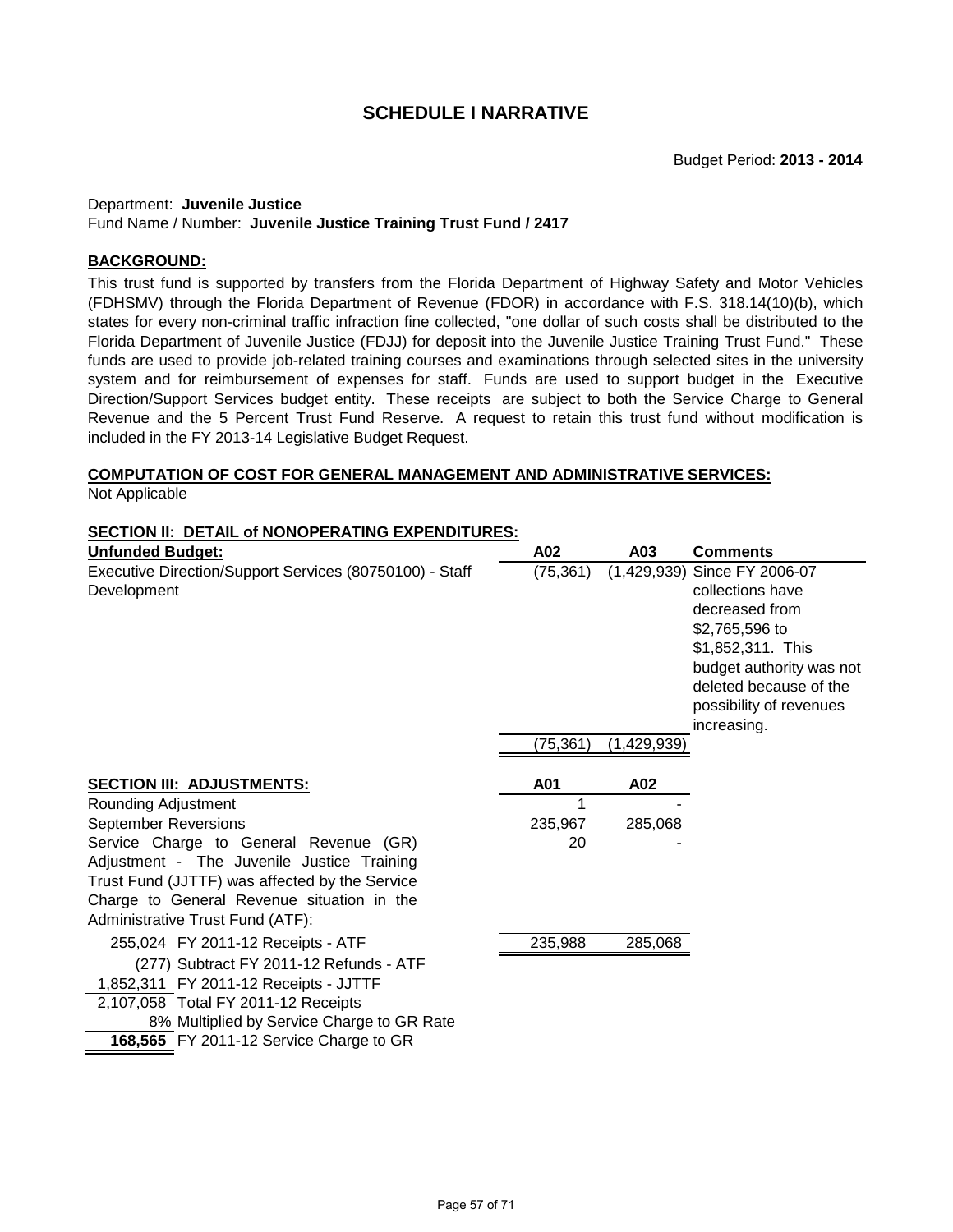#### Department: **Juvenile Justice** Fund Name / Number: **Juvenile Justice Training Trust Fund / 2417**

# **BACKGROUND:**

This trust fund is supported by transfers from the Florida Department of Highway Safety and Motor Vehicles (FDHSMV) through the Florida Department of Revenue (FDOR) in accordance with F.S. 318.14(10)(b), which states for every non-criminal traffic infraction fine collected, "one dollar of such costs shall be distributed to the Florida Department of Juvenile Justice (FDJJ) for deposit into the Juvenile Justice Training Trust Fund." These funds are used to provide job-related training courses and examinations through selected sites in the university system and for reimbursement of expenses for staff. Funds are used to support budget in the Executive Direction/Support Services budget entity. These receipts are subject to both the Service Charge to General Revenue and the 5 Percent Trust Fund Reserve. A request to retain this trust fund without modification is included in the FY 2013-14 Legislative Budget Request.

# **COMPUTATION OF COST FOR GENERAL MANAGEMENT AND ADMINISTRATIVE SERVICES:**

Not Applicable

# **SECTION II: DETAIL of NONOPERATING EXPENDITURES:**

| <b>Unfunded Budget:</b>                                 | A02       | A03         | <b>Comments</b>              |
|---------------------------------------------------------|-----------|-------------|------------------------------|
| Executive Direction/Support Services (80750100) - Staff | (75, 361) |             | (1,429,939) Since FY 2006-07 |
| Development                                             |           |             | collections have             |
|                                                         |           |             | decreased from               |
|                                                         |           |             | \$2,765,596 to               |
|                                                         |           |             | \$1,852,311. This            |
|                                                         |           |             | budget authority was not     |
|                                                         |           |             | deleted because of the       |
|                                                         |           |             | possibility of revenues      |
|                                                         |           |             | increasing.                  |
|                                                         | (75,361)  | (1,429,939) |                              |
| <b>SECTION III: ADJUSTMENTS:</b>                        | A01       | A02         |                              |
| Rounding Adjustment                                     | 1         |             |                              |
| <b>September Reversions</b>                             | 235,967   | 285,068     |                              |
| Service Charge to General Revenue (GR)                  | 20        |             |                              |
| Adjustment - The Juvenile Justice Training              |           |             |                              |
| Trust Fund (JJTTF) was affected by the Service          |           |             |                              |
| Charge to General Revenue situation in the              |           |             |                              |
| Administrative Trust Fund (ATF):                        |           |             |                              |
| 255,024 FY 2011-12 Receipts - ATF                       | 235,988   | 285,068     |                              |
| (277) Subtract FY 2011-12 Refunds - ATF                 |           |             |                              |
| 1,852,311 FY 2011-12 Receipts - JJTTF                   |           |             |                              |
| 2,107,058 Total FY 2011-12 Receipts                     |           |             |                              |
| 8% Multiplied by Service Charge to GR Rate              |           |             |                              |
| 168,565 FY 2011-12 Service Charge to GR                 |           |             |                              |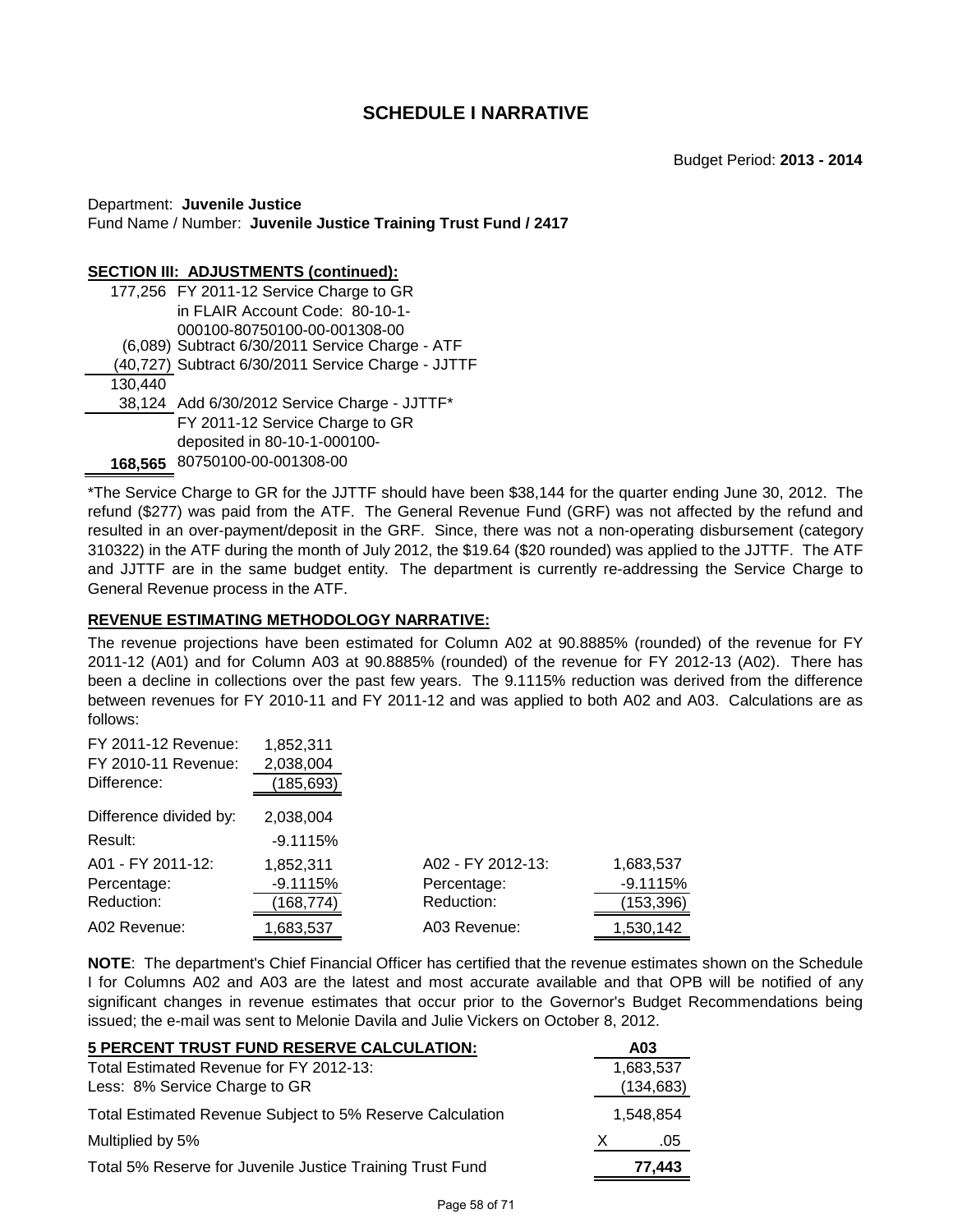Department: **Juvenile Justice** Fund Name / Number: **Juvenile Justice Training Trust Fund / 2417**

#### **SECTION III: ADJUSTMENTS (continued):**

|         | 177,256 FY 2011-12 Service Charge to GR            |
|---------|----------------------------------------------------|
|         | in FLAIR Account Code: 80-10-1-                    |
|         | 000100-80750100-00-001308-00                       |
|         | (6,089) Subtract 6/30/2011 Service Charge - ATF    |
|         | (40,727) Subtract 6/30/2011 Service Charge - JJTTF |
| 130,440 |                                                    |
|         | 38,124 Add 6/30/2012 Service Charge - JJTTF*       |
|         | FY 2011-12 Service Charge to GR                    |
|         | deposited in 80-10-1-000100-                       |
|         | 168,565 80750100-00-001308-00                      |
|         |                                                    |

\*The Service Charge to GR for the JJTTF should have been \$38,144 for the quarter ending June 30, 2012. The refund (\$277) was paid from the ATF. The General Revenue Fund (GRF) was not affected by the refund and resulted in an over-payment/deposit in the GRF. Since, there was not a non-operating disbursement (category 310322) in the ATF during the month of July 2012, the \$19.64 (\$20 rounded) was applied to the JJTTF. The ATF and JJTTF are in the same budget entity. The department is currently re-addressing the Service Charge to General Revenue process in the ATF.

# **REVENUE ESTIMATING METHODOLOGY NARRATIVE:**

The revenue projections have been estimated for Column A02 at 90.8885% (rounded) of the revenue for FY 2011-12 (A01) and for Column A03 at 90.8885% (rounded) of the revenue for FY 2012-13 (A02). There has been a decline in collections over the past few years. The 9.1115% reduction was derived from the difference between revenues for FY 2010-11 and FY 2011-12 and was applied to both A02 and A03. Calculations are as follows:

| FY 2011-12 Revenue:    | 1,852,311  |                   |            |
|------------------------|------------|-------------------|------------|
| FY 2010-11 Revenue:    | 2,038,004  |                   |            |
| Difference:            | 185,693)   |                   |            |
| Difference divided by: | 2,038,004  |                   |            |
| Result:                | $-9.1115%$ |                   |            |
| A01 - FY 2011-12:      | 1,852,311  | A02 - FY 2012-13: | 1,683,537  |
| Percentage:            | $-9.1115%$ | Percentage:       | $-9.1115%$ |
| Reduction:             | 168,774)   | Reduction:        | (153,396)  |
| A02 Revenue:           | 1,683,537  | A03 Revenue:      | 1,530,142  |

**NOTE**: The department's Chief Financial Officer has certified that the revenue estimates shown on the Schedule I for Columns A02 and A03 are the latest and most accurate available and that OPB will be notified of any significant changes in revenue estimates that occur prior to the Governor's Budget Recommendations being issued; the e-mail was sent to Melonie Davila and Julie Vickers on October 8, 2012.

| 5 PERCENT TRUST FUND RESERVE CALCULATION:                 |   | A03        |
|-----------------------------------------------------------|---|------------|
| Total Estimated Revenue for FY 2012-13:                   |   | 1,683,537  |
| Less: 8% Service Charge to GR                             |   | (134, 683) |
| Total Estimated Revenue Subject to 5% Reserve Calculation |   | 1.548.854  |
| Multiplied by 5%                                          | X | .05        |
| Total 5% Reserve for Juvenile Justice Training Trust Fund |   | 77,443     |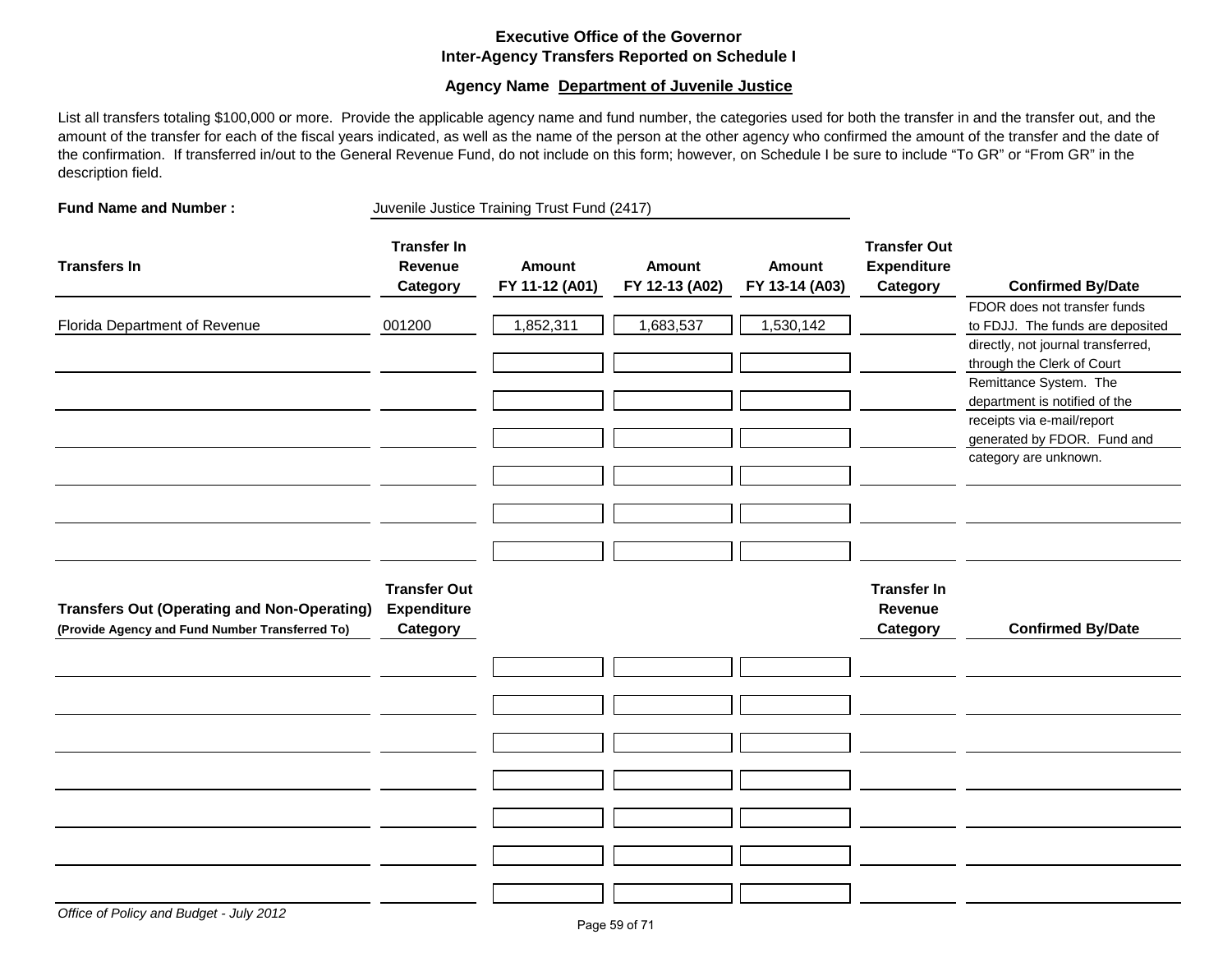# **Executive Office of the Governor Inter-Agency Transfers Reported on Schedule I**

### **Agency Name Department of Juvenile Justice**

List all transfers totaling \$100,000 or more. Provide the applicable agency name and fund number, the categories used for both the transfer in and the transfer out, and the amount of the transfer for each of the fiscal years indicated, as well as the name of the person at the other agency who confirmed the amount of the transfer and the date of the confirmation. If transferred in/out to the General Revenue Fund, do not include on this form; however, on Schedule I be sure to include "To GR" or "From GR" in the description field.

| <b>Fund Name and Number:</b>                                                                          | Juvenile Justice Training Trust Fund (2417)           |                                 |                                 |                                 |                                                       |                                                                                                                                                                                                 |
|-------------------------------------------------------------------------------------------------------|-------------------------------------------------------|---------------------------------|---------------------------------|---------------------------------|-------------------------------------------------------|-------------------------------------------------------------------------------------------------------------------------------------------------------------------------------------------------|
| <b>Transfers In</b>                                                                                   | <b>Transfer In</b><br>Revenue<br>Category             | <b>Amount</b><br>FY 11-12 (A01) | <b>Amount</b><br>FY 12-13 (A02) | <b>Amount</b><br>FY 13-14 (A03) | <b>Transfer Out</b><br><b>Expenditure</b><br>Category | <b>Confirmed By/Date</b>                                                                                                                                                                        |
| Florida Department of Revenue                                                                         | 001200                                                | 1,852,311                       | 1,683,537                       | 1,530,142                       |                                                       | FDOR does not transfer funds<br>to FDJJ. The funds are deposited<br>directly, not journal transferred,<br>through the Clerk of Court<br>Remittance System. The<br>department is notified of the |
|                                                                                                       |                                                       |                                 |                                 |                                 |                                                       | receipts via e-mail/report<br>generated by FDOR. Fund and<br>category are unknown.                                                                                                              |
| <b>Transfers Out (Operating and Non-Operating)</b><br>(Provide Agency and Fund Number Transferred To) | <b>Transfer Out</b><br><b>Expenditure</b><br>Category |                                 |                                 |                                 | <b>Transfer In</b><br>Revenue<br>Category             | <b>Confirmed By/Date</b>                                                                                                                                                                        |
|                                                                                                       |                                                       |                                 |                                 |                                 |                                                       |                                                                                                                                                                                                 |
|                                                                                                       |                                                       |                                 |                                 |                                 |                                                       |                                                                                                                                                                                                 |
|                                                                                                       |                                                       |                                 |                                 |                                 |                                                       |                                                                                                                                                                                                 |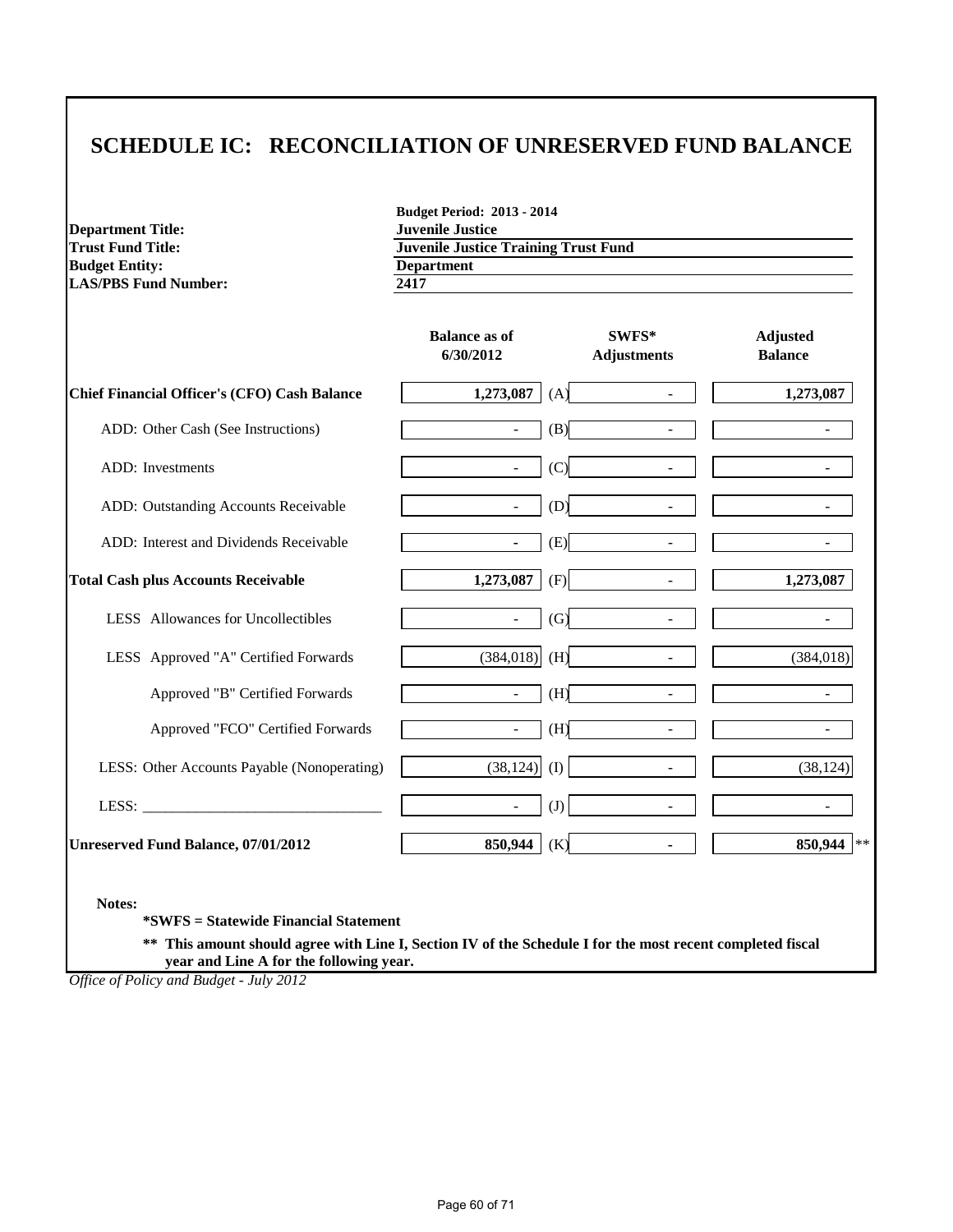# **SCHEDULE IC: RECONCILIATION OF UNRESERVED FUND BALANCE**

**Department Title:**<br>Trust Fund Title: **Budget Entity:** Department<br>
LAS/PBS Fund Number:  $\frac{1}{2417}$ **LAS/PBS Fund Number:** 

**Budget Period: 2013 - 2014 Trust Fund Department** 

|                                                     | <b>Balance as of</b><br>6/30/2012 | SWFS*<br><b>Adjustments</b>     | <b>Adjusted</b><br><b>Balance</b> |
|-----------------------------------------------------|-----------------------------------|---------------------------------|-----------------------------------|
| <b>Chief Financial Officer's (CFO) Cash Balance</b> | 1,273,087                         | (A)                             | 1,273,087                         |
| ADD: Other Cash (See Instructions)                  | $\blacksquare$                    | (B)                             |                                   |
| <b>ADD</b> : Investments                            | $\blacksquare$                    | (C)                             |                                   |
| ADD: Outstanding Accounts Receivable                | $\sim$                            | (D)<br>$\overline{\phantom{a}}$ | $\overline{\phantom{a}}$          |
| ADD: Interest and Dividends Receivable              | $\blacksquare$                    | (E)<br>$\overline{a}$           |                                   |
| <b>Total Cash plus Accounts Receivable</b>          | 1,273,087                         | (F)<br>$\overline{\phantom{a}}$ | 1,273,087                         |
| LESS Allowances for Uncollectibles                  | $\sim$                            | (G)<br>$\overline{\phantom{a}}$ |                                   |
| LESS Approved "A" Certified Forwards                | (384, 018)                        | (H)                             | (384, 018)                        |
| Approved "B" Certified Forwards                     | $\sim$                            | (H)<br>$\blacksquare$           |                                   |
| Approved "FCO" Certified Forwards                   | $\sim$                            | (H)<br>$\overline{\phantom{a}}$ |                                   |
| LESS: Other Accounts Payable (Nonoperating)         | $(38, 124)$ (I)                   | $\overline{\phantom{a}}$        | (38, 124)                         |
|                                                     | $\overline{\phantom{a}}$          | (J)<br>$\overline{\phantom{a}}$ |                                   |
| Unreserved Fund Balance, 07/01/2012                 | 850,944                           | (K)<br>$\blacksquare$           | 850,944<br>$\pm$ $\pm$            |

**Notes:**

**\*SWFS = Statewide Financial Statement** 

**\*\* This amount should agree with Line I, Section IV of the Schedule I for the most recent completed fiscal year and Line A for the following year.**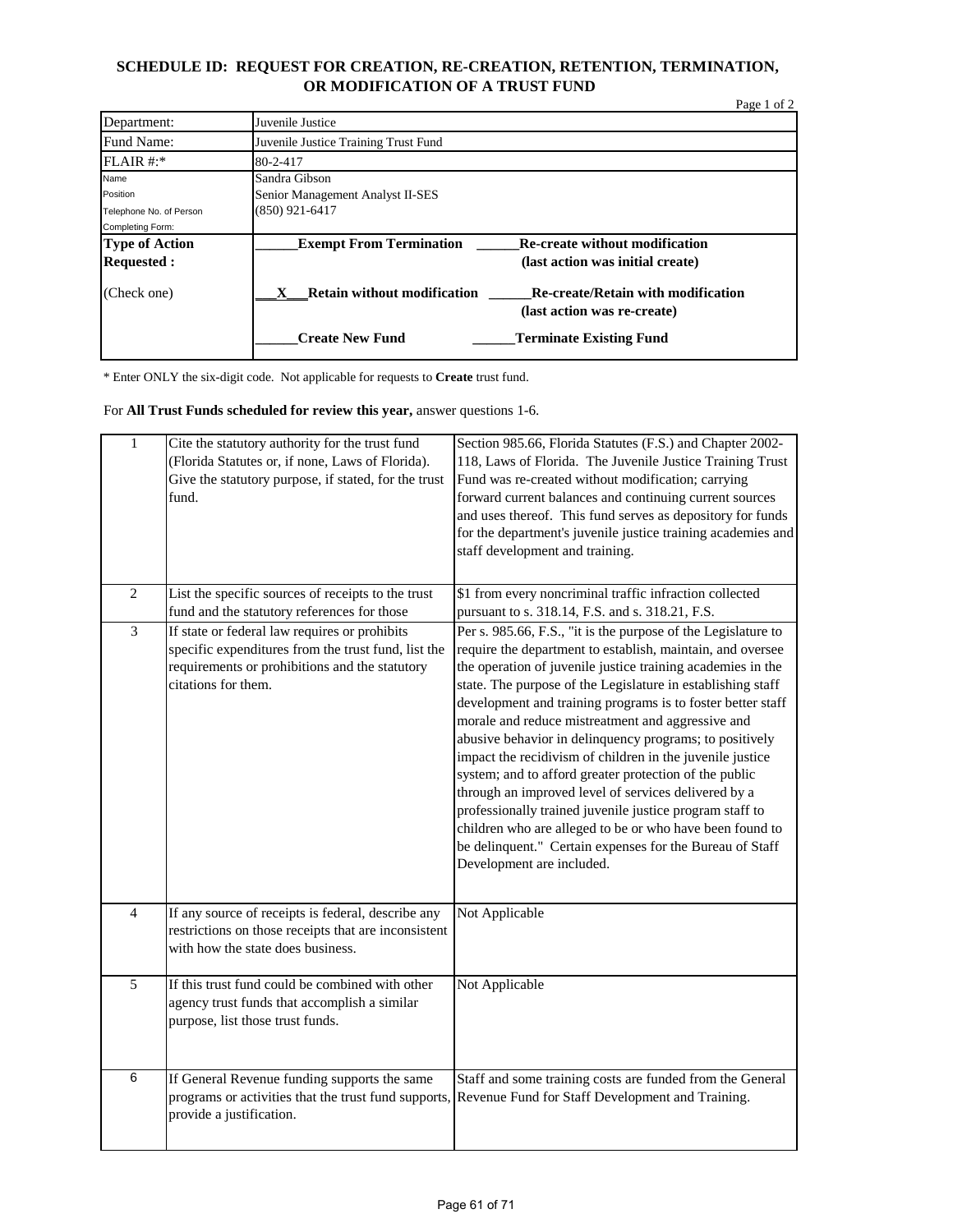# **SCHEDULE ID: REQUEST FOR CREATION, RE-CREATION, RETENTION, TERMINATION, OR MODIFICATION OF A TRUST FUND**

|                         |                                         |                                                                          | Page 1 of 2 |
|-------------------------|-----------------------------------------|--------------------------------------------------------------------------|-------------|
| Department:             | Juvenile Justice                        |                                                                          |             |
| Fund Name:              | Juvenile Justice Training Trust Fund    |                                                                          |             |
| FLAIR #:                | 80-2-417                                |                                                                          |             |
| Name                    | Sandra Gibson                           |                                                                          |             |
| Position                | Senior Management Analyst II-SES        |                                                                          |             |
| Telephone No. of Person | $(850)$ 921-6417                        |                                                                          |             |
| Completing Form:        |                                         |                                                                          |             |
| <b>Type of Action</b>   | <b>Exempt From Termination</b>          | <b>Re-create without modification</b>                                    |             |
| <b>Requested:</b>       |                                         | (last action was initial create)                                         |             |
| (Check one)             | <b>Retain without modification</b><br>x | <b>Re-create/Retain with modification</b><br>(last action was re-create) |             |
|                         | <b>Create New Fund</b>                  | <b>Terminate Existing Fund</b>                                           |             |

\* Enter ONLY the six-digit code. Not applicable for requests to **Create** trust fund.

For **All Trust Funds scheduled for review this year,** answer questions 1-6.

| $\overline{1}$ | Cite the statutory authority for the trust fund<br>(Florida Statutes or, if none, Laws of Florida).<br>Give the statutory purpose, if stated, for the trust<br>fund.          | Section 985.66, Florida Statutes (F.S.) and Chapter 2002-<br>118, Laws of Florida. The Juvenile Justice Training Trust<br>Fund was re-created without modification; carrying<br>forward current balances and continuing current sources<br>and uses thereof. This fund serves as depository for funds<br>for the department's juvenile justice training academies and<br>staff development and training.                                                                                                                                                                                                                                                                                                                                                                                                                                 |
|----------------|-------------------------------------------------------------------------------------------------------------------------------------------------------------------------------|------------------------------------------------------------------------------------------------------------------------------------------------------------------------------------------------------------------------------------------------------------------------------------------------------------------------------------------------------------------------------------------------------------------------------------------------------------------------------------------------------------------------------------------------------------------------------------------------------------------------------------------------------------------------------------------------------------------------------------------------------------------------------------------------------------------------------------------|
| $\overline{2}$ | List the specific sources of receipts to the trust<br>fund and the statutory references for those                                                                             | \$1 from every noncriminal traffic infraction collected<br>pursuant to s. 318.14, F.S. and s. 318.21, F.S.                                                                                                                                                                                                                                                                                                                                                                                                                                                                                                                                                                                                                                                                                                                               |
| 3              | If state or federal law requires or prohibits<br>specific expenditures from the trust fund, list the<br>requirements or prohibitions and the statutory<br>citations for them. | Per s. 985.66, F.S., "it is the purpose of the Legislature to<br>require the department to establish, maintain, and oversee<br>the operation of juvenile justice training academies in the<br>state. The purpose of the Legislature in establishing staff<br>development and training programs is to foster better staff<br>morale and reduce mistreatment and aggressive and<br>abusive behavior in delinquency programs; to positively<br>impact the recidivism of children in the juvenile justice<br>system; and to afford greater protection of the public<br>through an improved level of services delivered by a<br>professionally trained juvenile justice program staff to<br>children who are alleged to be or who have been found to<br>be delinquent." Certain expenses for the Bureau of Staff<br>Development are included. |
| $\overline{4}$ | If any source of receipts is federal, describe any<br>restrictions on those receipts that are inconsistent<br>with how the state does business.                               | Not Applicable                                                                                                                                                                                                                                                                                                                                                                                                                                                                                                                                                                                                                                                                                                                                                                                                                           |
| $\overline{5}$ | If this trust fund could be combined with other<br>agency trust funds that accomplish a similar<br>purpose, list those trust funds.                                           | Not Applicable                                                                                                                                                                                                                                                                                                                                                                                                                                                                                                                                                                                                                                                                                                                                                                                                                           |
| $\overline{6}$ | If General Revenue funding supports the same<br>programs or activities that the trust fund supports,<br>provide a justification.                                              | Staff and some training costs are funded from the General<br>Revenue Fund for Staff Development and Training.                                                                                                                                                                                                                                                                                                                                                                                                                                                                                                                                                                                                                                                                                                                            |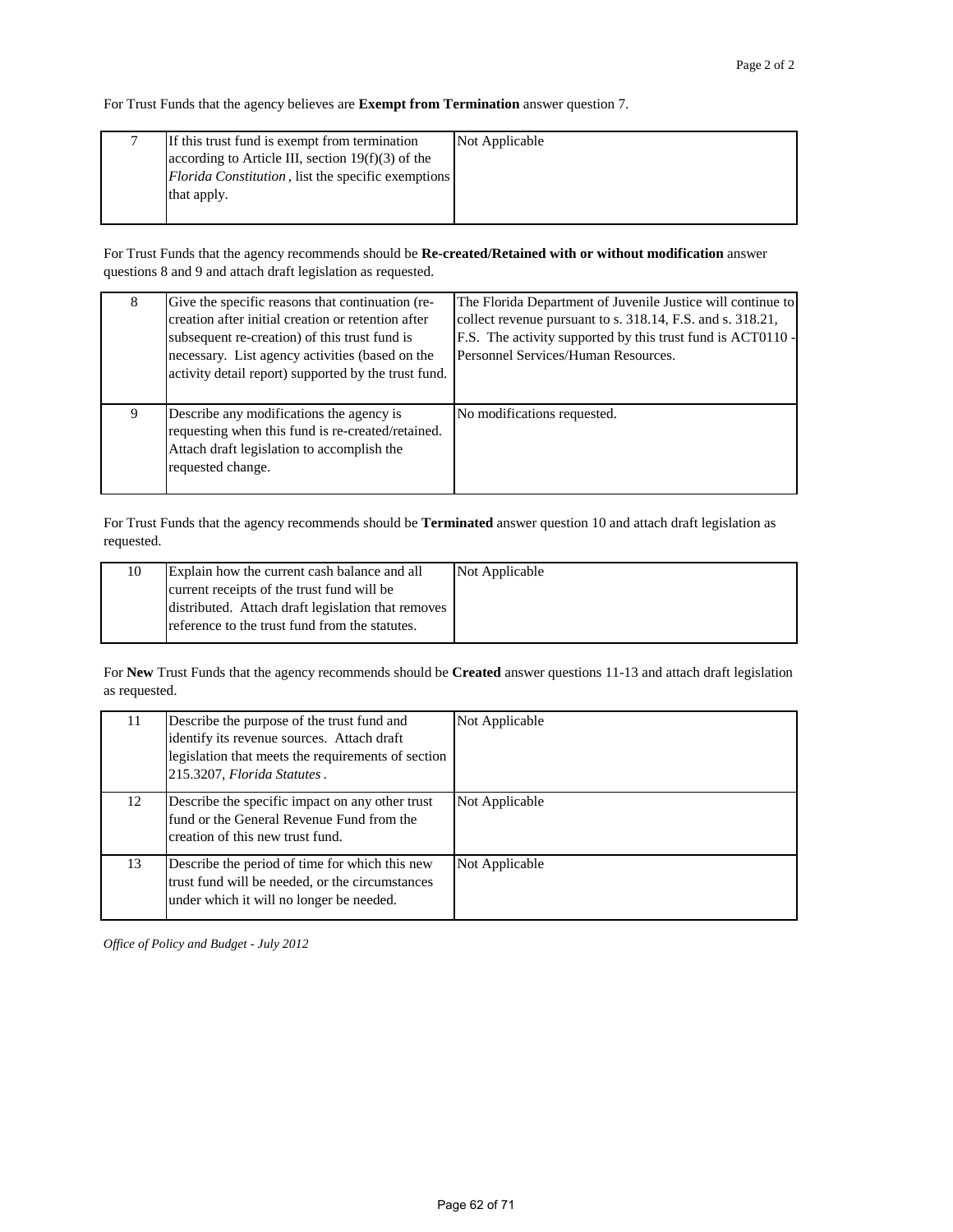For Trust Funds that the agency believes are **Exempt from Termination** answer question 7.

| If this trust fund is exempt from termination              | Not Applicable |
|------------------------------------------------------------|----------------|
| according to Article III, section $19(f)(3)$ of the        |                |
| <i>Florida Constitution</i> , list the specific exemptions |                |
| that apply.                                                |                |
|                                                            |                |

For Trust Funds that the agency recommends should be **Re-created/Retained with or without modification** answer questions 8 and 9 and attach draft legislation as requested.

| 8 | Give the specific reasons that continuation (re-<br>creation after initial creation or retention after<br>subsequent re-creation) of this trust fund is<br>necessary. List agency activities (based on the<br>activity detail report) supported by the trust fund. | The Florida Department of Juvenile Justice will continue to<br>collect revenue pursuant to s. 318.14, F.S. and s. 318.21,<br>F.S. The activity supported by this trust fund is ACT0110 -<br>Personnel Services/Human Resources. |
|---|--------------------------------------------------------------------------------------------------------------------------------------------------------------------------------------------------------------------------------------------------------------------|---------------------------------------------------------------------------------------------------------------------------------------------------------------------------------------------------------------------------------|
| 9 | Describe any modifications the agency is<br>requesting when this fund is re-created/retained.<br>Attach draft legislation to accomplish the<br>requested change.                                                                                                   | No modifications requested.                                                                                                                                                                                                     |

For Trust Funds that the agency recommends should be **Terminated** answer question 10 and attach draft legislation as requested.

| current receipts of the trust fund will be     | 10 | Explain how the current cash balance and all       | Not Applicable |
|------------------------------------------------|----|----------------------------------------------------|----------------|
|                                                |    |                                                    |                |
|                                                |    | distributed. Attach draft legislation that removes |                |
| reference to the trust fund from the statutes. |    |                                                    |                |

For **New** Trust Funds that the agency recommends should be **Created** answer questions 11-13 and attach draft legislation as requested.

| 11 | Describe the purpose of the trust fund and<br>identify its revenue sources. Attach draft<br>legislation that meets the requirements of section<br>215.3207, Florida Statutes. | Not Applicable |
|----|-------------------------------------------------------------------------------------------------------------------------------------------------------------------------------|----------------|
| 12 | Describe the specific impact on any other trust<br>fund or the General Revenue Fund from the<br>creation of this new trust fund.                                              | Not Applicable |
| 13 | Describe the period of time for which this new<br>trust fund will be needed, or the circumstances<br>under which it will no longer be needed.                                 | Not Applicable |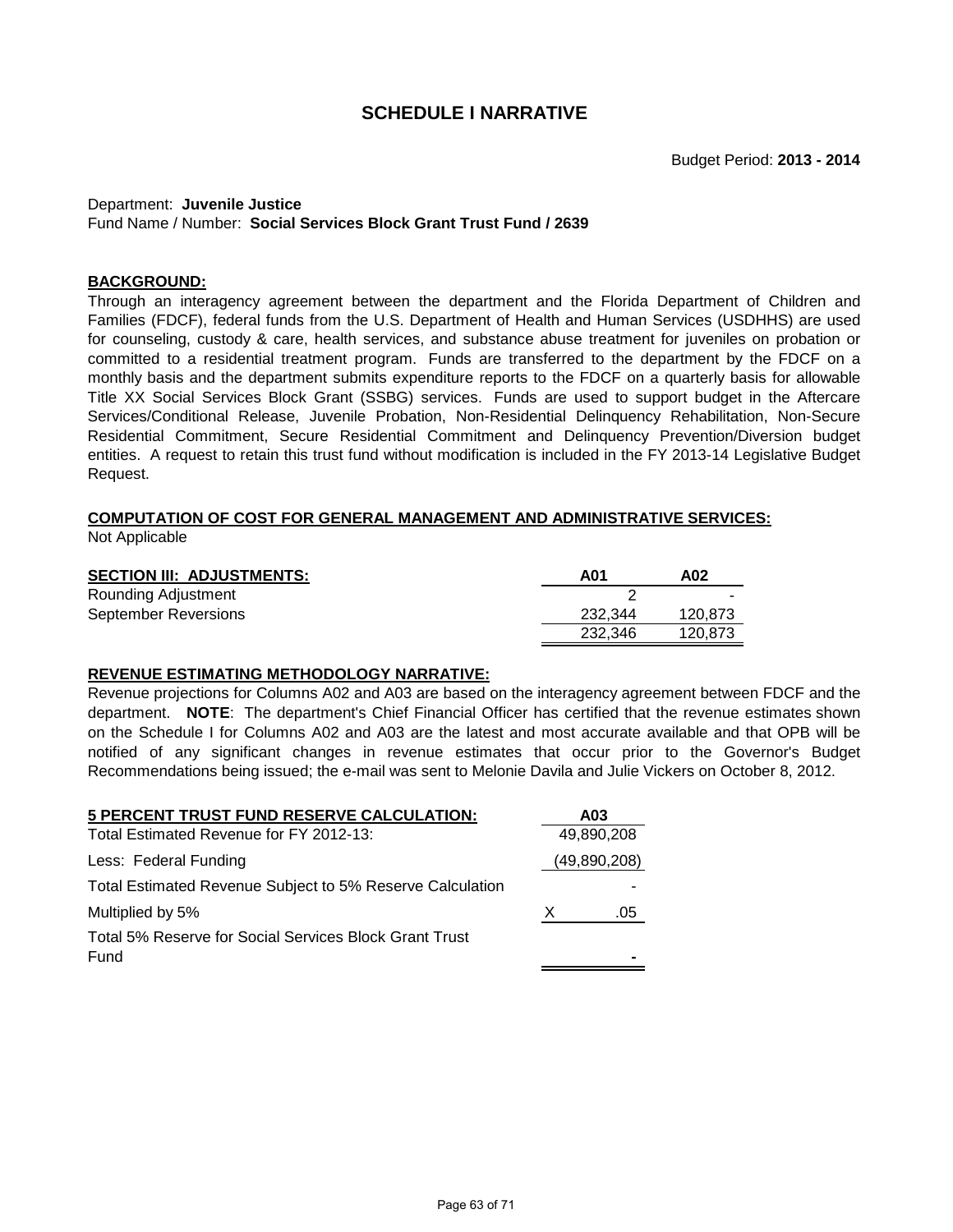#### Department: **Juvenile Justice** Fund Name / Number: **Social Services Block Grant Trust Fund / 2639**

### **BACKGROUND:**

Through an interagency agreement between the department and the Florida Department of Children and Families (FDCF), federal funds from the U.S. Department of Health and Human Services (USDHHS) are used for counseling, custody & care, health services, and substance abuse treatment for juveniles on probation or committed to a residential treatment program. Funds are transferred to the department by the FDCF on a monthly basis and the department submits expenditure reports to the FDCF on a quarterly basis for allowable Title XX Social Services Block Grant (SSBG) services. Funds are used to support budget in the Aftercare Services/Conditional Release, Juvenile Probation, Non-Residential Delinquency Rehabilitation, Non-Secure Residential Commitment, Secure Residential Commitment and Delinquency Prevention/Diversion budget entities. A request to retain this trust fund without modification is included in the FY 2013-14 Legislative Budget Request.

# **COMPUTATION OF COST FOR GENERAL MANAGEMENT AND ADMINISTRATIVE SERVICES:**

Not Applicable

| <b>SECTION III: ADJUSTMENTS:</b> | A01     | A02     |
|----------------------------------|---------|---------|
| Rounding Adjustment              |         | -       |
| <b>September Reversions</b>      | 232.344 | 120.873 |
|                                  | 232.346 | 120.873 |

# **REVENUE ESTIMATING METHODOLOGY NARRATIVE:**

Revenue projections for Columns A02 and A03 are based on the interagency agreement between FDCF and the department. **NOTE**: The department's Chief Financial Officer has certified that the revenue estimates shown on the Schedule I for Columns A02 and A03 are the latest and most accurate available and that OPB will be notified of any significant changes in revenue estimates that occur prior to the Governor's Budget Recommendations being issued; the e-mail was sent to Melonie Davila and Julie Vickers on October 8, 2012.

| 5 PERCENT TRUST FUND RESERVE CALCULATION:                 |   | A03          |
|-----------------------------------------------------------|---|--------------|
| Total Estimated Revenue for FY 2012-13:                   |   | 49,890,208   |
| Less: Federal Funding                                     |   | (49,890,208) |
| Total Estimated Revenue Subject to 5% Reserve Calculation |   |              |
| Multiplied by 5%                                          | X | .05          |
| Total 5% Reserve for Social Services Block Grant Trust    |   |              |
| Fund                                                      |   |              |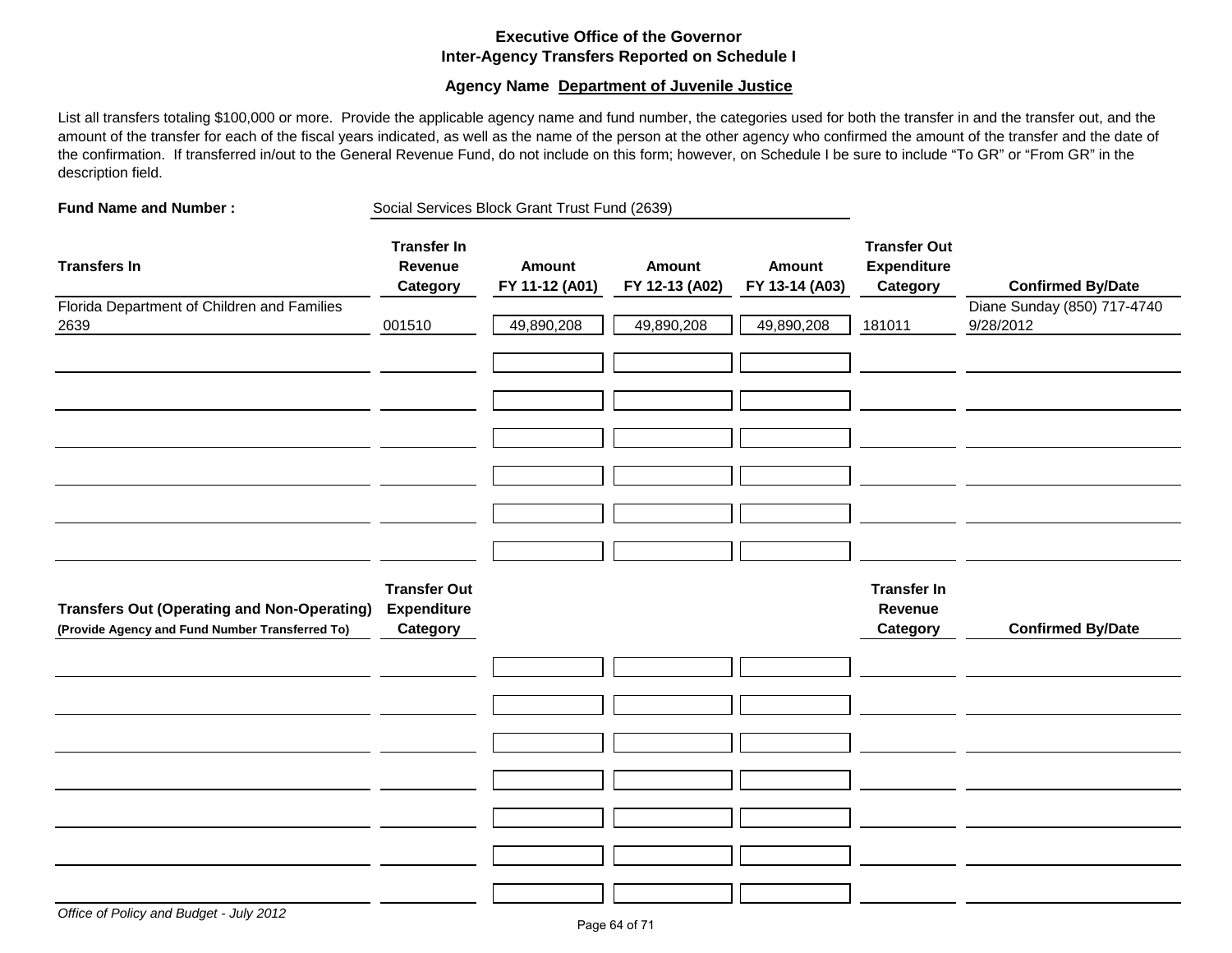# **Executive Office of the Governor Inter-Agency Transfers Reported on Schedule I**

### **Agency Name Department of Juvenile Justice**

List all transfers totaling \$100,000 or more. Provide the applicable agency name and fund number, the categories used for both the transfer in and the transfer out, and the amount of the transfer for each of the fiscal years indicated, as well as the name of the person at the other agency who confirmed the amount of the transfer and the date of the confirmation. If transferred in/out to the General Revenue Fund, do not include on this form; however, on Schedule I be sure to include "To GR" or "From GR" in the description field.

| <b>Fund Name and Number:</b>                                                                          | Social Services Block Grant Trust Fund (2639)         |                          |                          |                          |                                                       |                                          |
|-------------------------------------------------------------------------------------------------------|-------------------------------------------------------|--------------------------|--------------------------|--------------------------|-------------------------------------------------------|------------------------------------------|
| <b>Transfers In</b>                                                                                   | <b>Transfer In</b><br>Revenue<br>Category             | Amount<br>FY 11-12 (A01) | Amount<br>FY 12-13 (A02) | Amount<br>FY 13-14 (A03) | <b>Transfer Out</b><br><b>Expenditure</b><br>Category | <b>Confirmed By/Date</b>                 |
| Florida Department of Children and Families<br>2639                                                   | 001510                                                | 49,890,208               | 49,890,208               | 49,890,208               | 181011                                                | Diane Sunday (850) 717-4740<br>9/28/2012 |
|                                                                                                       |                                                       |                          |                          |                          |                                                       |                                          |
|                                                                                                       |                                                       |                          |                          |                          |                                                       |                                          |
| <b>Transfers Out (Operating and Non-Operating)</b><br>(Provide Agency and Fund Number Transferred To) | <b>Transfer Out</b><br><b>Expenditure</b><br>Category |                          |                          |                          | <b>Transfer In</b><br>Revenue<br>Category             | <b>Confirmed By/Date</b>                 |
|                                                                                                       |                                                       |                          |                          |                          |                                                       |                                          |
|                                                                                                       |                                                       |                          |                          |                          |                                                       |                                          |
|                                                                                                       |                                                       |                          |                          |                          |                                                       |                                          |
|                                                                                                       |                                                       |                          |                          |                          |                                                       |                                          |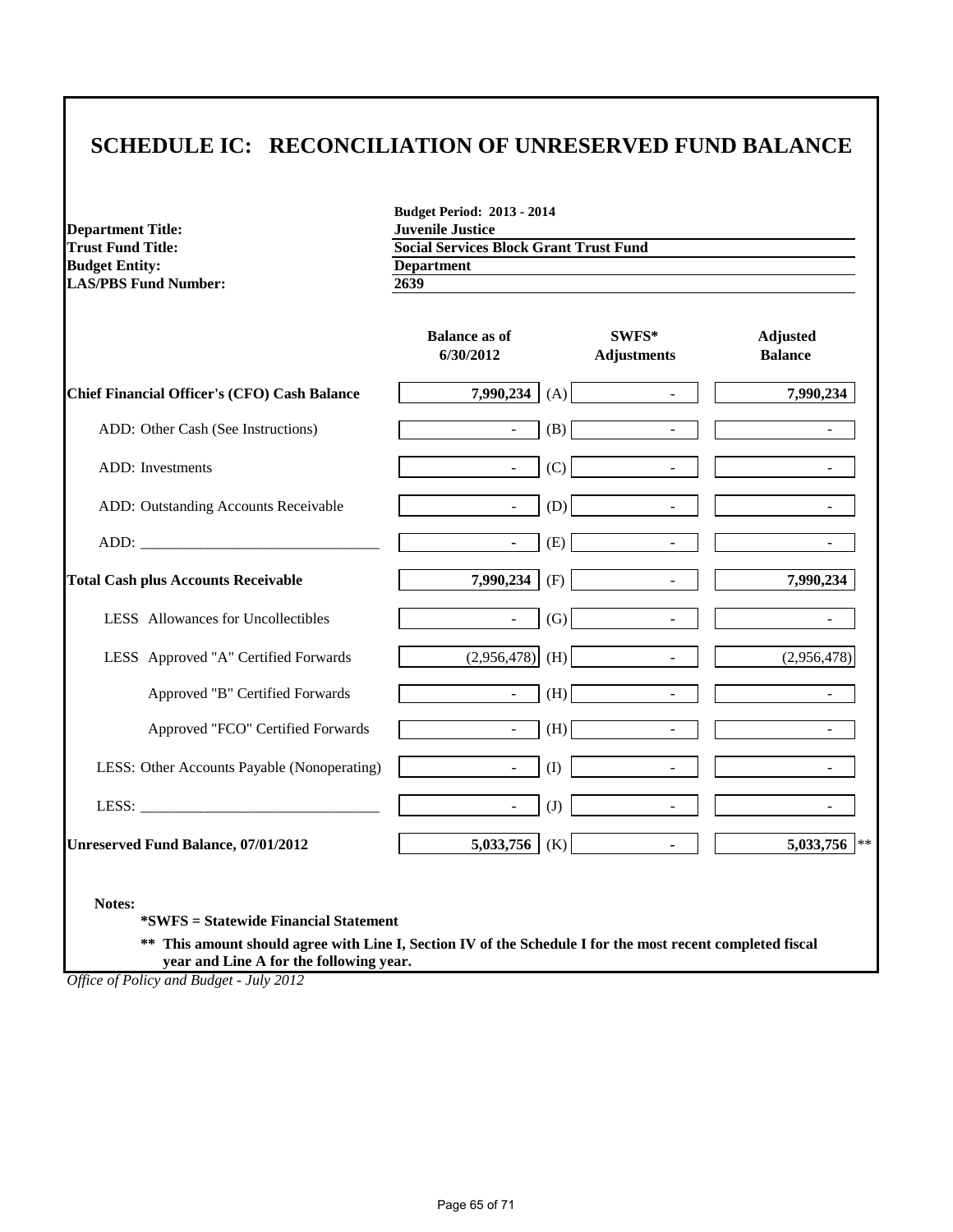# **SCHEDULE IC: RECONCILIATION OF UNRESERVED FUND BALANCE**

**Budget Period: 2013 - 2014**

| <b>Trust Fund Title:</b><br><b>Budget Entity:</b><br><b>LAS/PBS Fund Number:</b> | <b>Social Services Block Grant Trust Fund</b><br><b>Department</b><br>2639 |                                 |                                   |
|----------------------------------------------------------------------------------|----------------------------------------------------------------------------|---------------------------------|-----------------------------------|
|                                                                                  | <b>Balance as of</b><br>6/30/2012                                          | SWFS*<br><b>Adjustments</b>     | <b>Adjusted</b><br><b>Balance</b> |
| <b>Chief Financial Officer's (CFO) Cash Balance</b>                              | 7,990,234                                                                  | (A)<br>$\Box$                   | 7,990,234                         |
| ADD: Other Cash (See Instructions)                                               | $\sim$                                                                     | (B)                             |                                   |
| ADD: Investments                                                                 | $\blacksquare$                                                             | (C)<br>$\blacksquare$           |                                   |
| ADD: Outstanding Accounts Receivable                                             | $\sim$                                                                     | (D)<br>$\overline{\phantom{a}}$ |                                   |
|                                                                                  | $\sim$                                                                     | (E)<br>$\blacksquare$           |                                   |
| <b>Total Cash plus Accounts Receivable</b>                                       | 7,990,234                                                                  | (F)                             | 7,990,234                         |
| LESS Allowances for Uncollectibles                                               | $\sim$                                                                     | (G)<br>$\overline{\phantom{a}}$ |                                   |
| LESS Approved "A" Certified Forwards                                             | (2,956,478)                                                                | (H)<br>$\overline{\phantom{a}}$ | (2,956,478)                       |
| Approved "B" Certified Forwards                                                  | $\sim$                                                                     | (H)<br>$\blacksquare$           | $\mathbf{r}$                      |
| Approved "FCO" Certified Forwards                                                | $\sim$                                                                     | (H)<br>$\blacksquare$           | $\blacksquare$                    |
| LESS: Other Accounts Payable (Nonoperating)                                      | $\sim$                                                                     | (I)<br>$\bar{\phantom{a}}$      |                                   |
|                                                                                  | $\mathcal{L}^{\mathcal{L}}$                                                | (J)<br>$\overline{a}$           |                                   |
| <b>Unreserved Fund Balance, 07/01/2012</b>                                       | 5,033,756                                                                  | (K)<br>$\mathbf{r}$             | 5,033,756 **                      |

**\*SWFS = Statewide Financial Statement** 

**Department Title: Juvenile Justice**

**\*\* This amount should agree with Line I, Section IV of the Schedule I for the most recent completed fiscal year and Line A for the following year.**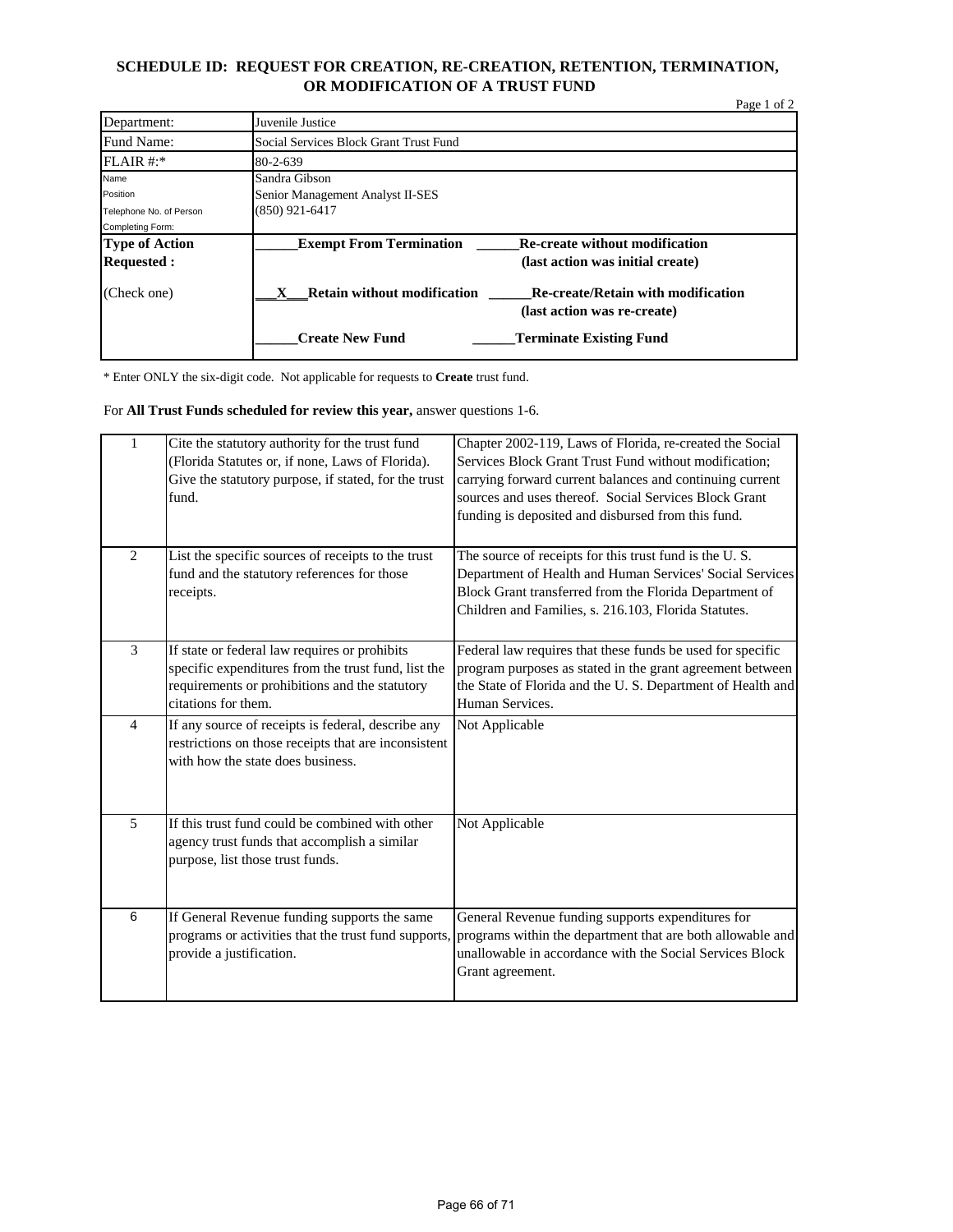# **SCHEDULE ID: REQUEST FOR CREATION, RE-CREATION, RETENTION, TERMINATION, OR MODIFICATION OF A TRUST FUND**

|                         |                                         |                                                                          | Page 1 of 2 |
|-------------------------|-----------------------------------------|--------------------------------------------------------------------------|-------------|
| Department:             | Juvenile Justice                        |                                                                          |             |
| Fund Name:              | Social Services Block Grant Trust Fund  |                                                                          |             |
| FLAIR #:                | 80-2-639                                |                                                                          |             |
| Name                    | Sandra Gibson                           |                                                                          |             |
| Position                | Senior Management Analyst II-SES        |                                                                          |             |
| Telephone No. of Person | $(850)$ 921-6417                        |                                                                          |             |
| Completing Form:        |                                         |                                                                          |             |
| <b>Type of Action</b>   | <b>Exempt From Termination</b>          | <b>Re-create without modification</b>                                    |             |
| <b>Requested:</b>       |                                         | (last action was initial create)                                         |             |
| (Check one)             | <b>Retain without modification</b><br>x | <b>Re-create/Retain with modification</b><br>(last action was re-create) |             |
|                         | <b>Create New Fund</b>                  | <b>Terminate Existing Fund</b>                                           |             |

\* Enter ONLY the six-digit code. Not applicable for requests to **Create** trust fund.

For **All Trust Funds scheduled for review this year,** answer questions 1-6.

| $\mathbf{1}$   | Cite the statutory authority for the trust fund<br>(Florida Statutes or, if none, Laws of Florida).<br>Give the statutory purpose, if stated, for the trust<br>fund.          | Chapter 2002-119, Laws of Florida, re-created the Social<br>Services Block Grant Trust Fund without modification:<br>carrying forward current balances and continuing current<br>sources and uses thereof. Social Services Block Grant<br>funding is deposited and disbursed from this fund. |
|----------------|-------------------------------------------------------------------------------------------------------------------------------------------------------------------------------|----------------------------------------------------------------------------------------------------------------------------------------------------------------------------------------------------------------------------------------------------------------------------------------------|
| $\overline{2}$ | List the specific sources of receipts to the trust<br>fund and the statutory references for those<br>receipts.                                                                | The source of receipts for this trust fund is the U.S.<br>Department of Health and Human Services' Social Services<br>Block Grant transferred from the Florida Department of<br>Children and Families, s. 216.103, Florida Statutes.                                                         |
| 3              | If state or federal law requires or prohibits<br>specific expenditures from the trust fund, list the<br>requirements or prohibitions and the statutory<br>citations for them. | Federal law requires that these funds be used for specific<br>program purposes as stated in the grant agreement between<br>the State of Florida and the U.S. Department of Health and<br>Human Services.                                                                                     |
| $\overline{4}$ | If any source of receipts is federal, describe any<br>restrictions on those receipts that are inconsistent<br>with how the state does business.                               | Not Applicable                                                                                                                                                                                                                                                                               |
| 5              | If this trust fund could be combined with other<br>agency trust funds that accomplish a similar<br>purpose, list those trust funds.                                           | Not Applicable                                                                                                                                                                                                                                                                               |
| 6              | If General Revenue funding supports the same<br>programs or activities that the trust fund supports,<br>provide a justification.                                              | General Revenue funding supports expenditures for<br>programs within the department that are both allowable and<br>unallowable in accordance with the Social Services Block<br>Grant agreement.                                                                                              |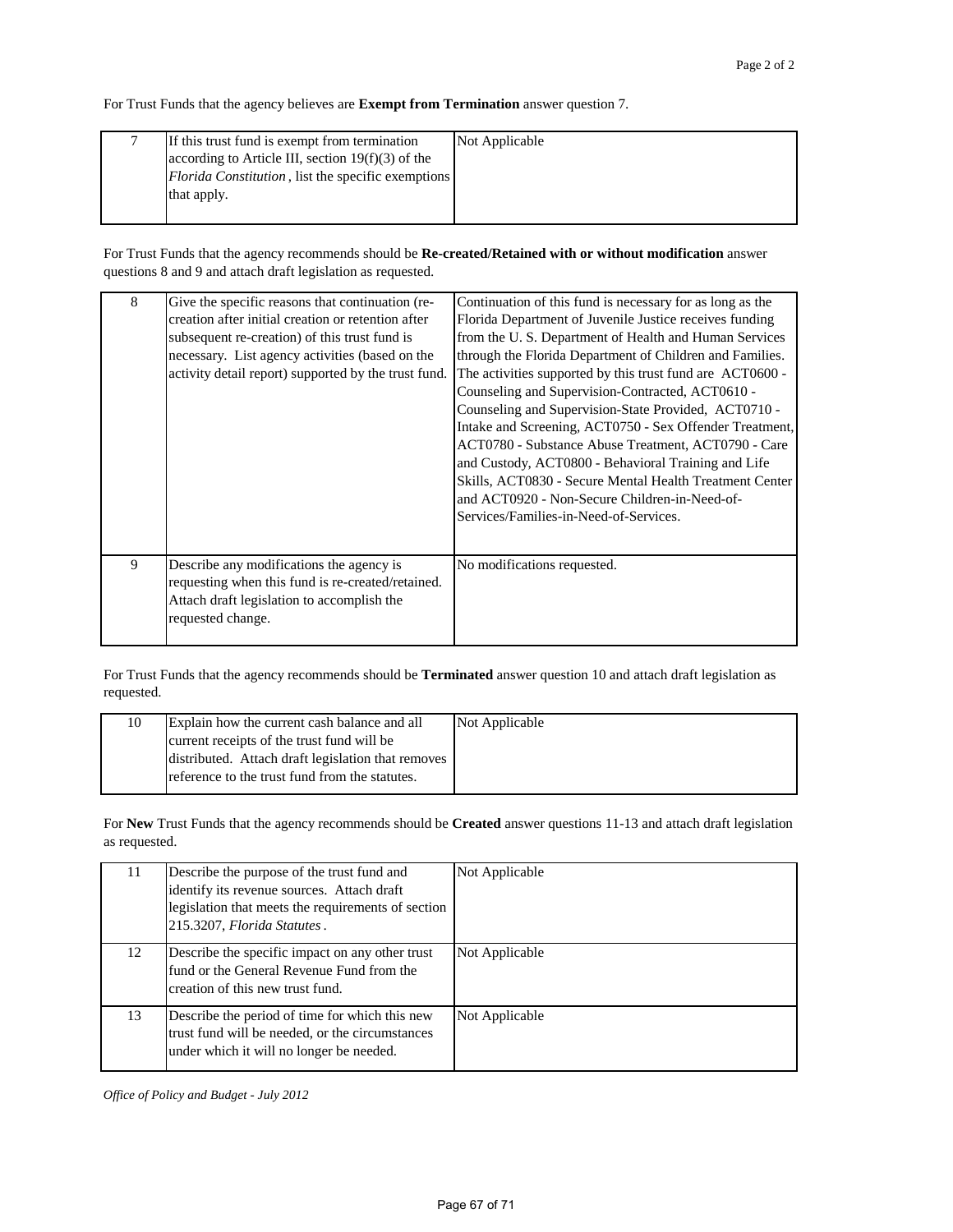For Trust Funds that the agency believes are **Exempt from Termination** answer question 7.

| If this trust fund is exempt from termination              | Not Applicable |
|------------------------------------------------------------|----------------|
| according to Article III, section $19(f)(3)$ of the        |                |
| <i>Florida Constitution</i> , list the specific exemptions |                |
| that apply.                                                |                |
|                                                            |                |

For Trust Funds that the agency recommends should be **Re-created/Retained with or without modification** answer questions 8 and 9 and attach draft legislation as requested.

| 8 | Give the specific reasons that continuation (re-<br>creation after initial creation or retention after<br>subsequent re-creation) of this trust fund is<br>necessary. List agency activities (based on the<br>activity detail report) supported by the trust fund. | Continuation of this fund is necessary for as long as the<br>Florida Department of Juvenile Justice receives funding<br>from the U.S. Department of Health and Human Services<br>through the Florida Department of Children and Families.<br>The activities supported by this trust fund are ACT0600 -<br>Counseling and Supervision-Contracted, ACT0610 -<br>Counseling and Supervision-State Provided, ACT0710 -<br>Intake and Screening, ACT0750 - Sex Offender Treatment,<br>ACT0780 - Substance Abuse Treatment, ACT0790 - Care<br>and Custody, ACT0800 - Behavioral Training and Life<br>Skills, ACT0830 - Secure Mental Health Treatment Center<br>and ACT0920 - Non-Secure Children-in-Need-of-<br>Services/Families-in-Need-of-Services. |
|---|--------------------------------------------------------------------------------------------------------------------------------------------------------------------------------------------------------------------------------------------------------------------|---------------------------------------------------------------------------------------------------------------------------------------------------------------------------------------------------------------------------------------------------------------------------------------------------------------------------------------------------------------------------------------------------------------------------------------------------------------------------------------------------------------------------------------------------------------------------------------------------------------------------------------------------------------------------------------------------------------------------------------------------|
| 9 | Describe any modifications the agency is<br>requesting when this fund is re-created/retained.<br>Attach draft legislation to accomplish the<br>requested change.                                                                                                   | No modifications requested.                                                                                                                                                                                                                                                                                                                                                                                                                                                                                                                                                                                                                                                                                                                       |

For Trust Funds that the agency recommends should be **Terminated** answer question 10 and attach draft legislation as requested.

| 10 | Explain how the current cash balance and all       | Not Applicable |
|----|----------------------------------------------------|----------------|
|    | current receipts of the trust fund will be         |                |
|    | distributed. Attach draft legislation that removes |                |
|    | reference to the trust fund from the statutes.     |                |

For **New** Trust Funds that the agency recommends should be **Created** answer questions 11-13 and attach draft legislation as requested.

| 11 | Describe the purpose of the trust fund and<br>identify its revenue sources. Attach draft<br>legislation that meets the requirements of section<br>215.3207, Florida Statutes. | Not Applicable |
|----|-------------------------------------------------------------------------------------------------------------------------------------------------------------------------------|----------------|
| 12 | Describe the specific impact on any other trust<br>fund or the General Revenue Fund from the<br>creation of this new trust fund.                                              | Not Applicable |
| 13 | Describe the period of time for which this new<br>trust fund will be needed, or the circumstances<br>under which it will no longer be needed.                                 | Not Applicable |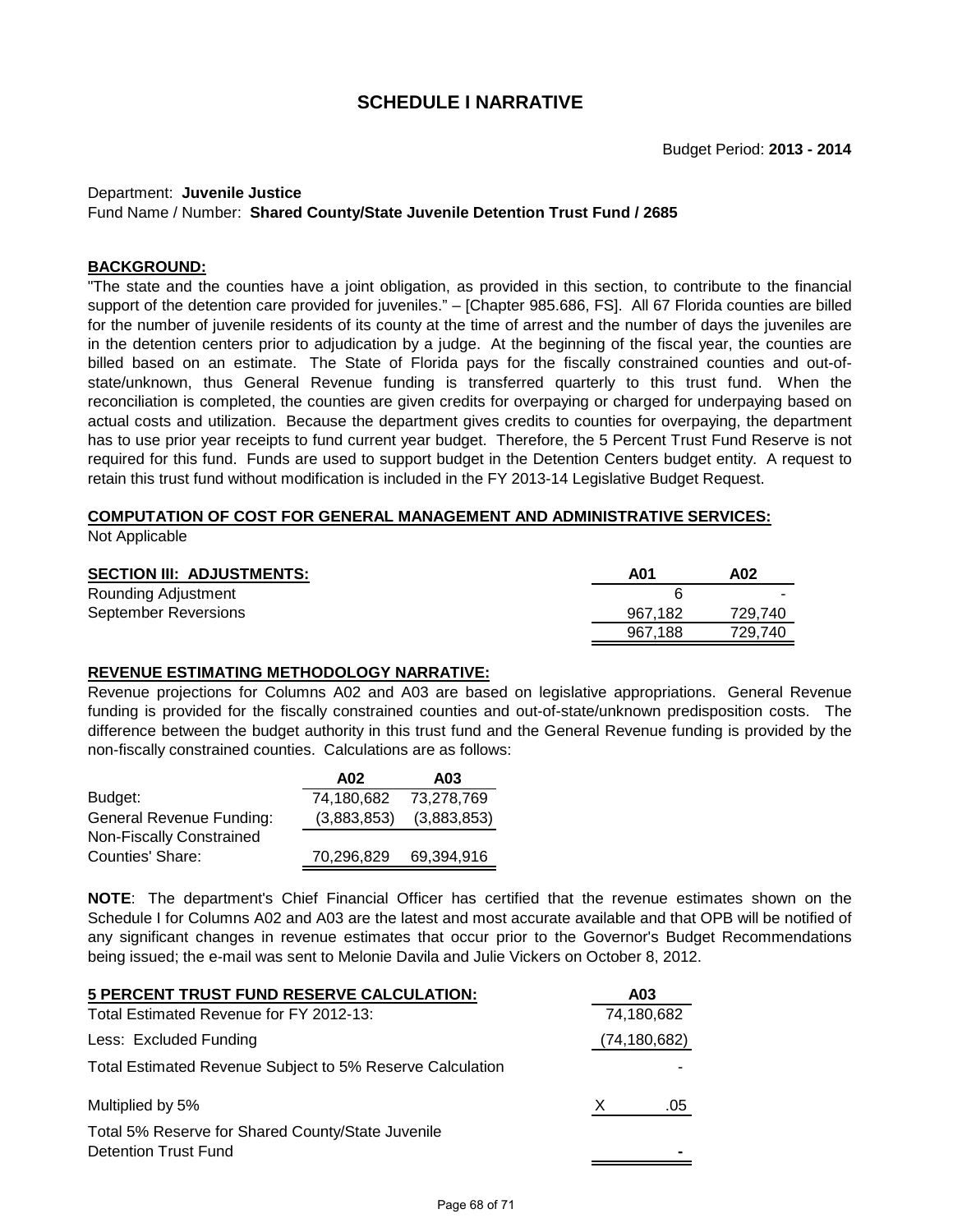#### Department: **Juvenile Justice**

Fund Name / Number: **Shared County/State Juvenile Detention Trust Fund / 2685**

#### **BACKGROUND:**

"The state and the counties have a joint obligation, as provided in this section, to contribute to the financial support of the detention care provided for juveniles." – [Chapter 985.686, FS]. All 67 Florida counties are billed for the number of juvenile residents of its county at the time of arrest and the number of days the juveniles are in the detention centers prior to adjudication by a judge. At the beginning of the fiscal year, the counties are billed based on an estimate. The State of Florida pays for the fiscally constrained counties and out-ofstate/unknown, thus General Revenue funding is transferred quarterly to this trust fund. When the reconciliation is completed, the counties are given credits for overpaying or charged for underpaying based on actual costs and utilization. Because the department gives credits to counties for overpaying, the department has to use prior year receipts to fund current year budget. Therefore, the 5 Percent Trust Fund Reserve is not required for this fund. Funds are used to support budget in the Detention Centers budget entity. A request to retain this trust fund without modification is included in the FY 2013-14 Legislative Budget Request.

# **COMPUTATION OF COST FOR GENERAL MANAGEMENT AND ADMINISTRATIVE SERVICES:**

Not Applicable

| <b>SECTION III: ADJUSTMENTS:</b> | A01     | A02     |
|----------------------------------|---------|---------|
| Rounding Adjustment              |         |         |
| September Reversions             | 967.182 | 729.740 |
|                                  | 967.188 | 729.740 |

# **REVENUE ESTIMATING METHODOLOGY NARRATIVE:**

Revenue projections for Columns A02 and A03 are based on legislative appropriations. General Revenue funding is provided for the fiscally constrained counties and out-of-state/unknown predisposition costs. The difference between the budget authority in this trust fund and the General Revenue funding is provided by the non-fiscally constrained counties. Calculations are as follows:

|                          | A02         | A03         |
|--------------------------|-------------|-------------|
| Budget:                  | 74,180,682  | 73.278.769  |
| General Revenue Funding: | (3,883,853) | (3,883,853) |
| Non-Fiscally Constrained |             |             |
| Counties' Share:         | 70,296,829  | 69.394.916  |

**NOTE**: The department's Chief Financial Officer has certified that the revenue estimates shown on the Schedule I for Columns A02 and A03 are the latest and most accurate available and that OPB will be notified of any significant changes in revenue estimates that occur prior to the Governor's Budget Recommendations being issued; the e-mail was sent to Melonie Davila and Julie Vickers on October 8, 2012.

| <b>5 PERCENT TRUST FUND RESERVE CALCULATION:</b>                                 | A03            |     |
|----------------------------------------------------------------------------------|----------------|-----|
| Total Estimated Revenue for FY 2012-13:                                          | 74,180,682     |     |
| Less: Excluded Funding                                                           | (74, 180, 682) |     |
| Total Estimated Revenue Subject to 5% Reserve Calculation                        |                |     |
| Multiplied by 5%                                                                 | X.             | .05 |
| Total 5% Reserve for Shared County/State Juvenile<br><b>Detention Trust Fund</b> |                |     |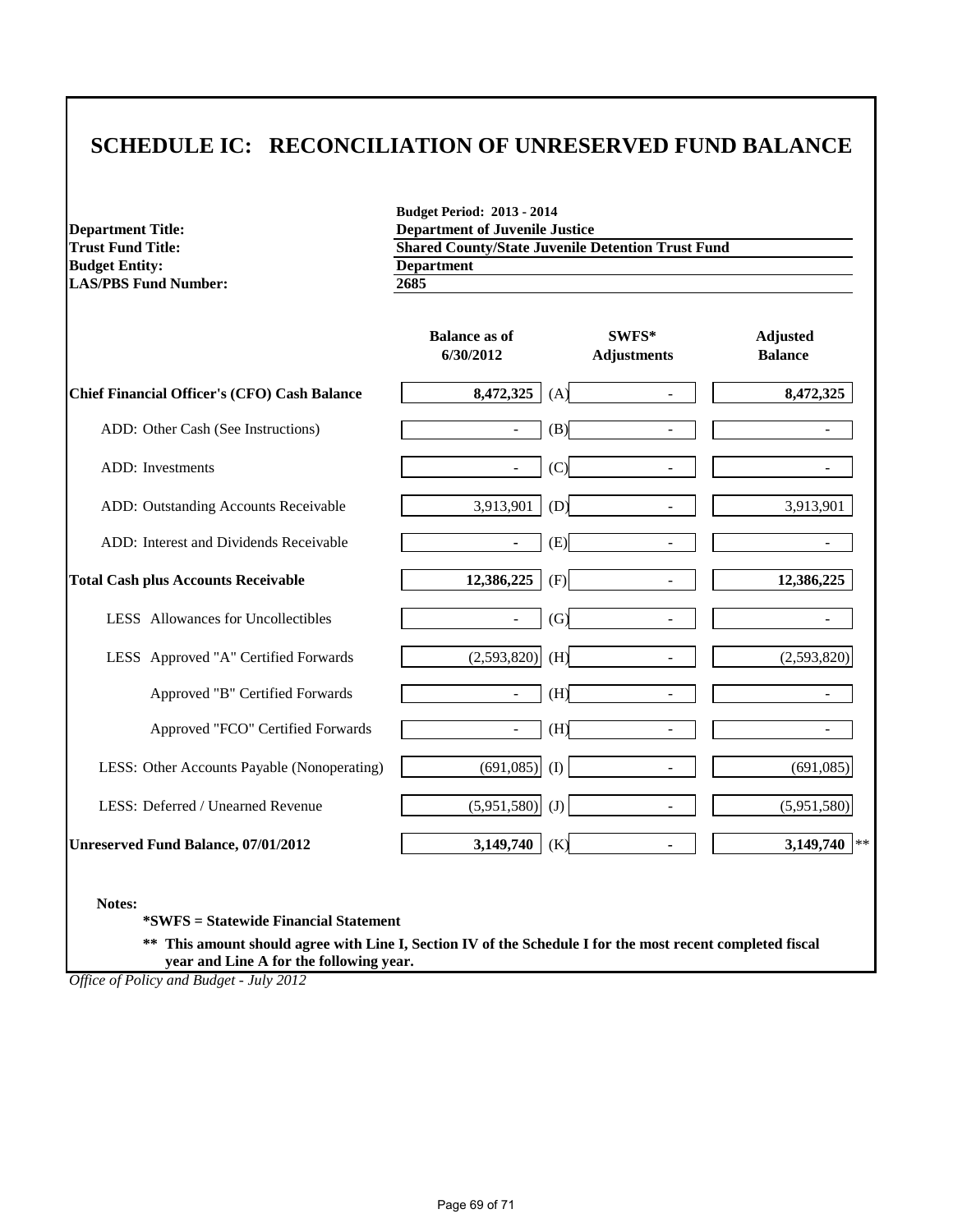# **SCHEDULE IC: RECONCILIATION OF UNRESERVED FUND BALANCE**

**Budget Entity:** Department<br>LAS/PBS Fund Number:  $\frac{Depa}{2685}$ **LAS/PBS Fund Number:** 

**Budget Period: 2013 - 2014 Department Title:**<br> **Department of Juvenile Justice**<br> **COLOGY** Shared County/State Juvenile L **Shared County/State Juvenile Detention Trust Fund**<br>**Department** 

|                                                     | <b>Balance as of</b><br>6/30/2012 | SWFS*<br><b>Adjustments</b>     | <b>Adjusted</b><br><b>Balance</b> |
|-----------------------------------------------------|-----------------------------------|---------------------------------|-----------------------------------|
| <b>Chief Financial Officer's (CFO) Cash Balance</b> | 8,472,325                         | (A)                             | 8,472,325                         |
| ADD: Other Cash (See Instructions)                  | $\overline{\phantom{0}}$          | (B)                             |                                   |
| <b>ADD</b> : Investments                            | $\overline{\phantom{0}}$          | (C)                             | -                                 |
| ADD: Outstanding Accounts Receivable                | 3,913,901                         | (D)                             | 3,913,901                         |
| ADD: Interest and Dividends Receivable              | $\blacksquare$                    | (E)<br>$\overline{\phantom{a}}$ | $\overline{\phantom{m}}$          |
| <b>Total Cash plus Accounts Receivable</b>          | 12,386,225                        | (F)<br>$\overline{a}$           | 12,386,225                        |
| LESS Allowances for Uncollectibles                  | $\overline{\phantom{0}}$          | (G)                             |                                   |
| LESS Approved "A" Certified Forwards                | (2,593,820)                       | (H)                             | (2,593,820)                       |
| Approved "B" Certified Forwards                     |                                   | (H)                             |                                   |
| Approved "FCO" Certified Forwards                   | $\overline{\phantom{0}}$          | (H)<br>$\overline{\phantom{a}}$ |                                   |
| LESS: Other Accounts Payable (Nonoperating)         | (691,085)                         | (I)                             | (691,085)                         |
| LESS: Deferred / Unearned Revenue                   | (5,951,580)                       | (J)                             | (5,951,580)                       |
| <b>Unreserved Fund Balance, 07/01/2012</b>          | 3,149,740                         | (K)<br>$\blacksquare$           | 3,149,740<br>$*$                  |

**Notes:**

**\*SWFS = Statewide Financial Statement** 

**\*\* This amount should agree with Line I, Section IV of the Schedule I for the most recent completed fiscal year and Line A for the following year.**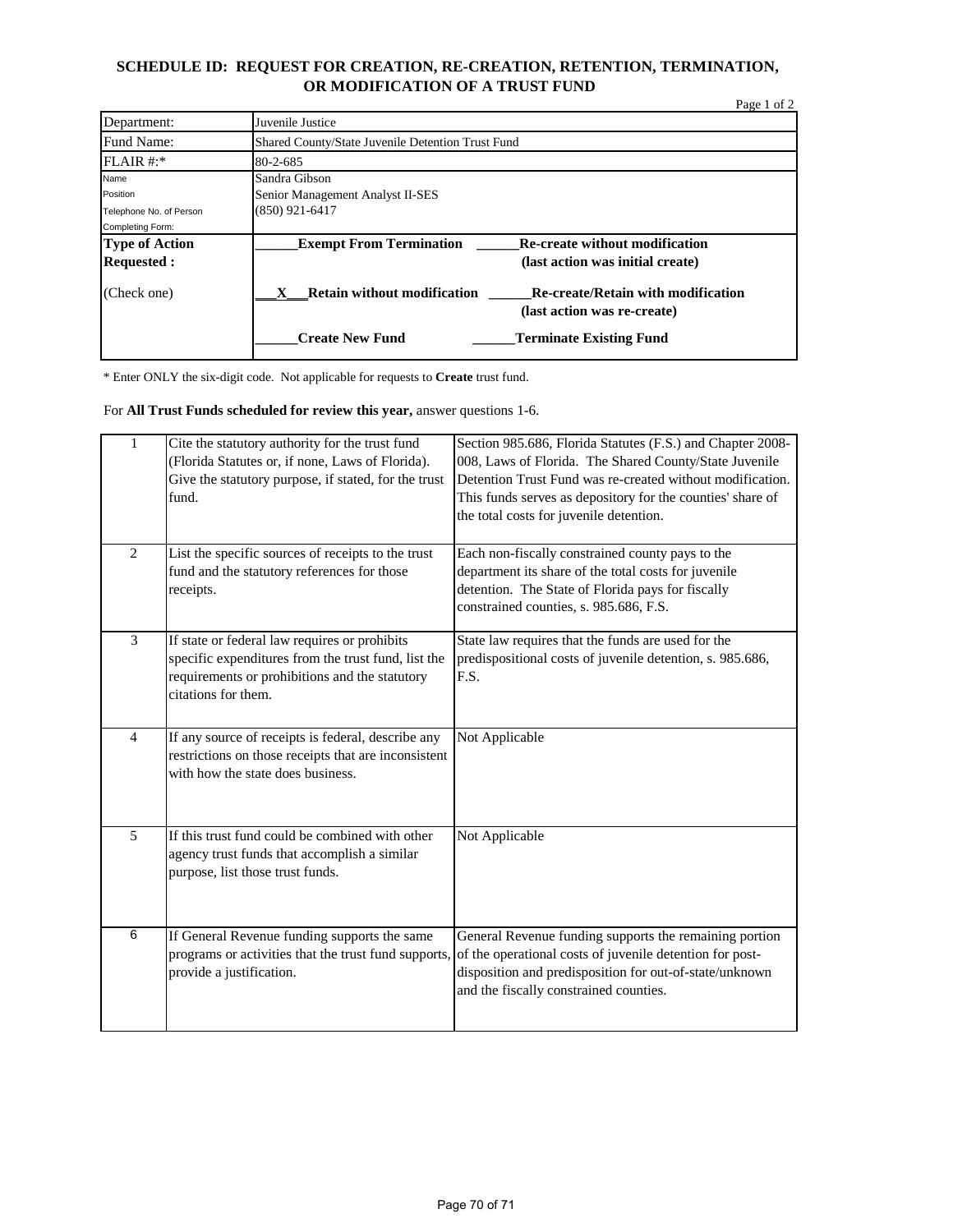# **SCHEDULE ID: REQUEST FOR CREATION, RE-CREATION, RETENTION, TERMINATION, OR MODIFICATION OF A TRUST FUND**

|                         |                                                                                                                | Page 1 of 2 |
|-------------------------|----------------------------------------------------------------------------------------------------------------|-------------|
| Department:             | Juvenile Justice                                                                                               |             |
| Fund Name:              | Shared County/State Juvenile Detention Trust Fund                                                              |             |
| FLAIR #:                | $80 - 2 - 685$                                                                                                 |             |
| Name                    | Sandra Gibson                                                                                                  |             |
| Position                | Senior Management Analyst II-SES                                                                               |             |
| Telephone No. of Person | $(850)$ 921-6417                                                                                               |             |
| Completing Form:        |                                                                                                                |             |
| <b>Type of Action</b>   | <b>Exempt From Termination</b><br><b>Re-create without modification</b>                                        |             |
| <b>Requested:</b>       | (last action was initial create)                                                                               |             |
| (Check one)             | <b>Retain without modification</b><br><b>Re-create/Retain with modification</b><br>(last action was re-create) |             |
|                         | <b>Create New Fund</b><br><b>Terminate Existing Fund</b>                                                       |             |

\* Enter ONLY the six-digit code. Not applicable for requests to **Create** trust fund.

For **All Trust Funds scheduled for review this year,** answer questions 1-6.

| $\mathbf{1}$   | Cite the statutory authority for the trust fund<br>(Florida Statutes or, if none, Laws of Florida).<br>Give the statutory purpose, if stated, for the trust<br>fund.          | Section 985.686, Florida Statutes (F.S.) and Chapter 2008-<br>008, Laws of Florida. The Shared County/State Juvenile<br>Detention Trust Fund was re-created without modification.<br>This funds serves as depository for the counties' share of<br>the total costs for juvenile detention. |
|----------------|-------------------------------------------------------------------------------------------------------------------------------------------------------------------------------|--------------------------------------------------------------------------------------------------------------------------------------------------------------------------------------------------------------------------------------------------------------------------------------------|
| $\overline{2}$ | List the specific sources of receipts to the trust<br>fund and the statutory references for those<br>receipts.                                                                | Each non-fiscally constrained county pays to the<br>department its share of the total costs for juvenile<br>detention. The State of Florida pays for fiscally<br>constrained counties, s. 985.686, F.S.                                                                                    |
| 3              | If state or federal law requires or prohibits<br>specific expenditures from the trust fund, list the<br>requirements or prohibitions and the statutory<br>citations for them. | State law requires that the funds are used for the<br>predispositional costs of juvenile detention, s. 985.686,<br>F.S.                                                                                                                                                                    |
| $\overline{4}$ | If any source of receipts is federal, describe any<br>restrictions on those receipts that are inconsistent<br>with how the state does business.                               | Not Applicable                                                                                                                                                                                                                                                                             |
| 5              | If this trust fund could be combined with other<br>agency trust funds that accomplish a similar<br>purpose, list those trust funds.                                           | Not Applicable                                                                                                                                                                                                                                                                             |
| 6              | If General Revenue funding supports the same<br>programs or activities that the trust fund supports,<br>provide a justification.                                              | General Revenue funding supports the remaining portion<br>of the operational costs of juvenile detention for post-<br>disposition and predisposition for out-of-state/unknown<br>and the fiscally constrained counties.                                                                    |